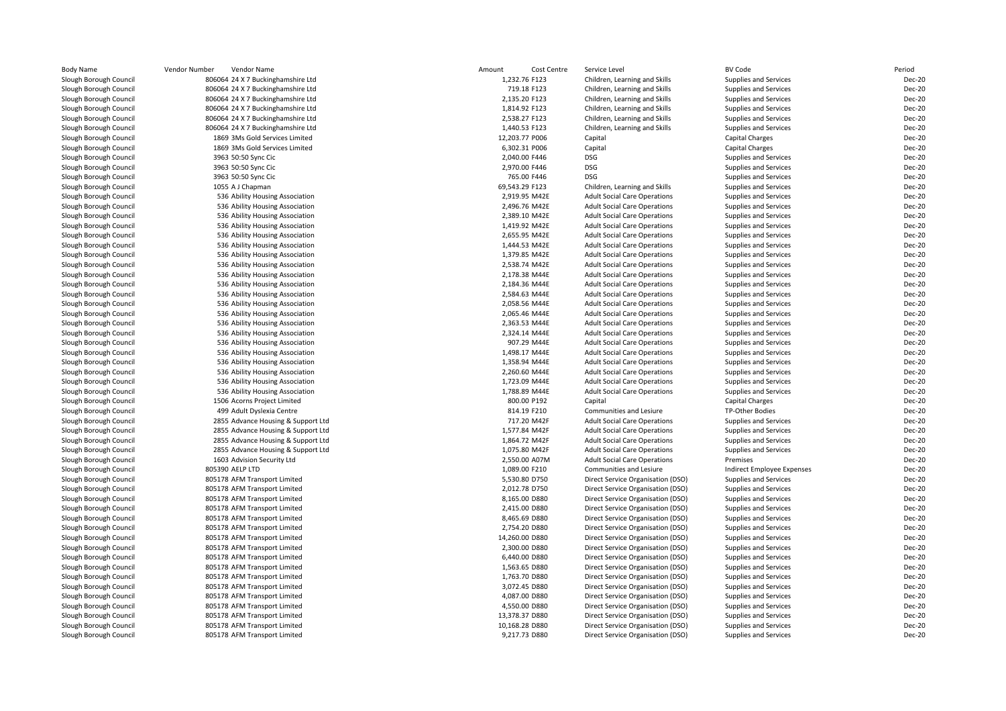| <b>Body Name</b>                                 | Vendor Number<br>Vendor Name                                 | Amount<br>Cost Centre          | Service Level                                                          | <b>BV Code</b>                                 | Period                         |
|--------------------------------------------------|--------------------------------------------------------------|--------------------------------|------------------------------------------------------------------------|------------------------------------------------|--------------------------------|
| Slough Borough Council                           | 806064 24 X 7 Buckinghamshire Ltd                            | 1,232.76 F123                  | Children, Learning and Skills                                          | Supplies and Services                          | <b>Dec-20</b>                  |
| Slough Borough Council                           | 806064 24 X 7 Buckinghamshire Ltd                            | 719.18 F123                    | Children, Learning and Skills                                          | Supplies and Services                          | Dec-20                         |
| Slough Borough Council                           | 806064 24 X 7 Buckinghamshire Ltd                            | 2,135.20 F123                  | Children, Learning and Skills                                          | <b>Supplies and Services</b>                   | <b>Dec-20</b>                  |
| Slough Borough Council                           | 806064 24 X 7 Buckinghamshire Ltd                            | 1,814.92 F123                  | Children, Learning and Skills                                          | <b>Supplies and Services</b>                   | Dec-20                         |
| Slough Borough Council                           | 806064 24 X 7 Buckinghamshire Ltd                            | 2,538.27 F123                  | Children, Learning and Skills                                          | <b>Supplies and Services</b>                   | <b>Dec-20</b>                  |
| Slough Borough Council                           | 806064 24 X 7 Buckinghamshire Ltd                            | 1,440.53 F123                  | Children, Learning and Skills                                          | Supplies and Services                          | Dec-20                         |
| Slough Borough Council                           | 1869 3Ms Gold Services Limited                               | 12,203.77 P006                 | Capital                                                                | <b>Capital Charges</b>                         | Dec-20                         |
| Slough Borough Council                           | 1869 3Ms Gold Services Limited                               | 6,302.31 P006                  | Capital                                                                | <b>Capital Charges</b>                         | <b>Dec-20</b>                  |
| Slough Borough Council                           | 3963 50:50 Sync Cic                                          | 2,040.00 F446                  | <b>DSG</b>                                                             | Supplies and Services                          | Dec-20                         |
| Slough Borough Council                           | 3963 50:50 Sync Cic                                          | 2,970.00 F446                  | <b>DSG</b>                                                             | Supplies and Services                          | <b>Dec-20</b>                  |
| Slough Borough Council                           | 3963 50:50 Sync Cic                                          | 765.00 F446                    | <b>DSG</b>                                                             | Supplies and Services                          | Dec-20                         |
| Slough Borough Council                           | 1055 A J Chapman                                             | 69,543.29 F123                 | Children, Learning and Skills                                          | Supplies and Services                          | <b>Dec-20</b>                  |
| Slough Borough Council                           | 536 Ability Housing Association                              | 2,919.95 M42E                  | <b>Adult Social Care Operations</b>                                    | Supplies and Services                          | <b>Dec-20</b>                  |
| Slough Borough Council                           | 536 Ability Housing Association                              | 2,496.76 M42E                  | <b>Adult Social Care Operations</b>                                    | Supplies and Services                          | Dec-20                         |
| Slough Borough Council                           | 536 Ability Housing Association                              | 2,389.10 M42E                  | <b>Adult Social Care Operations</b>                                    | Supplies and Services                          | Dec-20                         |
| Slough Borough Council                           | 536 Ability Housing Association                              | 1,419.92 M42E                  | <b>Adult Social Care Operations</b>                                    | Supplies and Services                          | Dec-20                         |
| Slough Borough Council                           | 536 Ability Housing Association                              | 2,655.95 M42E                  | <b>Adult Social Care Operations</b>                                    | Supplies and Services                          | <b>Dec-20</b>                  |
| Slough Borough Council                           | 536 Ability Housing Association                              | 1,444.53 M42E                  | <b>Adult Social Care Operations</b>                                    | Supplies and Services                          | Dec-20                         |
| Slough Borough Council                           | 536 Ability Housing Association                              | 1,379.85 M42E                  | <b>Adult Social Care Operations</b>                                    | Supplies and Services                          | Dec-20                         |
| Slough Borough Council                           | 536 Ability Housing Association                              | 2,538.74 M42E                  | <b>Adult Social Care Operations</b>                                    | Supplies and Services                          | <b>Dec-20</b>                  |
| Slough Borough Council                           | 536 Ability Housing Association                              | 2,178.38 M44E                  | <b>Adult Social Care Operations</b>                                    | Supplies and Services                          | Dec-20                         |
| Slough Borough Council                           | 536 Ability Housing Association                              | 2,184.36 M44E                  | <b>Adult Social Care Operations</b>                                    | Supplies and Services                          | <b>Dec-20</b>                  |
| Slough Borough Council                           | 536 Ability Housing Association                              | 2,584.63 M44E                  | <b>Adult Social Care Operations</b>                                    | Supplies and Services                          | Dec-20                         |
| Slough Borough Council                           | 536 Ability Housing Association                              | 2,058.56 M44E                  | <b>Adult Social Care Operations</b>                                    | Supplies and Services                          | <b>Dec-20</b>                  |
| Slough Borough Council                           | 536 Ability Housing Association                              | 2,065.46 M44E                  | <b>Adult Social Care Operations</b>                                    | Supplies and Services                          | <b>Dec-20</b>                  |
| Slough Borough Council                           | 536 Ability Housing Association                              | 2,363.53 M44E                  | <b>Adult Social Care Operations</b>                                    | Supplies and Services                          | <b>Dec-20</b>                  |
| Slough Borough Council                           | 536 Ability Housing Association                              | 2,324.14 M44E                  | <b>Adult Social Care Operations</b>                                    | <b>Supplies and Services</b>                   | Dec-20                         |
| Slough Borough Council                           | 536 Ability Housing Association                              | 907.29 M44E                    | <b>Adult Social Care Operations</b>                                    | Supplies and Services                          | Dec-20                         |
| Slough Borough Council                           | 536 Ability Housing Association                              | 1,498.17 M44E                  | <b>Adult Social Care Operations</b>                                    | Supplies and Services                          | Dec-20                         |
| Slough Borough Council                           | 536 Ability Housing Association                              | 1,358.94 M44E                  | <b>Adult Social Care Operations</b>                                    | Supplies and Services                          | Dec-20                         |
| Slough Borough Council                           | 536 Ability Housing Association                              | 2,260.60 M44E                  | <b>Adult Social Care Operations</b>                                    | Supplies and Services                          | Dec-20                         |
| Slough Borough Council                           | 536 Ability Housing Association                              | 1,723.09 M44E                  | <b>Adult Social Care Operations</b>                                    | Supplies and Services                          | Dec-20                         |
| Slough Borough Council                           | 536 Ability Housing Association                              | 1,788.89 M44E                  | <b>Adult Social Care Operations</b>                                    | Supplies and Services                          | Dec-20                         |
| Slough Borough Council                           | 1506 Acorns Project Limited                                  | 800.00 P192                    | Capital                                                                | Capital Charges                                | Dec-20                         |
| Slough Borough Council                           | 499 Adult Dyslexia Centre                                    | 814.19 F210                    | Communities and Lesiure                                                | TP-Other Bodies                                | Dec-20                         |
| Slough Borough Council                           | 2855 Advance Housing & Support Ltd                           | 717.20 M42F                    | <b>Adult Social Care Operations</b>                                    | Supplies and Services                          | Dec-20                         |
| Slough Borough Council                           | 2855 Advance Housing & Support Ltd                           | 1,577.84 M42F                  | <b>Adult Social Care Operations</b>                                    | Supplies and Services                          | <b>Dec-20</b>                  |
| Slough Borough Council                           | 2855 Advance Housing & Support Ltd                           | 1,864.72 M42F                  | <b>Adult Social Care Operations</b>                                    | Supplies and Services                          | Dec-20                         |
| Slough Borough Council                           | 2855 Advance Housing & Support Ltd                           | 1,075.80 M42F                  | <b>Adult Social Care Operations</b>                                    | Supplies and Services                          | <b>Dec-20</b>                  |
| Slough Borough Council                           | 1603 Advision Security Ltd                                   | 2,550.00 A07M                  | <b>Adult Social Care Operations</b>                                    | Premises                                       | Dec-20                         |
| Slough Borough Council                           | 805390 AELP LTD                                              | 1,089.00 F210                  | Communities and Lesiure                                                | <b>Indirect Employee Expenses</b>              | Dec-20                         |
| Slough Borough Council                           | 805178 AFM Transport Limited                                 | 5,530.80 D750                  | Direct Service Organisation (DSO)                                      | Supplies and Services                          | Dec-20                         |
| Slough Borough Council                           | 805178 AFM Transport Limited                                 | 2,012.78 D750                  | Direct Service Organisation (DSO)                                      | Supplies and Services                          | <b>Dec-20</b>                  |
| Slough Borough Council                           | 805178 AFM Transport Limited                                 | 8,165.00 D880                  | Direct Service Organisation (DSO)                                      | Supplies and Services                          | <b>Dec-20</b>                  |
| Slough Borough Council                           | 805178 AFM Transport Limited                                 | 2,415.00 D880<br>8,465.69 D880 | Direct Service Organisation (DSO)                                      | Supplies and Services                          | <b>Dec-20</b><br><b>Dec-20</b> |
| Slough Borough Council                           | 805178 AFM Transport Limited                                 | 2,754.20 D880                  | Direct Service Organisation (DSO)                                      | Supplies and Services                          | <b>Dec-20</b>                  |
| Slough Borough Council<br>Slough Borough Council | 805178 AFM Transport Limited<br>805178 AFM Transport Limited | 14,260.00 D880                 | Direct Service Organisation (DSO)<br>Direct Service Organisation (DSO) | Supplies and Services                          | <b>Dec-20</b>                  |
|                                                  | 805178 AFM Transport Limited                                 | 2,300.00 D880                  |                                                                        | Supplies and Services                          | <b>Dec-20</b>                  |
| Slough Borough Council<br>Slough Borough Council | 805178 AFM Transport Limited                                 | 6,440.00 D880                  | Direct Service Organisation (DSO)<br>Direct Service Organisation (DSO) | Supplies and Services<br>Supplies and Services | <b>Dec-20</b>                  |
| Slough Borough Council                           | 805178 AFM Transport Limited                                 | 1,563.65 D880                  | Direct Service Organisation (DSO)                                      | Supplies and Services                          | <b>Dec-20</b>                  |
| Slough Borough Council                           | 805178 AFM Transport Limited                                 | 1,763.70 D880                  | Direct Service Organisation (DSO)                                      | Supplies and Services                          | <b>Dec-20</b>                  |
| Slough Borough Council                           | 805178 AFM Transport Limited                                 | 3,072.45 D880                  | Direct Service Organisation (DSO)                                      | Supplies and Services                          | <b>Dec-20</b>                  |
| Slough Borough Council                           | 805178 AFM Transport Limited                                 | 4,087.00 D880                  | Direct Service Organisation (DSO)                                      | Supplies and Services                          | <b>Dec-20</b>                  |
| Slough Borough Council                           | 805178 AFM Transport Limited                                 | 4,550.00 D880                  | Direct Service Organisation (DSO)                                      | Supplies and Services                          | <b>Dec-20</b>                  |
| Slough Borough Council                           | 805178 AFM Transport Limited                                 | 13,378.37 D880                 | Direct Service Organisation (DSO)                                      | Supplies and Services                          | <b>Dec-20</b>                  |
| Slough Borough Council                           | 805178 AFM Transport Limited                                 | 10,168.28 D880                 | Direct Service Organisation (DSO)                                      | Supplies and Services                          | Dec-20                         |
| Slough Borough Council                           | 805178 AFM Transport Limited                                 | 9,217.73 D880                  | Direct Service Organisation (DSO)                                      | Supplies and Services                          | <b>Dec-20</b>                  |
|                                                  |                                                              |                                |                                                                        |                                                |                                |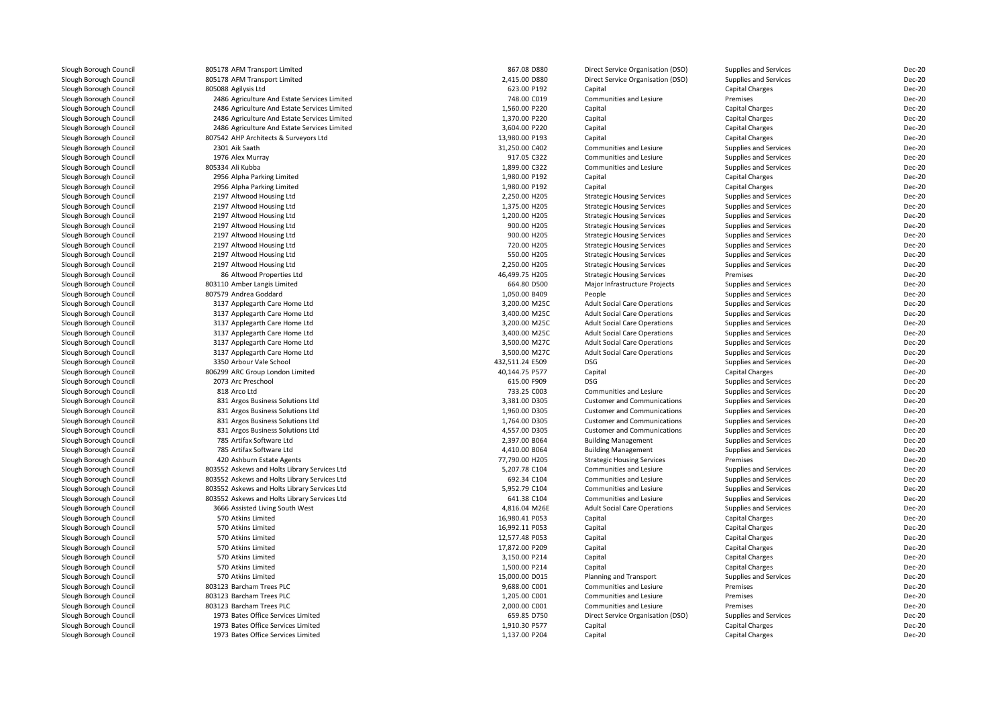| Slough Borough Council | 805178 AFM Transport Limited                 | 867.08 D880     | Direct Service Organisation (DSO)   | <b>Supplies and Services</b> | Dec-20        |
|------------------------|----------------------------------------------|-----------------|-------------------------------------|------------------------------|---------------|
| Slough Borough Council | 805178 AFM Transport Limited                 | 2,415.00 D880   | Direct Service Organisation (DSO)   | <b>Supplies and Services</b> | <b>Dec-20</b> |
| Slough Borough Council | 805088 Agilysis Ltd                          | 623.00 P192     | Capital                             | <b>Capital Charges</b>       | Dec-20        |
| Slough Borough Council | 2486 Agriculture And Estate Services Limited | 748.00 C019     | Communities and Lesiure             | Premises                     | Dec-20        |
| Slough Borough Council | 2486 Agriculture And Estate Services Limited | 1,560.00 P220   | Capital                             | Capital Charges              | Dec-20        |
| Slough Borough Council | 2486 Agriculture And Estate Services Limited | 1,370.00 P220   | Capital                             | Capital Charges              | Dec-20        |
| Slough Borough Council | 2486 Agriculture And Estate Services Limited | 3,604.00 P220   | Capital                             | Capital Charges              | Dec-20        |
|                        |                                              |                 |                                     |                              |               |
| Slough Borough Council | 807542 AHP Architects & Surveyors Ltd        | 13,980.00 P193  | Capital                             | Capital Charges              | Dec-20        |
| Slough Borough Council | 2301 Aik Saath                               | 31,250.00 C402  | Communities and Lesiure             | <b>Supplies and Services</b> | <b>Dec-20</b> |
| Slough Borough Council | 1976 Alex Murray                             | 917.05 C322     | Communities and Lesiure             | Supplies and Services        | Dec-20        |
| Slough Borough Council | 805334 Ali Kubba                             | 1,899.00 C322   | Communities and Lesiure             | <b>Supplies and Services</b> | <b>Dec-20</b> |
| Slough Borough Council | 2956 Alpha Parking Limited                   | 1,980.00 P192   | Capital                             | Capital Charges              | Dec-20        |
| Slough Borough Council | 2956 Alpha Parking Limited                   | 1,980.00 P192   | Capital                             | Capital Charges              | Dec-20        |
| Slough Borough Council | 2197 Altwood Housing Ltd                     | 2,250.00 H205   | <b>Strategic Housing Services</b>   | Supplies and Services        | Dec-20        |
| Slough Borough Council | 2197 Altwood Housing Ltd                     | 1,375.00 H205   | <b>Strategic Housing Services</b>   | Supplies and Services        | Dec-20        |
| Slough Borough Council | 2197 Altwood Housing Ltd                     | 1,200.00 H205   | <b>Strategic Housing Services</b>   | Supplies and Services        | <b>Dec-20</b> |
| Slough Borough Council | 2197 Altwood Housing Ltd                     | 900.00 H205     | <b>Strategic Housing Services</b>   | <b>Supplies and Services</b> | Dec-20        |
| Slough Borough Council | 2197 Altwood Housing Ltd                     | 900.00 H205     | <b>Strategic Housing Services</b>   | Supplies and Services        | <b>Dec-20</b> |
| Slough Borough Council | 2197 Altwood Housing Ltd                     | 720.00 H205     | <b>Strategic Housing Services</b>   | Supplies and Services        | Dec-20        |
| Slough Borough Council | 2197 Altwood Housing Ltd                     | 550.00 H205     | <b>Strategic Housing Services</b>   | Supplies and Services        | Dec-20        |
| Slough Borough Council | 2197 Altwood Housing Ltd                     | 2,250.00 H205   | <b>Strategic Housing Services</b>   | Supplies and Services        | Dec-20        |
| Slough Borough Council | 86 Altwood Properties Ltd                    | 46,499.75 H205  | <b>Strategic Housing Services</b>   | Premises                     | Dec-20        |
| Slough Borough Council | 803110 Amber Langis Limited                  | 664.80 D500     | Major Infrastructure Projects       | Supplies and Services        | Dec-20        |
| Slough Borough Council | 807579 Andrea Goddard                        | 1,050.00 B409   | People                              | Supplies and Services        | Dec-20        |
| Slough Borough Council | 3137 Applegarth Care Home Ltd                | 3,200.00 M25C   | <b>Adult Social Care Operations</b> | <b>Supplies and Services</b> | <b>Dec-20</b> |
| Slough Borough Council | 3137 Applegarth Care Home Ltd                | 3,400.00 M25C   | <b>Adult Social Care Operations</b> | Supplies and Services        | <b>Dec-20</b> |
| Slough Borough Council | 3137 Applegarth Care Home Ltd                | 3,200.00 M25C   | <b>Adult Social Care Operations</b> | Supplies and Services        | <b>Dec-20</b> |
| Slough Borough Council | 3137 Applegarth Care Home Ltd                | 3,400.00 M25C   | <b>Adult Social Care Operations</b> | Supplies and Services        | <b>Dec-20</b> |
| Slough Borough Council | 3137 Applegarth Care Home Ltd                | 3,500.00 M27C   | <b>Adult Social Care Operations</b> | Supplies and Services        | <b>Dec-20</b> |
| Slough Borough Council | 3137 Applegarth Care Home Ltd                | 3,500.00 M27C   | <b>Adult Social Care Operations</b> | Supplies and Services        | Dec-20        |
| Slough Borough Council | 3350 Arbour Vale School                      | 432,511.24 E509 | <b>DSG</b>                          | Supplies and Services        | Dec-20        |
| Slough Borough Council | 806299 ARC Group London Limited              | 40,144.75 P577  | Capital                             | Capital Charges              | Dec-20        |
| Slough Borough Council | 2073 Arc Preschool                           | 615.00 F909     | <b>DSG</b>                          | Supplies and Services        | Dec-20        |
| Slough Borough Council | 818 Arco Ltd                                 | 733.25 C003     | Communities and Lesiure             | Supplies and Services        | <b>Dec-20</b> |
| Slough Borough Council | 831 Argos Business Solutions Ltd             | 3,381.00 D305   | <b>Customer and Communications</b>  | Supplies and Services        | Dec-20        |
| Slough Borough Council | 831 Argos Business Solutions Ltd             | 1,960.00 D305   | <b>Customer and Communications</b>  | Supplies and Services        | <b>Dec-20</b> |
| Slough Borough Council | 831 Argos Business Solutions Ltd             | 1,764.00 D305   | <b>Customer and Communications</b>  | Supplies and Services        | Dec-20        |
| Slough Borough Council | 831 Argos Business Solutions Ltd             | 4,557.00 D305   | <b>Customer and Communications</b>  | Supplies and Services        | <b>Dec-20</b> |
| Slough Borough Council | 785 Artifax Software Ltd                     | 2,397.00 B064   | <b>Building Management</b>          | Supplies and Services        | <b>Dec-20</b> |
| Slough Borough Council | 785 Artifax Software Ltd                     | 4,410.00 B064   | <b>Building Management</b>          | Supplies and Services        | Dec-20        |
| Slough Borough Council | 420 Ashburn Estate Agents                    | 77,790.00 H205  | <b>Strategic Housing Services</b>   | Premises                     | <b>Dec-20</b> |
| Slough Borough Council | 803552 Askews and Holts Library Services Ltd | 5,207.78 C104   | Communities and Lesiure             | <b>Supplies and Services</b> | <b>Dec-20</b> |
| Slough Borough Council | 803552 Askews and Holts Library Services Ltd | 692.34 C104     | Communities and Lesiure             | Supplies and Services        | <b>Dec-20</b> |
| Slough Borough Council | 803552 Askews and Holts Library Services Ltd | 5,952.79 C104   | Communities and Lesiure             | <b>Supplies and Services</b> | <b>Dec-20</b> |
| Slough Borough Council | 803552 Askews and Holts Library Services Ltd | 641.38 C104     | Communities and Lesiure             | Supplies and Services        | <b>Dec-20</b> |
| Slough Borough Council | 3666 Assisted Living South West              | 4,816.04 M26E   | <b>Adult Social Care Operations</b> | <b>Supplies and Services</b> | <b>Dec-20</b> |
| Slough Borough Council | 570 Atkins Limited                           | 16,980.41 P053  |                                     | Capital Charges              | <b>Dec-20</b> |
|                        | 570 Atkins Limited                           |                 | Capital                             |                              | Dec-20        |
| Slough Borough Council |                                              | 16,992.11 P053  | Capital                             | <b>Capital Charges</b>       |               |
| Slough Borough Council | 570 Atkins Limited                           | 12,577.48 P053  | Capital                             | Capital Charges              | Dec-20        |
| Slough Borough Council | 570 Atkins Limited                           | 17,872.00 P209  | Capital                             | <b>Capital Charges</b>       | Dec-20        |
| Slough Borough Council | 570 Atkins Limited                           | 3,150.00 P214   | Capital                             | Capital Charges              | Dec-20        |
| Slough Borough Council | 570 Atkins Limited                           | 1,500.00 P214   | Capital                             | <b>Capital Charges</b>       | Dec-20        |
| Slough Borough Council | 570 Atkins Limited                           | 15,000.00 D015  | Planning and Transport              | Supplies and Services        | <b>Dec-20</b> |
| Slough Borough Council | 803123 Barcham Trees PLC                     | 9,688.00 C001   | Communities and Lesiure             | Premises                     | Dec-20        |
| Slough Borough Council | 803123 Barcham Trees PLC                     | 1,205.00 C001   | Communities and Lesiure             | Premises                     | <b>Dec-20</b> |
| Slough Borough Council | 803123 Barcham Trees PLC                     | 2,000.00 C001   | Communities and Lesiure             | Premises                     | Dec-20        |
| Slough Borough Council | 1973 Bates Office Services Limited           | 659.85 D750     | Direct Service Organisation (DSO)   | Supplies and Services        | <b>Dec-20</b> |
| Slough Borough Council | 1973 Bates Office Services Limited           | 1,910.30 P577   | Capital                             | <b>Capital Charges</b>       | <b>Dec-20</b> |
| Slough Borough Council | 1973 Bates Office Services Limited           | 1,137.00 P204   | Capital                             | Capital Charges              | Dec-20        |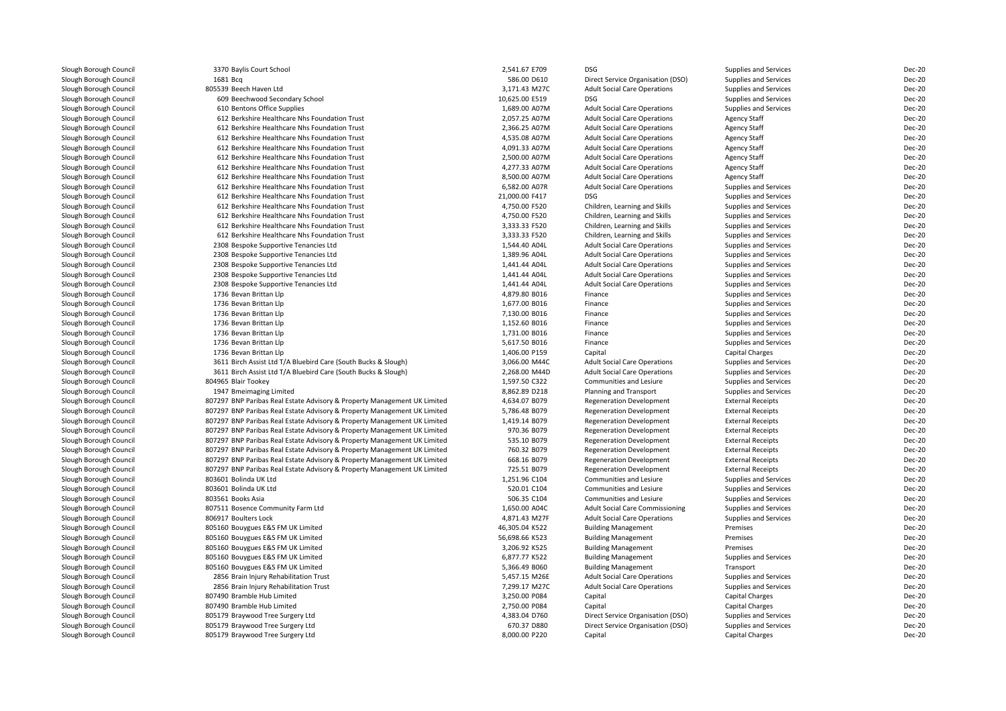| Slough Borough Council | 3370 Baylis Court School                                                 | 2,541.67 E709  | <b>DSG</b>                          | Supplies and Services        | Dec-20        |
|------------------------|--------------------------------------------------------------------------|----------------|-------------------------------------|------------------------------|---------------|
| Slough Borough Council | 1681 Bcg                                                                 | 586.00 D610    | Direct Service Organisation (DSO)   | <b>Supplies and Services</b> | Dec-20        |
| Slough Borough Council | 805539 Beech Haven Ltd                                                   | 3,171.43 M27C  | <b>Adult Social Care Operations</b> | Supplies and Services        | Dec-20        |
| Slough Borough Council | 609 Beechwood Secondary School                                           | 10,625.00 E519 | <b>DSG</b>                          | Supplies and Services        | Dec-20        |
| Slough Borough Council | 610 Bentons Office Supplies                                              | 1,689.00 A07M  | <b>Adult Social Care Operations</b> | Supplies and Services        | Dec-20        |
| Slough Borough Council | 612 Berkshire Healthcare Nhs Foundation Trust                            | 2,057.25 A07M  | <b>Adult Social Care Operations</b> | Agency Staff                 | Dec-20        |
| Slough Borough Council | 612 Berkshire Healthcare Nhs Foundation Trust                            | 2,366.25 A07M  | <b>Adult Social Care Operations</b> | <b>Agency Staff</b>          | Dec-20        |
| Slough Borough Council | 612 Berkshire Healthcare Nhs Foundation Trust                            | 4,535.08 A07M  | <b>Adult Social Care Operations</b> | <b>Agency Staff</b>          | Dec-20        |
| Slough Borough Council | 612 Berkshire Healthcare Nhs Foundation Trust                            | 4,091.33 A07M  | <b>Adult Social Care Operations</b> | <b>Agency Staff</b>          | Dec-20        |
| Slough Borough Council | 612 Berkshire Healthcare Nhs Foundation Trust                            | 2,500.00 A07M  | <b>Adult Social Care Operations</b> | <b>Agency Staff</b>          | Dec-20        |
| Slough Borough Council | 612 Berkshire Healthcare Nhs Foundation Trust                            | 4,277.33 A07M  | <b>Adult Social Care Operations</b> | <b>Agency Staff</b>          | Dec-20        |
| Slough Borough Council | 612 Berkshire Healthcare Nhs Foundation Trust                            | 8,500.00 A07M  | <b>Adult Social Care Operations</b> | <b>Agency Staff</b>          | Dec-20        |
| Slough Borough Council | 612 Berkshire Healthcare Nhs Foundation Trust                            | 6,582.00 A07R  | <b>Adult Social Care Operations</b> | Supplies and Services        | Dec-20        |
| Slough Borough Council | 612 Berkshire Healthcare Nhs Foundation Trust                            | 21,000.00 F417 | <b>DSG</b>                          | Supplies and Services        | Dec-20        |
| Slough Borough Council | 612 Berkshire Healthcare Nhs Foundation Trust                            | 4,750.00 F520  | Children, Learning and Skills       | Supplies and Services        | Dec-20        |
| Slough Borough Council | 612 Berkshire Healthcare Nhs Foundation Trust                            | 4,750.00 F520  | Children, Learning and Skills       | Supplies and Services        | Dec-20        |
| Slough Borough Council | 612 Berkshire Healthcare Nhs Foundation Trust                            | 3,333.33 F520  | Children, Learning and Skills       | Supplies and Services        | Dec-20        |
| Slough Borough Council | 612 Berkshire Healthcare Nhs Foundation Trust                            | 3,333.33 F520  | Children, Learning and Skills       | Supplies and Services        | Dec-20        |
| Slough Borough Council | 2308 Bespoke Supportive Tenancies Ltd                                    | 1,544.40 A04L  | <b>Adult Social Care Operations</b> | Supplies and Services        | Dec-20        |
| Slough Borough Council | 2308 Bespoke Supportive Tenancies Ltd                                    | 1,389.96 A04L  | <b>Adult Social Care Operations</b> | <b>Supplies and Services</b> | Dec-20        |
| Slough Borough Council | 2308 Bespoke Supportive Tenancies Ltd                                    | 1,441.44 A04L  | <b>Adult Social Care Operations</b> | Supplies and Services        | Dec-20        |
| Slough Borough Council | 2308 Bespoke Supportive Tenancies Ltd                                    | 1,441.44 A04L  | <b>Adult Social Care Operations</b> | Supplies and Services        | Dec-20        |
| Slough Borough Council | 2308 Bespoke Supportive Tenancies Ltd                                    | 1,441.44 A04L  | <b>Adult Social Care Operations</b> | Supplies and Services        | Dec-20        |
| Slough Borough Council | 1736 Bevan Brittan Llp                                                   | 4,879.80 B016  | Finance                             | Supplies and Services        | Dec-20        |
| Slough Borough Council | 1736 Bevan Brittan Llp                                                   | 1,677.00 B016  | Finance                             | Supplies and Services        | Dec-20        |
| Slough Borough Council | 1736 Bevan Brittan Llp                                                   | 7,130.00 B016  | Finance                             | Supplies and Services        | Dec-20        |
| Slough Borough Council | 1736 Bevan Brittan Llp                                                   | 1,152.60 B016  | Finance                             | Supplies and Services        | Dec-20        |
| Slough Borough Council | 1736 Bevan Brittan Llp                                                   | 1,731.00 B016  | Finance                             | Supplies and Services        | Dec-20        |
| Slough Borough Council | 1736 Bevan Brittan Llp                                                   | 5,617.50 B016  | Finance                             | Supplies and Services        | Dec-20        |
| Slough Borough Council | 1736 Bevan Brittan Llp                                                   | 1,406.00 P159  | Capital                             | <b>Capital Charges</b>       | Dec-20        |
| Slough Borough Council | 3611 Birch Assist Ltd T/A Bluebird Care (South Bucks & Slough)           | 3,066.00 M44C  | <b>Adult Social Care Operations</b> | Supplies and Services        | Dec-20        |
| Slough Borough Council | 3611 Birch Assist Ltd T/A Bluebird Care (South Bucks & Slough)           | 2,268.00 M44D  | <b>Adult Social Care Operations</b> | Supplies and Services        | Dec-20        |
| Slough Borough Council | 804965 Blair Tookey                                                      | 1,597.50 C322  | Communities and Lesiure             | Supplies and Services        | <b>Dec-20</b> |
| Slough Borough Council | 1947 Bmeimaging Limited                                                  | 8.862.89 D218  | Planning and Transport              | Supplies and Services        | Dec-20        |
| Slough Borough Council | 807297 BNP Paribas Real Estate Advisory & Property Management UK Limited | 4,634.07 B079  | <b>Regeneration Development</b>     | <b>External Receipts</b>     | Dec-20        |
|                        | 807297 BNP Paribas Real Estate Advisory & Property Management UK Limited | 5,786.48 B079  | <b>Regeneration Development</b>     | <b>External Receipts</b>     | Dec-20        |
| Slough Borough Council |                                                                          |                |                                     |                              |               |
| Slough Borough Council | 807297 BNP Paribas Real Estate Advisory & Property Management UK Limited | 1,419.14 B079  | <b>Regeneration Development</b>     | <b>External Receipts</b>     | Dec-20        |
| Slough Borough Council | 807297 BNP Paribas Real Estate Advisory & Property Management UK Limited | 970.36 B079    | <b>Regeneration Development</b>     | <b>External Receipts</b>     | Dec-20        |
| Slough Borough Council | 807297 BNP Paribas Real Estate Advisory & Property Management UK Limited | 535.10 B079    | <b>Regeneration Development</b>     | <b>External Receipts</b>     | Dec-20        |
| Slough Borough Council | 807297 BNP Paribas Real Estate Advisory & Property Management UK Limited | 760.32 B079    | <b>Regeneration Development</b>     | <b>External Receipts</b>     | Dec-20        |
| Slough Borough Council | 807297 BNP Paribas Real Estate Advisory & Property Management UK Limited | 668.16 B079    | <b>Regeneration Development</b>     | <b>External Receipts</b>     | Dec-20        |
| Slough Borough Council | 807297 BNP Paribas Real Estate Advisory & Property Management UK Limited | 725.51 B079    | <b>Regeneration Development</b>     | <b>External Receipts</b>     | Dec-20        |
| Slough Borough Council | 803601 Bolinda UK Ltd                                                    | 1,251.96 C104  | Communities and Lesiure             | Supplies and Services        | Dec-20        |
| Slough Borough Council | 803601 Bolinda UK Ltd                                                    | 520.01 C104    | Communities and Lesiure             | <b>Supplies and Services</b> | Dec-20        |
| Slough Borough Council | 803561 Books Asia                                                        | 506.35 C104    | Communities and Lesiure             | Supplies and Services        | Dec-20        |
| Slough Borough Council | 807511 Bosence Community Farm Ltd                                        | 1,650.00 A04C  | Adult Social Care Commissioning     | Supplies and Services        | Dec-20        |
| Slough Borough Council | 806917 Boulters Lock                                                     | 4,871.43 M27F  | <b>Adult Social Care Operations</b> | Supplies and Services        | Dec-20        |
| Slough Borough Council | 805160 Bouygues E&S FM UK Limited                                        | 46,305.04 K522 | <b>Building Management</b>          | Premises                     | Dec-20        |
| Slough Borough Council | 805160 Bouygues E&S FM UK Limited                                        | 56,698.66 K523 | <b>Building Management</b>          | Premises                     | Dec-20        |
| Slough Borough Council | 805160 Bouygues E&S FM UK Limited                                        | 3.206.92 K525  | <b>Building Management</b>          | Premises                     | Dec-20        |
| Slough Borough Council | 805160 Bouygues E&S FM UK Limited                                        | 6,877.77 K522  | <b>Building Management</b>          | Supplies and Services        | Dec-20        |
| Slough Borough Council | 805160 Bouygues E&S FM UK Limited                                        | 5,366.49 B060  | <b>Building Management</b>          | Transport                    | Dec-20        |
| Slough Borough Council | 2856 Brain Injury Rehabilitation Trust                                   | 5,457.15 M26E  | <b>Adult Social Care Operations</b> | Supplies and Services        | Dec-20        |
| Slough Borough Council | 2856 Brain Injury Rehabilitation Trust                                   | 7.299.17 M27C  | <b>Adult Social Care Operations</b> | Supplies and Services        | Dec-20        |
| Slough Borough Council | 807490 Bramble Hub Limited                                               | 3,250.00 P084  | Capital                             | <b>Capital Charges</b>       | Dec-20        |
| Slough Borough Council | 807490 Bramble Hub Limited                                               | 2,750.00 P084  | Capital                             | Capital Charges              | Dec-20        |
| Slough Borough Council | 805179 Braywood Tree Surgery Ltd                                         | 4,383.04 D760  | Direct Service Organisation (DSO)   | Supplies and Services        | Dec-20        |
| Slough Borough Council | 805179 Braywood Tree Surgery Ltd                                         | 670.37 D880    | Direct Service Organisation (DSO)   | Supplies and Services        | Dec-20        |
| Slough Borough Council | 805179 Braywood Tree Surgery Ltd                                         | 8,000.00 P220  | Capital                             | Capital Charges              | Dec-20        |
|                        |                                                                          |                |                                     |                              |               |

**Dec-20** 

**Dec-20** 

Dec-20

**Dec-20** 

Dec-20

Dec-20

 $Dec-20$ 

 $Dec-20$ 

Dec-20

Dec-20

Dec-20

**Dec-20** 

Dec-20

Dec-20

Dec-20

Dec-20

Dec-20

Dec-20

Dec-20

 $Dec-20$ 

Dec-20

Dec-20

**Dec-20** 

Dec-20

Dec-20

Dec-20

Dec-20

Dec-20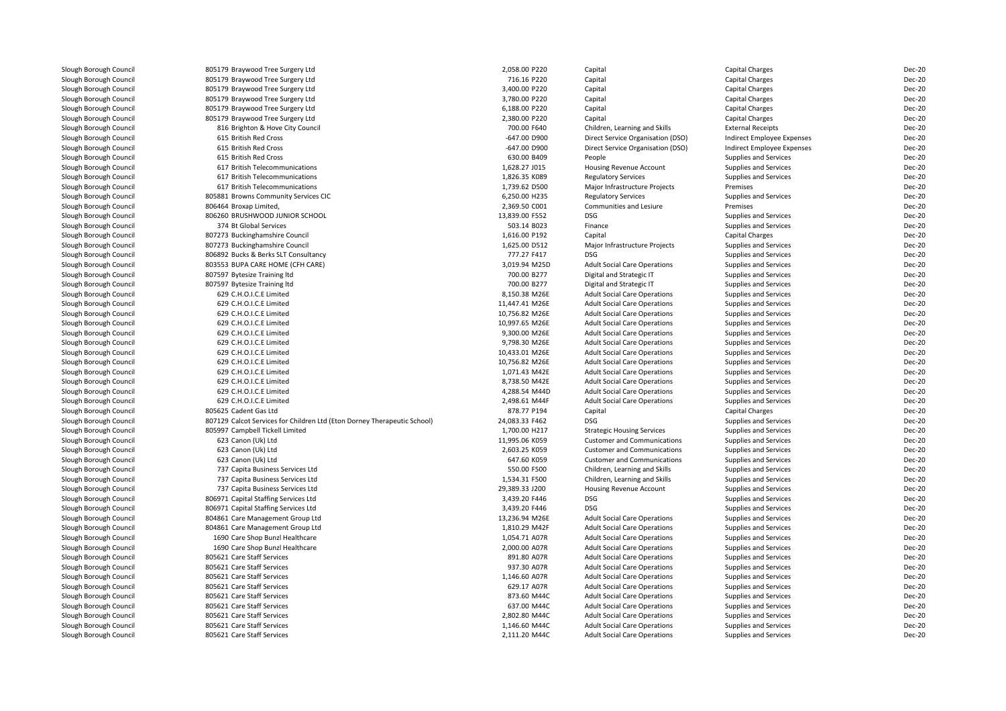| Slough Borough Council | 805179 Braywood Tree Surgery Ltd                                         | 2,058.00 P220                  | Capital                             | Capital Charges              | <b>Dec-20</b>                  |
|------------------------|--------------------------------------------------------------------------|--------------------------------|-------------------------------------|------------------------------|--------------------------------|
| Slough Borough Council | 805179 Braywood Tree Surgery Ltd                                         | 716.16 P220                    | Capital                             | <b>Capital Charges</b>       | <b>Dec-20</b>                  |
| Slough Borough Council | 805179 Braywood Tree Surgery Ltd                                         | 3,400.00 P220                  | Capital                             | <b>Capital Charges</b>       | <b>Dec-20</b>                  |
| Slough Borough Council | 805179 Braywood Tree Surgery Ltd                                         | 3,780.00 P220                  | Capital                             | Capital Charges              | <b>Dec-20</b>                  |
| Slough Borough Council | 805179 Braywood Tree Surgery Ltd                                         | 6,188.00 P220                  | Capital                             | Capital Charges              | <b>Dec-20</b>                  |
| Slough Borough Council | 805179 Braywood Tree Surgery Ltd                                         | 2,380.00 P220                  | Capital                             | Capital Charges              | <b>Dec-20</b>                  |
| Slough Borough Council | 816 Brighton & Hove City Council                                         | 700.00 F640                    | Children, Learning and Skills       | <b>External Receipts</b>     | <b>Dec-20</b>                  |
| Slough Borough Council | 615 British Red Cross                                                    | -647.00 D900                   | Direct Service Organisation (DSO)   | Indirect Employee Expenses   | <b>Dec-20</b>                  |
| Slough Borough Council | 615 British Red Cross                                                    | -647.00 D900                   | Direct Service Organisation (DSO)   | Indirect Employee Expenses   | <b>Dec-20</b>                  |
| Slough Borough Council | 615 British Red Cross                                                    | 630.00 B409                    | People                              | Supplies and Services        | <b>Dec-20</b>                  |
| Slough Borough Council | 617 British Telecommunications                                           | 1,628.27 J015                  | Housing Revenue Account             | Supplies and Services        | <b>Dec-20</b>                  |
| Slough Borough Council | 617 British Telecommunications                                           | 1,826.35 K089                  | <b>Regulatory Services</b>          | <b>Supplies and Services</b> | <b>Dec-20</b>                  |
| Slough Borough Council | 617 British Telecommunications                                           | 1,739.62 D500                  | Major Infrastructure Projects       | Premises                     | <b>Dec-20</b>                  |
| Slough Borough Council | 805881 Browns Community Services CIC                                     | 6,250.00 H235                  | <b>Regulatory Services</b>          | Supplies and Services        | <b>Dec-20</b>                  |
| Slough Borough Council | 806464 Broxap Limited,                                                   | 2,369.50 C001                  | Communities and Lesiure             | Premises                     | <b>Dec-20</b>                  |
| Slough Borough Council | 806260 BRUSHWOOD JUNIOR SCHOOL                                           | 13,839.00 F552                 | <b>DSG</b>                          |                              | <b>Dec-20</b>                  |
|                        |                                                                          |                                |                                     | Supplies and Services        |                                |
| Slough Borough Council | 374 Bt Global Services                                                   | 503.14 B023                    | Finance                             | Supplies and Services        | <b>Dec-20</b>                  |
| Slough Borough Council | 807273 Buckinghamshire Council                                           | 1,616.00 P192                  | Capital                             | Capital Charges              | <b>Dec-20</b>                  |
| Slough Borough Council | 807273 Buckinghamshire Council                                           | 1,625.00 D512                  | Major Infrastructure Projects       | <b>Supplies and Services</b> | <b>Dec-20</b>                  |
| Slough Borough Council | 806892 Bucks & Berks SLT Consultancy                                     | 777.27 F417                    | <b>DSG</b>                          | Supplies and Services        | <b>Dec-20</b>                  |
| Slough Borough Council | 803553 BUPA CARE HOME (CFH CARE)                                         | 3,019.94 M25D                  | <b>Adult Social Care Operations</b> | Supplies and Services        | <b>Dec-20</b>                  |
| Slough Borough Council | 807597 Bytesize Training Itd                                             | 700.00 B277                    | Digital and Strategic IT            | Supplies and Services        | <b>Dec-20</b>                  |
| Slough Borough Council | 807597 Bytesize Training Itd                                             | 700.00 B277                    | Digital and Strategic IT            | <b>Supplies and Services</b> | <b>Dec-20</b>                  |
| Slough Borough Council | 629 C.H.O.I.C.E Limited                                                  | 8,150.38 M26E                  | <b>Adult Social Care Operations</b> | <b>Supplies and Services</b> | <b>Dec-20</b>                  |
| Slough Borough Council | 629 C.H.O.I.C.E Limited                                                  | 11.447.41 M26E                 | <b>Adult Social Care Operations</b> | Supplies and Services        | <b>Dec-20</b>                  |
| Slough Borough Council | 629 C.H.O.I.C.E Limited                                                  | 10,756.82 M26E                 | <b>Adult Social Care Operations</b> | <b>Supplies and Services</b> | <b>Dec-20</b>                  |
| Slough Borough Council | 629 C.H.O.I.C.E Limited                                                  | 10.997.65 M26E                 | <b>Adult Social Care Operations</b> | <b>Supplies and Services</b> | <b>Dec-20</b>                  |
| Slough Borough Council | 629 C.H.O.I.C.E Limited                                                  | 9,300.00 M26E                  | <b>Adult Social Care Operations</b> | Supplies and Services        | <b>Dec-20</b>                  |
| Slough Borough Council | 629 C.H.O.I.C.E Limited                                                  | 9,798.30 M26E                  | <b>Adult Social Care Operations</b> | Supplies and Services        | <b>Dec-20</b>                  |
| Slough Borough Council | 629 C.H.O.I.C.E Limited                                                  | 10,433.01 M26E                 | <b>Adult Social Care Operations</b> | <b>Supplies and Services</b> | <b>Dec-20</b>                  |
| Slough Borough Council | 629 C.H.O.I.C.E Limited                                                  | 10,756.82 M26E                 | <b>Adult Social Care Operations</b> | <b>Supplies and Services</b> | <b>Dec-20</b>                  |
| Slough Borough Council | 629 C.H.O.I.C.E Limited                                                  | 1,071.43 M42E                  | <b>Adult Social Care Operations</b> | Supplies and Services        | <b>Dec-20</b>                  |
| Slough Borough Council | 629 C.H.O.I.C.E Limited                                                  | 8,738.50 M42E                  | <b>Adult Social Care Operations</b> | Supplies and Services        | <b>Dec-20</b>                  |
| Slough Borough Council | 629 C.H.O.I.C.E Limited                                                  | 4,288.54 M44D                  | <b>Adult Social Care Operations</b> | <b>Supplies and Services</b> | <b>Dec-20</b>                  |
| Slough Borough Council | 629 C.H.O.I.C.E Limited                                                  | 2,498.61 M44F                  | <b>Adult Social Care Operations</b> | Supplies and Services        | <b>Dec-20</b>                  |
| Slough Borough Council | 805625 Cadent Gas Ltd                                                    | 878.77 P194                    | Capital                             | Capital Charges              | <b>Dec-20</b>                  |
| Slough Borough Council | 807129 Calcot Services for Children Ltd (Eton Dorney Therapeutic School) | 24,083.33 F462                 | DSG                                 | Supplies and Services        | <b>Dec-20</b>                  |
| Slough Borough Council | 805997 Campbell Tickell Limited                                          | 1,700.00 H217                  | <b>Strategic Housing Services</b>   | Supplies and Services        | <b>Dec-20</b>                  |
| Slough Borough Council | 623 Canon (Uk) Ltd                                                       | 11,995.06 K059                 | <b>Customer and Communications</b>  | <b>Supplies and Services</b> | <b>Dec-20</b>                  |
| Slough Borough Council | 623 Canon (Uk) Ltd                                                       | 2,603.25 K059                  | <b>Customer and Communications</b>  | Supplies and Services        | <b>Dec-20</b>                  |
| Slough Borough Council | 623 Canon (Uk) Ltd                                                       | 647.60 K059                    | <b>Customer and Communications</b>  | <b>Supplies and Services</b> | <b>Dec-20</b>                  |
| Slough Borough Council | 737 Capita Business Services Ltd                                         | 550.00 F500                    | Children, Learning and Skills       | <b>Supplies and Services</b> | <b>Dec-20</b>                  |
| Slough Borough Council | 737 Capita Business Services Ltd                                         | 1,534.31 F500                  | Children, Learning and Skills       | Supplies and Services        | <b>Dec-20</b>                  |
| Slough Borough Council | 737 Capita Business Services Ltd                                         | 29,389.33 J200                 | Housing Revenue Account             | <b>Supplies and Services</b> | <b>Dec-20</b>                  |
| Slough Borough Council | 806971 Capital Staffing Services Ltd                                     | 3,439.20 F446                  | <b>DSG</b>                          | Supplies and Services        | <b>Dec-20</b>                  |
| Slough Borough Council | 806971 Capital Staffing Services Ltd                                     | 3,439.20 F446                  | <b>DSG</b>                          | Supplies and Services        | <b>Dec-20</b>                  |
| Slough Borough Council | 804861 Care Management Group Ltd                                         | 13,236.94 M26E                 | <b>Adult Social Care Operations</b> | Supplies and Services        | <b>Dec-20</b>                  |
| Slough Borough Council | 804861 Care Management Group Ltd                                         | 1,810.29 M42F                  | <b>Adult Social Care Operations</b> | Supplies and Services        | <b>Dec-20</b>                  |
| Slough Borough Council |                                                                          |                                |                                     |                              |                                |
|                        | 1690 Care Shop Bunzl Healthcare                                          | 1,054.71 A07R<br>2,000.00 A07R | <b>Adult Social Care Operations</b> | Supplies and Services        | <b>Dec-20</b><br><b>Dec-20</b> |
| Slough Borough Council | 1690 Care Shop Bunzl Healthcare                                          |                                | <b>Adult Social Care Operations</b> | Supplies and Services        |                                |
| Slough Borough Council | 805621 Care Staff Services                                               | 891.80 A07R                    | <b>Adult Social Care Operations</b> | Supplies and Services        | <b>Dec-20</b>                  |
| Slough Borough Council | 805621 Care Staff Services                                               | 937.30 A07R                    | <b>Adult Social Care Operations</b> | <b>Supplies and Services</b> | <b>Dec-20</b>                  |
| Slough Borough Council | 805621 Care Staff Services                                               | 1,146.60 A07R                  | <b>Adult Social Care Operations</b> | Supplies and Services        | <b>Dec-20</b>                  |
| Slough Borough Council | 805621 Care Staff Services                                               | 629.17 A07R                    | <b>Adult Social Care Operations</b> | Supplies and Services        | <b>Dec-20</b>                  |
| Slough Borough Council | 805621 Care Staff Services                                               | 873.60 M44C                    | <b>Adult Social Care Operations</b> | Supplies and Services        | <b>Dec-20</b>                  |
| Slough Borough Council | 805621 Care Staff Services                                               | 637.00 M44C                    | <b>Adult Social Care Operations</b> | <b>Supplies and Services</b> | <b>Dec-20</b>                  |
| Slough Borough Council | 805621 Care Staff Services                                               | 2.802.80 M44C                  | <b>Adult Social Care Operations</b> | <b>Supplies and Services</b> | <b>Dec-20</b>                  |
| Slough Borough Council | 805621 Care Staff Services                                               | 1,146.60 M44C                  | <b>Adult Social Care Operations</b> | Supplies and Services        | <b>Dec-20</b>                  |
| Slough Borough Council | 805621 Care Staff Services                                               | 2,111.20 M44C                  | <b>Adult Social Care Operations</b> | Supplies and Services        | <b>Dec-20</b>                  |
|                        |                                                                          |                                |                                     |                              |                                |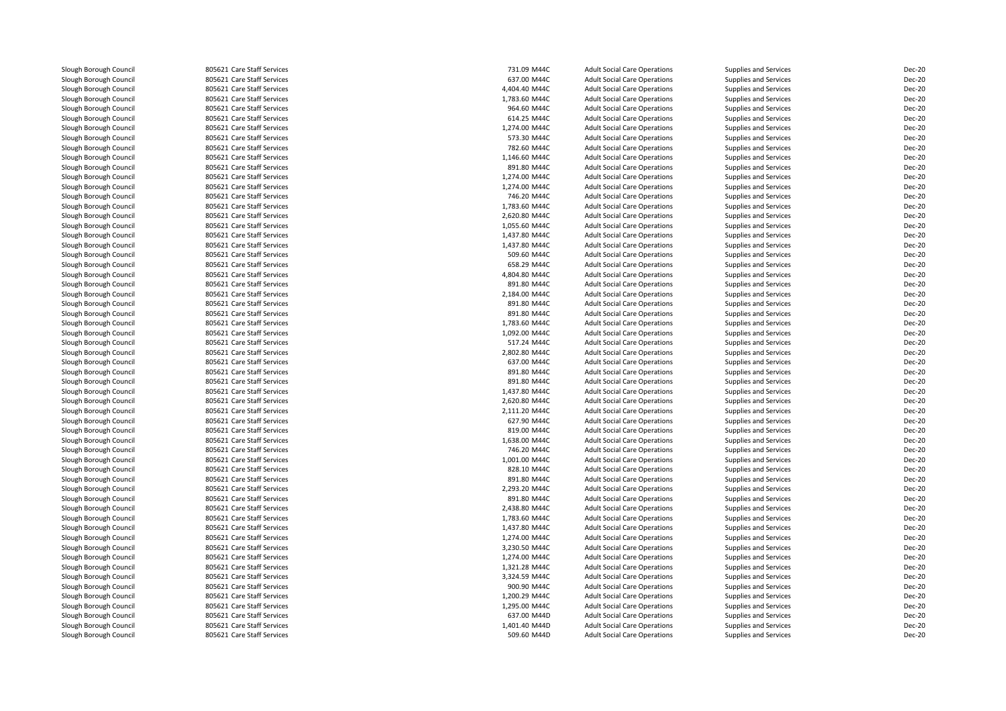| Slough Borough Council | 805621 Care Staff Services | 731.09 M44C   | <b>Adult Social Care Operations</b> | Supplies and Services        | Dec-20 |
|------------------------|----------------------------|---------------|-------------------------------------|------------------------------|--------|
| Slough Borough Council | 805621 Care Staff Services | 637.00 M44C   | <b>Adult Social Care Operations</b> | Supplies and Services        | Dec-20 |
| Slough Borough Council | 805621 Care Staff Services | 4,404.40 M44C | <b>Adult Social Care Operations</b> | Supplies and Services        | Dec-20 |
| Slough Borough Council | 805621 Care Staff Services | 1,783.60 M44C | <b>Adult Social Care Operations</b> | Supplies and Services        | Dec-20 |
| Slough Borough Council | 805621 Care Staff Services | 964.60 M44C   | <b>Adult Social Care Operations</b> | Supplies and Services        | Dec-20 |
| Slough Borough Council | 805621 Care Staff Services | 614.25 M44C   | <b>Adult Social Care Operations</b> | Supplies and Services        | Dec-20 |
| Slough Borough Council | 805621 Care Staff Services | 1,274.00 M44C | <b>Adult Social Care Operations</b> | Supplies and Services        | Dec-20 |
| Slough Borough Council | 805621 Care Staff Services | 573.30 M44C   | <b>Adult Social Care Operations</b> | Supplies and Services        | Dec-20 |
| Slough Borough Council | 805621 Care Staff Services | 782.60 M44C   | <b>Adult Social Care Operations</b> | Supplies and Services        | Dec-20 |
| Slough Borough Council | 805621 Care Staff Services | 1,146.60 M44C | <b>Adult Social Care Operations</b> | Supplies and Services        | Dec-20 |
| Slough Borough Council | 805621 Care Staff Services | 891.80 M44C   | <b>Adult Social Care Operations</b> | Supplies and Services        | Dec-20 |
| Slough Borough Council | 805621 Care Staff Services | 1,274.00 M44C | <b>Adult Social Care Operations</b> | Supplies and Services        | Dec-20 |
| Slough Borough Council | 805621 Care Staff Services | 1,274.00 M44C | <b>Adult Social Care Operations</b> | Supplies and Services        | Dec-20 |
| Slough Borough Council | 805621 Care Staff Services | 746.20 M44C   | <b>Adult Social Care Operations</b> | Supplies and Services        | Dec-20 |
| Slough Borough Council | 805621 Care Staff Services | 1,783.60 M44C | <b>Adult Social Care Operations</b> | Supplies and Services        | Dec-20 |
| Slough Borough Council | 805621 Care Staff Services | 2,620.80 M44C | <b>Adult Social Care Operations</b> | Supplies and Services        | Dec-20 |
| Slough Borough Council | 805621 Care Staff Services | 1,055.60 M44C | <b>Adult Social Care Operations</b> | Supplies and Services        | Dec-20 |
| Slough Borough Council | 805621 Care Staff Services | 1,437.80 M44C | <b>Adult Social Care Operations</b> | Supplies and Services        | Dec-20 |
| Slough Borough Council | 805621 Care Staff Services | 1,437.80 M44C | <b>Adult Social Care Operations</b> | Supplies and Services        | Dec-20 |
| Slough Borough Council | 805621 Care Staff Services | 509.60 M44C   | <b>Adult Social Care Operations</b> | Supplies and Services        | Dec-20 |
| Slough Borough Council | 805621 Care Staff Services | 658.29 M44C   | <b>Adult Social Care Operations</b> | Supplies and Services        | Dec-20 |
| Slough Borough Council | 805621 Care Staff Services | 4,804.80 M44C | <b>Adult Social Care Operations</b> | Supplies and Services        | Dec-20 |
| Slough Borough Council | 805621 Care Staff Services | 891.80 M44C   | <b>Adult Social Care Operations</b> | Supplies and Services        | Dec-20 |
| Slough Borough Council | 805621 Care Staff Services | 2,184.00 M44C | <b>Adult Social Care Operations</b> | Supplies and Services        | Dec-20 |
| Slough Borough Council | 805621 Care Staff Services | 891.80 M44C   | <b>Adult Social Care Operations</b> | Supplies and Services        | Dec-20 |
| Slough Borough Council | 805621 Care Staff Services | 891.80 M44C   | <b>Adult Social Care Operations</b> | Supplies and Services        | Dec-20 |
| Slough Borough Council | 805621 Care Staff Services | 1,783.60 M44C | <b>Adult Social Care Operations</b> | Supplies and Services        | Dec-20 |
| Slough Borough Council | 805621 Care Staff Services | 1,092.00 M44C | <b>Adult Social Care Operations</b> | Supplies and Services        | Dec-20 |
| Slough Borough Council | 805621 Care Staff Services | 517.24 M44C   | <b>Adult Social Care Operations</b> | Supplies and Services        | Dec-20 |
| Slough Borough Council | 805621 Care Staff Services | 2,802.80 M44C | <b>Adult Social Care Operations</b> | Supplies and Services        | Dec-20 |
| Slough Borough Council | 805621 Care Staff Services | 637.00 M44C   | <b>Adult Social Care Operations</b> | Supplies and Services        | Dec-20 |
| Slough Borough Council | 805621 Care Staff Services | 891.80 M44C   | <b>Adult Social Care Operations</b> | Supplies and Services        | Dec-20 |
| Slough Borough Council | 805621 Care Staff Services | 891.80 M44C   | <b>Adult Social Care Operations</b> | Supplies and Services        | Dec-20 |
| Slough Borough Council | 805621 Care Staff Services | 1,437.80 M44C | <b>Adult Social Care Operations</b> | Supplies and Services        | Dec-20 |
| Slough Borough Council | 805621 Care Staff Services | 2,620.80 M44C | <b>Adult Social Care Operations</b> | Supplies and Services        | Dec-20 |
| Slough Borough Council | 805621 Care Staff Services | 2,111.20 M44C | <b>Adult Social Care Operations</b> | Supplies and Services        | Dec-20 |
| Slough Borough Council | 805621 Care Staff Services | 627.90 M44C   | <b>Adult Social Care Operations</b> | Supplies and Services        | Dec-20 |
| Slough Borough Council | 805621 Care Staff Services | 819.00 M44C   | <b>Adult Social Care Operations</b> | Supplies and Services        | Dec-20 |
| Slough Borough Council | 805621 Care Staff Services | 1,638.00 M44C | <b>Adult Social Care Operations</b> | Supplies and Services        | Dec-20 |
| Slough Borough Council | 805621 Care Staff Services | 746.20 M44C   | <b>Adult Social Care Operations</b> | Supplies and Services        | Dec-20 |
| Slough Borough Council | 805621 Care Staff Services | 1,001.00 M44C | <b>Adult Social Care Operations</b> | Supplies and Services        | Dec-20 |
| Slough Borough Council | 805621 Care Staff Services | 828.10 M44C   | <b>Adult Social Care Operations</b> | Supplies and Services        | Dec-20 |
| Slough Borough Council | 805621 Care Staff Services | 891.80 M44C   | <b>Adult Social Care Operations</b> | Supplies and Services        | Dec-20 |
| Slough Borough Council | 805621 Care Staff Services | 2,293.20 M44C | <b>Adult Social Care Operations</b> | Supplies and Services        | Dec-20 |
| Slough Borough Council | 805621 Care Staff Services | 891.80 M44C   | <b>Adult Social Care Operations</b> | Supplies and Services        | Dec-20 |
| Slough Borough Council | 805621 Care Staff Services | 2,438.80 M44C | <b>Adult Social Care Operations</b> | Supplies and Services        | Dec-20 |
| Slough Borough Council | 805621 Care Staff Services | 1,783.60 M44C | <b>Adult Social Care Operations</b> | Supplies and Services        | Dec-20 |
| Slough Borough Council | 805621 Care Staff Services | 1,437.80 M44C | <b>Adult Social Care Operations</b> | Supplies and Services        | Dec-20 |
| Slough Borough Council | 805621 Care Staff Services | 1,274.00 M44C | <b>Adult Social Care Operations</b> | <b>Supplies and Services</b> | Dec-20 |
| Slough Borough Council | 805621 Care Staff Services | 3,230.50 M44C | <b>Adult Social Care Operations</b> | Supplies and Services        | Dec-20 |
| Slough Borough Council | 805621 Care Staff Services | 1.274.00 M44C | <b>Adult Social Care Operations</b> | <b>Supplies and Services</b> | Dec-20 |
| Slough Borough Council | 805621 Care Staff Services | 1,321.28 M44C | <b>Adult Social Care Operations</b> | Supplies and Services        | Dec-20 |
| Slough Borough Council | 805621 Care Staff Services | 3,324.59 M44C | <b>Adult Social Care Operations</b> | Supplies and Services        | Dec-20 |
| Slough Borough Council | 805621 Care Staff Services | 900.90 M44C   | <b>Adult Social Care Operations</b> | Supplies and Services        | Dec-20 |
| Slough Borough Council | 805621 Care Staff Services | 1,200.29 M44C | <b>Adult Social Care Operations</b> | <b>Supplies and Services</b> | Dec-20 |
| Slough Borough Council | 805621 Care Staff Services | 1,295.00 M44C | <b>Adult Social Care Operations</b> | Supplies and Services        | Dec-20 |
| Slough Borough Council | 805621 Care Staff Services | 637.00 M44D   | <b>Adult Social Care Operations</b> | Supplies and Services        | Dec-20 |
| Slough Borough Council | 805621 Care Staff Services | 1,401.40 M44D | <b>Adult Social Care Operations</b> | Supplies and Services        | Dec-20 |
| Slough Borough Council | 805621 Care Staff Services | 509.60 M44D   | <b>Adult Social Care Operations</b> | Supplies and Services        | Dec-20 |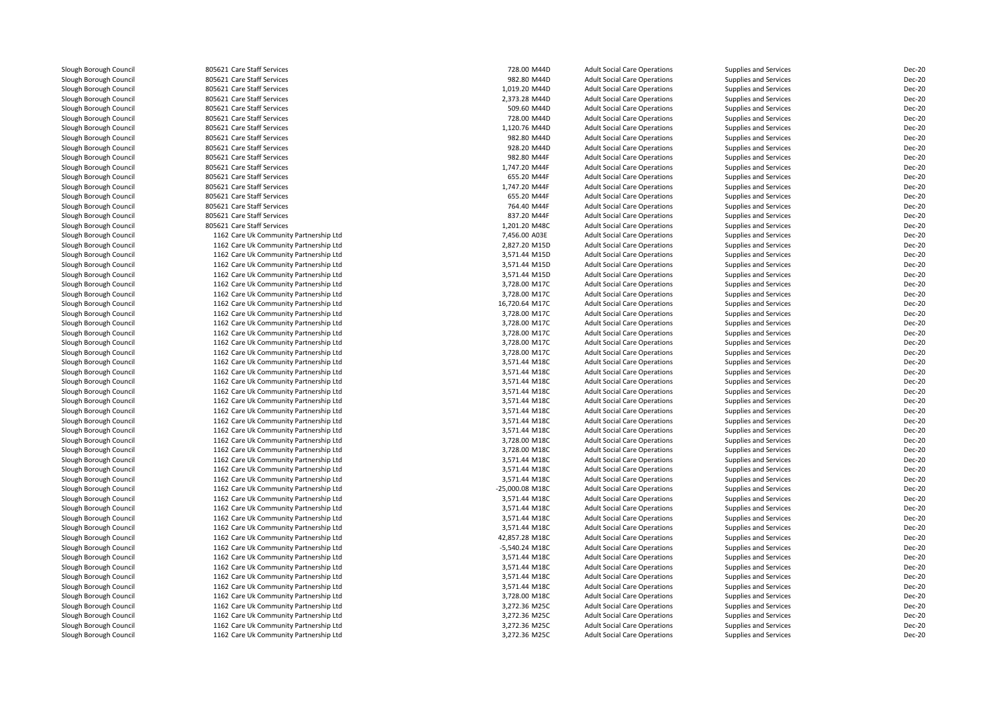| Slough Borough Council | 805621 Care Staff Services             | 728.00 M44D     | <b>Adult Social Care Operations</b> | Supplies and Services        | Dec-20 |
|------------------------|----------------------------------------|-----------------|-------------------------------------|------------------------------|--------|
| Slough Borough Council | 805621 Care Staff Services             | 982.80 M44D     | <b>Adult Social Care Operations</b> | Supplies and Services        | Dec-20 |
| Slough Borough Council | 805621 Care Staff Services             | 1,019.20 M44D   | <b>Adult Social Care Operations</b> | Supplies and Services        | Dec-20 |
| Slough Borough Council | 805621 Care Staff Services             | 2,373.28 M44D   | <b>Adult Social Care Operations</b> | <b>Supplies and Services</b> | Dec-20 |
| Slough Borough Council | 805621 Care Staff Services             | 509.60 M44D     | <b>Adult Social Care Operations</b> | Supplies and Services        | Dec-20 |
| Slough Borough Council | 805621 Care Staff Services             | 728.00 M44D     | <b>Adult Social Care Operations</b> | Supplies and Services        | Dec-20 |
| Slough Borough Council | 805621 Care Staff Services             | 1,120.76 M44D   | <b>Adult Social Care Operations</b> | Supplies and Services        | Dec-20 |
| Slough Borough Council | 805621 Care Staff Services             | 982.80 M44D     | <b>Adult Social Care Operations</b> | Supplies and Services        | Dec-20 |
| Slough Borough Council | 805621 Care Staff Services             | 928.20 M44D     | <b>Adult Social Care Operations</b> | Supplies and Services        | Dec-20 |
| Slough Borough Council | 805621 Care Staff Services             | 982.80 M44F     | <b>Adult Social Care Operations</b> | Supplies and Services        | Dec-20 |
| Slough Borough Council | 805621 Care Staff Services             | 1,747.20 M44F   | <b>Adult Social Care Operations</b> | Supplies and Services        | Dec-20 |
| Slough Borough Council | 805621 Care Staff Services             | 655.20 M44F     | <b>Adult Social Care Operations</b> | Supplies and Services        | Dec-20 |
| Slough Borough Council | 805621 Care Staff Services             | 1,747.20 M44F   | <b>Adult Social Care Operations</b> | Supplies and Services        | Dec-20 |
| Slough Borough Council | 805621 Care Staff Services             | 655.20 M44F     | <b>Adult Social Care Operations</b> | Supplies and Services        | Dec-20 |
| Slough Borough Council | 805621 Care Staff Services             | 764.40 M44F     | <b>Adult Social Care Operations</b> | Supplies and Services        | Dec-20 |
| Slough Borough Council | 805621 Care Staff Services             | 837.20 M44F     | <b>Adult Social Care Operations</b> | Supplies and Services        | Dec-20 |
| Slough Borough Council | 805621 Care Staff Services             | 1.201.20 M48C   | <b>Adult Social Care Operations</b> | <b>Supplies and Services</b> | Dec-20 |
| Slough Borough Council | 1162 Care Uk Community Partnership Ltd | 7,456.00 A03E   | <b>Adult Social Care Operations</b> | Supplies and Services        | Dec-20 |
| Slough Borough Council | 1162 Care Uk Community Partnership Ltd | 2,827.20 M15D   | <b>Adult Social Care Operations</b> | <b>Supplies and Services</b> | Dec-20 |
| Slough Borough Council | 1162 Care Uk Community Partnership Ltd | 3,571.44 M15D   | <b>Adult Social Care Operations</b> | Supplies and Services        | Dec-20 |
| Slough Borough Council | 1162 Care Uk Community Partnership Ltd | 3,571.44 M15D   | <b>Adult Social Care Operations</b> | Supplies and Services        | Dec-20 |
| Slough Borough Council | 1162 Care Uk Community Partnership Ltd | 3,571.44 M15D   | <b>Adult Social Care Operations</b> | Supplies and Services        | Dec-20 |
| Slough Borough Council | 1162 Care Uk Community Partnership Ltd | 3,728.00 M17C   | <b>Adult Social Care Operations</b> | Supplies and Services        | Dec-20 |
| Slough Borough Council | 1162 Care Uk Community Partnership Ltd | 3,728.00 M17C   | <b>Adult Social Care Operations</b> | Supplies and Services        | Dec-20 |
| Slough Borough Council | 1162 Care Uk Community Partnership Ltd | 16,720.64 M17C  | <b>Adult Social Care Operations</b> | Supplies and Services        | Dec-20 |
| Slough Borough Council | 1162 Care Uk Community Partnership Ltd | 3,728.00 M17C   | <b>Adult Social Care Operations</b> | Supplies and Services        | Dec-20 |
| Slough Borough Council | 1162 Care Uk Community Partnership Ltd | 3,728.00 M17C   | <b>Adult Social Care Operations</b> | Supplies and Services        | Dec-20 |
| Slough Borough Council | 1162 Care Uk Community Partnership Ltd | 3,728.00 M17C   | <b>Adult Social Care Operations</b> | Supplies and Services        | Dec-20 |
| Slough Borough Council | 1162 Care Uk Community Partnership Ltd | 3,728.00 M17C   | <b>Adult Social Care Operations</b> | Supplies and Services        | Dec-20 |
| Slough Borough Council | 1162 Care Uk Community Partnership Ltd | 3,728.00 M17C   | <b>Adult Social Care Operations</b> | Supplies and Services        | Dec-20 |
| Slough Borough Council | 1162 Care Uk Community Partnership Ltd | 3,571.44 M18C   | <b>Adult Social Care Operations</b> | Supplies and Services        | Dec-20 |
| Slough Borough Council | 1162 Care Uk Community Partnership Ltd | 3,571.44 M18C   | <b>Adult Social Care Operations</b> | Supplies and Services        | Dec-20 |
| Slough Borough Council | 1162 Care Uk Community Partnership Ltd | 3,571.44 M18C   | <b>Adult Social Care Operations</b> | Supplies and Services        | Dec-20 |
| Slough Borough Council | 1162 Care Uk Community Partnership Ltd | 3,571.44 M18C   | <b>Adult Social Care Operations</b> | Supplies and Services        | Dec-20 |
| Slough Borough Council | 1162 Care Uk Community Partnership Ltd | 3,571.44 M18C   | <b>Adult Social Care Operations</b> | Supplies and Services        | Dec-20 |
| Slough Borough Council | 1162 Care Uk Community Partnership Ltd | 3,571.44 M18C   | <b>Adult Social Care Operations</b> | Supplies and Services        | Dec-20 |
| Slough Borough Council | 1162 Care Uk Community Partnership Ltd | 3,571.44 M18C   | <b>Adult Social Care Operations</b> | Supplies and Services        | Dec-20 |
| Slough Borough Council | 1162 Care Uk Community Partnership Ltd | 3,571.44 M18C   | <b>Adult Social Care Operations</b> | Supplies and Services        | Dec-20 |
| Slough Borough Council | 1162 Care Uk Community Partnership Ltd | 3,728.00 M18C   | <b>Adult Social Care Operations</b> | Supplies and Services        | Dec-20 |
| Slough Borough Council | 1162 Care Uk Community Partnership Ltd | 3,728.00 M18C   | <b>Adult Social Care Operations</b> | Supplies and Services        | Dec-20 |
| Slough Borough Council | 1162 Care Uk Community Partnership Ltd | 3,571.44 M18C   | <b>Adult Social Care Operations</b> | Supplies and Services        | Dec-20 |
| Slough Borough Council | 1162 Care Uk Community Partnership Ltd | 3,571.44 M18C   | <b>Adult Social Care Operations</b> | Supplies and Services        | Dec-20 |
| Slough Borough Council | 1162 Care Uk Community Partnership Ltd | 3,571.44 M18C   | <b>Adult Social Care Operations</b> | Supplies and Services        | Dec-20 |
| Slough Borough Council | 1162 Care Uk Community Partnership Ltd | -25,000.08 M18C | <b>Adult Social Care Operations</b> | Supplies and Services        | Dec-20 |
| Slough Borough Council | 1162 Care Uk Community Partnership Ltd | 3,571.44 M18C   | <b>Adult Social Care Operations</b> | Supplies and Services        | Dec-20 |
| Slough Borough Council | 1162 Care Uk Community Partnership Ltd | 3,571.44 M18C   | <b>Adult Social Care Operations</b> | Supplies and Services        | Dec-20 |
| Slough Borough Council | 1162 Care Uk Community Partnership Ltd | 3,571.44 M18C   | <b>Adult Social Care Operations</b> | Supplies and Services        | Dec-20 |
| Slough Borough Council | 1162 Care Uk Community Partnership Ltd | 3,571.44 M18C   | <b>Adult Social Care Operations</b> | Supplies and Services        | Dec-20 |
| Slough Borough Council | 1162 Care Uk Community Partnership Ltd | 42,857.28 M18C  | <b>Adult Social Care Operations</b> | Supplies and Services        | Dec-20 |
| Slough Borough Council | 1162 Care Uk Community Partnership Ltd | -5,540.24 M18C  | <b>Adult Social Care Operations</b> | <b>Supplies and Services</b> | Dec-20 |
| Slough Borough Council | 1162 Care Uk Community Partnership Ltd | 3,571.44 M18C   | <b>Adult Social Care Operations</b> | Supplies and Services        | Dec-20 |
| Slough Borough Council | 1162 Care Uk Community Partnership Ltd | 3,571.44 M18C   | <b>Adult Social Care Operations</b> | Supplies and Services        | Dec-20 |
| Slough Borough Council | 1162 Care Uk Community Partnership Ltd | 3,571.44 M18C   | <b>Adult Social Care Operations</b> | Supplies and Services        | Dec-20 |
| Slough Borough Council | 1162 Care Uk Community Partnership Ltd | 3,571.44 M18C   | <b>Adult Social Care Operations</b> | Supplies and Services        | Dec-20 |
| Slough Borough Council | 1162 Care Uk Community Partnership Ltd | 3,728.00 M18C   | <b>Adult Social Care Operations</b> | Supplies and Services        | Dec-20 |
| Slough Borough Council | 1162 Care Uk Community Partnership Ltd | 3,272.36 M25C   | <b>Adult Social Care Operations</b> | Supplies and Services        | Dec-20 |
| Slough Borough Council | 1162 Care Uk Community Partnership Ltd | 3,272.36 M25C   | <b>Adult Social Care Operations</b> | Supplies and Services        | Dec-20 |
| Slough Borough Council | 1162 Care Uk Community Partnership Ltd | 3,272.36 M25C   | <b>Adult Social Care Operations</b> | <b>Supplies and Services</b> | Dec-20 |
| Slough Borough Council | 1162 Care Uk Community Partnership Ltd | 3,272.36 M25C   | <b>Adult Social Care Operations</b> | Supplies and Services        | Dec-20 |
|                        |                                        |                 |                                     |                              |        |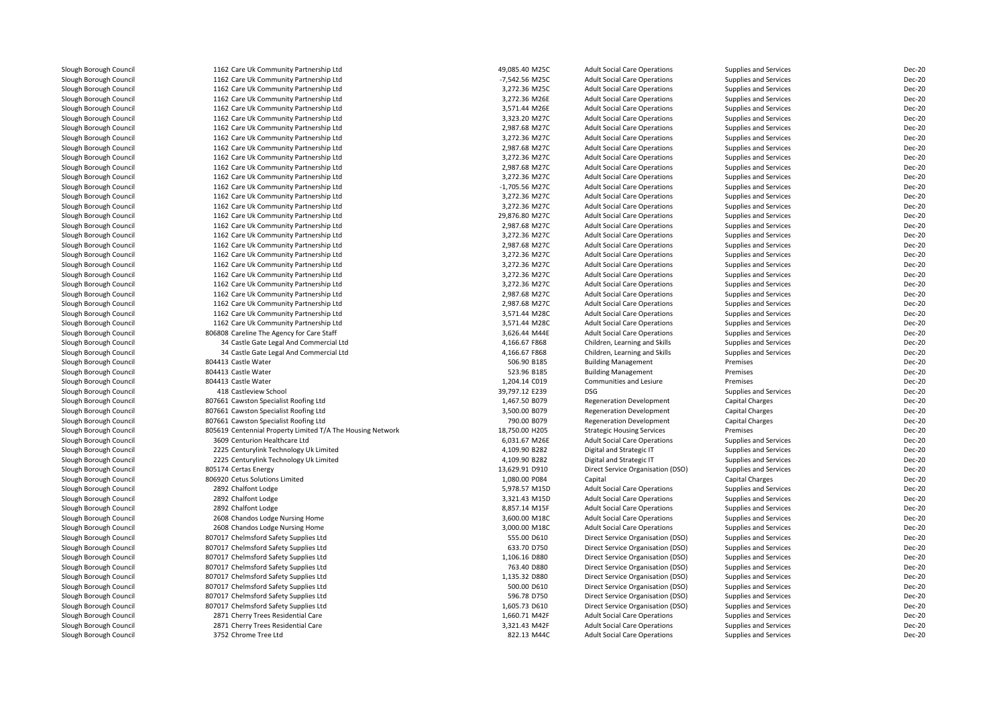| Slough Borough Council | 1162 Care Uk Community Partnership Ltd                     | 49,085.40 M25C   | <b>Adult Social Care Operations</b> | Supplies and Services        | <b>Dec-20</b> |
|------------------------|------------------------------------------------------------|------------------|-------------------------------------|------------------------------|---------------|
| Slough Borough Council | 1162 Care Uk Community Partnership Ltd                     | -7,542.56 M25C   | <b>Adult Social Care Operations</b> | <b>Supplies and Services</b> | <b>Dec-20</b> |
| Slough Borough Council | 1162 Care Uk Community Partnership Ltd                     | 3,272.36 M25C    | <b>Adult Social Care Operations</b> | Supplies and Services        | <b>Dec-20</b> |
| Slough Borough Council | 1162 Care Uk Community Partnership Ltd                     | 3,272.36 M26E    | <b>Adult Social Care Operations</b> | Supplies and Services        | <b>Dec-20</b> |
| Slough Borough Council | 1162 Care Uk Community Partnership Ltd                     | 3,571.44 M26E    | <b>Adult Social Care Operations</b> | Supplies and Services        | <b>Dec-20</b> |
| Slough Borough Council | 1162 Care Uk Community Partnership Ltd                     | 3,323.20 M27C    | <b>Adult Social Care Operations</b> | <b>Supplies and Services</b> | <b>Dec-20</b> |
| Slough Borough Council | 1162 Care Uk Community Partnership Ltd                     | 2,987.68 M27C    | <b>Adult Social Care Operations</b> | <b>Supplies and Services</b> | <b>Dec-20</b> |
| Slough Borough Council | 1162 Care Uk Community Partnership Ltd                     | 3,272.36 M27C    | <b>Adult Social Care Operations</b> | <b>Supplies and Services</b> | <b>Dec-20</b> |
| Slough Borough Council | 1162 Care Uk Community Partnership Ltd                     | 2,987.68 M27C    | <b>Adult Social Care Operations</b> | <b>Supplies and Services</b> | <b>Dec-20</b> |
| Slough Borough Council | 1162 Care Uk Community Partnership Ltd                     | 3,272.36 M27C    | <b>Adult Social Care Operations</b> | <b>Supplies and Services</b> | <b>Dec-20</b> |
| Slough Borough Council | 1162 Care Uk Community Partnership Ltd                     | 2,987.68 M27C    | <b>Adult Social Care Operations</b> | <b>Supplies and Services</b> | <b>Dec-20</b> |
| Slough Borough Council | 1162 Care Uk Community Partnership Ltd                     | 3,272.36 M27C    | <b>Adult Social Care Operations</b> | Supplies and Services        | <b>Dec-20</b> |
| Slough Borough Council | 1162 Care Uk Community Partnership Ltd                     | $-1,705.56$ M27C | <b>Adult Social Care Operations</b> | Supplies and Services        | <b>Dec-20</b> |
| Slough Borough Council | 1162 Care Uk Community Partnership Ltd                     | 3,272.36 M27C    | <b>Adult Social Care Operations</b> | Supplies and Services        | <b>Dec-20</b> |
| Slough Borough Council | 1162 Care Uk Community Partnership Ltd                     | 3,272.36 M27C    | <b>Adult Social Care Operations</b> | <b>Supplies and Services</b> | <b>Dec-20</b> |
| Slough Borough Council | 1162 Care Uk Community Partnership Ltd                     | 29,876.80 M27C   | <b>Adult Social Care Operations</b> | Supplies and Services        | <b>Dec-20</b> |
| Slough Borough Council | 1162 Care Uk Community Partnership Ltd                     | 2,987.68 M27C    | <b>Adult Social Care Operations</b> | Supplies and Services        | <b>Dec-20</b> |
| Slough Borough Council | 1162 Care Uk Community Partnership Ltd                     | 3,272.36 M27C    | <b>Adult Social Care Operations</b> | Supplies and Services        | <b>Dec-20</b> |
| Slough Borough Council | 1162 Care Uk Community Partnership Ltd                     | 2,987.68 M27C    | <b>Adult Social Care Operations</b> | <b>Supplies and Services</b> | <b>Dec-20</b> |
| Slough Borough Council | 1162 Care Uk Community Partnership Ltd                     | 3,272.36 M27C    | <b>Adult Social Care Operations</b> | Supplies and Services        | <b>Dec-20</b> |
| Slough Borough Council | 1162 Care Uk Community Partnership Ltd                     | 3,272.36 M27C    | <b>Adult Social Care Operations</b> | <b>Supplies and Services</b> | <b>Dec-20</b> |
| Slough Borough Council | 1162 Care Uk Community Partnership Ltd                     | 3,272.36 M27C    | <b>Adult Social Care Operations</b> | Supplies and Services        | <b>Dec-20</b> |
| Slough Borough Council | 1162 Care Uk Community Partnership Ltd                     | 3,272.36 M27C    | <b>Adult Social Care Operations</b> | Supplies and Services        | <b>Dec-20</b> |
| Slough Borough Council | 1162 Care Uk Community Partnership Ltd                     | 2,987.68 M27C    | <b>Adult Social Care Operations</b> | Supplies and Services        | <b>Dec-20</b> |
| Slough Borough Council | 1162 Care Uk Community Partnership Ltd                     | 2,987.68 M27C    | <b>Adult Social Care Operations</b> | Supplies and Services        | <b>Dec-20</b> |
| Slough Borough Council | 1162 Care Uk Community Partnership Ltd                     | 3,571.44 M28C    | <b>Adult Social Care Operations</b> | Supplies and Services        | <b>Dec-20</b> |
| Slough Borough Council | 1162 Care Uk Community Partnership Ltd                     | 3,571.44 M28C    | <b>Adult Social Care Operations</b> | <b>Supplies and Services</b> | <b>Dec-20</b> |
| Slough Borough Council | 806808 Careline The Agency for Care Staff                  | 3,626.44 M44E    | <b>Adult Social Care Operations</b> | Supplies and Services        | <b>Dec-20</b> |
| Slough Borough Council | 34 Castle Gate Legal And Commercial Ltd                    | 4,166.67 F868    | Children, Learning and Skills       | <b>Supplies and Services</b> | <b>Dec-20</b> |
| Slough Borough Council | 34 Castle Gate Legal And Commercial Ltd                    | 4,166.67 F868    | Children, Learning and Skills       | <b>Supplies and Services</b> | <b>Dec-20</b> |
| Slough Borough Council | 804413 Castle Water                                        | 506.90 B185      | <b>Building Management</b>          | Premises                     | <b>Dec-20</b> |
| Slough Borough Council | 804413 Castle Water                                        | 523.96 B185      | <b>Building Management</b>          | Premises                     | <b>Dec-20</b> |
| Slough Borough Council | 804413 Castle Water                                        | 1,204.14 C019    | Communities and Lesiure             | Premises                     | <b>Dec-20</b> |
| Slough Borough Council | 418 Castleview School                                      | 39,797.12 E239   | <b>DSG</b>                          | Supplies and Services        | <b>Dec-20</b> |
| Slough Borough Council | 807661 Cawston Specialist Roofing Ltd                      | 1,467.50 B079    | <b>Regeneration Development</b>     | Capital Charges              | <b>Dec-20</b> |
| Slough Borough Council | 807661 Cawston Specialist Roofing Ltd                      | 3,500.00 B079    | <b>Regeneration Development</b>     | <b>Capital Charges</b>       | <b>Dec-20</b> |
| Slough Borough Council | 807661 Cawston Specialist Roofing Ltd                      | 790.00 B079      | <b>Regeneration Development</b>     | Capital Charges              | <b>Dec-20</b> |
| Slough Borough Council | 805619 Centennial Property Limited T/A The Housing Network | 18,750.00 H205   | <b>Strategic Housing Services</b>   | Premises                     | <b>Dec-20</b> |
| Slough Borough Council | 3609 Centurion Healthcare Ltd                              | 6,031.67 M26E    | <b>Adult Social Care Operations</b> | Supplies and Services        | <b>Dec-20</b> |
| Slough Borough Council | 2225 Centurylink Technology Uk Limited                     | 4,109.90 B282    | Digital and Strategic IT            | Supplies and Services        | <b>Dec-20</b> |
| Slough Borough Council | 2225 Centurylink Technology Uk Limited                     | 4,109.90 B282    | Digital and Strategic IT            | Supplies and Services        | <b>Dec-20</b> |
| Slough Borough Council | 805174 Certas Energy                                       | 13,629.91 D910   | Direct Service Organisation (DSO)   | Supplies and Services        | <b>Dec-20</b> |
| Slough Borough Council | 806920 Cetus Solutions Limited                             | 1,080.00 P084    | Capital                             | Capital Charges              | Dec-20        |
|                        | 2892 Chalfont Lodge                                        |                  |                                     |                              | <b>Dec-20</b> |
| Slough Borough Council |                                                            | 5,978.57 M15D    | <b>Adult Social Care Operations</b> | Supplies and Services        | <b>Dec-20</b> |
| Slough Borough Council | 2892 Chalfont Lodge                                        | 3,321.43 M15D    | <b>Adult Social Care Operations</b> | <b>Supplies and Services</b> |               |
| Slough Borough Council | 2892 Chalfont Lodge                                        | 8,857.14 M15F    | <b>Adult Social Care Operations</b> | Supplies and Services        | <b>Dec-20</b> |
| Slough Borough Council | 2608 Chandos Lodge Nursing Home                            | 3,600.00 M18C    | <b>Adult Social Care Operations</b> | <b>Supplies and Services</b> | <b>Dec-20</b> |
| Slough Borough Council | 2608 Chandos Lodge Nursing Home                            | 3,000.00 M18C    | <b>Adult Social Care Operations</b> | <b>Supplies and Services</b> | <b>Dec-20</b> |
| Slough Borough Council | 807017 Chelmsford Safety Supplies Ltd                      | 555.00 D610      | Direct Service Organisation (DSO)   | Supplies and Services        | <b>Dec-20</b> |
| Slough Borough Council | 807017 Chelmsford Safety Supplies Ltd                      | 633.70 D750      | Direct Service Organisation (DSO)   | Supplies and Services        | <b>Dec-20</b> |
| Slough Borough Council | 807017 Chelmsford Safety Supplies Ltd                      | 1,106.16 D880    | Direct Service Organisation (DSO)   | Supplies and Services        | <b>Dec-20</b> |
| Slough Borough Council | 807017 Chelmsford Safety Supplies Ltd                      | 763.40 D880      | Direct Service Organisation (DSO)   | Supplies and Services        | <b>Dec-20</b> |
| Slough Borough Council | 807017 Chelmsford Safety Supplies Ltd                      | 1,135.32 D880    | Direct Service Organisation (DSO)   | Supplies and Services        | <b>Dec-20</b> |
| Slough Borough Council | 807017 Chelmsford Safety Supplies Ltd                      | 500.00 D610      | Direct Service Organisation (DSO)   | Supplies and Services        | <b>Dec-20</b> |
| Slough Borough Council | 807017 Chelmsford Safety Supplies Ltd                      | 596.78 D750      | Direct Service Organisation (DSO)   | Supplies and Services        | <b>Dec-20</b> |
| Slough Borough Council | 807017 Chelmsford Safety Supplies Ltd                      | 1,605.73 D610    | Direct Service Organisation (DSO)   | Supplies and Services        | <b>Dec-20</b> |
| Slough Borough Council | 2871 Cherry Trees Residential Care                         | 1,660.71 M42F    | <b>Adult Social Care Operations</b> | Supplies and Services        | <b>Dec-20</b> |
| Slough Borough Council | 2871 Cherry Trees Residential Care                         | 3,321.43 M42F    | <b>Adult Social Care Operations</b> | Supplies and Services        | <b>Dec-20</b> |
| Slough Borough Council | 3752 Chrome Tree Ltd                                       | 822.13 M44C      | <b>Adult Social Care Operations</b> | <b>Supplies and Services</b> | <b>Dec-20</b> |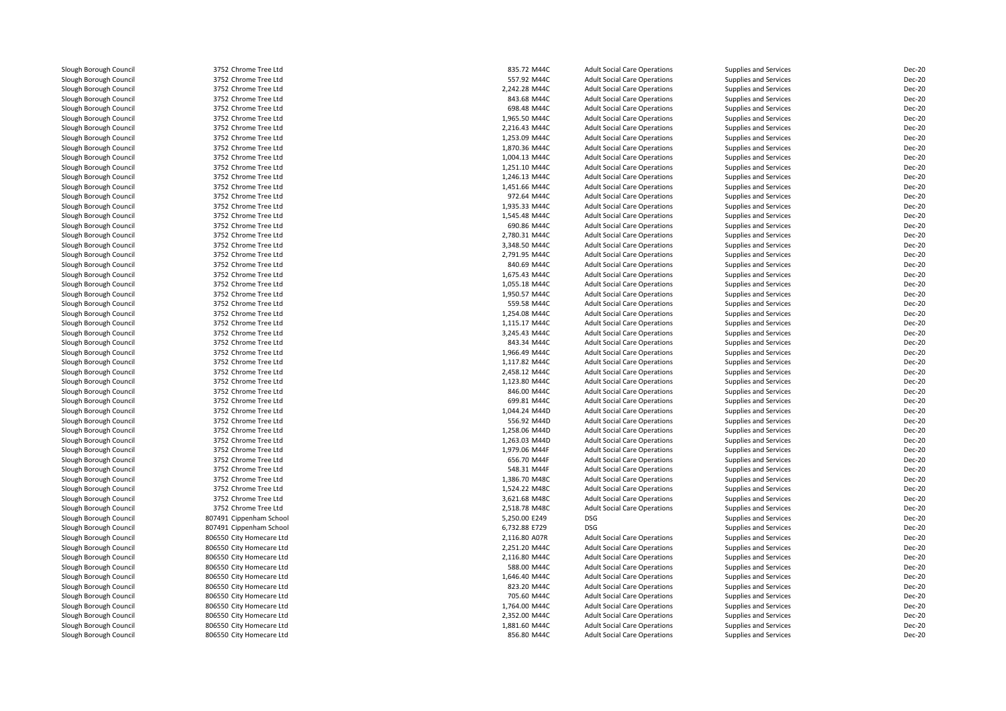Slough Borough Council 3752 Chrome Tree Ltd<br>Slough Borough Council 3752 Chrome Tree Ltd Slough Borough Council <sup>3752</sup> Chrome Tree LtdSlough Borough Council <sup>3752</sup> Chrome Tree LtdSlough Borough Council 3752 Chrome Tree Ltd<br>
3752 Chrome Tree Ltd<br>
3752 Chrome Tree Ltd Slough Borough Council 3752 Chrome Tree Ltd<br>
3752 Chrome Tree Ltd<br>
3752 Chrome Tree Ltd Slough Borough Council <sup>3752</sup> Chrome Tree LtdSlough Borough Council <sup>3752</sup> Chrome Tree LtdSlough Borough Council 3752 Chrome Tree Ltd<br>
Slough Borough Council 3752 Chrome Tree Ltd Slough Borough Council 1988 1999 1999 1999 3752 Chrome Tree Ltd<br>Slough Borough Council 1999 1999 1999 1999 3752 Chrome Tree Ltd Slough Borough Council <sup>3752</sup> Chrome Tree LtdSlough Borough Council 3752 Chrome Tree Ltd<br>
3752 Chrome Tree Ltd<br>
3752 Chrome Tree Ltd Slough Borough Council <sup>3752</sup> Chrome Tree LtdSlough Borough Council 3752 Chrome Tree Ltd<br>
3752 Chrome Tree Ltd<br>
3752 Chrome Tree Ltd Slough Borough Council 3752 Chrome Tree Ltd<br>
3752 Chrome Tree Ltd<br>
3752 Chrome Tree Ltd Slough Borough Council 3752 Chrome Tree Ltd<br>
Slough Borough Council 3752 Chrome Tree Ltd Slough Borough Council 3752 Chrome Tree Ltd<br>
3152 Chrome Tree Ltd<br>
3752 Chrome Tree Ltd Slough Borough Council 3752 Chrome Tree Ltd<br>
Slough Borough Council 3752 Chrome Tree Ltd Slough Borough Council <sup>3752</sup> Chrome Tree LtdSlough Borough Council 3752 Chrome Tree Ltd<br>
3752 Chrome Tree Ltd<br>
3752 Chrome Tree Ltd Slough Borough Council 3752 Chrome Tree Ltd<br>
3752 Chrome Tree Ltd<br>
3752 Chrome Tree Ltd Slough Borough Council <sup>3752</sup> Chrome Tree LtdSlough Borough Council <sup>3752</sup> Chrome Tree LtdSlough Borough Council 3752 Chrome Tree Ltd<br>
3752 Chrome Tree Ltd<br>
3752 Chrome Tree Ltd Slough Borough Council <sup>3752</sup> Chrome Tree LtdSlough Borough Council 1988 1999 1999 1999 3752 Chrome Tree Ltd<br>Slough Borough Council 1999 1999 1999 1999 3752 Chrome Tree Ltd Slough Borough Council<br>Slough Borough Council Slough Borough Council 3752 Chrome Tree Ltd<br>
3752 Chrome Tree Ltd<br>
3752 Chrome Tree Ltd Slough Borough Council 3752 Chrome Tree Ltd<br>
3752 Chrome Tree Ltd<br>
3752 Chrome Tree Ltd Slough Borough Council 3752 Chrome Tree Ltd<br>
3752 Chrome Tree Ltd<br>
3752 Chrome Tree Ltd Slough Borough Council 3752 Chrome Tree Ltd<br>
3752 Chrome Tree Ltd<br>
3752 Chrome Tree Ltd Slough Borough Council 3752 Chrome Tree Ltd<br>
3752 Chrome Tree Ltd<br>
3752 Chrome Tree Ltd Slough Borough Council <sup>3752</sup> Chrome Tree LtdSlough Borough Council 1988 1999 1999 1999 3752 Chrome Tree Ltd<br>Slough Borough Council 1999 1999 1999 1999 3752 Chrome Tree Ltd Slough Borough Council 1988 1999 1999 1999 3752 Chrome Tree Ltd<br>Slough Borough Council 1999 1999 1999 1999 3752 Chrome Tree Ltd Slough Borough Council <sup>3752</sup> Chrome Tree LtdSlough Borough Council 3752 Chrome Tree Ltd<br>
3752 Chrome Tree Ltd<br>
3752 Chrome Tree Ltd Slough Borough Council <sup>3752</sup> Chrome Tree LtdSlough Borough Council 3752 Chrome Tree Ltd<br>
3752 Chrome Tree Ltd<br>
3752 Chrome Tree Ltd Slough Borough Council <sup>3752</sup> Chrome Tree LtdSlough Borough Council 3752 Chrome Tree Ltd<br>
3752 Chrome Tree Ltd<br>
3752 Chrome Tree Ltd Slough Borough Council 3752 Chrome Tree Ltd<br>
Slough Borough Council 3752 Chrome Tree Ltd Slough Borough Council 1988 1999 1999 1999 3752 Chrome Tree Ltd<br>Slough Borough Council 1999 1999 1999 1999 3752 Chrome Tree Ltd Slough Borough Council <sup>3752</sup> Chrome Tree LtdSlough Borough Council<br>Slough Borough Council Slough Borough Council **806550 City Homecare Ltd**<br>806550 City Homecare Ltd Slough Borough Council <sup>806550</sup> City Homecare LtdSlough Borough Council **806550 City Homecare Ltd**<br>Slough Borough Council **806550 City Homecare Ltd** Slough Borough Council **806550** City Homecare Ltd<br>Slough Borough Council **806550** City Homecare Ltd Slough Borough Council **806550 City Homecare Ltd**<br>Slough Borough Council **806550 City Homecare Ltd** Slough Borough Council **806550 City Homecare Ltd**<br>Slough Borough Council **806550 City Homecare Ltd** Slough Borough Council<br>Slough Borough Council Slough Borough Council **806550 City Homecare Ltd**<br>806550 City Homecare Ltd Slough Borough Council **806550 City Homecare Ltd**<br>806550 City Homecare Ltd

Slough Borough Council <sup>3752</sup> Chrome Tree Ltd3752 Chrome Tree Ltd<br>3752 Chrome Tree Ltd Slough Borough Council <sup>807491</sup> Cippenham School 5,250.00 E249 DSGSlough Borough Council **807491 Cippenham School 6, 1998** 6, 1998 Borough Council 6, 1998 Borough Council 6, 1998 B<br>Slough Borough Council **1998 BOSS** Stock of Borough City Homecare Ltd 806550 City Homecare Ltd<br>806550 City Homecare Ltd 806550 City Homecare Ltd

| d   | 835.72 M44C   | <b>Adult Social Care Operations</b>               | Supplies and Services        | Dec-20                  |
|-----|---------------|---------------------------------------------------|------------------------------|-------------------------|
| d   | 557.92 M44C   | <b>Adult Social Care Operations</b>               | Supplies and Services        | Dec-20                  |
|     | 2,242.28 M44C | <b>Adult Social Care Operations</b>               | Supplies and Services        | <b>Dec-20</b>           |
| d   | 843.68 M44C   | <b>Adult Social Care Operations</b>               | Supplies and Services        | Dec-20                  |
| d   | 698.48 M44C   | <b>Adult Social Care Operations</b>               | Supplies and Services        | Dec-20                  |
| d   | 1,965.50 M44C | <b>Adult Social Care Operations</b>               | Supplies and Services        | Dec-20                  |
|     | 2,216.43 M44C | <b>Adult Social Care Operations</b>               | Supplies and Services        | <b>Dec-20</b>           |
| d   | 1,253.09 M44C | <b>Adult Social Care Operations</b>               | Supplies and Services        | <b>Dec-20</b>           |
| d   | 1,870.36 M44C | <b>Adult Social Care Operations</b>               | Supplies and Services        | Dec-20                  |
|     | 1,004.13 M44C | <b>Adult Social Care Operations</b>               | Supplies and Services        | Dec-20                  |
| d   | 1,251.10 M44C | <b>Adult Social Care Operations</b>               | Supplies and Services        | Dec-20                  |
| d   | 1,246.13 M44C | <b>Adult Social Care Operations</b>               | Supplies and Services        | Dec-20                  |
| d   | 1,451.66 M44C | <b>Adult Social Care Operations</b>               | Supplies and Services        | <b>Dec-20</b>           |
| d   | 972.64 M44C   | <b>Adult Social Care Operations</b>               | Supplies and Services        | Dec-20                  |
| d   |               |                                                   |                              |                         |
|     | 1,935.33 M44C | <b>Adult Social Care Operations</b>               | Supplies and Services        | Dec-20                  |
| d   | 1,545.48 M44C | <b>Adult Social Care Operations</b>               | Supplies and Services        | Dec-20                  |
| d   | 690.86 M44C   | <b>Adult Social Care Operations</b>               | Supplies and Services        | Dec-20                  |
| d   | 2,780.31 M44C | <b>Adult Social Care Operations</b>               | Supplies and Services        | Dec-20                  |
| d   | 3,348.50 M44C | <b>Adult Social Care Operations</b>               | Supplies and Services        | Dec-20                  |
| d   | 2,791.95 M44C | <b>Adult Social Care Operations</b>               | Supplies and Services        | Dec-20                  |
| d   | 840.69 M44C   | <b>Adult Social Care Operations</b>               | Supplies and Services        | Dec-20                  |
| d   | 1,675.43 M44C | <b>Adult Social Care Operations</b>               | Supplies and Services        | Dec-20                  |
| d   | 1,055.18 M44C | <b>Adult Social Care Operations</b>               | Supplies and Services        | Dec-20                  |
| d   | 1,950.57 M44C | <b>Adult Social Care Operations</b>               | Supplies and Services        | Dec-20                  |
|     | 559.58 M44C   | <b>Adult Social Care Operations</b>               | Supplies and Services        | Dec-20                  |
|     | 1,254.08 M44C | <b>Adult Social Care Operations</b>               | Supplies and Services        | Dec-20                  |
| d   | 1,115.17 M44C | <b>Adult Social Care Operations</b>               | Supplies and Services        | Dec-20                  |
| d   | 3,245.43 M44C | <b>Adult Social Care Operations</b>               | Supplies and Services        | <b>Dec-20</b>           |
| d   | 843.34 M44C   | <b>Adult Social Care Operations</b>               | Supplies and Services        | <b>Dec-20</b>           |
| d   | 1,966.49 M44C | <b>Adult Social Care Operations</b>               | Supplies and Services        | <b>Dec-20</b>           |
| d   | 1,117.82 M44C | <b>Adult Social Care Operations</b>               | Supplies and Services        | <b>Dec-20</b>           |
| d   | 2,458.12 M44C | <b>Adult Social Care Operations</b>               | Supplies and Services        | Dec-20                  |
| d   | 1,123.80 M44C | <b>Adult Social Care Operations</b>               | Supplies and Services        | Dec-20                  |
| d   | 846.00 M44C   | <b>Adult Social Care Operations</b>               | Supplies and Services        | Dec-20                  |
| d   | 699.81 M44C   | <b>Adult Social Care Operations</b>               | Supplies and Services        | Dec-20                  |
| d   | 1,044.24 M44D | <b>Adult Social Care Operations</b>               | Supplies and Services        | Dec-20                  |
| d   | 556.92 M44D   | <b>Adult Social Care Operations</b>               | Supplies and Services        | Dec-20                  |
| d   | 1,258.06 M44D | <b>Adult Social Care Operations</b>               | Supplies and Services        | Dec-20                  |
| d   | 1,263.03 M44D | <b>Adult Social Care Operations</b>               | Supplies and Services        | Dec-20                  |
| d   | 1,979.06 M44F | <b>Adult Social Care Operations</b>               | Supplies and Services        | Dec-20                  |
|     | 656.70 M44F   | <b>Adult Social Care Operations</b>               | Supplies and Services        | Dec-20                  |
| d   | 548.31 M44F   | <b>Adult Social Care Operations</b>               | Supplies and Services        | Dec-20                  |
| d   | 1,386.70 M48C | <b>Adult Social Care Operations</b>               | Supplies and Services        | Dec-20                  |
| d   | 1,524.22 M48C | <b>Adult Social Care Operations</b>               | Supplies and Services        | Dec-20                  |
| d   | 3,621.68 M48C | <b>Adult Social Care Operations</b>               |                              | Dec-20                  |
| d   |               |                                                   | Supplies and Services        |                         |
| ool | 2,518.78 M48C | <b>Adult Social Care Operations</b><br><b>DSG</b> | Supplies and Services        | <b>Dec-20</b><br>Dec-20 |
|     | 5,250.00 E249 |                                                   | Supplies and Services        |                         |
| ool | 6,732.88 E729 | <b>DSG</b>                                        | Supplies and Services        | <b>Dec-20</b>           |
| Ltd | 2,116.80 A07R | <b>Adult Social Care Operations</b>               | <b>Supplies and Services</b> | <b>Dec-20</b>           |
| Ltd | 2,251.20 M44C | <b>Adult Social Care Operations</b>               | Supplies and Services        | Dec-20                  |
| Ltd | 2,116.80 M44C | <b>Adult Social Care Operations</b>               | Supplies and Services        | Dec-20                  |
| Ltd | 588.00 M44C   | <b>Adult Social Care Operations</b>               | Supplies and Services        | Dec-20                  |
| Ltd | 1,646.40 M44C | <b>Adult Social Care Operations</b>               | Supplies and Services        | Dec-20                  |
| Ltd | 823.20 M44C   | <b>Adult Social Care Operations</b>               | Supplies and Services        | Dec-20                  |
| Ltd | 705.60 M44C   | <b>Adult Social Care Operations</b>               | Supplies and Services        | Dec-20                  |
| Ltd | 1,764.00 M44C | <b>Adult Social Care Operations</b>               | Supplies and Services        | Dec-20                  |
| Ltd | 2,352.00 M44C | <b>Adult Social Care Operations</b>               | Supplies and Services        | Dec-20                  |
| Ltd | 1,881.60 M44C | <b>Adult Social Care Operations</b>               | Supplies and Services        | <b>Dec-20</b>           |
| Ltd | 856.80 M44C   | <b>Adult Social Care Operations</b>               | <b>Supplies and Services</b> | Dec-20                  |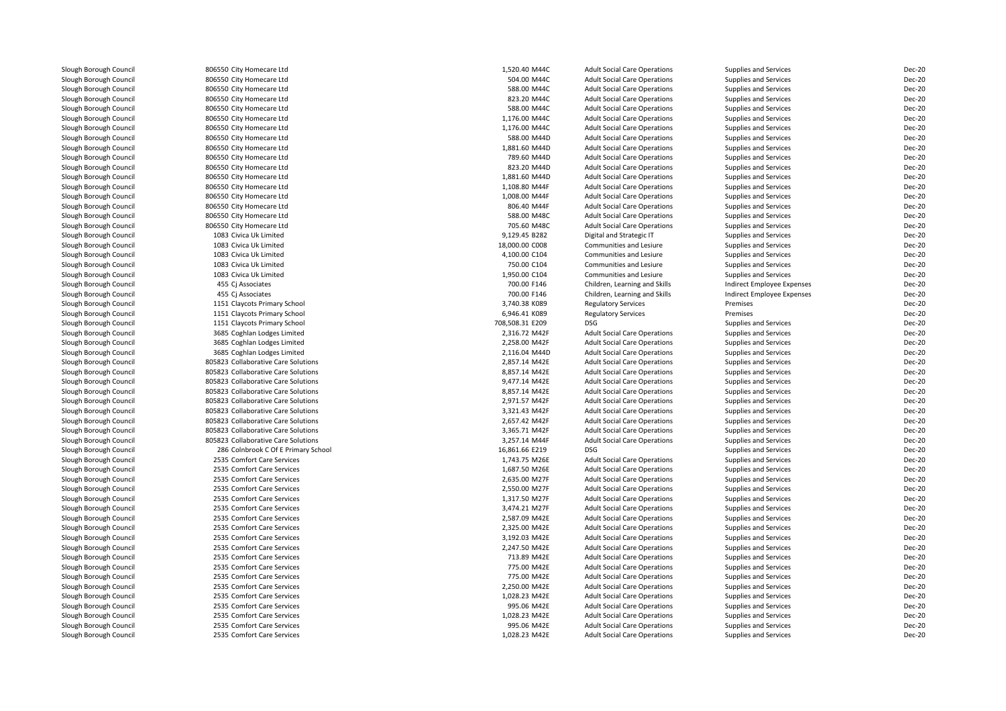| Slough Borough Council | 806550 City Homecare Ltd            | 1,520.40 M44C   | <b>Adult Social Care Operations</b> | Supplies and Services      | Dec-20 |
|------------------------|-------------------------------------|-----------------|-------------------------------------|----------------------------|--------|
| Slough Borough Council | 806550 City Homecare Ltd            | 504.00 M44C     | <b>Adult Social Care Operations</b> | Supplies and Services      | Dec-20 |
| Slough Borough Council | 806550 City Homecare Ltd            | 588.00 M44C     | <b>Adult Social Care Operations</b> | Supplies and Services      | Dec-20 |
| Slough Borough Council | 806550 City Homecare Ltd            | 823.20 M44C     | <b>Adult Social Care Operations</b> | Supplies and Services      | Dec-20 |
| Slough Borough Council | 806550 City Homecare Ltd            | 588.00 M44C     | <b>Adult Social Care Operations</b> | Supplies and Services      | Dec-20 |
| Slough Borough Council | 806550 City Homecare Ltd            | 1,176.00 M44C   | <b>Adult Social Care Operations</b> | Supplies and Services      | Dec-20 |
| Slough Borough Council | 806550 City Homecare Ltd            | 1,176.00 M44C   | <b>Adult Social Care Operations</b> | Supplies and Services      | Dec-20 |
| Slough Borough Council | 806550 City Homecare Ltd            | 588.00 M44D     | <b>Adult Social Care Operations</b> | Supplies and Services      | Dec-20 |
| Slough Borough Council | 806550 City Homecare Ltd            | 1,881.60 M44D   | <b>Adult Social Care Operations</b> | Supplies and Services      | Dec-20 |
| Slough Borough Council | 806550 City Homecare Ltd            | 789.60 M44D     | <b>Adult Social Care Operations</b> | Supplies and Services      | Dec-20 |
| Slough Borough Council | 806550 City Homecare Ltd            | 823.20 M44D     | <b>Adult Social Care Operations</b> | Supplies and Services      | Dec-20 |
| Slough Borough Council | 806550 City Homecare Ltd            | 1,881.60 M44D   | <b>Adult Social Care Operations</b> | Supplies and Services      | Dec-20 |
| Slough Borough Council | 806550 City Homecare Ltd            | 1,108.80 M44F   | <b>Adult Social Care Operations</b> | Supplies and Services      | Dec-20 |
| Slough Borough Council | 806550 City Homecare Ltd            | 1,008.00 M44F   | <b>Adult Social Care Operations</b> | Supplies and Services      | Dec-20 |
| Slough Borough Council | 806550 City Homecare Ltd            | 806.40 M44F     | <b>Adult Social Care Operations</b> | Supplies and Services      | Dec-20 |
| Slough Borough Council | 806550 City Homecare Ltd            | 588.00 M48C     | <b>Adult Social Care Operations</b> | Supplies and Services      | Dec-20 |
| Slough Borough Council | 806550 City Homecare Ltd            | 705.60 M48C     | <b>Adult Social Care Operations</b> | Supplies and Services      | Dec-20 |
| Slough Borough Council | 1083 Civica Uk Limited              | 9,129.45 B282   | Digital and Strategic IT            | Supplies and Services      | Dec-20 |
| Slough Borough Council | 1083 Civica Uk Limited              | 18,000.00 C008  | Communities and Lesiure             | Supplies and Services      | Dec-20 |
| Slough Borough Council | 1083 Civica Uk Limited              | 4,100.00 C104   | Communities and Lesiure             | Supplies and Services      | Dec-20 |
| Slough Borough Council | 1083 Civica Uk Limited              | 750.00 C104     | Communities and Lesiure             | Supplies and Services      | Dec-20 |
| Slough Borough Council | 1083 Civica Uk Limited              | 1,950.00 C104   | Communities and Lesiure             | Supplies and Services      | Dec-20 |
| Slough Borough Council | 455 Cj Associates                   | 700.00 F146     | Children, Learning and Skills       | Indirect Employee Expenses | Dec-20 |
| Slough Borough Council | 455 Cj Associates                   | 700.00 F146     | Children, Learning and Skills       | Indirect Employee Expenses | Dec-20 |
| Slough Borough Council | 1151 Claycots Primary School        | 3,740.38 K089   | <b>Regulatory Services</b>          | Premises                   | Dec-20 |
| Slough Borough Council | 1151 Claycots Primary School        | 6,946.41 K089   | <b>Regulatory Services</b>          | Premises                   | Dec-20 |
| Slough Borough Council | 1151 Claycots Primary School        | 708,508.31 E209 | <b>DSG</b>                          | Supplies and Services      | Dec-20 |
| Slough Borough Council | 3685 Coghlan Lodges Limited         | 2,316.72 M42F   | <b>Adult Social Care Operations</b> | Supplies and Services      | Dec-20 |
| Slough Borough Council | 3685 Coghlan Lodges Limited         | 2.258.00 M42F   | <b>Adult Social Care Operations</b> | Supplies and Services      | Dec-20 |
| Slough Borough Council | 3685 Coghlan Lodges Limited         | 2,116.04 M44D   | <b>Adult Social Care Operations</b> | Supplies and Services      | Dec-20 |
| Slough Borough Council | 805823 Collaborative Care Solutions | 2.857.14 M42E   | <b>Adult Social Care Operations</b> | Supplies and Services      | Dec-20 |
| Slough Borough Council | 805823 Collaborative Care Solutions | 8,857.14 M42E   | <b>Adult Social Care Operations</b> | Supplies and Services      | Dec-20 |
| Slough Borough Council | 805823 Collaborative Care Solutions | 9,477.14 M42E   | <b>Adult Social Care Operations</b> | Supplies and Services      | Dec-20 |
| Slough Borough Council | 805823 Collaborative Care Solutions | 8,857.14 M42E   | <b>Adult Social Care Operations</b> | Supplies and Services      | Dec-20 |
| Slough Borough Council | 805823 Collaborative Care Solutions | 2,971.57 M42F   | <b>Adult Social Care Operations</b> | Supplies and Services      | Dec-20 |
| Slough Borough Council | 805823 Collaborative Care Solutions | 3,321.43 M42F   | <b>Adult Social Care Operations</b> | Supplies and Services      | Dec-20 |
| Slough Borough Council | 805823 Collaborative Care Solutions | 2,657.42 M42F   | <b>Adult Social Care Operations</b> | Supplies and Services      | Dec-20 |
| Slough Borough Council | 805823 Collaborative Care Solutions | 3,365.71 M42F   | <b>Adult Social Care Operations</b> | Supplies and Services      | Dec-20 |
| Slough Borough Council | 805823 Collaborative Care Solutions | 3,257.14 M44F   | <b>Adult Social Care Operations</b> | Supplies and Services      | Dec-20 |
| Slough Borough Council | 286 Colnbrook C Of E Primary School | 16,861.66 E219  | <b>DSG</b>                          | Supplies and Services      | Dec-20 |
| Slough Borough Council | 2535 Comfort Care Services          | 1,743.75 M26E   | <b>Adult Social Care Operations</b> | Supplies and Services      | Dec-20 |
| Slough Borough Council | 2535 Comfort Care Services          | 1,687.50 M26E   | <b>Adult Social Care Operations</b> | Supplies and Services      | Dec-20 |
| Slough Borough Council | 2535 Comfort Care Services          | 2,635.00 M27F   | <b>Adult Social Care Operations</b> | Supplies and Services      | Dec-20 |
| Slough Borough Council | 2535 Comfort Care Services          | 2,550.00 M27F   | <b>Adult Social Care Operations</b> | Supplies and Services      | Dec-20 |
| Slough Borough Council | 2535 Comfort Care Services          | 1,317.50 M27F   | <b>Adult Social Care Operations</b> | Supplies and Services      | Dec-20 |
| Slough Borough Council | 2535 Comfort Care Services          | 3.474.21 M27F   | <b>Adult Social Care Operations</b> | Supplies and Services      | Dec-20 |
| Slough Borough Council | 2535 Comfort Care Services          | 2,587.09 M42E   | <b>Adult Social Care Operations</b> | Supplies and Services      | Dec-20 |
| Slough Borough Council | 2535 Comfort Care Services          | 2.325.00 M42E   | <b>Adult Social Care Operations</b> | Supplies and Services      | Dec-20 |
| Slough Borough Council | 2535 Comfort Care Services          | 3,192.03 M42E   | <b>Adult Social Care Operations</b> | Supplies and Services      | Dec-20 |
| Slough Borough Council | 2535 Comfort Care Services          | 2,247.50 M42E   | <b>Adult Social Care Operations</b> | Supplies and Services      | Dec-20 |
| Slough Borough Council | 2535 Comfort Care Services          | 713.89 M42E     | <b>Adult Social Care Operations</b> | Supplies and Services      | Dec-20 |
| Slough Borough Council | 2535 Comfort Care Services          | 775.00 M42E     | <b>Adult Social Care Operations</b> | Supplies and Services      | Dec-20 |
| Slough Borough Council | 2535 Comfort Care Services          | 775.00 M42E     | <b>Adult Social Care Operations</b> | Supplies and Services      | Dec-20 |
| Slough Borough Council | 2535 Comfort Care Services          | 2,250.00 M42E   | <b>Adult Social Care Operations</b> | Supplies and Services      | Dec-20 |
| Slough Borough Council | 2535 Comfort Care Services          | 1,028.23 M42E   | <b>Adult Social Care Operations</b> | Supplies and Services      | Dec-20 |
| Slough Borough Council | 2535 Comfort Care Services          | 995.06 M42E     | <b>Adult Social Care Operations</b> | Supplies and Services      | Dec-20 |
| Slough Borough Council | 2535 Comfort Care Services          | 1,028.23 M42E   | <b>Adult Social Care Operations</b> | Supplies and Services      | Dec-20 |
| Slough Borough Council | 2535 Comfort Care Services          | 995.06 M42E     | <b>Adult Social Care Operations</b> | Supplies and Services      | Dec-20 |
| Slough Borough Council | 2535 Comfort Care Services          | 1,028.23 M42E   | <b>Adult Social Care Operations</b> | Supplies and Services      | Dec-20 |
|                        |                                     |                 |                                     |                            |        |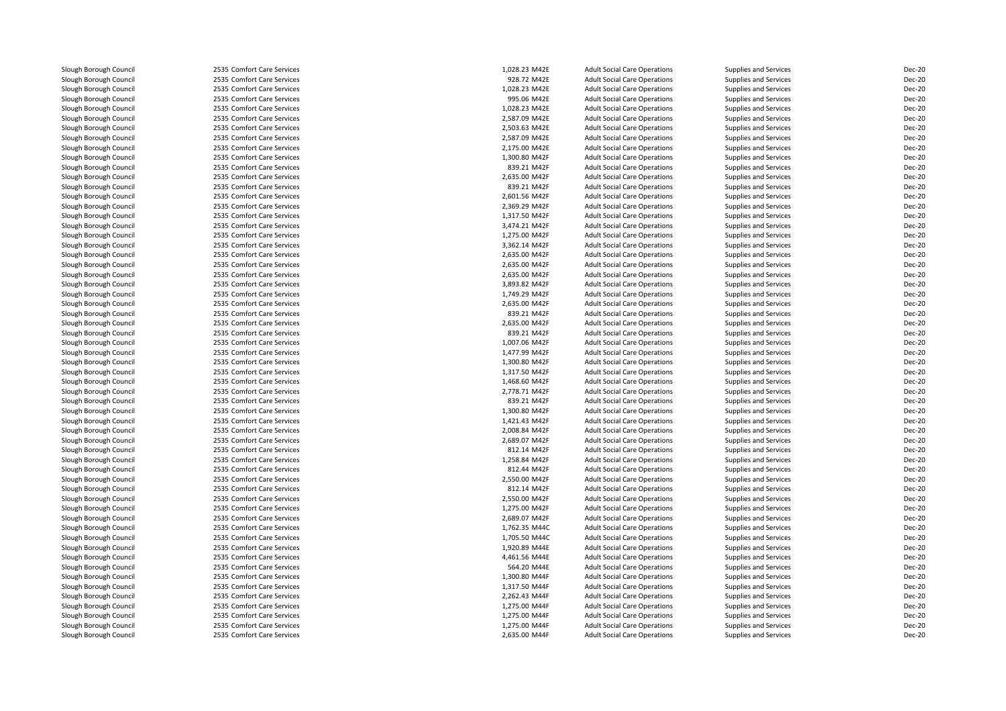| Slough Borough Council | 2535 Comfort Care Services | 1,028.23 M42E | <b>Adult Social Care Operations</b> | Supplies and Services        | <b>Dec-20</b> |
|------------------------|----------------------------|---------------|-------------------------------------|------------------------------|---------------|
| Slough Borough Council | 2535 Comfort Care Services | 928.72 M42E   | <b>Adult Social Care Operations</b> | <b>Supplies and Services</b> | <b>Dec-20</b> |
| Slough Borough Council | 2535 Comfort Care Services | 1,028.23 M42E | <b>Adult Social Care Operations</b> | Supplies and Services        | <b>Dec-20</b> |
| Slough Borough Council | 2535 Comfort Care Services | 995.06 M42E   | <b>Adult Social Care Operations</b> | <b>Supplies and Services</b> | Dec-20        |
| Slough Borough Council | 2535 Comfort Care Services | 1,028.23 M42E | <b>Adult Social Care Operations</b> | Supplies and Services        | <b>Dec-20</b> |
| Slough Borough Council | 2535 Comfort Care Services | 2,587.09 M42E | <b>Adult Social Care Operations</b> | <b>Supplies and Services</b> | Dec-20        |
| Slough Borough Council | 2535 Comfort Care Services | 2,503.63 M42E | <b>Adult Social Care Operations</b> | Supplies and Services        | Dec-20        |
| Slough Borough Council | 2535 Comfort Care Services | 2,587.09 M42E | <b>Adult Social Care Operations</b> | Supplies and Services        | Dec-20        |
| Slough Borough Council | 2535 Comfort Care Services | 2,175.00 M42E | <b>Adult Social Care Operations</b> | Supplies and Services        | <b>Dec-20</b> |
| Slough Borough Council | 2535 Comfort Care Services | 1,300.80 M42F | <b>Adult Social Care Operations</b> | Supplies and Services        | Dec-20        |
| Slough Borough Council | 2535 Comfort Care Services | 839.21 M42F   | <b>Adult Social Care Operations</b> | Supplies and Services        | Dec-20        |
| Slough Borough Council | 2535 Comfort Care Services | 2,635.00 M42F | <b>Adult Social Care Operations</b> | Supplies and Services        | Dec-20        |
| Slough Borough Council | 2535 Comfort Care Services | 839.21 M42F   | <b>Adult Social Care Operations</b> | Supplies and Services        | <b>Dec-20</b> |
| Slough Borough Council | 2535 Comfort Care Services | 2,601.56 M42F | <b>Adult Social Care Operations</b> | Supplies and Services        | Dec-20        |
| Slough Borough Council | 2535 Comfort Care Services | 2,369.29 M42F | <b>Adult Social Care Operations</b> | Supplies and Services        | Dec-20        |
| Slough Borough Council | 2535 Comfort Care Services | 1,317.50 M42F | <b>Adult Social Care Operations</b> | Supplies and Services        | Dec-20        |
| Slough Borough Council | 2535 Comfort Care Services | 3,474.21 M42F | <b>Adult Social Care Operations</b> | Supplies and Services        | Dec-20        |
| Slough Borough Council | 2535 Comfort Care Services | 1,275.00 M42F | <b>Adult Social Care Operations</b> | Supplies and Services        | <b>Dec-20</b> |
| Slough Borough Council | 2535 Comfort Care Services | 3,362.14 M42F | <b>Adult Social Care Operations</b> | Supplies and Services        | Dec-20        |
| Slough Borough Council | 2535 Comfort Care Services | 2,635.00 M42F | <b>Adult Social Care Operations</b> | <b>Supplies and Services</b> | Dec-20        |
| Slough Borough Council | 2535 Comfort Care Services | 2,635.00 M42F | <b>Adult Social Care Operations</b> | Supplies and Services        | <b>Dec-20</b> |
| Slough Borough Council | 2535 Comfort Care Services | 2,635.00 M42F | <b>Adult Social Care Operations</b> | Supplies and Services        | Dec-20        |
| Slough Borough Council | 2535 Comfort Care Services | 3,893.82 M42F | <b>Adult Social Care Operations</b> | Supplies and Services        | Dec-20        |
| Slough Borough Council | 2535 Comfort Care Services | 1,749.29 M42F | <b>Adult Social Care Operations</b> | Supplies and Services        | Dec-20        |
| Slough Borough Council | 2535 Comfort Care Services | 2,635.00 M42F | <b>Adult Social Care Operations</b> | Supplies and Services        | Dec-20        |
| Slough Borough Council | 2535 Comfort Care Services | 839.21 M42F   | <b>Adult Social Care Operations</b> | Supplies and Services        | Dec-20        |
| Slough Borough Council | 2535 Comfort Care Services | 2,635.00 M42F | <b>Adult Social Care Operations</b> | <b>Supplies and Services</b> | <b>Dec-20</b> |
| Slough Borough Council | 2535 Comfort Care Services | 839.21 M42F   | <b>Adult Social Care Operations</b> | Supplies and Services        | Dec-20        |
| Slough Borough Council | 2535 Comfort Care Services | 1,007.06 M42F | <b>Adult Social Care Operations</b> | Supplies and Services        | <b>Dec-20</b> |
| Slough Borough Council | 2535 Comfort Care Services | 1,477.99 M42F | <b>Adult Social Care Operations</b> | Supplies and Services        | Dec-20        |
| Slough Borough Council | 2535 Comfort Care Services | 1,300.80 M42F | <b>Adult Social Care Operations</b> | Supplies and Services        | Dec-20        |
| Slough Borough Council | 2535 Comfort Care Services | 1,317.50 M42F | <b>Adult Social Care Operations</b> | Supplies and Services        | Dec-20        |
| Slough Borough Council | 2535 Comfort Care Services | 1,468.60 M42F | <b>Adult Social Care Operations</b> | <b>Supplies and Services</b> | Dec-20        |
| Slough Borough Council | 2535 Comfort Care Services | 2,778.71 M42F | <b>Adult Social Care Operations</b> | Supplies and Services        | Dec-20        |
| Slough Borough Council | 2535 Comfort Care Services | 839.21 M42F   | <b>Adult Social Care Operations</b> | Supplies and Services        | Dec-20        |
| Slough Borough Council | 2535 Comfort Care Services | 1,300.80 M42F | <b>Adult Social Care Operations</b> | Supplies and Services        | Dec-20        |
| Slough Borough Council | 2535 Comfort Care Services | 1,421.43 M42F | <b>Adult Social Care Operations</b> | <b>Supplies and Services</b> | Dec-20        |
| Slough Borough Council | 2535 Comfort Care Services | 2,008.84 M42F | <b>Adult Social Care Operations</b> | Supplies and Services        | <b>Dec-20</b> |
| Slough Borough Council | 2535 Comfort Care Services | 2,689.07 M42F | <b>Adult Social Care Operations</b> | <b>Supplies and Services</b> | Dec-20        |
| Slough Borough Council | 2535 Comfort Care Services | 812.14 M42F   | <b>Adult Social Care Operations</b> | Supplies and Services        | <b>Dec-20</b> |
| Slough Borough Council | 2535 Comfort Care Services | 1,258.84 M42F | <b>Adult Social Care Operations</b> | Supplies and Services        | Dec-20        |
| Slough Borough Council | 2535 Comfort Care Services | 812.44 M42F   | <b>Adult Social Care Operations</b> | Supplies and Services        | Dec-20        |
| Slough Borough Council | 2535 Comfort Care Services | 2,550.00 M42F | <b>Adult Social Care Operations</b> | Supplies and Services        | <b>Dec-20</b> |
| Slough Borough Council | 2535 Comfort Care Services | 812.14 M42F   | <b>Adult Social Care Operations</b> | Supplies and Services        | Dec-20        |
| Slough Borough Council | 2535 Comfort Care Services | 2,550.00 M42F | <b>Adult Social Care Operations</b> | Supplies and Services        | Dec-20        |
| Slough Borough Council | 2535 Comfort Care Services | 1,275.00 M42F | <b>Adult Social Care Operations</b> | Supplies and Services        | <b>Dec-20</b> |
| Slough Borough Council | 2535 Comfort Care Services | 2,689.07 M42F | <b>Adult Social Care Operations</b> | Supplies and Services        | Dec-20        |
| Slough Borough Council | 2535 Comfort Care Services | 1,762.35 M44C | <b>Adult Social Care Operations</b> | <b>Supplies and Services</b> | <b>Dec-20</b> |
| Slough Borough Council | 2535 Comfort Care Services | 1,705.50 M44C | <b>Adult Social Care Operations</b> | <b>Supplies and Services</b> | Dec-20        |
| Slough Borough Council | 2535 Comfort Care Services | 1,920.89 M44E | <b>Adult Social Care Operations</b> | <b>Supplies and Services</b> | Dec-20        |
| Slough Borough Council | 2535 Comfort Care Services | 4,461.56 M44E | <b>Adult Social Care Operations</b> | <b>Supplies and Services</b> | <b>Dec-20</b> |
| Slough Borough Council | 2535 Comfort Care Services | 564.20 M44E   | <b>Adult Social Care Operations</b> | Supplies and Services        | Dec-20        |
| Slough Borough Council | 2535 Comfort Care Services | 1,300.80 M44F | <b>Adult Social Care Operations</b> | Supplies and Services        | <b>Dec-20</b> |
| Slough Borough Council | 2535 Comfort Care Services | 1,317.50 M44F | <b>Adult Social Care Operations</b> | Supplies and Services        | <b>Dec-20</b> |
| Slough Borough Council | 2535 Comfort Care Services | 2,262.43 M44F | <b>Adult Social Care Operations</b> | Supplies and Services        | <b>Dec-20</b> |
| Slough Borough Council | 2535 Comfort Care Services | 1,275.00 M44F | <b>Adult Social Care Operations</b> | Supplies and Services        | Dec-20        |
| Slough Borough Council | 2535 Comfort Care Services | 1,275.00 M44F | <b>Adult Social Care Operations</b> | Supplies and Services        | <b>Dec-20</b> |
| Slough Borough Council | 2535 Comfort Care Services | 1,275.00 M44F | <b>Adult Social Care Operations</b> | Supplies and Services        | <b>Dec-20</b> |
| Slough Borough Council | 2535 Comfort Care Services | 2,635.00 M44F | <b>Adult Social Care Operations</b> | <b>Supplies and Services</b> | <b>Dec-20</b> |
|                        |                            |               |                                     |                              |               |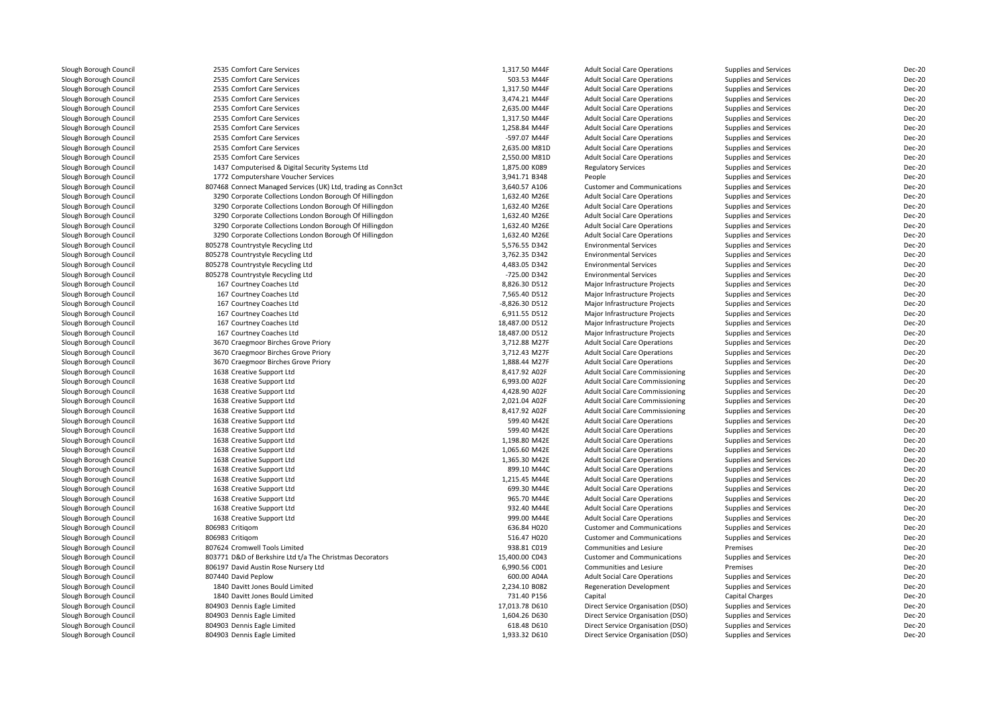| Slough Borough Council | 2535 Comfort Care Services                                   | 1,317.50 M44F  | <b>Adult Social Care Operations</b>    | Supplies and Services  | Dec-20        |
|------------------------|--------------------------------------------------------------|----------------|----------------------------------------|------------------------|---------------|
| Slough Borough Council | 2535 Comfort Care Services                                   | 503.53 M44F    | <b>Adult Social Care Operations</b>    | Supplies and Services  | Dec-20        |
| Slough Borough Council | 2535 Comfort Care Services                                   | 1,317.50 M44F  | <b>Adult Social Care Operations</b>    | Supplies and Services  | Dec-20        |
| Slough Borough Council | 2535 Comfort Care Services                                   | 3,474.21 M44F  | <b>Adult Social Care Operations</b>    | Supplies and Services  | Dec-20        |
| Slough Borough Council | 2535 Comfort Care Services                                   | 2,635.00 M44F  | <b>Adult Social Care Operations</b>    | Supplies and Services  | Dec-20        |
| Slough Borough Council | 2535 Comfort Care Services                                   | 1,317.50 M44F  | <b>Adult Social Care Operations</b>    | Supplies and Services  | Dec-20        |
| Slough Borough Council | 2535 Comfort Care Services                                   | 1,258.84 M44F  | <b>Adult Social Care Operations</b>    | Supplies and Services  | Dec-20        |
| Slough Borough Council | 2535 Comfort Care Services                                   | -597.07 M44F   | <b>Adult Social Care Operations</b>    | Supplies and Services  | Dec-20        |
| Slough Borough Council | 2535 Comfort Care Services                                   | 2,635.00 M81D  | <b>Adult Social Care Operations</b>    | Supplies and Services  | Dec-20        |
| Slough Borough Council | 2535 Comfort Care Services                                   | 2,550.00 M81D  | <b>Adult Social Care Operations</b>    | Supplies and Services  | Dec-20        |
| Slough Borough Council | 1437 Computerised & Digital Security Systems Ltd             | 1,875.00 K089  | <b>Regulatory Services</b>             | Supplies and Services  | Dec-20        |
| Slough Borough Council | 1772 Computershare Voucher Services                          | 3,941.71 B348  | People                                 | Supplies and Services  | Dec-20        |
| Slough Borough Council | 807468 Connect Managed Services (UK) Ltd, trading as Conn3ct | 3,640.57 A106  | <b>Customer and Communications</b>     | Supplies and Services  | Dec-20        |
| Slough Borough Council | 3290 Corporate Collections London Borough Of Hillingdon      | 1,632.40 M26E  | <b>Adult Social Care Operations</b>    | Supplies and Services  | Dec-20        |
| Slough Borough Council | 3290 Corporate Collections London Borough Of Hillingdon      | 1,632.40 M26E  | <b>Adult Social Care Operations</b>    | Supplies and Services  | Dec-20        |
| Slough Borough Council | 3290 Corporate Collections London Borough Of Hillingdon      | 1,632.40 M26E  | <b>Adult Social Care Operations</b>    | Supplies and Services  | Dec-20        |
| Slough Borough Council | 3290 Corporate Collections London Borough Of Hillingdon      | 1,632.40 M26E  | <b>Adult Social Care Operations</b>    | Supplies and Services  | Dec-20        |
| Slough Borough Council | 3290 Corporate Collections London Borough Of Hillingdon      | 1,632.40 M26E  | <b>Adult Social Care Operations</b>    | Supplies and Services  | Dec-20        |
| Slough Borough Council | 805278 Countrystyle Recycling Ltd                            | 5,576.55 D342  | <b>Environmental Services</b>          | Supplies and Services  | Dec-20        |
| Slough Borough Council | 805278 Countrystyle Recycling Ltd                            | 3,762.35 D342  | <b>Environmental Services</b>          | Supplies and Services  | Dec-20        |
| Slough Borough Council | 805278 Countrystyle Recycling Ltd                            | 4,483.05 D342  | <b>Environmental Services</b>          | Supplies and Services  | Dec-20        |
| Slough Borough Council | 805278 Countrystyle Recycling Ltd                            | -725.00 D342   | <b>Environmental Services</b>          | Supplies and Services  | <b>Dec-20</b> |
| Slough Borough Council | 167 Courtney Coaches Ltd                                     | 8,826.30 D512  | Major Infrastructure Projects          | Supplies and Services  | Dec-20        |
| Slough Borough Council | 167 Courtney Coaches Ltd                                     | 7,565.40 D512  | Major Infrastructure Projects          | Supplies and Services  | Dec-20        |
| Slough Borough Council | 167 Courtney Coaches Ltd                                     | -8,826.30 D512 | Major Infrastructure Projects          | Supplies and Services  | Dec-20        |
| Slough Borough Council | 167 Courtney Coaches Ltd                                     | 6,911.55 D512  | Major Infrastructure Projects          | Supplies and Services  | Dec-20        |
| Slough Borough Council | 167 Courtney Coaches Ltd                                     | 18,487.00 D512 | Major Infrastructure Projects          | Supplies and Services  | Dec-20        |
| Slough Borough Council | 167 Courtney Coaches Ltd                                     | 18,487.00 D512 | Major Infrastructure Projects          | Supplies and Services  | Dec-20        |
| Slough Borough Council | 3670 Craegmoor Birches Grove Priory                          | 3,712.88 M27F  | <b>Adult Social Care Operations</b>    | Supplies and Services  | Dec-20        |
| Slough Borough Council | 3670 Craegmoor Birches Grove Priory                          | 3,712.43 M27F  | <b>Adult Social Care Operations</b>    | Supplies and Services  | Dec-20        |
| Slough Borough Council | 3670 Craegmoor Birches Grove Priory                          | 1,888.44 M27F  | <b>Adult Social Care Operations</b>    | Supplies and Services  | Dec-20        |
| Slough Borough Council | 1638 Creative Support Ltd                                    | 8,417.92 A02F  | <b>Adult Social Care Commissioning</b> | Supplies and Services  | Dec-20        |
| Slough Borough Council | 1638 Creative Support Ltd                                    | 6,993.00 A02F  | <b>Adult Social Care Commissioning</b> | Supplies and Services  | Dec-20        |
| Slough Borough Council | 1638 Creative Support Ltd                                    | 4,428.90 A02F  | <b>Adult Social Care Commissioning</b> | Supplies and Services  | Dec-20        |
| Slough Borough Council | 1638 Creative Support Ltd                                    | 2,021.04 A02F  | <b>Adult Social Care Commissioning</b> | Supplies and Services  | Dec-20        |
| Slough Borough Council |                                                              | 8,417.92 A02F  | <b>Adult Social Care Commissioning</b> |                        | Dec-20        |
|                        | 1638 Creative Support Ltd                                    | 599.40 M42E    |                                        | Supplies and Services  |               |
| Slough Borough Council | 1638 Creative Support Ltd                                    |                | <b>Adult Social Care Operations</b>    | Supplies and Services  | Dec-20        |
| Slough Borough Council | 1638 Creative Support Ltd                                    | 599.40 M42E    | <b>Adult Social Care Operations</b>    | Supplies and Services  | Dec-20        |
| Slough Borough Council | 1638 Creative Support Ltd                                    | 1,198.80 M42E  | <b>Adult Social Care Operations</b>    | Supplies and Services  | Dec-20        |
| Slough Borough Council | 1638 Creative Support Ltd                                    | 1,065.60 M42E  | <b>Adult Social Care Operations</b>    | Supplies and Services  | Dec-20        |
| Slough Borough Council | 1638 Creative Support Ltd                                    | 1,365.30 M42E  | <b>Adult Social Care Operations</b>    | Supplies and Services  | Dec-20        |
| Slough Borough Council | 1638 Creative Support Ltd                                    | 899.10 M44C    | <b>Adult Social Care Operations</b>    | Supplies and Services  | Dec-20        |
| Slough Borough Council | 1638 Creative Support Ltd                                    | 1,215.45 M44E  | <b>Adult Social Care Operations</b>    | Supplies and Services  | Dec-20        |
| Slough Borough Council | 1638 Creative Support Ltd                                    | 699.30 M44E    | <b>Adult Social Care Operations</b>    | Supplies and Services  | Dec-20        |
| Slough Borough Council | 1638 Creative Support Ltd                                    | 965.70 M44E    | <b>Adult Social Care Operations</b>    | Supplies and Services  | Dec-20        |
| Slough Borough Council | 1638 Creative Support Ltd                                    | 932.40 M44E    | <b>Adult Social Care Operations</b>    | Supplies and Services  | Dec-20        |
| Slough Borough Council | 1638 Creative Support Ltd                                    | 999.00 M44E    | <b>Adult Social Care Operations</b>    | Supplies and Services  | Dec-20        |
| Slough Borough Council | 806983 Critigom                                              | 636.84 H020    | <b>Customer and Communications</b>     | Supplies and Services  | Dec-20        |
| Slough Borough Council | 806983 Critigom                                              | 516.47 H020    | <b>Customer and Communications</b>     | Supplies and Services  | Dec-20        |
| Slough Borough Council | 807624 Cromwell Tools Limited                                | 938.81 C019    | Communities and Lesiure                | Premises               | Dec-20        |
| Slough Borough Council | 803771 D&D of Berkshire Ltd t/a The Christmas Decorators     | 15,400.00 C043 | <b>Customer and Communications</b>     | Supplies and Services  | Dec-20        |
| Slough Borough Council | 806197 David Austin Rose Nursery Ltd                         | 6,990.56 C001  | Communities and Lesiure                | Premises               | Dec-20        |
| Slough Borough Council | 807440 David Peplow                                          | 600.00 A04A    | <b>Adult Social Care Operations</b>    | Supplies and Services  | Dec-20        |
| Slough Borough Council | 1840 Davitt Jones Bould Limited                              | 2,234.10 B082  | <b>Regeneration Development</b>        | Supplies and Services  | Dec-20        |
| Slough Borough Council | 1840 Davitt Jones Bould Limited                              | 731.40 P156    | Capital                                | <b>Capital Charges</b> | Dec-20        |
| Slough Borough Council | 804903 Dennis Eagle Limited                                  | 17,013.78 D610 | Direct Service Organisation (DSO)      | Supplies and Services  | Dec-20        |
| Slough Borough Council | 804903 Dennis Eagle Limited                                  | 1,604.26 D630  | Direct Service Organisation (DSO)      | Supplies and Services  | Dec-20        |
| Slough Borough Council | 804903 Dennis Eagle Limited                                  | 618.48 D610    | Direct Service Organisation (DSO)      | Supplies and Services  | Dec-20        |
| Slough Borough Council | 804903 Dennis Eagle Limited                                  | 1,933.32 D610  | Direct Service Organisation (DSO)      | Supplies and Services  | Dec-20        |
|                        |                                                              |                |                                        |                        |               |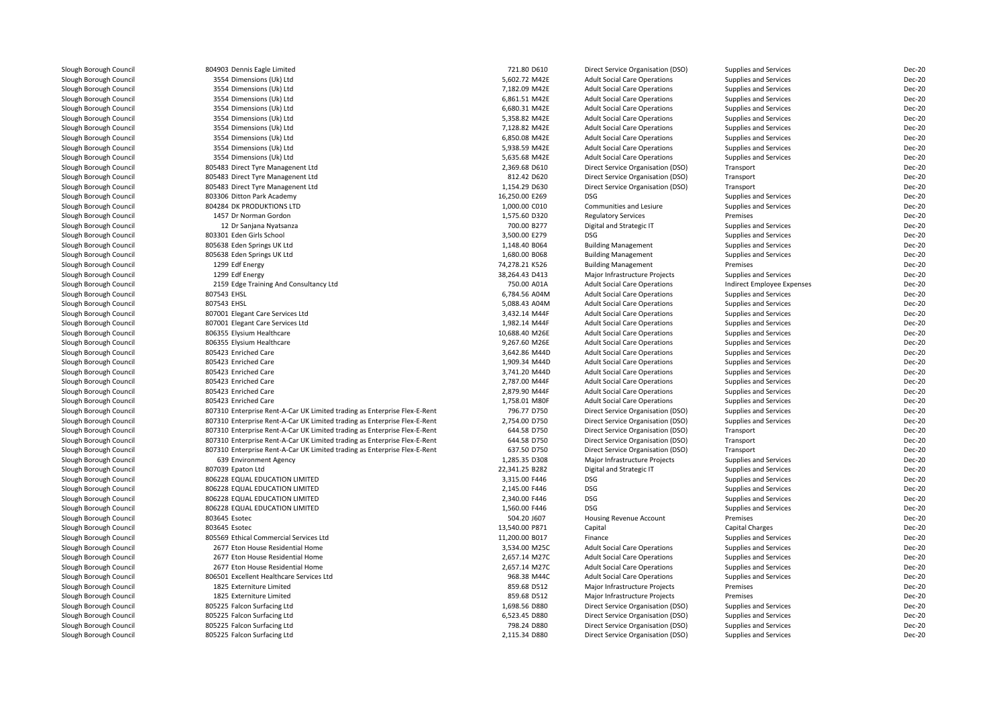| Slough Borough Council                           | 804903 Dennis Eagle Limited                                               | 721.80 D610                    | Direct Service Organisation (DSO)   | Supplies and Services             | <b>Dec-20</b> |
|--------------------------------------------------|---------------------------------------------------------------------------|--------------------------------|-------------------------------------|-----------------------------------|---------------|
| Slough Borough Council                           | 3554 Dimensions (Uk) Ltd                                                  | 5,602.72 M42E                  | <b>Adult Social Care Operations</b> | <b>Supplies and Services</b>      | <b>Dec-20</b> |
| Slough Borough Council                           | 3554 Dimensions (Uk) Ltd                                                  | 7,182.09 M42E                  | <b>Adult Social Care Operations</b> | <b>Supplies and Services</b>      | <b>Dec-20</b> |
| Slough Borough Council                           | 3554 Dimensions (Uk) Ltd                                                  | 6,861.51 M42E                  | <b>Adult Social Care Operations</b> | <b>Supplies and Services</b>      | <b>Dec-20</b> |
| Slough Borough Council                           | 3554 Dimensions (Uk) Ltd                                                  | 6,680.31 M42E                  | <b>Adult Social Care Operations</b> | Supplies and Services             | <b>Dec-20</b> |
| Slough Borough Council                           | 3554 Dimensions (Uk) Ltd                                                  | 5,358.82 M42E                  | <b>Adult Social Care Operations</b> | <b>Supplies and Services</b>      | <b>Dec-20</b> |
| Slough Borough Council                           | 3554 Dimensions (Uk) Ltd                                                  | 7,128.82 M42E                  | <b>Adult Social Care Operations</b> | <b>Supplies and Services</b>      | <b>Dec-20</b> |
| Slough Borough Council                           | 3554 Dimensions (Uk) Ltd                                                  | 6.850.08 M42E                  | <b>Adult Social Care Operations</b> | <b>Supplies and Services</b>      | <b>Dec-20</b> |
| Slough Borough Council                           | 3554 Dimensions (Uk) Ltd                                                  | 5,938.59 M42E                  | <b>Adult Social Care Operations</b> | Supplies and Services             | <b>Dec-20</b> |
| Slough Borough Council                           | 3554 Dimensions (Uk) Ltd                                                  | 5,635.68 M42E                  | <b>Adult Social Care Operations</b> | <b>Supplies and Services</b>      | <b>Dec-20</b> |
| Slough Borough Council                           | 805483 Direct Tyre Managenent Ltd                                         | 2,369.68 D610                  | Direct Service Organisation (DSO)   | Transport                         | <b>Dec-20</b> |
| Slough Borough Council                           | 805483 Direct Tyre Managenent Ltd                                         | 812.42 D620                    | Direct Service Organisation (DSO)   | Transport                         | <b>Dec-20</b> |
| Slough Borough Council                           | 805483 Direct Tyre Managenent Ltd                                         | 1,154.29 D630                  | Direct Service Organisation (DSO)   | Transport                         | <b>Dec-20</b> |
| Slough Borough Council                           | 803306 Ditton Park Academy                                                | 16,250.00 E269                 | <b>DSG</b>                          | Supplies and Services             | <b>Dec-20</b> |
| Slough Borough Council                           | 804284 DK PRODUKTIONS LTD                                                 | 1,000.00 C010                  | Communities and Lesiure             | Supplies and Services             | <b>Dec-20</b> |
| Slough Borough Council                           | 1457 Dr Norman Gordon                                                     | 1,575.60 D320                  | <b>Regulatory Services</b>          | Premises                          | <b>Dec-20</b> |
| Slough Borough Council                           | 12 Dr Sanjana Nyatsanza                                                   | 700.00 B277                    | Digital and Strategic IT            | Supplies and Services             | <b>Dec-20</b> |
| Slough Borough Council                           | 803301 Eden Girls School                                                  | 3,500.00 E279                  | DSG                                 | Supplies and Services             | <b>Dec-20</b> |
| Slough Borough Council                           | 805638 Eden Springs UK Ltd                                                | 1,148.40 B064                  | <b>Building Management</b>          | Supplies and Services             | <b>Dec-20</b> |
| Slough Borough Council                           | 805638 Eden Springs UK Ltd                                                | 1,680.00 B068                  | <b>Building Management</b>          | Supplies and Services             | <b>Dec-20</b> |
| Slough Borough Council                           | 1299 Edf Energy                                                           | 74,278.21 K526                 | <b>Building Management</b>          | Premises                          | <b>Dec-20</b> |
| Slough Borough Council                           | 1299 Edf Energy                                                           | 38,264.43 D413                 | Major Infrastructure Projects       | Supplies and Services             | <b>Dec-20</b> |
| Slough Borough Council                           | 2159 Edge Training And Consultancy Ltd                                    | 750.00 A01A                    | <b>Adult Social Care Operations</b> | Indirect Employee Expenses        | <b>Dec-20</b> |
| Slough Borough Council                           | 807543 EHSL                                                               | 6,784.56 A04M                  | <b>Adult Social Care Operations</b> | Supplies and Services             | <b>Dec-20</b> |
| Slough Borough Council                           | 807543 EHSL                                                               | 5,088.43 A04M                  | <b>Adult Social Care Operations</b> | <b>Supplies and Services</b>      | <b>Dec-20</b> |
| Slough Borough Council                           | 807001 Elegant Care Services Ltd                                          | 3,432.14 M44F                  | <b>Adult Social Care Operations</b> | <b>Supplies and Services</b>      | <b>Dec-20</b> |
| Slough Borough Council                           | 807001 Elegant Care Services Ltd                                          | 1,982.14 M44F                  | <b>Adult Social Care Operations</b> | <b>Supplies and Services</b>      | <b>Dec-20</b> |
| Slough Borough Council                           | 806355 Elysium Healthcare                                                 | 10,688.40 M26E                 | <b>Adult Social Care Operations</b> | Supplies and Services             | <b>Dec-20</b> |
| Slough Borough Council                           | 806355 Elysium Healthcare                                                 | 9,267.60 M26E                  | <b>Adult Social Care Operations</b> | <b>Supplies and Services</b>      | <b>Dec-20</b> |
| Slough Borough Council                           | 805423 Enriched Care                                                      | 3,642.86 M44D                  | <b>Adult Social Care Operations</b> | <b>Supplies and Services</b>      | <b>Dec-20</b> |
| Slough Borough Council                           | 805423 Enriched Care                                                      | 1,909.34 M44D                  | <b>Adult Social Care Operations</b> | Supplies and Services             | <b>Dec-20</b> |
| Slough Borough Council                           | 805423 Enriched Care                                                      | 3,741.20 M44D                  | <b>Adult Social Care Operations</b> | Supplies and Services             | <b>Dec-20</b> |
| Slough Borough Council                           | 805423 Enriched Care                                                      | 2,787.00 M44F                  | <b>Adult Social Care Operations</b> | <b>Supplies and Services</b>      | <b>Dec-20</b> |
| Slough Borough Council                           | 805423 Enriched Care                                                      | 2,879.90 M44F                  | <b>Adult Social Care Operations</b> | <b>Supplies and Services</b>      | <b>Dec-20</b> |
| Slough Borough Council                           | 805423 Enriched Care                                                      | 1,758.01 M80F                  | <b>Adult Social Care Operations</b> | Supplies and Services             | <b>Dec-20</b> |
| Slough Borough Council                           | 807310 Enterprise Rent-A-Car UK Limited trading as Enterprise Flex-E-Rent | 796.77 D750                    | Direct Service Organisation (DSO)   | Supplies and Services             | <b>Dec-20</b> |
| Slough Borough Council                           | 807310 Enterprise Rent-A-Car UK Limited trading as Enterprise Flex-E-Rent | 2,754.00 D750                  | Direct Service Organisation (DSO)   | Supplies and Services             | <b>Dec-20</b> |
| Slough Borough Council                           | 807310 Enterprise Rent-A-Car UK Limited trading as Enterprise Flex-E-Rent | 644.58 D750                    | Direct Service Organisation (DSO)   | Transport                         | <b>Dec-20</b> |
| Slough Borough Council                           | 807310 Enterprise Rent-A-Car UK Limited trading as Enterprise Flex-E-Rent | 644.58 D750                    | Direct Service Organisation (DSO)   | Transport                         | <b>Dec-20</b> |
| Slough Borough Council                           | 807310 Enterprise Rent-A-Car UK Limited trading as Enterprise Flex-E-Rent | 637.50 D750                    | Direct Service Organisation (DSO)   | Transport                         | <b>Dec-20</b> |
| Slough Borough Council                           |                                                                           | 1.285.35 D308                  | Major Infrastructure Projects       | Supplies and Services             | <b>Dec-20</b> |
| Slough Borough Council                           | 639 Environment Agency<br>807039 Epaton Ltd                               | 22,341.25 B282                 | Digital and Strategic IT            | Supplies and Services             | <b>Dec-20</b> |
| Slough Borough Council                           | 806228 EQUAL EDUCATION LIMITED                                            | 3,315.00 F446                  | <b>DSG</b>                          | Supplies and Services             | <b>Dec-20</b> |
| Slough Borough Council                           | 806228 EQUAL EDUCATION LIMITED                                            | 2,145.00 F446                  | <b>DSG</b>                          | Supplies and Services             | <b>Dec-20</b> |
|                                                  |                                                                           |                                | <b>DSG</b>                          |                                   | <b>Dec-20</b> |
| Slough Borough Council                           | 806228 EQUAL EDUCATION LIMITED<br>806228 EQUAL EDUCATION LIMITED          | 2,340.00 F446<br>1,560.00 F446 | <b>DSG</b>                          | Supplies and Services             | <b>Dec-20</b> |
| Slough Borough Council                           |                                                                           |                                |                                     | Supplies and Services<br>Premises | <b>Dec-20</b> |
| Slough Borough Council<br>Slough Borough Council | 803645 Esotec<br>803645 Esotec                                            | 504.20 J607<br>13,540.00 P871  | Housing Revenue Account             |                                   | <b>Dec-20</b> |
|                                                  |                                                                           |                                | Capital                             | Capital Charges                   |               |
| Slough Borough Council                           | 805569 Ethical Commercial Services Ltd                                    | 11,200.00 B017                 | Finance                             | Supplies and Services             | <b>Dec-20</b> |
| Slough Borough Council                           | 2677 Eton House Residential Home                                          | 3,534.00 M25C                  | <b>Adult Social Care Operations</b> | Supplies and Services             | <b>Dec-20</b> |
| Slough Borough Council                           | 2677 Eton House Residential Home                                          | 2,657.14 M27C                  | <b>Adult Social Care Operations</b> | Supplies and Services             | <b>Dec-20</b> |
| Slough Borough Council                           | 2677 Eton House Residential Home                                          | 2,657.14 M27C                  | <b>Adult Social Care Operations</b> | Supplies and Services             | <b>Dec-20</b> |
| Slough Borough Council                           | 806501 Excellent Healthcare Services Ltd                                  | 968.38 M44C                    | <b>Adult Social Care Operations</b> | <b>Supplies and Services</b>      | <b>Dec-20</b> |
| Slough Borough Council                           | 1825 Externiture Limited                                                  | 859.68 D512                    | Major Infrastructure Projects       | Premises                          | <b>Dec-20</b> |
| Slough Borough Council                           | 1825 Externiture Limited                                                  | 859.68 D512                    | Major Infrastructure Projects       | Premises                          | <b>Dec-20</b> |
| Slough Borough Council                           | 805225 Falcon Surfacing Ltd                                               | 1,698.56 D880                  | Direct Service Organisation (DSO)   | Supplies and Services             | <b>Dec-20</b> |
| Slough Borough Council                           | 805225 Falcon Surfacing Ltd                                               | 6,523.45 D880                  | Direct Service Organisation (DSO)   | Supplies and Services             | <b>Dec-20</b> |
| Slough Borough Council                           | 805225 Falcon Surfacing Ltd                                               | 798.24 D880                    | Direct Service Organisation (DSO)   | <b>Supplies and Services</b>      | <b>Dec-20</b> |
| Slough Borough Council                           | 805225 Falcon Surfacing Ltd                                               | 2,115.34 D880                  | Direct Service Organisation (DSO)   | Supplies and Services             | <b>Dec-20</b> |
|                                                  |                                                                           |                                |                                     |                                   |               |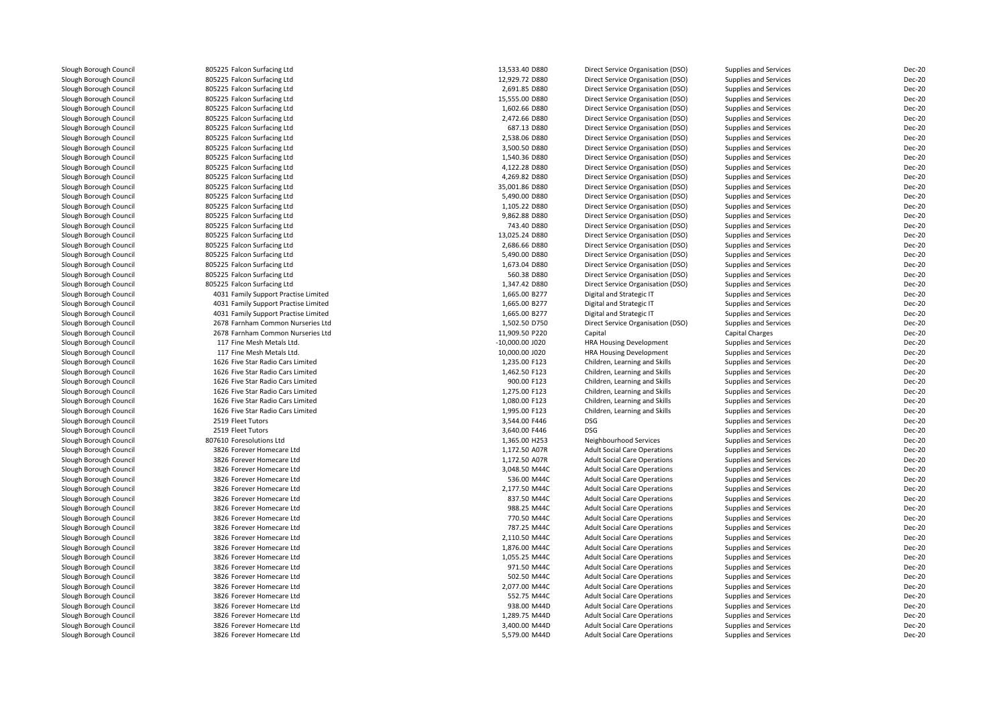| Slough Borough Council | 805225 Falcon Surfacing Ltd          | 13,533.40 D880    | Direct Service Organisation (DSO)   | Supplies and Services        | <b>Dec-20</b> |
|------------------------|--------------------------------------|-------------------|-------------------------------------|------------------------------|---------------|
| Slough Borough Council | 805225 Falcon Surfacing Ltd          | 12,929.72 D880    | Direct Service Organisation (DSO)   | <b>Supplies and Services</b> | <b>Dec-20</b> |
| Slough Borough Council | 805225 Falcon Surfacing Ltd          | 2,691.85 D880     | Direct Service Organisation (DSO)   | <b>Supplies and Services</b> | <b>Dec-20</b> |
| Slough Borough Council | 805225 Falcon Surfacing Ltd          | 15,555.00 D880    | Direct Service Organisation (DSO)   | Supplies and Services        | <b>Dec-20</b> |
| Slough Borough Council | 805225 Falcon Surfacing Ltd          | 1,602.66 D880     | Direct Service Organisation (DSO)   | <b>Supplies and Services</b> | <b>Dec-20</b> |
| Slough Borough Council | 805225 Falcon Surfacing Ltd          | 2,472.66 D880     | Direct Service Organisation (DSO)   | <b>Supplies and Services</b> | <b>Dec-20</b> |
| Slough Borough Council | 805225 Falcon Surfacing Ltd          | 687.13 D880       | Direct Service Organisation (DSO)   | <b>Supplies and Services</b> | Dec-20        |
| Slough Borough Council | 805225 Falcon Surfacing Ltd          | 2,538.06 D880     | Direct Service Organisation (DSO)   | <b>Supplies and Services</b> | <b>Dec-20</b> |
| Slough Borough Council | 805225 Falcon Surfacing Ltd          | 3,500.50 D880     | Direct Service Organisation (DSO)   | <b>Supplies and Services</b> | <b>Dec-20</b> |
| Slough Borough Council | 805225 Falcon Surfacing Ltd          | 1,540.36 D880     | Direct Service Organisation (DSO)   | <b>Supplies and Services</b> | <b>Dec-20</b> |
| Slough Borough Council | 805225 Falcon Surfacing Ltd          | 4,122.28 D880     | Direct Service Organisation (DSO)   | <b>Supplies and Services</b> | <b>Dec-20</b> |
| Slough Borough Council | 805225 Falcon Surfacing Ltd          | 4,269.82 D880     | Direct Service Organisation (DSO)   | Supplies and Services        | <b>Dec-20</b> |
| Slough Borough Council | 805225 Falcon Surfacing Ltd          | 35,001.86 D880    | Direct Service Organisation (DSO)   | Supplies and Services        | <b>Dec-20</b> |
| Slough Borough Council | 805225 Falcon Surfacing Ltd          | 5,490.00 D880     | Direct Service Organisation (DSO)   | Supplies and Services        | <b>Dec-20</b> |
| Slough Borough Council | 805225 Falcon Surfacing Ltd          | 1,105.22 D880     | Direct Service Organisation (DSO)   | <b>Supplies and Services</b> | <b>Dec-20</b> |
| Slough Borough Council | 805225 Falcon Surfacing Ltd          | 9,862.88 D880     | Direct Service Organisation (DSO)   | <b>Supplies and Services</b> | <b>Dec-20</b> |
| Slough Borough Council | 805225 Falcon Surfacing Ltd          | 743.40 D880       | Direct Service Organisation (DSO)   | <b>Supplies and Services</b> | Dec-20        |
| Slough Borough Council | 805225 Falcon Surfacing Ltd          | 13,025.24 D880    | Direct Service Organisation (DSO)   | Supplies and Services        | <b>Dec-20</b> |
| Slough Borough Council | 805225 Falcon Surfacing Ltd          | 2,686.66 D880     | Direct Service Organisation (DSO)   | <b>Supplies and Services</b> | <b>Dec-20</b> |
| Slough Borough Council | 805225 Falcon Surfacing Ltd          | 5,490.00 D880     | Direct Service Organisation (DSO)   | <b>Supplies and Services</b> | <b>Dec-20</b> |
| Slough Borough Council | 805225 Falcon Surfacing Ltd          | 1,673.04 D880     | Direct Service Organisation (DSO)   | <b>Supplies and Services</b> | <b>Dec-20</b> |
| Slough Borough Council | 805225 Falcon Surfacing Ltd          | 560.38 D880       | Direct Service Organisation (DSO)   | Supplies and Services        | Dec-20        |
| Slough Borough Council | 805225 Falcon Surfacing Ltd          | 1,347.42 D880     | Direct Service Organisation (DSO)   | <b>Supplies and Services</b> | <b>Dec-20</b> |
| Slough Borough Council | 4031 Family Support Practise Limited | 1,665.00 B277     | Digital and Strategic IT            | Supplies and Services        | <b>Dec-20</b> |
| Slough Borough Council | 4031 Family Support Practise Limited | 1,665.00 B277     | Digital and Strategic IT            | <b>Supplies and Services</b> | <b>Dec-20</b> |
| Slough Borough Council | 4031 Family Support Practise Limited | 1,665.00 B277     | Digital and Strategic IT            | Supplies and Services        | <b>Dec-20</b> |
| Slough Borough Council | 2678 Farnham Common Nurseries Ltd    | 1,502.50 D750     | Direct Service Organisation (DSO)   | <b>Supplies and Services</b> | <b>Dec-20</b> |
| Slough Borough Council | 2678 Farnham Common Nurseries Ltd    | 11,909.50 P220    | Capital                             | Capital Charges              | Dec-20        |
| Slough Borough Council | 117 Fine Mesh Metals Ltd.            | $-10,000.00$ J020 | <b>HRA Housing Development</b>      | Supplies and Services        | Dec-20        |
| Slough Borough Council | 117 Fine Mesh Metals Ltd.            | 10,000.00 J020    | <b>HRA Housing Development</b>      | Supplies and Services        | <b>Dec-20</b> |
| Slough Borough Council | 1626 Five Star Radio Cars Limited    | 1,235.00 F123     | Children, Learning and Skills       | Supplies and Services        | Dec-20        |
| Slough Borough Council | 1626 Five Star Radio Cars Limited    | 1,462.50 F123     | Children, Learning and Skills       | Supplies and Services        | Dec-20        |
| Slough Borough Council | 1626 Five Star Radio Cars Limited    | 900.00 F123       | Children, Learning and Skills       | Supplies and Services        | Dec-20        |
| Slough Borough Council | 1626 Five Star Radio Cars Limited    | 1,275.00 F123     | Children, Learning and Skills       | Supplies and Services        | Dec-20        |
| Slough Borough Council | 1626 Five Star Radio Cars Limited    | 1,080.00 F123     | Children, Learning and Skills       | Supplies and Services        | Dec-20        |
| Slough Borough Council | 1626 Five Star Radio Cars Limited    | 1,995.00 F123     | Children, Learning and Skills       | Supplies and Services        | Dec-20        |
| Slough Borough Council | 2519 Fleet Tutors                    | 3,544.00 F446     | <b>DSG</b>                          | Supplies and Services        | Dec-20        |
| Slough Borough Council | 2519 Fleet Tutors                    | 3,640.00 F446     | <b>DSG</b>                          | Supplies and Services        | Dec-20        |
| Slough Borough Council | 807610 Foresolutions Ltd             | 1,365.00 H253     | Neighbourhood Services              | Supplies and Services        | Dec-20        |
| Slough Borough Council | 3826 Forever Homecare Ltd            | 1,172.50 A07R     | <b>Adult Social Care Operations</b> | <b>Supplies and Services</b> | <b>Dec-20</b> |
| Slough Borough Council | 3826 Forever Homecare Ltd            | 1,172.50 A07R     | <b>Adult Social Care Operations</b> | <b>Supplies and Services</b> | <b>Dec-20</b> |
| Slough Borough Council | 3826 Forever Homecare Ltd            | 3,048.50 M44C     | <b>Adult Social Care Operations</b> | <b>Supplies and Services</b> | Dec-20        |
| Slough Borough Council | 3826 Forever Homecare Ltd            | 536.00 M44C       | <b>Adult Social Care Operations</b> | Supplies and Services        | <b>Dec-20</b> |
| Slough Borough Council | 3826 Forever Homecare Ltd            | 2,177.50 M44C     | <b>Adult Social Care Operations</b> | <b>Supplies and Services</b> | Dec-20        |
| Slough Borough Council | 3826 Forever Homecare Ltd            | 837.50 M44C       | <b>Adult Social Care Operations</b> | Supplies and Services        | <b>Dec-20</b> |
| Slough Borough Council | 3826 Forever Homecare Ltd            | 988.25 M44C       | <b>Adult Social Care Operations</b> | <b>Supplies and Services</b> | Dec-20        |
| Slough Borough Council | 3826 Forever Homecare Ltd            | 770.50 M44C       | <b>Adult Social Care Operations</b> | Supplies and Services        | <b>Dec-20</b> |
| Slough Borough Council | 3826 Forever Homecare Ltd            | 787.25 M44C       | <b>Adult Social Care Operations</b> | <b>Supplies and Services</b> | Dec-20        |
| Slough Borough Council | 3826 Forever Homecare Ltd            | 2,110.50 M44C     | <b>Adult Social Care Operations</b> | <b>Supplies and Services</b> | <b>Dec-20</b> |
| Slough Borough Council | 3826 Forever Homecare Ltd            | 1,876.00 M44C     | <b>Adult Social Care Operations</b> | Supplies and Services        | Dec-20        |
| Slough Borough Council | 3826 Forever Homecare Ltd            | 1,055.25 M44C     | <b>Adult Social Care Operations</b> | <b>Supplies and Services</b> | Dec-20        |
| Slough Borough Council | 3826 Forever Homecare Ltd            | 971.50 M44C       | <b>Adult Social Care Operations</b> | Supplies and Services        | Dec-20        |
| Slough Borough Council | 3826 Forever Homecare Ltd            | 502.50 M44C       | <b>Adult Social Care Operations</b> | Supplies and Services        | Dec-20        |
| Slough Borough Council | 3826 Forever Homecare Ltd            | 2,077.00 M44C     | <b>Adult Social Care Operations</b> | <b>Supplies and Services</b> | Dec-20        |
| Slough Borough Council | 3826 Forever Homecare Ltd            | 552.75 M44C       |                                     |                              | <b>Dec-20</b> |
|                        | 3826 Forever Homecare Ltd            | 938.00 M44D       | <b>Adult Social Care Operations</b> | Supplies and Services        | Dec-20        |
| Slough Borough Council |                                      |                   | <b>Adult Social Care Operations</b> | Supplies and Services        |               |
| Slough Borough Council | 3826 Forever Homecare Ltd            | 1,289.75 M44D     | <b>Adult Social Care Operations</b> | <b>Supplies and Services</b> | Dec-20        |
| Slough Borough Council | 3826 Forever Homecare Ltd            | 3,400.00 M44D     | <b>Adult Social Care Operations</b> | <b>Supplies and Services</b> | <b>Dec-20</b> |
| Slough Borough Council | 3826 Forever Homecare Ltd            | 5,579.00 M44D     | <b>Adult Social Care Operations</b> | <b>Supplies and Services</b> | Dec-20        |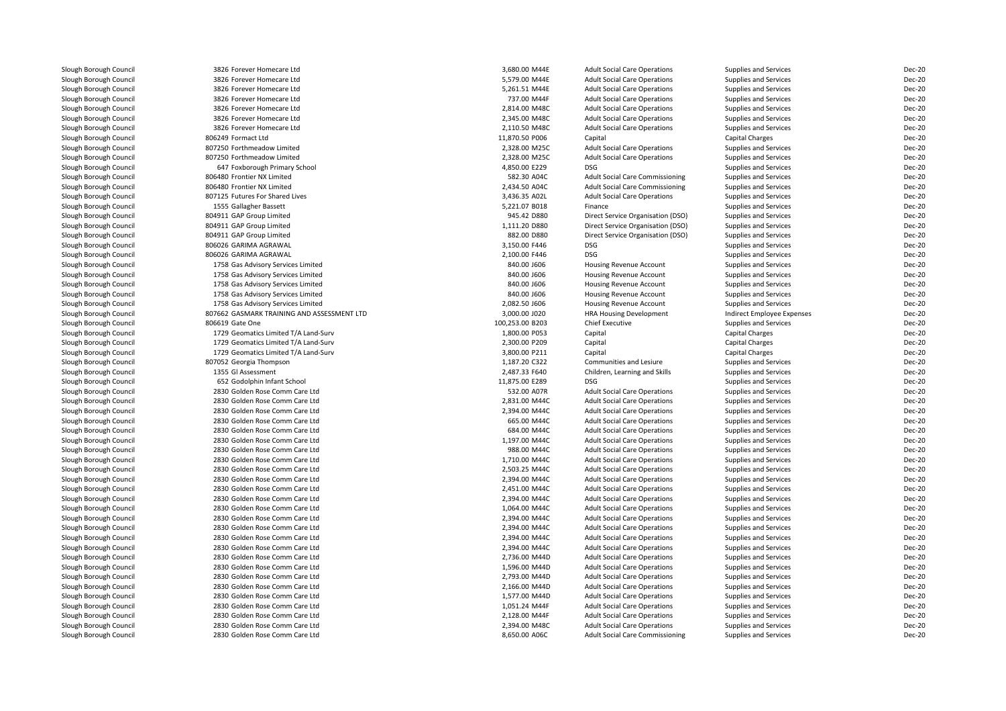| Slough Borough Council | 3826 Forever Homecare Ltd                  | 3,680.00 M44E   | <b>Adult Social Care Operations</b>    | <b>Supplies and Services</b> | Dec-20        |
|------------------------|--------------------------------------------|-----------------|----------------------------------------|------------------------------|---------------|
| Slough Borough Council | 3826 Forever Homecare Ltd                  | 5,579.00 M44E   | <b>Adult Social Care Operations</b>    | <b>Supplies and Services</b> | <b>Dec-20</b> |
| Slough Borough Council | 3826 Forever Homecare Ltd                  | 5,261.51 M44E   | <b>Adult Social Care Operations</b>    | <b>Supplies and Services</b> | Dec-20        |
| Slough Borough Council | 3826 Forever Homecare Ltd                  | 737.00 M44F     | <b>Adult Social Care Operations</b>    | Supplies and Services        | Dec-20        |
| Slough Borough Council | 3826 Forever Homecare Ltd                  | 2,814.00 M48C   | <b>Adult Social Care Operations</b>    | <b>Supplies and Services</b> | Dec-20        |
| Slough Borough Council | 3826 Forever Homecare Ltd                  | 2,345.00 M48C   | <b>Adult Social Care Operations</b>    | <b>Supplies and Services</b> | Dec-20        |
| Slough Borough Council | 3826 Forever Homecare Ltd                  | 2,110.50 M48C   | <b>Adult Social Care Operations</b>    | <b>Supplies and Services</b> | Dec-20        |
| Slough Borough Council | 806249 Formact Ltd                         | 11,870.50 P006  | Capital                                | Capital Charges              | Dec-20        |
| Slough Borough Council | 807250 Forthmeadow Limited                 | 2,328.00 M25C   | <b>Adult Social Care Operations</b>    | <b>Supplies and Services</b> | <b>Dec-20</b> |
| Slough Borough Council | 807250 Forthmeadow Limited                 | 2,328.00 M25C   | <b>Adult Social Care Operations</b>    | Supplies and Services        | <b>Dec-20</b> |
| Slough Borough Council | 647 Foxborough Primary School              | 4,850.00 E229   | <b>DSG</b>                             | Supplies and Services        | Dec-20        |
| Slough Borough Council | 806480 Frontier NX Limited                 | 582.30 A04C     | <b>Adult Social Care Commissioning</b> | Supplies and Services        | Dec-20        |
| Slough Borough Council | 806480 Frontier NX Limited                 | 2,434.50 A04C   | <b>Adult Social Care Commissioning</b> | Supplies and Services        | <b>Dec-20</b> |
| Slough Borough Council | 807125 Futures For Shared Lives            | 3,436.35 A02L   | <b>Adult Social Care Operations</b>    | <b>Supplies and Services</b> | <b>Dec-20</b> |
| Slough Borough Council | 1555 Gallagher Bassett                     | 5,221.07 B018   | Finance                                | Supplies and Services        | Dec-20        |
| Slough Borough Council | 804911 GAP Group Limited                   | 945.42 D880     | Direct Service Organisation (DSO)      | <b>Supplies and Services</b> | <b>Dec-20</b> |
| Slough Borough Council | 804911 GAP Group Limited                   | 1,111.20 D880   | Direct Service Organisation (DSO)      | Supplies and Services        | <b>Dec-20</b> |
| Slough Borough Council | 804911 GAP Group Limited                   | 882.00 D880     | Direct Service Organisation (DSO)      | <b>Supplies and Services</b> | <b>Dec-20</b> |
| Slough Borough Council | 806026 GARIMA AGRAWAL                      | 3,150.00 F446   | <b>DSG</b>                             | Supplies and Services        | Dec-20        |
| Slough Borough Council | 806026 GARIMA AGRAWAL                      | 2,100.00 F446   | <b>DSG</b>                             | Supplies and Services        | <b>Dec-20</b> |
| Slough Borough Council | 1758 Gas Advisory Services Limited         | 840.00 J606     | Housing Revenue Account                | Supplies and Services        | <b>Dec-20</b> |
| Slough Borough Council | 1758 Gas Advisory Services Limited         | 840.00 J606     | <b>Housing Revenue Account</b>         | Supplies and Services        | Dec-20        |
| Slough Borough Council | 1758 Gas Advisory Services Limited         | 840.00 J606     | Housing Revenue Account                | Supplies and Services        | <b>Dec-20</b> |
| Slough Borough Council | 1758 Gas Advisory Services Limited         | 840.00 J606     | Housing Revenue Account                | Supplies and Services        | Dec-20        |
| Slough Borough Council | 1758 Gas Advisory Services Limited         | 2.082.50 J606   | <b>Housing Revenue Account</b>         | Supplies and Services        | Dec-20        |
| Slough Borough Council | 807662 GASMARK TRAINING AND ASSESSMENT LTD | 3,000.00 J020   | <b>HRA Housing Development</b>         | Indirect Employee Expenses   | <b>Dec-20</b> |
| Slough Borough Council | 806619 Gate One                            | 100,253.00 B203 | <b>Chief Executive</b>                 | <b>Supplies and Services</b> | Dec-20        |
| Slough Borough Council | 1729 Geomatics Limited T/A Land-Surv       | 1,800.00 P053   | Capital                                | Capital Charges              | Dec-20        |
| Slough Borough Council | 1729 Geomatics Limited T/A Land-Surv       | 2.300.00 P209   | Capital                                | Capital Charges              | Dec-20        |
| Slough Borough Council | 1729 Geomatics Limited T/A Land-Surv       | 3,800.00 P211   | Capital                                | Capital Charges              | Dec-20        |
| Slough Borough Council | 807052 Georgia Thompson                    | 1,187.20 C322   | Communities and Lesiure                | <b>Supplies and Services</b> | <b>Dec-20</b> |
| Slough Borough Council | 1355 Gl Assessment                         | 2,487.33 F640   | Children, Learning and Skills          | <b>Supplies and Services</b> | <b>Dec-20</b> |
| Slough Borough Council | 652 Godolphin Infant School                | 11,875.00 E289  | <b>DSG</b>                             | Supplies and Services        | Dec-20        |
| Slough Borough Council | 2830 Golden Rose Comm Care Ltd             | 532.00 A07R     | <b>Adult Social Care Operations</b>    | Supplies and Services        | Dec-20        |
| Slough Borough Council | 2830 Golden Rose Comm Care Ltd             | 2,831.00 M44C   | <b>Adult Social Care Operations</b>    | <b>Supplies and Services</b> | Dec-20        |
| Slough Borough Council | 2830 Golden Rose Comm Care Ltd             | 2,394.00 M44C   | <b>Adult Social Care Operations</b>    | Supplies and Services        | Dec-20        |
| Slough Borough Council | 2830 Golden Rose Comm Care Ltd             | 665.00 M44C     | <b>Adult Social Care Operations</b>    | Supplies and Services        | Dec-20        |
| Slough Borough Council | 2830 Golden Rose Comm Care Ltd             | 684.00 M44C     | <b>Adult Social Care Operations</b>    | Supplies and Services        | <b>Dec-20</b> |
| Slough Borough Council | 2830 Golden Rose Comm Care Ltd             | 1,197.00 M44C   | <b>Adult Social Care Operations</b>    | <b>Supplies and Services</b> | <b>Dec-20</b> |
| Slough Borough Council | 2830 Golden Rose Comm Care Ltd             | 988.00 M44C     | <b>Adult Social Care Operations</b>    | Supplies and Services        | <b>Dec-20</b> |
| Slough Borough Council | 2830 Golden Rose Comm Care Ltd             | 1,710.00 M44C   | <b>Adult Social Care Operations</b>    | Supplies and Services        | <b>Dec-20</b> |
| Slough Borough Council | 2830 Golden Rose Comm Care Ltd             | 2,503.25 M44C   | <b>Adult Social Care Operations</b>    | <b>Supplies and Services</b> | Dec-20        |
| Slough Borough Council | 2830 Golden Rose Comm Care Ltd             | 2,394.00 M44C   | <b>Adult Social Care Operations</b>    | Supplies and Services        | Dec-20        |
| Slough Borough Council | 2830 Golden Rose Comm Care Ltd             | 2,451.00 M44C   | <b>Adult Social Care Operations</b>    | <b>Supplies and Services</b> | <b>Dec-20</b> |
| Slough Borough Council | 2830 Golden Rose Comm Care Ltd             | 2,394.00 M44C   | <b>Adult Social Care Operations</b>    | <b>Supplies and Services</b> | <b>Dec-20</b> |
| Slough Borough Council | 2830 Golden Rose Comm Care Ltd             | 1.064.00 M44C   | <b>Adult Social Care Operations</b>    | <b>Supplies and Services</b> | Dec-20        |
| Slough Borough Council | 2830 Golden Rose Comm Care Ltd             | 2,394.00 M44C   | <b>Adult Social Care Operations</b>    | Supplies and Services        | <b>Dec-20</b> |
| Slough Borough Council | 2830 Golden Rose Comm Care Ltd             | 2.394.00 M44C   | <b>Adult Social Care Operations</b>    | Supplies and Services        | Dec-20        |
| Slough Borough Council | 2830 Golden Rose Comm Care Ltd             | 2,394.00 M44C   | <b>Adult Social Care Operations</b>    | Supplies and Services        | Dec-20        |
| Slough Borough Council | 2830 Golden Rose Comm Care Ltd             | 2,394.00 M44C   | <b>Adult Social Care Operations</b>    | Supplies and Services        | Dec-20        |
| Slough Borough Council | 2830 Golden Rose Comm Care Ltd             | 2,736.00 M44D   | <b>Adult Social Care Operations</b>    | <b>Supplies and Services</b> | Dec-20        |
| Slough Borough Council | 2830 Golden Rose Comm Care Ltd             | 1,596.00 M44D   | <b>Adult Social Care Operations</b>    | Supplies and Services        | Dec-20        |
|                        | 2830 Golden Rose Comm Care Ltd             | 2,793.00 M44D   | <b>Adult Social Care Operations</b>    |                              | Dec-20        |
| Slough Borough Council |                                            |                 |                                        | Supplies and Services        | Dec-20        |
| Slough Borough Council | 2830 Golden Rose Comm Care Ltd             | 2,166.00 M44D   | <b>Adult Social Care Operations</b>    | Supplies and Services        |               |
| Slough Borough Council | 2830 Golden Rose Comm Care Ltd             | 1,577.00 M44D   | <b>Adult Social Care Operations</b>    | Supplies and Services        | Dec-20        |
| Slough Borough Council | 2830 Golden Rose Comm Care Ltd             | 1,051.24 M44F   | <b>Adult Social Care Operations</b>    | Supplies and Services        | Dec-20        |
| Slough Borough Council | 2830 Golden Rose Comm Care Ltd             | 2,128.00 M44F   | <b>Adult Social Care Operations</b>    | Supplies and Services        | <b>Dec-20</b> |
| Slough Borough Council | 2830 Golden Rose Comm Care Ltd             | 2,394.00 M48C   | <b>Adult Social Care Operations</b>    | <b>Supplies and Services</b> | <b>Dec-20</b> |
| Slough Borough Council | 2830 Golden Rose Comm Care Ltd             | 8,650.00 A06C   | Adult Social Care Commissioning        | Supplies and Services        | Dec-20        |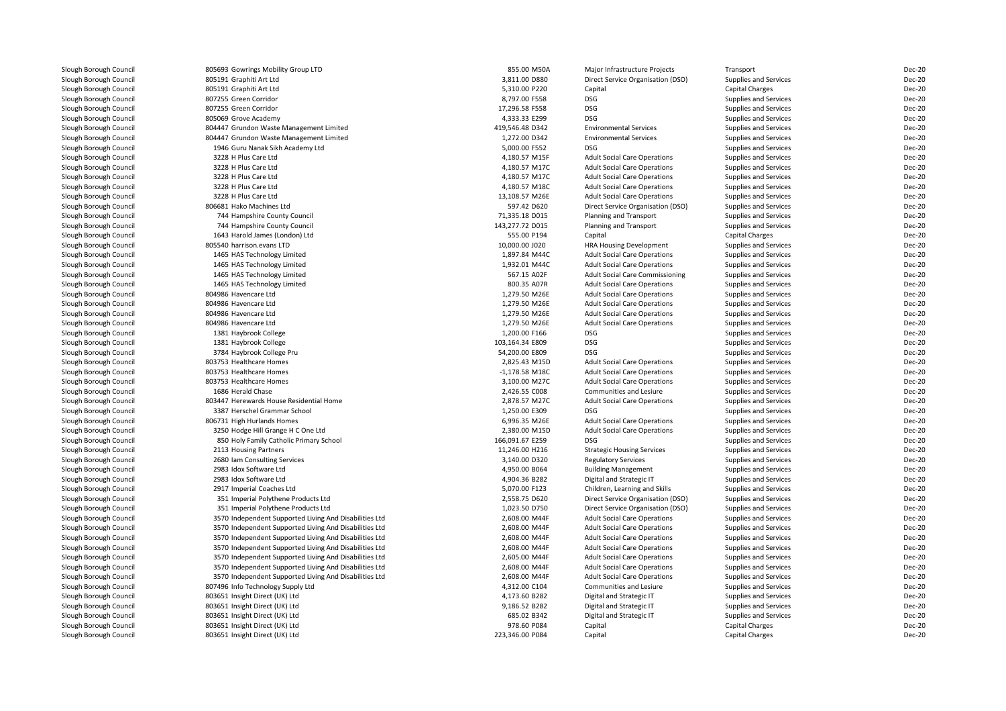| Slough Borough Council | 805693 Gowrings Mobility Group LTD                         | 855.00 M50A      | Major Infrastructure Projects                                                 | Transport              | <b>Dec-20</b> |
|------------------------|------------------------------------------------------------|------------------|-------------------------------------------------------------------------------|------------------------|---------------|
| Slough Borough Council | 805191 Graphiti Art Ltd                                    | 3,811.00 D880    | Direct Service Organisation (DSO)                                             | Supplies and Services  | <b>Dec-20</b> |
| Slough Borough Council | 805191 Graphiti Art Ltd                                    | 5,310.00 P220    | Capital                                                                       | Capital Charges        | Dec-20        |
| Slough Borough Council | 807255 Green Corridor                                      | 8,797.00 F558    | <b>DSG</b>                                                                    | Supplies and Services  | Dec-20        |
| Slough Borough Council | 807255 Green Corridor                                      | 17,296.58 F558   | <b>DSG</b>                                                                    | Supplies and Services  | <b>Dec-20</b> |
| Slough Borough Council | 805069 Grove Academy                                       | 4,333.33 E299    | <b>DSG</b>                                                                    | Supplies and Services  | Dec-20        |
| Slough Borough Council | 804447 Grundon Waste Management Limited                    | 419,546.48 D342  | <b>Environmental Services</b>                                                 | Supplies and Services  | <b>Dec-20</b> |
| Slough Borough Council | 804447 Grundon Waste Management Limited                    | 1,272.00 D342    | <b>Environmental Services</b>                                                 | Supplies and Services  | Dec-20        |
| Slough Borough Council | 1946 Guru Nanak Sikh Academy Ltd                           | 5,000.00 F552    | <b>DSG</b>                                                                    | Supplies and Services  | <b>Dec-20</b> |
| Slough Borough Council | 3228 H Plus Care Ltd                                       | 4,180.57 M15F    | <b>Adult Social Care Operations</b>                                           | Supplies and Services  | <b>Dec-20</b> |
| Slough Borough Council | 3228 H Plus Care Ltd                                       | 4,180.57 M17C    | <b>Adult Social Care Operations</b>                                           | Supplies and Services  | Dec-20        |
| Slough Borough Council | 3228 H Plus Care Ltd                                       | 4,180.57 M17C    | <b>Adult Social Care Operations</b>                                           | Supplies and Services  | Dec-20        |
| Slough Borough Council | 3228 H Plus Care Ltd                                       | 4,180.57 M18C    | <b>Adult Social Care Operations</b>                                           | Supplies and Services  | <b>Dec-20</b> |
| Slough Borough Council | 3228 H Plus Care Ltd                                       | 13,108.57 M26E   | <b>Adult Social Care Operations</b>                                           | Supplies and Services  | Dec-20        |
| Slough Borough Council | 806681 Hako Machines Ltd                                   | 597.42 D620      | Direct Service Organisation (DSO)                                             | Supplies and Services  | <b>Dec-20</b> |
| Slough Borough Council | 744 Hampshire County Council                               | 71,335.18 D015   | Planning and Transport                                                        | Supplies and Services  | <b>Dec-20</b> |
| Slough Borough Council | 744 Hampshire County Council                               | 143,277.72 D015  | Planning and Transport                                                        | Supplies and Services  | <b>Dec-20</b> |
| Slough Borough Council | 1643 Harold James (London) Ltd                             | 555.00 P194      | Capital                                                                       | <b>Capital Charges</b> | <b>Dec-20</b> |
| Slough Borough Council | 805540 harrison.evans LTD                                  | 10,000.00 J020   | HRA Housing Development                                                       | Supplies and Services  | Dec-20        |
| Slough Borough Council | 1465 HAS Technology Limited                                | 1,897.84 M44C    | <b>Adult Social Care Operations</b>                                           | Supplies and Services  | Dec-20        |
|                        |                                                            | 1,932.01 M44C    |                                                                               |                        | Dec-20        |
| Slough Borough Council | 1465 HAS Technology Limited<br>1465 HAS Technology Limited | 567.15 A02F      | <b>Adult Social Care Operations</b><br><b>Adult Social Care Commissioning</b> | Supplies and Services  | Dec-20        |
| Slough Borough Council |                                                            |                  |                                                                               | Supplies and Services  |               |
| Slough Borough Council | 1465 HAS Technology Limited                                | 800.35 A07R      | <b>Adult Social Care Operations</b>                                           | Supplies and Services  | Dec-20        |
| Slough Borough Council | 804986 Havencare Ltd                                       | 1,279.50 M26E    | <b>Adult Social Care Operations</b>                                           | Supplies and Services  | <b>Dec-20</b> |
| Slough Borough Council | 804986 Havencare Ltd                                       | 1,279.50 M26E    | <b>Adult Social Care Operations</b>                                           | Supplies and Services  | <b>Dec-20</b> |
| Slough Borough Council | 804986 Havencare Ltd                                       | 1,279.50 M26E    | <b>Adult Social Care Operations</b>                                           | Supplies and Services  | <b>Dec-20</b> |
| Slough Borough Council | 804986 Havencare Ltd                                       | 1,279.50 M26E    | <b>Adult Social Care Operations</b>                                           | Supplies and Services  | <b>Dec-20</b> |
| Slough Borough Council | 1381 Haybrook College                                      | 1,200.00 F166    | <b>DSG</b>                                                                    | Supplies and Services  | Dec-20        |
| Slough Borough Council | 1381 Haybrook College                                      | 103,164.34 E809  | <b>DSG</b>                                                                    | Supplies and Services  | <b>Dec-20</b> |
| Slough Borough Council | 3784 Haybrook College Pru                                  | 54,200.00 E809   | <b>DSG</b>                                                                    | Supplies and Services  | Dec-20        |
| Slough Borough Council | 803753 Healthcare Homes                                    | 2,825.43 M15D    | <b>Adult Social Care Operations</b>                                           | Supplies and Services  | <b>Dec-20</b> |
| Slough Borough Council | 803753 Healthcare Homes                                    | $-1,178.58$ M18C | <b>Adult Social Care Operations</b>                                           | Supplies and Services  | <b>Dec-20</b> |
| Slough Borough Council | 803753 Healthcare Homes                                    | 3,100.00 M27C    | <b>Adult Social Care Operations</b>                                           | Supplies and Services  | <b>Dec-20</b> |
| Slough Borough Council | 1686 Herald Chase                                          | 2,426.55 C008    | Communities and Lesiure                                                       | Supplies and Services  | <b>Dec-20</b> |
| Slough Borough Council | 803447 Herewards House Residential Home                    | 2,878.57 M27C    | <b>Adult Social Care Operations</b>                                           | Supplies and Services  | <b>Dec-20</b> |
| Slough Borough Council | 3387 Herschel Grammar School                               | 1,250.00 E309    | <b>DSG</b>                                                                    | Supplies and Services  | <b>Dec-20</b> |
| Slough Borough Council | 806731 High Hurlands Homes                                 | 6,996.35 M26E    | <b>Adult Social Care Operations</b>                                           | Supplies and Services  | <b>Dec-20</b> |
| Slough Borough Council | 3250 Hodge Hill Grange H C One Ltd                         | 2,380.00 M15D    | <b>Adult Social Care Operations</b>                                           | Supplies and Services  | <b>Dec-20</b> |
| Slough Borough Council | 850 Holy Family Catholic Primary School                    | 166,091.67 E259  | <b>DSG</b>                                                                    | Supplies and Services  | Dec-20        |
| Slough Borough Council | 2113 Housing Partners                                      | 11,246.00 H216   | <b>Strategic Housing Services</b>                                             | Supplies and Services  | <b>Dec-20</b> |
| Slough Borough Council | 2680 Iam Consulting Services                               | 3,140.00 D320    | <b>Regulatory Services</b>                                                    | Supplies and Services  | Dec-20        |
| Slough Borough Council | 2983 Idox Software Ltd                                     | 4,950.00 B064    | <b>Building Management</b>                                                    | Supplies and Services  | Dec-20        |
| Slough Borough Council | 2983 Idox Software Ltd                                     | 4,904.36 B282    | Digital and Strategic IT                                                      | Supplies and Services  | <b>Dec-20</b> |
| Slough Borough Council | 2917 Imperial Coaches Ltd                                  | 5,070.00 F123    | Children, Learning and Skills                                                 | Supplies and Services  | <b>Dec-20</b> |
| Slough Borough Council | 351 Imperial Polythene Products Ltd                        | 2,558.75 D620    | Direct Service Organisation (DSO)                                             | Supplies and Services  | <b>Dec-20</b> |
| Slough Borough Council | 351 Imperial Polythene Products Ltd                        | 1,023.50 D750    | Direct Service Organisation (DSO)                                             | Supplies and Services  | <b>Dec-20</b> |
| Slough Borough Council | 3570 Independent Supported Living And Disabilities Ltd     | 2,608.00 M44F    | <b>Adult Social Care Operations</b>                                           | Supplies and Services  | <b>Dec-20</b> |
| Slough Borough Council | 3570 Independent Supported Living And Disabilities Ltd     | 2,608.00 M44F    | <b>Adult Social Care Operations</b>                                           | Supplies and Services  | <b>Dec-20</b> |
| Slough Borough Council | 3570 Independent Supported Living And Disabilities Ltd     | 2,608.00 M44F    | <b>Adult Social Care Operations</b>                                           | Supplies and Services  | <b>Dec-20</b> |
| Slough Borough Council | 3570 Independent Supported Living And Disabilities Ltd     | 2,608.00 M44F    | <b>Adult Social Care Operations</b>                                           | Supplies and Services  | <b>Dec-20</b> |
| Slough Borough Council | 3570 Independent Supported Living And Disabilities Ltd     | 2,605.00 M44F    | <b>Adult Social Care Operations</b>                                           | Supplies and Services  | <b>Dec-20</b> |
| Slough Borough Council | 3570 Independent Supported Living And Disabilities Ltd     | 2,608.00 M44F    | <b>Adult Social Care Operations</b>                                           | Supplies and Services  | <b>Dec-20</b> |
| Slough Borough Council | 3570 Independent Supported Living And Disabilities Ltd     | 2,608.00 M44F    | <b>Adult Social Care Operations</b>                                           | Supplies and Services  | <b>Dec-20</b> |
| Slough Borough Council | 807496 Info Technology Supply Ltd                          | 4,312.00 C104    | Communities and Lesiure                                                       | Supplies and Services  | <b>Dec-20</b> |
| Slough Borough Council | 803651 Insight Direct (UK) Ltd                             | 4,173.60 B282    | Digital and Strategic IT                                                      | Supplies and Services  | <b>Dec-20</b> |
| Slough Borough Council | 803651 Insight Direct (UK) Ltd                             | 9,186.52 B282    | Digital and Strategic IT                                                      | Supplies and Services  | <b>Dec-20</b> |
| Slough Borough Council | 803651 Insight Direct (UK) Ltd                             | 685.02 B342      | Digital and Strategic IT                                                      | Supplies and Services  | <b>Dec-20</b> |
| Slough Borough Council | 803651 Insight Direct (UK) Ltd                             | 978.60 P084      | Capital                                                                       | <b>Capital Charges</b> | <b>Dec-20</b> |
| Slough Borough Council | 803651 Insight Direct (UK) Ltd                             | 223,346.00 P084  | Capital                                                                       | Capital Charges        | <b>Dec-20</b> |
|                        |                                                            |                  |                                                                               |                        |               |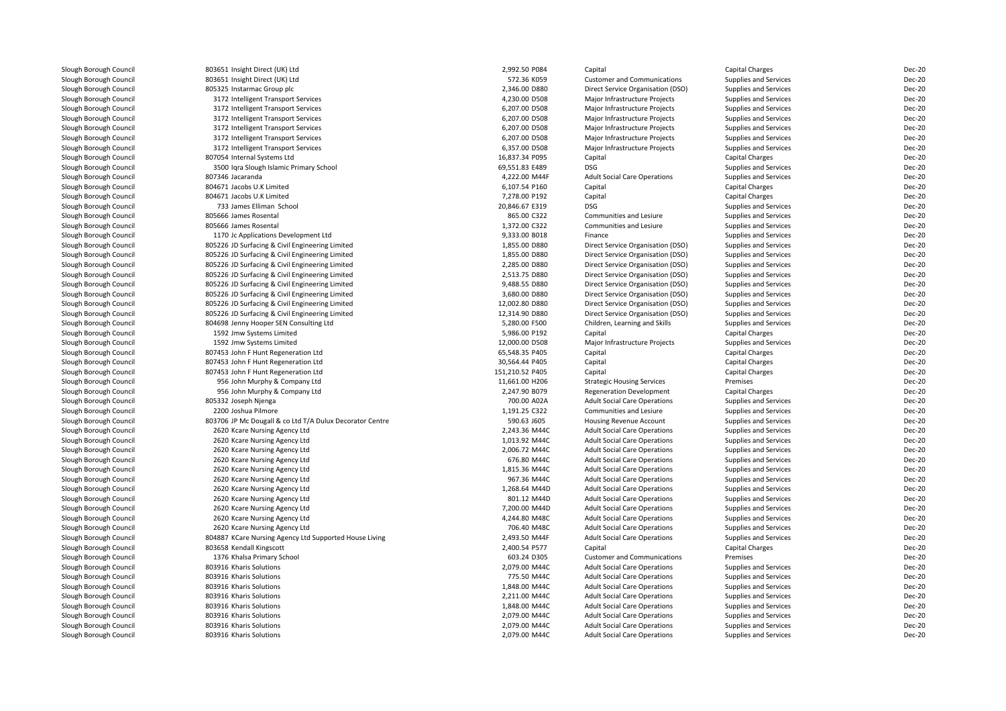| Slough Borough Council | 803651 Insight Direct (UK) Ltd                           | 2,992.50 P084   | Capital                                                        | Capital Charges              | <b>Dec-20</b> |
|------------------------|----------------------------------------------------------|-----------------|----------------------------------------------------------------|------------------------------|---------------|
| Slough Borough Council | 803651 Insight Direct (UK) Ltd                           | 572.36 K059     | <b>Customer and Communications</b>                             | <b>Supplies and Services</b> | <b>Dec-20</b> |
| Slough Borough Council | 805325 Instarmac Group plc                               | 2,346.00 D880   | Direct Service Organisation (DSO)                              | Supplies and Services        | <b>Dec-20</b> |
| Slough Borough Council | 3172 Intelligent Transport Services                      | 4,230.00 D508   | Major Infrastructure Projects                                  | Supplies and Services        | <b>Dec-20</b> |
| Slough Borough Council | 3172 Intelligent Transport Services                      | 6,207.00 D508   | Major Infrastructure Projects                                  | Supplies and Services        | <b>Dec-20</b> |
| Slough Borough Council | 3172 Intelligent Transport Services                      | 6,207.00 D508   | Major Infrastructure Projects                                  | Supplies and Services        | <b>Dec-20</b> |
| Slough Borough Council | 3172 Intelligent Transport Services                      | 6,207.00 D508   | Major Infrastructure Projects                                  | Supplies and Services        | <b>Dec-20</b> |
| Slough Borough Council | 3172 Intelligent Transport Services                      | 6,207.00 D508   | Major Infrastructure Projects                                  | Supplies and Services        | <b>Dec-20</b> |
| Slough Borough Council | 3172 Intelligent Transport Services                      | 6,357.00 D508   | Major Infrastructure Projects                                  | Supplies and Services        | <b>Dec-20</b> |
| Slough Borough Council | 807054 Internal Systems Ltd                              | 16,837.34 P095  | Capital                                                        | Capital Charges              | <b>Dec-20</b> |
| Slough Borough Council | 3500 Iqra Slough Islamic Primary School                  | 69,551.83 E489  | <b>DSG</b>                                                     | Supplies and Services        | <b>Dec-20</b> |
| Slough Borough Council | 807346 Jacaranda                                         | 4,222.00 M44F   | <b>Adult Social Care Operations</b>                            | <b>Supplies and Services</b> | <b>Dec-20</b> |
| Slough Borough Council | 804671 Jacobs U.K Limited                                | 6,107.54 P160   | Capital                                                        | Capital Charges              | <b>Dec-20</b> |
| Slough Borough Council | 804671 Jacobs U.K Limited                                | 7,278.00 P192   | Capital                                                        | Capital Charges              | <b>Dec-20</b> |
| Slough Borough Council | 733 James Elliman School                                 | 20,846.67 E319  | <b>DSG</b>                                                     | Supplies and Services        | <b>Dec-20</b> |
| Slough Borough Council | 805666 James Rosental                                    | 865.00 C322     | Communities and Lesiure                                        | <b>Supplies and Services</b> | <b>Dec-20</b> |
| Slough Borough Council | 805666 James Rosental                                    | 1,372.00 C322   | Communities and Lesiure                                        | <b>Supplies and Services</b> | <b>Dec-20</b> |
| Slough Borough Council | 1170 Jc Applications Development Ltd                     | 9,333.00 B018   | Finance                                                        | Supplies and Services        | Dec-20        |
| Slough Borough Council | 805226 JD Surfacing & Civil Engineering Limited          | 1,855.00 D880   | Direct Service Organisation (DSO)                              | Supplies and Services        | <b>Dec-20</b> |
| Slough Borough Council | 805226 JD Surfacing & Civil Engineering Limited          | 1,855.00 D880   | Direct Service Organisation (DSO)                              | Supplies and Services        | <b>Dec-20</b> |
| Slough Borough Council | 805226 JD Surfacing & Civil Engineering Limited          | 2,285.00 D880   | Direct Service Organisation (DSO)                              | Supplies and Services        | <b>Dec-20</b> |
| Slough Borough Council | 805226 JD Surfacing & Civil Engineering Limited          | 2,513.75 D880   | Direct Service Organisation (DSO)                              | Supplies and Services        | <b>Dec-20</b> |
| Slough Borough Council | 805226 JD Surfacing & Civil Engineering Limited          | 9,488.55 D880   | Direct Service Organisation (DSO)                              | Supplies and Services        | <b>Dec-20</b> |
| Slough Borough Council | 805226 JD Surfacing & Civil Engineering Limited          | 3,680.00 D880   | Direct Service Organisation (DSO)                              | Supplies and Services        | <b>Dec-20</b> |
| Slough Borough Council | 805226 JD Surfacing & Civil Engineering Limited          | 12,002.80 D880  | Direct Service Organisation (DSO)                              | Supplies and Services        | <b>Dec-20</b> |
| Slough Borough Council | 805226 JD Surfacing & Civil Engineering Limited          | 12,314.90 D880  | Direct Service Organisation (DSO)                              | Supplies and Services        | <b>Dec-20</b> |
| Slough Borough Council | 804698 Jenny Hooper SEN Consulting Ltd                   | 5,280.00 F500   | Children, Learning and Skills                                  | <b>Supplies and Services</b> | <b>Dec-20</b> |
| Slough Borough Council | 1592 Jmw Systems Limited                                 | 5,986.00 P192   | Capital                                                        | Capital Charges              | <b>Dec-20</b> |
| Slough Borough Council | 1592 Jmw Systems Limited                                 | 12,000.00 D508  | Major Infrastructure Projects                                  | Supplies and Services        | <b>Dec-20</b> |
| Slough Borough Council | 807453 John F Hunt Regeneration Ltd                      | 65,548.35 P405  | Capital                                                        | <b>Capital Charges</b>       | <b>Dec-20</b> |
| Slough Borough Council | 807453 John F Hunt Regeneration Ltd                      | 30,564.44 P405  | Capital                                                        | Capital Charges              | <b>Dec-20</b> |
| Slough Borough Council | 807453 John F Hunt Regeneration Ltd                      | 151,210.52 P405 | Capital                                                        | <b>Capital Charges</b>       | <b>Dec-20</b> |
| Slough Borough Council | 956 John Murphy & Company Ltd                            | 11,661.00 H206  | <b>Strategic Housing Services</b>                              | Premises                     | <b>Dec-20</b> |
|                        |                                                          | 2,247.90 B079   | <b>Regeneration Development</b>                                |                              | <b>Dec-20</b> |
| Slough Borough Council | 956 John Murphy & Company Ltd                            | 700.00 A02A     |                                                                | Capital Charges              | <b>Dec-20</b> |
| Slough Borough Council | 805332 Joseph Njenga                                     | 1,191.25 C322   | <b>Adult Social Care Operations</b><br>Communities and Lesiure | Supplies and Services        | <b>Dec-20</b> |
| Slough Borough Council | 2200 Joshua Pilmore                                      |                 |                                                                | Supplies and Services        |               |
| Slough Borough Council | 803706 JP Mc Dougall & co Ltd T/A Dulux Decorator Centre | 590.63 J605     | <b>Housing Revenue Account</b>                                 | Supplies and Services        | <b>Dec-20</b> |
| Slough Borough Council | 2620 Kcare Nursing Agency Ltd                            | 2,243.36 M44C   | <b>Adult Social Care Operations</b>                            | Supplies and Services        | <b>Dec-20</b> |
| Slough Borough Council | 2620 Kcare Nursing Agency Ltd                            | 1,013.92 M44C   | <b>Adult Social Care Operations</b>                            | Supplies and Services        | <b>Dec-20</b> |
| Slough Borough Council | 2620 Kcare Nursing Agency Ltd                            | 2,006.72 M44C   | <b>Adult Social Care Operations</b>                            | Supplies and Services        | <b>Dec-20</b> |
| Slough Borough Council | 2620 Kcare Nursing Agency Ltd                            | 676.80 M44C     | <b>Adult Social Care Operations</b>                            | Supplies and Services        | <b>Dec-20</b> |
| Slough Borough Council | 2620 Kcare Nursing Agency Ltd                            | 1,815.36 M44C   | <b>Adult Social Care Operations</b>                            | <b>Supplies and Services</b> | <b>Dec-20</b> |
| Slough Borough Council | 2620 Kcare Nursing Agency Ltd                            | 967.36 M44C     | <b>Adult Social Care Operations</b>                            | <b>Supplies and Services</b> | <b>Dec-20</b> |
| Slough Borough Council | 2620 Kcare Nursing Agency Ltd                            | 1,268.64 M44D   | <b>Adult Social Care Operations</b>                            | Supplies and Services        | <b>Dec-20</b> |
| Slough Borough Council | 2620 Kcare Nursing Agency Ltd                            | 801.12 M44D     | <b>Adult Social Care Operations</b>                            | Supplies and Services        | <b>Dec-20</b> |
| Slough Borough Council | 2620 Kcare Nursing Agency Ltd                            | 7,200.00 M44D   | <b>Adult Social Care Operations</b>                            | Supplies and Services        | <b>Dec-20</b> |
| Slough Borough Council | 2620 Kcare Nursing Agency Ltd                            | 4,244.80 M48C   | <b>Adult Social Care Operations</b>                            | Supplies and Services        | <b>Dec-20</b> |
| Slough Borough Council | 2620 Kcare Nursing Agency Ltd                            | 706.40 M48C     | <b>Adult Social Care Operations</b>                            | <b>Supplies and Services</b> | Dec-20        |
| Slough Borough Council | 804887 KCare Nursing Agency Ltd Supported House Living   | 2,493.50 M44F   | <b>Adult Social Care Operations</b>                            | Supplies and Services        | <b>Dec-20</b> |
| Slough Borough Council | 803658 Kendall Kingscott                                 | 2,400.54 P577   | Capital                                                        | Capital Charges              | <b>Dec-20</b> |
| Slough Borough Council | 1376 Khalsa Primary School                               | 603.24 D305     | <b>Customer and Communications</b>                             | Premises                     | <b>Dec-20</b> |
| Slough Borough Council | 803916 Kharis Solutions                                  | 2,079.00 M44C   | <b>Adult Social Care Operations</b>                            | Supplies and Services        | <b>Dec-20</b> |
| Slough Borough Council | 803916 Kharis Solutions                                  | 775.50 M44C     | <b>Adult Social Care Operations</b>                            | Supplies and Services        | <b>Dec-20</b> |
| Slough Borough Council | 803916 Kharis Solutions                                  | 1,848.00 M44C   | <b>Adult Social Care Operations</b>                            | Supplies and Services        | <b>Dec-20</b> |
| Slough Borough Council | 803916 Kharis Solutions                                  | 2,211.00 M44C   | <b>Adult Social Care Operations</b>                            | Supplies and Services        | <b>Dec-20</b> |
| Slough Borough Council | 803916 Kharis Solutions                                  | 1,848.00 M44C   | <b>Adult Social Care Operations</b>                            | Supplies and Services        | <b>Dec-20</b> |
| Slough Borough Council | 803916 Kharis Solutions                                  | 2,079.00 M44C   | <b>Adult Social Care Operations</b>                            | Supplies and Services        | <b>Dec-20</b> |
| Slough Borough Council | 803916 Kharis Solutions                                  | 2,079.00 M44C   | <b>Adult Social Care Operations</b>                            | Supplies and Services        | <b>Dec-20</b> |
| Slough Borough Council | 803916 Kharis Solutions                                  | 2,079.00 M44C   | <b>Adult Social Care Operations</b>                            | <b>Supplies and Services</b> | <b>Dec-20</b> |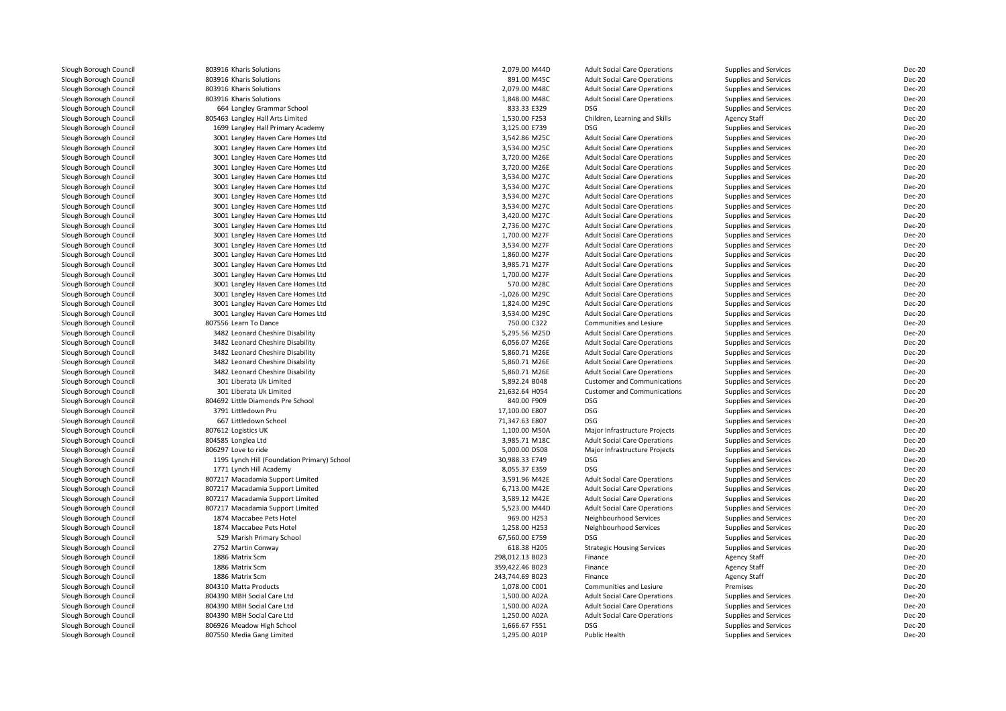| Slough Borough Council                           | 803916 Kharis Solutions                     | 2,079.00 M44D    | <b>Adult Social Care Operations</b>          | Supplies and Services                      | Dec-20 |
|--------------------------------------------------|---------------------------------------------|------------------|----------------------------------------------|--------------------------------------------|--------|
| Slough Borough Council                           | 803916 Kharis Solutions                     | 891.00 M45C      | <b>Adult Social Care Operations</b>          | Supplies and Services                      | Dec-20 |
| Slough Borough Council                           | 803916 Kharis Solutions                     | 2,079.00 M48C    | <b>Adult Social Care Operations</b>          | Supplies and Services                      | Dec-20 |
| Slough Borough Council                           | 803916 Kharis Solutions                     | 1,848.00 M48C    | <b>Adult Social Care Operations</b>          | Supplies and Services                      | Dec-20 |
| Slough Borough Council                           | 664 Langley Grammar School                  | 833.33 E329      | <b>DSG</b>                                   | Supplies and Services                      | Dec-20 |
| Slough Borough Council                           | 805463 Langley Hall Arts Limited            | 1,530.00 F253    | Children, Learning and Skills                | <b>Agency Staff</b>                        | Dec-20 |
| Slough Borough Council                           | 1699 Langley Hall Primary Academy           | 3,125.00 E739    | <b>DSG</b>                                   | Supplies and Services                      | Dec-20 |
| Slough Borough Council                           | 3001 Langley Haven Care Homes Ltd           | 3,542.86 M25C    | <b>Adult Social Care Operations</b>          | Supplies and Services                      | Dec-20 |
| Slough Borough Council                           | 3001 Langley Haven Care Homes Ltd           | 3,534.00 M25C    | <b>Adult Social Care Operations</b>          | Supplies and Services                      | Dec-20 |
| Slough Borough Council                           | 3001 Langley Haven Care Homes Ltd           | 3,720.00 M26E    | <b>Adult Social Care Operations</b>          | <b>Supplies and Services</b>               | Dec-20 |
| Slough Borough Council                           | 3001 Langley Haven Care Homes Ltd           | 3,720.00 M26E    | <b>Adult Social Care Operations</b>          | Supplies and Services                      | Dec-20 |
| Slough Borough Council                           | 3001 Langley Haven Care Homes Ltd           | 3,534.00 M27C    | <b>Adult Social Care Operations</b>          | Supplies and Services                      | Dec-20 |
| Slough Borough Council                           | 3001 Langley Haven Care Homes Ltd           | 3,534.00 M27C    | <b>Adult Social Care Operations</b>          | Supplies and Services                      | Dec-20 |
| Slough Borough Council                           | 3001 Langley Haven Care Homes Ltd           | 3,534.00 M27C    | <b>Adult Social Care Operations</b>          | Supplies and Services                      | Dec-20 |
| Slough Borough Council                           | 3001 Langley Haven Care Homes Ltd           | 3,534.00 M27C    | <b>Adult Social Care Operations</b>          | Supplies and Services                      | Dec-20 |
| Slough Borough Council                           | 3001 Langley Haven Care Homes Ltd           | 3,420.00 M27C    | <b>Adult Social Care Operations</b>          | Supplies and Services                      | Dec-20 |
| Slough Borough Council                           | 3001 Langley Haven Care Homes Ltd           | 2,736.00 M27C    | <b>Adult Social Care Operations</b>          | Supplies and Services                      | Dec-20 |
| Slough Borough Council                           | 3001 Langley Haven Care Homes Ltd           | 1,700.00 M27F    | <b>Adult Social Care Operations</b>          | Supplies and Services                      | Dec-20 |
| Slough Borough Council                           | 3001 Langley Haven Care Homes Ltd           | 3,534.00 M27F    | <b>Adult Social Care Operations</b>          | Supplies and Services                      | Dec-20 |
| Slough Borough Council                           | 3001 Langley Haven Care Homes Ltd           | 1,860.00 M27F    | <b>Adult Social Care Operations</b>          | Supplies and Services                      | Dec-20 |
| Slough Borough Council                           | 3001 Langley Haven Care Homes Ltd           | 3,985.71 M27F    | <b>Adult Social Care Operations</b>          | Supplies and Services                      | Dec-20 |
| Slough Borough Council                           | 3001 Langley Haven Care Homes Ltd           | 1,700.00 M27F    | <b>Adult Social Care Operations</b>          | Supplies and Services                      | Dec-20 |
| Slough Borough Council                           | 3001 Langley Haven Care Homes Ltd           | 570.00 M28C      | <b>Adult Social Care Operations</b>          | Supplies and Services                      | Dec-20 |
| Slough Borough Council                           | 3001 Langley Haven Care Homes Ltd           | $-1,026.00$ M29C | <b>Adult Social Care Operations</b>          | Supplies and Services                      | Dec-20 |
| Slough Borough Council                           | 3001 Langley Haven Care Homes Ltd           | 1.824.00 M29C    | <b>Adult Social Care Operations</b>          | Supplies and Services                      | Dec-20 |
| Slough Borough Council                           | 3001 Langley Haven Care Homes Ltd           | 3,534.00 M29C    | <b>Adult Social Care Operations</b>          | Supplies and Services                      | Dec-20 |
| Slough Borough Council                           | 807556 Learn To Dance                       | 750.00 C322      | Communities and Lesiure                      | Supplies and Services                      | Dec-20 |
| Slough Borough Council                           | 3482 Leonard Cheshire Disability            | 5,295.56 M25D    | <b>Adult Social Care Operations</b>          | Supplies and Services                      | Dec-20 |
| Slough Borough Council                           | 3482 Leonard Cheshire Disability            | 6.056.07 M26E    | <b>Adult Social Care Operations</b>          | Supplies and Services                      | Dec-20 |
| Slough Borough Council                           | 3482 Leonard Cheshire Disability            | 5,860.71 M26E    | <b>Adult Social Care Operations</b>          | Supplies and Services                      | Dec-20 |
| Slough Borough Council                           | 3482 Leonard Cheshire Disability            | 5,860.71 M26E    | <b>Adult Social Care Operations</b>          | Supplies and Services                      | Dec-20 |
| Slough Borough Council                           | 3482 Leonard Cheshire Disability            | 5,860.71 M26E    | <b>Adult Social Care Operations</b>          | Supplies and Services                      | Dec-20 |
| Slough Borough Council                           | 301 Liberata Uk Limited                     | 5,892.24 B048    | <b>Customer and Communications</b>           | Supplies and Services                      | Dec-20 |
| Slough Borough Council                           | 301 Liberata Uk Limited                     | 21,632.64 H054   | <b>Customer and Communications</b>           | Supplies and Services                      | Dec-20 |
| Slough Borough Council                           | 804692 Little Diamonds Pre School           | 840.00 F909      | <b>DSG</b>                                   | Supplies and Services                      | Dec-20 |
| Slough Borough Council                           | 3791 Littledown Pru                         | 17,100.00 E807   | <b>DSG</b>                                   | Supplies and Services                      | Dec-20 |
| Slough Borough Council                           | 667 Littledown School                       | 71,347.63 E807   | <b>DSG</b>                                   | Supplies and Services                      | Dec-20 |
| Slough Borough Council                           | 807612 Logistics UK                         | 1,100.00 M50A    | Major Infrastructure Projects                | Supplies and Services                      | Dec-20 |
| Slough Borough Council                           | 804585 Longlea Ltd                          | 3,985.71 M18C    | <b>Adult Social Care Operations</b>          | Supplies and Services                      | Dec-20 |
| Slough Borough Council                           | 806297 Love to ride                         | 5,000.00 D508    | Major Infrastructure Projects                | Supplies and Services                      | Dec-20 |
| Slough Borough Council                           | 1195 Lynch Hill (Foundation Primary) School | 30,988.33 E749   | <b>DSG</b>                                   | Supplies and Services                      | Dec-20 |
| Slough Borough Council                           | 1771 Lynch Hill Academy                     | 8,055.37 E359    | <b>DSG</b>                                   | Supplies and Services                      | Dec-20 |
| Slough Borough Council                           | 807217 Macadamia Support Limited            | 3,591.96 M42E    | <b>Adult Social Care Operations</b>          | Supplies and Services                      | Dec-20 |
| Slough Borough Council                           | 807217 Macadamia Support Limited            | 6,713.00 M42E    | <b>Adult Social Care Operations</b>          | Supplies and Services                      | Dec-20 |
| Slough Borough Council                           | 807217 Macadamia Support Limited            | 3,589.12 M42E    | <b>Adult Social Care Operations</b>          | Supplies and Services                      | Dec-20 |
| Slough Borough Council                           | 807217 Macadamia Support Limited            | 5.523.00 M44D    | <b>Adult Social Care Operations</b>          | <b>Supplies and Services</b>               | Dec-20 |
| Slough Borough Council                           | 1874 Maccabee Pets Hotel                    | 969.00 H253      | Neighbourhood Services                       | Supplies and Services                      | Dec-20 |
| Slough Borough Council                           | 1874 Maccabee Pets Hotel                    | 1.258.00 H253    | Neighbourhood Services                       | Supplies and Services                      | Dec-20 |
| Slough Borough Council                           | 529 Marish Primary School                   | 67,560.00 E759   | <b>DSG</b>                                   | Supplies and Services                      | Dec-20 |
|                                                  | 2752 Martin Conway                          | 618.38 H205      |                                              | Supplies and Services                      | Dec-20 |
| Slough Borough Council                           | 1886 Matrix Scm                             | 298,012.13 B023  | <b>Strategic Housing Services</b><br>Finance |                                            | Dec-20 |
| Slough Borough Council<br>Slough Borough Council | 1886 Matrix Scm                             | 359,422.46 B023  | Finance                                      | <b>Agency Staff</b><br><b>Agency Staff</b> | Dec-20 |
|                                                  | 1886 Matrix Scm                             | 243,744.69 B023  | Finance                                      |                                            | Dec-20 |
| Slough Borough Council                           | 804310 Matta Products                       | 1,078.00 C001    |                                              | <b>Agency Staff</b>                        | Dec-20 |
| Slough Borough Council                           |                                             |                  | Communities and Lesiure                      | Premises                                   |        |
| Slough Borough Council                           | 804390 MBH Social Care Ltd                  | 1,500.00 A02A    | <b>Adult Social Care Operations</b>          | Supplies and Services                      | Dec-20 |
| Slough Borough Council                           | 804390 MBH Social Care Ltd                  | 1,500.00 A02A    | <b>Adult Social Care Operations</b>          | Supplies and Services                      | Dec-20 |
| Slough Borough Council                           | 804390 MBH Social Care Ltd                  | 1,250.00 A02A    | <b>Adult Social Care Operations</b>          | Supplies and Services                      | Dec-20 |
| Slough Borough Council                           | 806926 Meadow High School                   | 1,666.67 F551    | <b>DSG</b>                                   | Supplies and Services                      | Dec-20 |
| Slough Borough Council                           | 807550 Media Gang Limited                   | 1,295.00 A01P    | Public Health                                | Supplies and Services                      | Dec-20 |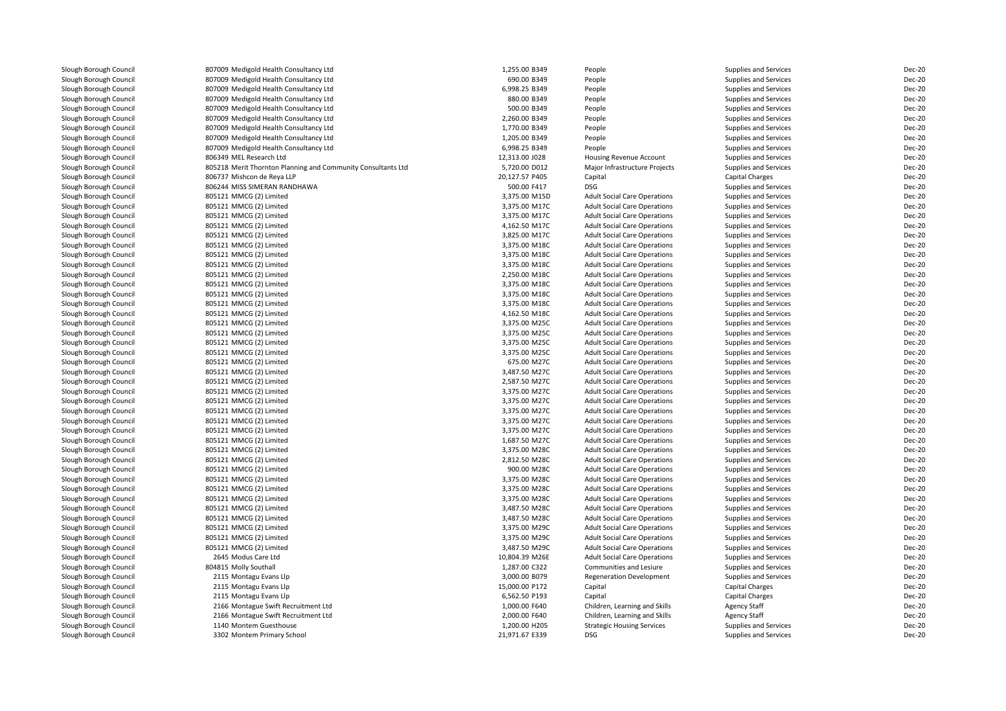| Slough Borough Council | 807009 Medigold Health Consultancy Ltd                       | 1,255.00 B349  | People                              | Supplies and Services        | <b>Dec-20</b> |
|------------------------|--------------------------------------------------------------|----------------|-------------------------------------|------------------------------|---------------|
| Slough Borough Council | 807009 Medigold Health Consultancy Ltd                       | 690.00 B349    | People                              | Supplies and Services        | <b>Dec-20</b> |
| Slough Borough Council | 807009 Medigold Health Consultancy Ltd                       | 6,998.25 B349  | People                              | Supplies and Services        | <b>Dec-20</b> |
| Slough Borough Council | 807009 Medigold Health Consultancy Ltd                       | 880.00 B349    | People                              | Supplies and Services        | <b>Dec-20</b> |
| Slough Borough Council | 807009 Medigold Health Consultancy Ltd                       | 500.00 B349    | People                              | Supplies and Services        | <b>Dec-20</b> |
| Slough Borough Council | 807009 Medigold Health Consultancy Ltd                       | 2,260.00 B349  | People                              | Supplies and Services        | <b>Dec-20</b> |
| Slough Borough Council | 807009 Medigold Health Consultancy Ltd                       | 1,770.00 B349  | People                              | Supplies and Services        | <b>Dec-20</b> |
| Slough Borough Council | 807009 Medigold Health Consultancy Ltd                       | 1,205.00 B349  | People                              | Supplies and Services        | <b>Dec-20</b> |
| Slough Borough Council | 807009 Medigold Health Consultancy Ltd                       | 6,998.25 B349  | People                              | Supplies and Services        | <b>Dec-20</b> |
| Slough Borough Council | 806349 MEL Research Ltd                                      | 12,313.00 J028 | Housing Revenue Account             | Supplies and Services        | <b>Dec-20</b> |
| Slough Borough Council | 805218 Merit Thornton Planning and Community Consultants Ltd | 5,720.00 D012  | Major Infrastructure Projects       | Supplies and Services        | <b>Dec-20</b> |
| Slough Borough Council | 806737 Mishcon de Reya LLP                                   | 20,127.57 P405 | Capital                             | Capital Charges              | <b>Dec-20</b> |
| Slough Borough Council | 806244 MISS SIMERAN RANDHAWA                                 | 500.00 F417    | <b>DSG</b>                          | Supplies and Services        | <b>Dec-20</b> |
| Slough Borough Council | 805121 MMCG (2) Limited                                      | 3,375.00 M15D  | <b>Adult Social Care Operations</b> | Supplies and Services        | <b>Dec-20</b> |
| Slough Borough Council | 805121 MMCG (2) Limited                                      | 3,375.00 M17C  | <b>Adult Social Care Operations</b> | Supplies and Services        | <b>Dec-20</b> |
| Slough Borough Council | 805121 MMCG (2) Limited                                      | 3,375.00 M17C  | <b>Adult Social Care Operations</b> | Supplies and Services        | <b>Dec-20</b> |
| Slough Borough Council | 805121 MMCG (2) Limited                                      | 4,162.50 M17C  | <b>Adult Social Care Operations</b> | <b>Supplies and Services</b> | <b>Dec-20</b> |
| Slough Borough Council | 805121 MMCG (2) Limited                                      | 3,825.00 M17C  | <b>Adult Social Care Operations</b> | Supplies and Services        | <b>Dec-20</b> |
| Slough Borough Council | 805121 MMCG (2) Limited                                      | 3,375.00 M18C  | <b>Adult Social Care Operations</b> | <b>Supplies and Services</b> | <b>Dec-20</b> |
| Slough Borough Council | 805121 MMCG (2) Limited                                      | 3,375.00 M18C  | <b>Adult Social Care Operations</b> | Supplies and Services        | <b>Dec-20</b> |
| Slough Borough Council | 805121 MMCG (2) Limited                                      | 3,375.00 M18C  | <b>Adult Social Care Operations</b> | Supplies and Services        | <b>Dec-20</b> |
| Slough Borough Council | 805121 MMCG (2) Limited                                      | 2,250.00 M18C  | <b>Adult Social Care Operations</b> | <b>Supplies and Services</b> | <b>Dec-20</b> |
| Slough Borough Council | 805121 MMCG (2) Limited                                      | 3,375.00 M18C  | <b>Adult Social Care Operations</b> | <b>Supplies and Services</b> | <b>Dec-20</b> |
| Slough Borough Council | 805121 MMCG (2) Limited                                      | 3,375.00 M18C  | <b>Adult Social Care Operations</b> | Supplies and Services        | <b>Dec-20</b> |
| Slough Borough Council | 805121 MMCG (2) Limited                                      | 3,375.00 M18C  | <b>Adult Social Care Operations</b> | <b>Supplies and Services</b> | <b>Dec-20</b> |
| Slough Borough Council | 805121 MMCG (2) Limited                                      | 4,162.50 M18C  | <b>Adult Social Care Operations</b> | Supplies and Services        | <b>Dec-20</b> |
| Slough Borough Council | 805121 MMCG (2) Limited                                      | 3,375.00 M25C  | <b>Adult Social Care Operations</b> | Supplies and Services        | <b>Dec-20</b> |
| Slough Borough Council | 805121 MMCG (2) Limited                                      | 3,375.00 M25C  | <b>Adult Social Care Operations</b> | Supplies and Services        | <b>Dec-20</b> |
| Slough Borough Council | 805121 MMCG (2) Limited                                      | 3,375.00 M25C  | <b>Adult Social Care Operations</b> | <b>Supplies and Services</b> | <b>Dec-20</b> |
| Slough Borough Council | 805121 MMCG (2) Limited                                      | 3,375.00 M25C  | <b>Adult Social Care Operations</b> | Supplies and Services        | <b>Dec-20</b> |
| Slough Borough Council | 805121 MMCG (2) Limited                                      | 675.00 M27C    | <b>Adult Social Care Operations</b> | <b>Supplies and Services</b> | <b>Dec-20</b> |
| Slough Borough Council | 805121 MMCG (2) Limited                                      | 3,487.50 M27C  | <b>Adult Social Care Operations</b> | Supplies and Services        | <b>Dec-20</b> |
| Slough Borough Council | 805121 MMCG (2) Limited                                      | 2,587.50 M27C  | <b>Adult Social Care Operations</b> | Supplies and Services        | <b>Dec-20</b> |
| Slough Borough Council | 805121 MMCG (2) Limited                                      | 3,375.00 M27C  | <b>Adult Social Care Operations</b> | <b>Supplies and Services</b> | <b>Dec-20</b> |
| Slough Borough Council | 805121 MMCG (2) Limited                                      | 3,375.00 M27C  | <b>Adult Social Care Operations</b> | Supplies and Services        | <b>Dec-20</b> |
| Slough Borough Council | 805121 MMCG (2) Limited                                      | 3,375.00 M27C  | <b>Adult Social Care Operations</b> | <b>Supplies and Services</b> | <b>Dec-20</b> |
| Slough Borough Council | 805121 MMCG (2) Limited                                      | 3.375.00 M27C  | <b>Adult Social Care Operations</b> | <b>Supplies and Services</b> | <b>Dec-20</b> |
| Slough Borough Council | 805121 MMCG (2) Limited                                      | 3,375.00 M27C  | <b>Adult Social Care Operations</b> | Supplies and Services        | <b>Dec-20</b> |
| Slough Borough Council | 805121 MMCG (2) Limited                                      | 1,687.50 M27C  | <b>Adult Social Care Operations</b> | Supplies and Services        | <b>Dec-20</b> |
| Slough Borough Council | 805121 MMCG (2) Limited                                      | 3,375.00 M28C  | <b>Adult Social Care Operations</b> | Supplies and Services        | <b>Dec-20</b> |
| Slough Borough Council | 805121 MMCG (2) Limited                                      | 2,812.50 M28C  | <b>Adult Social Care Operations</b> | Supplies and Services        | <b>Dec-20</b> |
| Slough Borough Council | 805121 MMCG (2) Limited                                      | 900.00 M28C    | <b>Adult Social Care Operations</b> | <b>Supplies and Services</b> | <b>Dec-20</b> |
| Slough Borough Council | 805121 MMCG (2) Limited                                      | 3,375.00 M28C  | <b>Adult Social Care Operations</b> | <b>Supplies and Services</b> | <b>Dec-20</b> |
| Slough Borough Council | 805121 MMCG (2) Limited                                      | 3,375.00 M28C  | <b>Adult Social Care Operations</b> | Supplies and Services        | <b>Dec-20</b> |
| Slough Borough Council | 805121 MMCG (2) Limited                                      | 3,375.00 M28C  | <b>Adult Social Care Operations</b> | Supplies and Services        | <b>Dec-20</b> |
| Slough Borough Council | 805121 MMCG (2) Limited                                      | 3,487.50 M28C  | <b>Adult Social Care Operations</b> | Supplies and Services        | <b>Dec-20</b> |
| Slough Borough Council | 805121 MMCG (2) Limited                                      | 3,487.50 M28C  | <b>Adult Social Care Operations</b> | <b>Supplies and Services</b> | <b>Dec-20</b> |
| Slough Borough Council | 805121 MMCG (2) Limited                                      | 3,375.00 M29C  | <b>Adult Social Care Operations</b> | Supplies and Services        | <b>Dec-20</b> |
| Slough Borough Council | 805121 MMCG (2) Limited                                      | 3,375.00 M29C  | <b>Adult Social Care Operations</b> | Supplies and Services        | <b>Dec-20</b> |
| Slough Borough Council | 805121 MMCG (2) Limited                                      | 3,487.50 M29C  | <b>Adult Social Care Operations</b> | <b>Supplies and Services</b> | <b>Dec-20</b> |
| Slough Borough Council | 2645 Modus Care Ltd                                          | 10,804.39 M26E | <b>Adult Social Care Operations</b> | <b>Supplies and Services</b> | <b>Dec-20</b> |
| Slough Borough Council | 804815 Molly Southall                                        | 1,287.00 C322  | Communities and Lesiure             | Supplies and Services        | <b>Dec-20</b> |
| Slough Borough Council | 2115 Montagu Evans Llp                                       | 3,000.00 B079  | <b>Regeneration Development</b>     | Supplies and Services        | <b>Dec-20</b> |
| Slough Borough Council | 2115 Montagu Evans Llp                                       | 15,000.00 P172 | Capital                             | Capital Charges              | <b>Dec-20</b> |
| Slough Borough Council | 2115 Montagu Evans Llp                                       | 6,562.50 P193  | Capital                             | Capital Charges              | <b>Dec-20</b> |
| Slough Borough Council | 2166 Montague Swift Recruitment Ltd                          | 1,000.00 F640  | Children, Learning and Skills       | <b>Agency Staff</b>          | <b>Dec-20</b> |
| Slough Borough Council | 2166 Montague Swift Recruitment Ltd                          | 2,000.00 F640  | Children, Learning and Skills       | <b>Agency Staff</b>          | <b>Dec-20</b> |
| Slough Borough Council | 1140 Montem Guesthouse                                       | 1,200.00 H205  | <b>Strategic Housing Services</b>   | Supplies and Services        | <b>Dec-20</b> |
| Slough Borough Council | 3302 Montem Primary School                                   | 21,971.67 E339 | <b>DSG</b>                          | Supplies and Services        | <b>Dec-20</b> |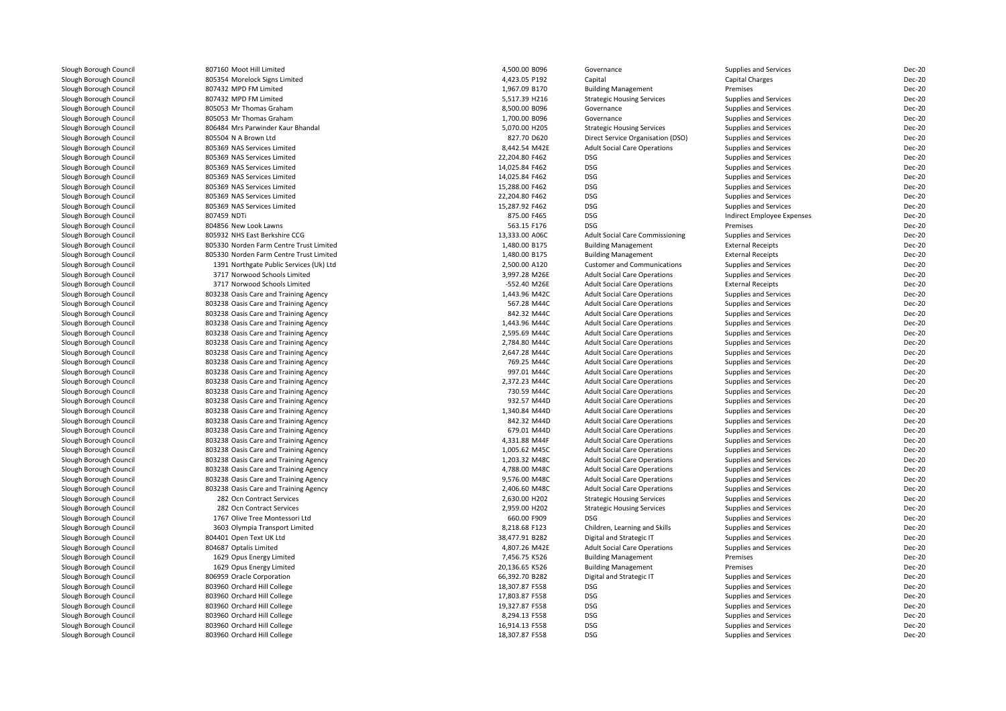| Slough Borough Council                           | 807160 Moot Hill Limited                | 4,500.00 B096  | Governance                                                                 | Supplies and Services      | Dec-20        |
|--------------------------------------------------|-----------------------------------------|----------------|----------------------------------------------------------------------------|----------------------------|---------------|
| Slough Borough Council                           | 805354 Morelock Signs Limited           | 4,423.05 P192  | Capital                                                                    | <b>Capital Charges</b>     | Dec-20        |
| Slough Borough Council                           | 807432 MPD FM Limited                   | 1,967.09 B170  | <b>Building Management</b>                                                 | Premises                   | Dec-20        |
| Slough Borough Council                           | 807432 MPD FM Limited                   | 5.517.39 H216  | <b>Strategic Housing Services</b>                                          | Supplies and Services      | Dec-20        |
| Slough Borough Council                           | 805053 Mr Thomas Graham                 | 8,500.00 B096  | Governance                                                                 | Supplies and Services      | Dec-20        |
| Slough Borough Council                           | 805053 Mr Thomas Graham                 | 1,700.00 B096  | Governance                                                                 | Supplies and Services      | Dec-20        |
| Slough Borough Council                           | 806484 Mrs Parwinder Kaur Bhandal       | 5,070.00 H205  | <b>Strategic Housing Services</b>                                          | Supplies and Services      | Dec-20        |
| Slough Borough Council                           | 805504 N A Brown Ltd                    | 827.70 D620    | Direct Service Organisation (DSO)                                          | Supplies and Services      | Dec-20        |
| Slough Borough Council                           | 805369 NAS Services Limited             | 8,442.54 M42E  | <b>Adult Social Care Operations</b>                                        | Supplies and Services      | Dec-20        |
| Slough Borough Council                           | 805369 NAS Services Limited             | 22,204.80 F462 | <b>DSG</b>                                                                 | Supplies and Services      | Dec-20        |
| Slough Borough Council                           | 805369 NAS Services Limited             | 14,025.84 F462 | <b>DSG</b>                                                                 | Supplies and Services      | Dec-20        |
| Slough Borough Council                           | 805369 NAS Services Limited             | 14,025.84 F462 | <b>DSG</b>                                                                 | Supplies and Services      | Dec-20        |
| Slough Borough Council                           | 805369 NAS Services Limited             | 15,288.00 F462 | <b>DSG</b>                                                                 | Supplies and Services      | Dec-20        |
| Slough Borough Council                           | 805369 NAS Services Limited             | 22,204.80 F462 | <b>DSG</b>                                                                 | Supplies and Services      | Dec-20        |
| Slough Borough Council                           | 805369 NAS Services Limited             | 15,287.92 F462 | <b>DSG</b>                                                                 | Supplies and Services      | Dec-20        |
| Slough Borough Council                           | 807459 NDTi                             | 875.00 F465    | <b>DSG</b>                                                                 | Indirect Employee Expenses | Dec-20        |
| Slough Borough Council                           | 804856 New Look Lawns                   | 563.15 F176    | <b>DSG</b>                                                                 | Premises                   | Dec-20        |
| Slough Borough Council                           | 805932 NHS East Berkshire CCG           | 13,333.00 A06C | <b>Adult Social Care Commissioning</b>                                     | Supplies and Services      | Dec-20        |
| Slough Borough Council                           | 805330 Norden Farm Centre Trust Limited | 1,480.00 B175  | <b>Building Management</b>                                                 | <b>External Receipts</b>   | Dec-20        |
| Slough Borough Council                           | 805330 Norden Farm Centre Trust Limited | 1,480.00 B175  | <b>Building Management</b>                                                 | <b>External Receipts</b>   | Dec-20        |
| Slough Borough Council                           | 1391 Northgate Public Services (Uk) Ltd | 2,500.00 A120  | <b>Customer and Communications</b>                                         | Supplies and Services      | Dec-20        |
| Slough Borough Council                           | 3717 Norwood Schools Limited            | 3,997.28 M26E  | <b>Adult Social Care Operations</b>                                        | Supplies and Services      | <b>Dec-20</b> |
| Slough Borough Council                           | 3717 Norwood Schools Limited            | -552.40 M26E   | <b>Adult Social Care Operations</b>                                        | <b>External Receipts</b>   | Dec-20        |
| Slough Borough Council                           | 803238 Oasis Care and Training Agency   | 1,443.96 M42C  | <b>Adult Social Care Operations</b>                                        | Supplies and Services      | Dec-20        |
| Slough Borough Council                           | 803238 Oasis Care and Training Agency   | 567.28 M44C    | <b>Adult Social Care Operations</b>                                        | Supplies and Services      | Dec-20        |
| Slough Borough Council                           | 803238 Oasis Care and Training Agency   | 842.32 M44C    | <b>Adult Social Care Operations</b>                                        | Supplies and Services      | Dec-20        |
| Slough Borough Council                           | 803238 Oasis Care and Training Agency   | 1,443.96 M44C  | <b>Adult Social Care Operations</b>                                        | Supplies and Services      | Dec-20        |
| Slough Borough Council                           | 803238 Oasis Care and Training Agency   | 2,595.69 M44C  | <b>Adult Social Care Operations</b>                                        | Supplies and Services      | Dec-20        |
| Slough Borough Council                           | 803238 Oasis Care and Training Agency   | 2,784.80 M44C  | <b>Adult Social Care Operations</b>                                        | Supplies and Services      | Dec-20        |
| Slough Borough Council                           | 803238 Oasis Care and Training Agency   | 2,647.28 M44C  | <b>Adult Social Care Operations</b>                                        | Supplies and Services      | Dec-20        |
| Slough Borough Council                           | 803238 Oasis Care and Training Agency   | 769.25 M44C    | <b>Adult Social Care Operations</b>                                        | Supplies and Services      | Dec-20        |
| Slough Borough Council                           | 803238 Oasis Care and Training Agency   | 997.01 M44C    | <b>Adult Social Care Operations</b>                                        | Supplies and Services      | Dec-20        |
| Slough Borough Council                           | 803238 Oasis Care and Training Agency   | 2,372.23 M44C  | <b>Adult Social Care Operations</b>                                        | Supplies and Services      | Dec-20        |
| Slough Borough Council                           | 803238 Oasis Care and Training Agency   | 730.59 M44C    | <b>Adult Social Care Operations</b>                                        | Supplies and Services      | Dec-20        |
| Slough Borough Council                           | 803238 Oasis Care and Training Agency   | 932.57 M44D    | <b>Adult Social Care Operations</b>                                        | Supplies and Services      | Dec-20        |
| Slough Borough Council                           | 803238 Oasis Care and Training Agency   | 1,340.84 M44D  | <b>Adult Social Care Operations</b>                                        | Supplies and Services      | Dec-20        |
| Slough Borough Council                           | 803238 Oasis Care and Training Agency   | 842.32 M44D    | <b>Adult Social Care Operations</b>                                        | Supplies and Services      | Dec-20        |
| Slough Borough Council                           | 803238 Oasis Care and Training Agency   | 679.01 M44D    | <b>Adult Social Care Operations</b>                                        | Supplies and Services      | Dec-20        |
| Slough Borough Council                           | 803238 Oasis Care and Training Agency   | 4,331.88 M44F  | <b>Adult Social Care Operations</b>                                        | Supplies and Services      | Dec-20        |
| Slough Borough Council                           |                                         | 1,005.62 M45C  |                                                                            |                            | Dec-20        |
|                                                  | 803238 Oasis Care and Training Agency   | 1,203.32 M48C  | <b>Adult Social Care Operations</b>                                        | Supplies and Services      | <b>Dec-20</b> |
| Slough Borough Council<br>Slough Borough Council | 803238 Oasis Care and Training Agency   | 4,788.00 M48C  | <b>Adult Social Care Operations</b><br><b>Adult Social Care Operations</b> | Supplies and Services      | Dec-20        |
|                                                  | 803238 Oasis Care and Training Agency   | 9,576.00 M48C  | <b>Adult Social Care Operations</b>                                        | Supplies and Services      | Dec-20        |
| Slough Borough Council<br>Slough Borough Council | 803238 Oasis Care and Training Agency   | 2,406.60 M48C  |                                                                            | Supplies and Services      | Dec-20        |
|                                                  | 803238 Oasis Care and Training Agency   |                | <b>Adult Social Care Operations</b>                                        | Supplies and Services      |               |
| Slough Borough Council                           | 282 Ocn Contract Services               | 2,630.00 H202  | <b>Strategic Housing Services</b>                                          | Supplies and Services      | Dec-20        |
| Slough Borough Council                           | 282 Ocn Contract Services               | 2,959.00 H202  | <b>Strategic Housing Services</b>                                          | Supplies and Services      | Dec-20        |
| Slough Borough Council                           | 1767 Olive Tree Montessori Ltd          | 660.00 F909    | <b>DSG</b>                                                                 | Supplies and Services      | Dec-20        |
| Slough Borough Council                           | 3603 Olympia Transport Limited          | 8,218.68 F123  | Children, Learning and Skills                                              | Supplies and Services      | Dec-20        |
| Slough Borough Council                           | 804401 Open Text UK Ltd                 | 38,477.91 B282 | Digital and Strategic IT                                                   | Supplies and Services      | Dec-20        |
| Slough Borough Council                           | 804687 Optalis Limited                  | 4,807.26 M42E  | <b>Adult Social Care Operations</b>                                        | Supplies and Services      | Dec-20        |
| Slough Borough Council                           | 1629 Opus Energy Limited                | 7,456.75 K526  | <b>Building Management</b>                                                 | Premises                   | Dec-20        |
| Slough Borough Council                           | 1629 Opus Energy Limited                | 20,136.65 K526 | <b>Building Management</b>                                                 | Premises                   | Dec-20        |
| Slough Borough Council                           | 806959 Oracle Corporation               | 66,392.70 B282 | Digital and Strategic IT                                                   | Supplies and Services      | Dec-20        |
| Slough Borough Council                           | 803960 Orchard Hill College             | 18,307.87 F558 | <b>DSG</b>                                                                 | Supplies and Services      | Dec-20        |
| Slough Borough Council                           | 803960 Orchard Hill College             | 17,803.87 F558 | <b>DSG</b>                                                                 | Supplies and Services      | Dec-20        |
| Slough Borough Council                           | 803960 Orchard Hill College             | 19,327.87 F558 | <b>DSG</b>                                                                 | Supplies and Services      | Dec-20        |
| Slough Borough Council                           | 803960 Orchard Hill College             | 8,294.13 F558  | <b>DSG</b>                                                                 | Supplies and Services      | Dec-20        |
| Slough Borough Council                           | 803960 Orchard Hill College             | 16,914.13 F558 | <b>DSG</b>                                                                 | Supplies and Services      | Dec-20        |
| Slough Borough Council                           | 803960 Orchard Hill College             | 18,307.87 F558 | <b>DSG</b>                                                                 | Supplies and Services      | Dec-20        |
|                                                  |                                         |                |                                                                            |                            |               |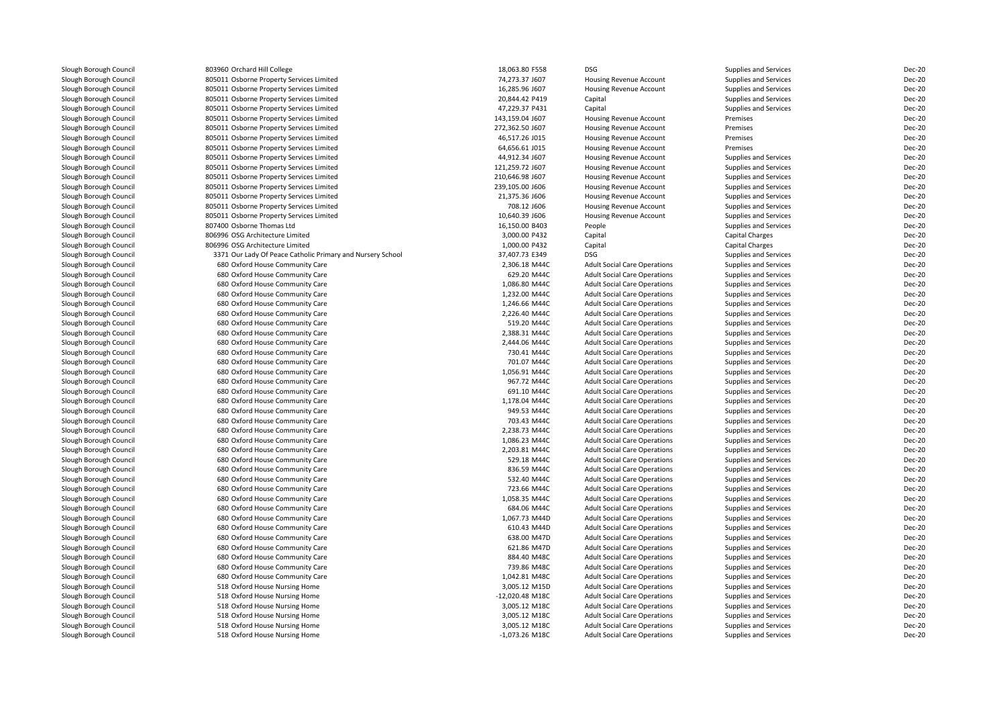| Slough Borough Council | 803960 Orchard Hill College                                | 18,063.80 F558   | <b>DSG</b>                                                                 | Supplies and Services        | <b>Dec-20</b> |
|------------------------|------------------------------------------------------------|------------------|----------------------------------------------------------------------------|------------------------------|---------------|
| Slough Borough Council | 805011 Osborne Property Services Limited                   | 74,273.37 J607   | Housing Revenue Account                                                    | Supplies and Services        | <b>Dec-20</b> |
| Slough Borough Council | 805011 Osborne Property Services Limited                   | 16,285.96 J607   | Housing Revenue Account                                                    | Supplies and Services        | <b>Dec-20</b> |
| Slough Borough Council | 805011 Osborne Property Services Limited                   | 20,844.42 P419   | Capital                                                                    | Supplies and Services        | <b>Dec-20</b> |
| Slough Borough Council | 805011 Osborne Property Services Limited                   | 47,229.37 P431   | Capital                                                                    | Supplies and Services        | <b>Dec-20</b> |
| Slough Borough Council | 805011 Osborne Property Services Limited                   | 143,159.04 J607  | Housing Revenue Account                                                    | Premises                     | <b>Dec-20</b> |
| Slough Borough Council | 805011 Osborne Property Services Limited                   | 272,362.50 J607  | Housing Revenue Account                                                    | Premises                     | <b>Dec-20</b> |
| Slough Borough Council | 805011 Osborne Property Services Limited                   | 46,517.26 J015   | <b>Housing Revenue Account</b>                                             | Premises                     | <b>Dec-20</b> |
| Slough Borough Council | 805011 Osborne Property Services Limited                   | 64,656.61 J015   | <b>Housing Revenue Account</b>                                             | Premises                     | <b>Dec-20</b> |
| Slough Borough Council | 805011 Osborne Property Services Limited                   | 44,912.34 J607   | <b>Housing Revenue Account</b>                                             | Supplies and Services        | <b>Dec-20</b> |
| Slough Borough Council | 805011 Osborne Property Services Limited                   | 121,259.72 J607  | Housing Revenue Account                                                    | Supplies and Services        | <b>Dec-20</b> |
| Slough Borough Council | 805011 Osborne Property Services Limited                   | 210,646.98 J607  | Housing Revenue Account                                                    | Supplies and Services        | <b>Dec-20</b> |
| Slough Borough Council | 805011 Osborne Property Services Limited                   | 239,105.00 J606  | Housing Revenue Account                                                    | Supplies and Services        | <b>Dec-20</b> |
| Slough Borough Council | 805011 Osborne Property Services Limited                   | 21,375.36 J606   | Housing Revenue Account                                                    | Supplies and Services        | <b>Dec-20</b> |
| Slough Borough Council | 805011 Osborne Property Services Limited                   | 708.12 J606      | Housing Revenue Account                                                    | Supplies and Services        | <b>Dec-20</b> |
|                        |                                                            | 10,640.39 J606   |                                                                            |                              | <b>Dec-20</b> |
| Slough Borough Council | 805011 Osborne Property Services Limited                   |                  | Housing Revenue Account                                                    | Supplies and Services        |               |
| Slough Borough Council | 807400 Osborne Thomas Ltd                                  | 16,150.00 B403   | People                                                                     | <b>Supplies and Services</b> | <b>Dec-20</b> |
| Slough Borough Council | 806996 OSG Architecture Limited                            | 3,000.00 P432    | Capital                                                                    | Capital Charges              | <b>Dec-20</b> |
| Slough Borough Council | 806996 OSG Architecture Limited                            | 1,000.00 P432    | Capital                                                                    | Capital Charges              | <b>Dec-20</b> |
| Slough Borough Council | 3371 Our Lady Of Peace Catholic Primary and Nursery School | 37,407.73 E349   | <b>DSG</b>                                                                 | Supplies and Services        | <b>Dec-20</b> |
| Slough Borough Council | 680 Oxford House Community Care                            | 2,306.18 M44C    | <b>Adult Social Care Operations</b>                                        | <b>Supplies and Services</b> | <b>Dec-20</b> |
| Slough Borough Council | 680 Oxford House Community Care                            | 629.20 M44C      | <b>Adult Social Care Operations</b>                                        | Supplies and Services        | <b>Dec-20</b> |
| Slough Borough Council | 680 Oxford House Community Care                            | 1,086.80 M44C    | <b>Adult Social Care Operations</b>                                        | Supplies and Services        | <b>Dec-20</b> |
| Slough Borough Council | 680 Oxford House Community Care                            | 1,232.00 M44C    | <b>Adult Social Care Operations</b>                                        | Supplies and Services        | <b>Dec-20</b> |
| Slough Borough Council | 680 Oxford House Community Care                            | 1,246.66 M44C    | <b>Adult Social Care Operations</b>                                        | <b>Supplies and Services</b> | <b>Dec-20</b> |
| Slough Borough Council | 680 Oxford House Community Care                            | 2,226.40 M44C    | <b>Adult Social Care Operations</b>                                        | <b>Supplies and Services</b> | <b>Dec-20</b> |
| Slough Borough Council | 680 Oxford House Community Care                            | 519.20 M44C      | <b>Adult Social Care Operations</b>                                        | Supplies and Services        | <b>Dec-20</b> |
| Slough Borough Council | 680 Oxford House Community Care                            | 2,388.31 M44C    | <b>Adult Social Care Operations</b>                                        | <b>Supplies and Services</b> | <b>Dec-20</b> |
| Slough Borough Council | 680 Oxford House Community Care                            | 2.444.06 M44C    | <b>Adult Social Care Operations</b>                                        | <b>Supplies and Services</b> | <b>Dec-20</b> |
| Slough Borough Council | 680 Oxford House Community Care                            | 730.41 M44C      | <b>Adult Social Care Operations</b>                                        | Supplies and Services        | Dec-20        |
| Slough Borough Council | 680 Oxford House Community Care                            | 701.07 M44C      | <b>Adult Social Care Operations</b>                                        | <b>Supplies and Services</b> | <b>Dec-20</b> |
| Slough Borough Council | 680 Oxford House Community Care                            | 1,056.91 M44C    | <b>Adult Social Care Operations</b>                                        | <b>Supplies and Services</b> | <b>Dec-20</b> |
| Slough Borough Council | 680 Oxford House Community Care                            | 967.72 M44C      | <b>Adult Social Care Operations</b>                                        | <b>Supplies and Services</b> | Dec-20        |
| Slough Borough Council | 680 Oxford House Community Care                            | 691.10 M44C      | <b>Adult Social Care Operations</b>                                        | Supplies and Services        | <b>Dec-20</b> |
| Slough Borough Council | 680 Oxford House Community Care                            | 1,178.04 M44C    | <b>Adult Social Care Operations</b>                                        | <b>Supplies and Services</b> | Dec-20        |
| Slough Borough Council | 680 Oxford House Community Care                            | 949.53 M44C      | <b>Adult Social Care Operations</b>                                        | Supplies and Services        | <b>Dec-20</b> |
| Slough Borough Council | 680 Oxford House Community Care                            | 703.43 M44C      | <b>Adult Social Care Operations</b>                                        | Supplies and Services        | <b>Dec-20</b> |
| Slough Borough Council | 680 Oxford House Community Care                            | 2,238.73 M44C    | <b>Adult Social Care Operations</b>                                        | Supplies and Services        | <b>Dec-20</b> |
| Slough Borough Council | 680 Oxford House Community Care                            | 1,086.23 M44C    | <b>Adult Social Care Operations</b>                                        | Supplies and Services        | <b>Dec-20</b> |
| Slough Borough Council | 680 Oxford House Community Care                            | 2,203.81 M44C    | <b>Adult Social Care Operations</b>                                        | Supplies and Services        | <b>Dec-20</b> |
| Slough Borough Council | 680 Oxford House Community Care                            | 529.18 M44C      |                                                                            | <b>Supplies and Services</b> | <b>Dec-20</b> |
| Slough Borough Council | 680 Oxford House Community Care                            | 836.59 M44C      | <b>Adult Social Care Operations</b><br><b>Adult Social Care Operations</b> | <b>Supplies and Services</b> | <b>Dec-20</b> |
| Slough Borough Council | 680 Oxford House Community Care                            | 532.40 M44C      |                                                                            |                              | <b>Dec-20</b> |
|                        |                                                            |                  | <b>Adult Social Care Operations</b>                                        | Supplies and Services        |               |
| Slough Borough Council | 680 Oxford House Community Care                            | 723.66 M44C      | <b>Adult Social Care Operations</b>                                        | <b>Supplies and Services</b> | <b>Dec-20</b> |
| Slough Borough Council | 680 Oxford House Community Care                            | 1,058.35 M44C    | <b>Adult Social Care Operations</b>                                        | Supplies and Services        | Dec-20        |
| Slough Borough Council | 680 Oxford House Community Care                            | 684.06 M44C      | <b>Adult Social Care Operations</b>                                        | <b>Supplies and Services</b> | <b>Dec-20</b> |
| Slough Borough Council | 680 Oxford House Community Care                            | 1,067.73 M44D    | <b>Adult Social Care Operations</b>                                        | <b>Supplies and Services</b> | <b>Dec-20</b> |
| Slough Borough Council | 680 Oxford House Community Care                            | 610.43 M44D      | <b>Adult Social Care Operations</b>                                        | <b>Supplies and Services</b> | <b>Dec-20</b> |
| Slough Borough Council | 680 Oxford House Community Care                            | 638.00 M47D      | <b>Adult Social Care Operations</b>                                        | Supplies and Services        | <b>Dec-20</b> |
| Slough Borough Council | 680 Oxford House Community Care                            | 621.86 M47D      | <b>Adult Social Care Operations</b>                                        | Supplies and Services        | <b>Dec-20</b> |
| Slough Borough Council | 680 Oxford House Community Care                            | 884.40 M48C      | <b>Adult Social Care Operations</b>                                        | Supplies and Services        | <b>Dec-20</b> |
| Slough Borough Council | 680 Oxford House Community Care                            | 739.86 M48C      | <b>Adult Social Care Operations</b>                                        | Supplies and Services        | <b>Dec-20</b> |
| Slough Borough Council | 680 Oxford House Community Care                            | 1,042.81 M48C    | <b>Adult Social Care Operations</b>                                        | Supplies and Services        | <b>Dec-20</b> |
| Slough Borough Council | 518 Oxford House Nursing Home                              | 3,005.12 M15D    | <b>Adult Social Care Operations</b>                                        | Supplies and Services        | <b>Dec-20</b> |
| Slough Borough Council | 518 Oxford House Nursing Home                              | -12,020.48 M18C  | <b>Adult Social Care Operations</b>                                        | <b>Supplies and Services</b> | <b>Dec-20</b> |
| Slough Borough Council | 518 Oxford House Nursing Home                              | 3,005.12 M18C    | <b>Adult Social Care Operations</b>                                        | Supplies and Services        | <b>Dec-20</b> |
| Slough Borough Council | 518 Oxford House Nursing Home                              | 3,005.12 M18C    | <b>Adult Social Care Operations</b>                                        | Supplies and Services        | <b>Dec-20</b> |
| Slough Borough Council | 518 Oxford House Nursing Home                              | 3,005.12 M18C    | <b>Adult Social Care Operations</b>                                        | <b>Supplies and Services</b> | <b>Dec-20</b> |
| Slough Borough Council | 518 Oxford House Nursing Home                              | $-1,073.26$ M18C | <b>Adult Social Care Operations</b>                                        | <b>Supplies and Services</b> | <b>Dec-20</b> |
|                        |                                                            |                  |                                                                            |                              |               |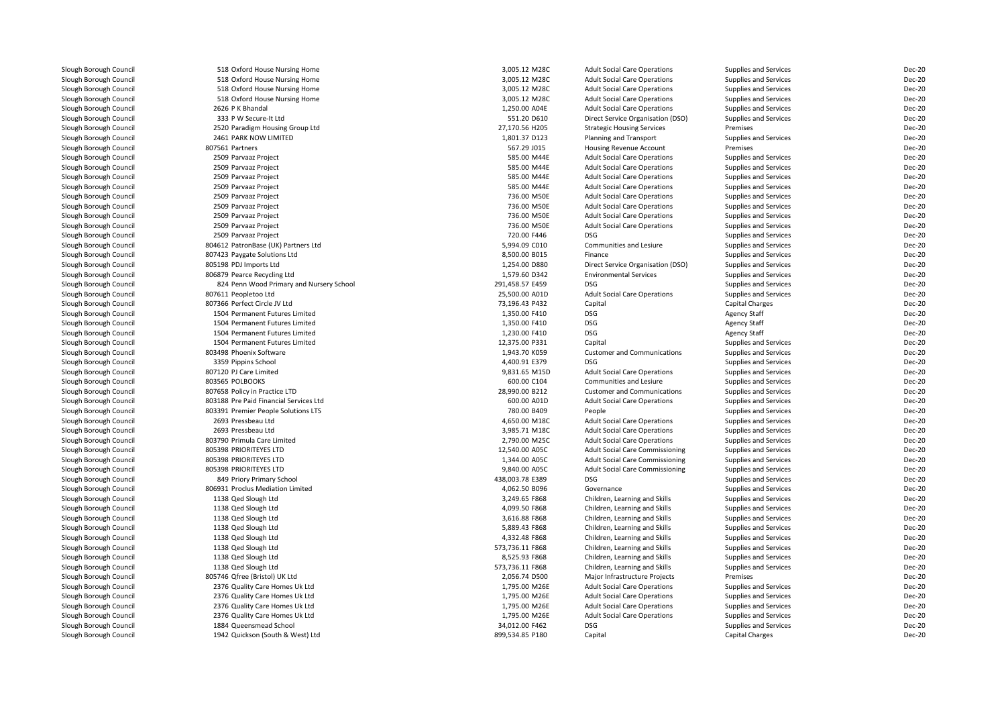| Slough Borough Council | 518 Oxford House Nursing Home            | 3,005.12 M28C              | <b>Adult Social Care Operations</b>    | Supplies and Services  | Dec-20        |
|------------------------|------------------------------------------|----------------------------|----------------------------------------|------------------------|---------------|
| Slough Borough Council | 518 Oxford House Nursing Home            | 3,005.12 M28C              | <b>Adult Social Care Operations</b>    | Supplies and Services  | Dec-20        |
| Slough Borough Council | 518 Oxford House Nursing Home            | 3,005.12 M28C              | <b>Adult Social Care Operations</b>    | Supplies and Services  | Dec-20        |
| Slough Borough Council | 518 Oxford House Nursing Home            | 3,005.12 M28C              | <b>Adult Social Care Operations</b>    | Supplies and Services  | Dec-20        |
| Slough Borough Council | 2626 P K Bhandal                         | 1,250.00 A04E              | <b>Adult Social Care Operations</b>    | Supplies and Services  | Dec-20        |
| Slough Borough Council | 333 P W Secure-It Ltd                    | 551.20 D610                | Direct Service Organisation (DSO)      | Supplies and Services  | Dec-20        |
| Slough Borough Council | 2520 Paradigm Housing Group Ltd          | 27,170.56 H205             | <b>Strategic Housing Services</b>      | Premises               | Dec-20        |
| Slough Borough Council | 2461 PARK NOW LIMITED                    | 1,801.37 D123              | Planning and Transport                 | Supplies and Services  | <b>Dec-20</b> |
| Slough Borough Council | 807561 Partners                          | 567.29 J015                | Housing Revenue Account                | Premises               | Dec-20        |
| Slough Borough Council | 2509 Parvaaz Project                     | 585.00 M44E                | <b>Adult Social Care Operations</b>    | Supplies and Services  | Dec-20        |
| Slough Borough Council | 2509 Parvaaz Project                     | 585.00 M44E                | <b>Adult Social Care Operations</b>    | Supplies and Services  | Dec-20        |
| Slough Borough Council | 2509 Parvaaz Project                     | 585.00 M44E                | <b>Adult Social Care Operations</b>    | Supplies and Services  | <b>Dec-20</b> |
| Slough Borough Council | 2509 Parvaaz Project                     | 585.00 M44E                | <b>Adult Social Care Operations</b>    | Supplies and Services  | Dec-20        |
| Slough Borough Council | 2509 Parvaaz Project                     | 736.00 M50E                | <b>Adult Social Care Operations</b>    | Supplies and Services  | <b>Dec-20</b> |
| Slough Borough Council | 2509 Parvaaz Project                     | 736.00 M50E                | <b>Adult Social Care Operations</b>    | Supplies and Services  | Dec-20        |
|                        | 2509 Parvaaz Project                     | 736.00 M50E                | <b>Adult Social Care Operations</b>    |                        | Dec-20        |
| Slough Borough Council |                                          |                            |                                        | Supplies and Services  |               |
| Slough Borough Council | 2509 Parvaaz Project                     | 736.00 M50E<br>720.00 F446 | <b>Adult Social Care Operations</b>    | Supplies and Services  | <b>Dec-20</b> |
| Slough Borough Council | 2509 Parvaaz Project                     |                            | <b>DSG</b>                             | Supplies and Services  | Dec-20        |
| Slough Borough Council | 804612 PatronBase (UK) Partners Ltd      | 5,994.09 C010              | Communities and Lesiure                | Supplies and Services  | <b>Dec-20</b> |
| Slough Borough Council | 807423 Paygate Solutions Ltd             | 8,500.00 B015              | Finance                                | Supplies and Services  | Dec-20        |
| Slough Borough Council | 805198 PDJ Imports Ltd                   | 1,254.00 D880              | Direct Service Organisation (DSO)      | Supplies and Services  | <b>Dec-20</b> |
| Slough Borough Council | 806879 Pearce Recycling Ltd              | 1,579.60 D342              | <b>Environmental Services</b>          | Supplies and Services  | Dec-20        |
| Slough Borough Council | 824 Penn Wood Primary and Nursery School | 291,458.57 E459            | <b>DSG</b>                             | Supplies and Services  | Dec-20        |
| Slough Borough Council | 807611 Peopletoo Ltd                     | 25,500.00 A01D             | <b>Adult Social Care Operations</b>    | Supplies and Services  | Dec-20        |
| Slough Borough Council | 807366 Perfect Circle JV Ltd             | 73,196.43 P432             | Capital                                | <b>Capital Charges</b> | <b>Dec-20</b> |
| Slough Borough Council | 1504 Permanent Futures Limited           | 1,350.00 F410              | <b>DSG</b>                             | <b>Agency Staff</b>    | Dec-20        |
| Slough Borough Council | 1504 Permanent Futures Limited           | 1,350.00 F410              | <b>DSG</b>                             | <b>Agency Staff</b>    | Dec-20        |
| Slough Borough Council | 1504 Permanent Futures Limited           | 1,230.00 F410              | <b>DSG</b>                             | <b>Agency Staff</b>    | Dec-20        |
| Slough Borough Council | 1504 Permanent Futures Limited           | 12,375.00 P331             | Capital                                | Supplies and Services  | Dec-20        |
| Slough Borough Council | 803498 Phoenix Software                  | 1,943.70 K059              | <b>Customer and Communications</b>     | Supplies and Services  | <b>Dec-20</b> |
| Slough Borough Council | 3359 Pippins School                      | 4,400.91 E379              | <b>DSG</b>                             | Supplies and Services  | Dec-20        |
| Slough Borough Council | 807120 PJ Care Limited                   | 9.831.65 M15D              | <b>Adult Social Care Operations</b>    | Supplies and Services  | Dec-20        |
| Slough Borough Council | 803565 POLBOOKS                          | 600.00 C104                | <b>Communities and Lesiure</b>         | Supplies and Services  | Dec-20        |
| Slough Borough Council | 807658 Policy in Practice LTD            | 28,990.00 B212             | <b>Customer and Communications</b>     | Supplies and Services  | <b>Dec-20</b> |
| Slough Borough Council | 803188 Pre Paid Financial Services Ltd   | 600.00 A01D                | <b>Adult Social Care Operations</b>    | Supplies and Services  | Dec-20        |
| Slough Borough Council | 803391 Premier People Solutions LTS      | 780.00 B409                | People                                 | Supplies and Services  | Dec-20        |
| Slough Borough Council | 2693 Pressbeau Ltd                       | 4,650.00 M18C              | <b>Adult Social Care Operations</b>    | Supplies and Services  | Dec-20        |
| Slough Borough Council | 2693 Pressbeau Ltd                       | 3,985.71 M18C              | <b>Adult Social Care Operations</b>    | Supplies and Services  | <b>Dec-20</b> |
| Slough Borough Council | 803790 Primula Care Limited              | 2,790.00 M25C              | <b>Adult Social Care Operations</b>    | Supplies and Services  | Dec-20        |
| Slough Borough Council | 805398 PRIORITEYES LTD                   | 12,540.00 A05C             | <b>Adult Social Care Commissioning</b> | Supplies and Services  | <b>Dec-20</b> |
| Slough Borough Council | 805398 PRIORITEYES LTD                   | 1,344.00 A05C              | <b>Adult Social Care Commissioning</b> | Supplies and Services  | Dec-20        |
| Slough Borough Council | 805398 PRIORITEYES LTD                   | 9,840.00 A05C              | Adult Social Care Commissioning        | Supplies and Services  | <b>Dec-20</b> |
| Slough Borough Council | 849 Priory Primary School                | 438,003.78 E389            | <b>DSG</b>                             | Supplies and Services  | Dec-20        |
| Slough Borough Council | 806931 Proclus Mediation Limited         | 4,062.50 B096              | Governance                             |                        | Dec-20        |
|                        |                                          |                            |                                        | Supplies and Services  |               |
| Slough Borough Council | 1138 Qed Slough Ltd                      | 3,249.65 F868              | Children, Learning and Skills          | Supplies and Services  | <b>Dec-20</b> |
| Slough Borough Council | 1138 Qed Slough Ltd                      | 4,099.50 F868              | Children, Learning and Skills          | Supplies and Services  | <b>Dec-20</b> |
| Slough Borough Council | 1138 Qed Slough Ltd                      | 3,616.88 F868              | Children, Learning and Skills          | Supplies and Services  | <b>Dec-20</b> |
| Slough Borough Council | 1138 Qed Slough Ltd                      | 5,889.43 F868              | Children, Learning and Skills          | Supplies and Services  | <b>Dec-20</b> |
| Slough Borough Council | 1138 Qed Slough Ltd                      | 4,332.48 F868              | Children, Learning and Skills          | Supplies and Services  | <b>Dec-20</b> |
| Slough Borough Council | 1138 Qed Slough Ltd                      | 573,736.11 F868            | Children, Learning and Skills          | Supplies and Services  | Dec-20        |
| Slough Borough Council | 1138 Qed Slough Ltd                      | 8,525.93 F868              | Children, Learning and Skills          | Supplies and Services  | Dec-20        |
| Slough Borough Council | 1138 Qed Slough Ltd                      | 573,736.11 F868            | Children, Learning and Skills          | Supplies and Services  | Dec-20        |
| Slough Borough Council | 805746 Qfree (Bristol) UK Ltd            | 2,056.74 D500              | Major Infrastructure Projects          | Premises               | Dec-20        |
| Slough Borough Council | 2376 Quality Care Homes Uk Ltd           | 1,795.00 M26E              | <b>Adult Social Care Operations</b>    | Supplies and Services  | Dec-20        |
| Slough Borough Council | 2376 Quality Care Homes Uk Ltd           | 1,795.00 M26E              | <b>Adult Social Care Operations</b>    | Supplies and Services  | Dec-20        |
| Slough Borough Council | 2376 Quality Care Homes Uk Ltd           | 1,795.00 M26E              | <b>Adult Social Care Operations</b>    | Supplies and Services  | Dec-20        |
| Slough Borough Council | 2376 Quality Care Homes Uk Ltd           | 1,795.00 M26E              | <b>Adult Social Care Operations</b>    | Supplies and Services  | Dec-20        |
| Slough Borough Council | 1884 Queensmead School                   | 34,012.00 F462             | <b>DSG</b>                             | Supplies and Services  | Dec-20        |
| Slough Borough Council | 1942 Quickson (South & West) Ltd         | 899,534.85 P180            | Capital                                | <b>Capital Charges</b> | Dec-20        |
|                        |                                          |                            |                                        |                        |               |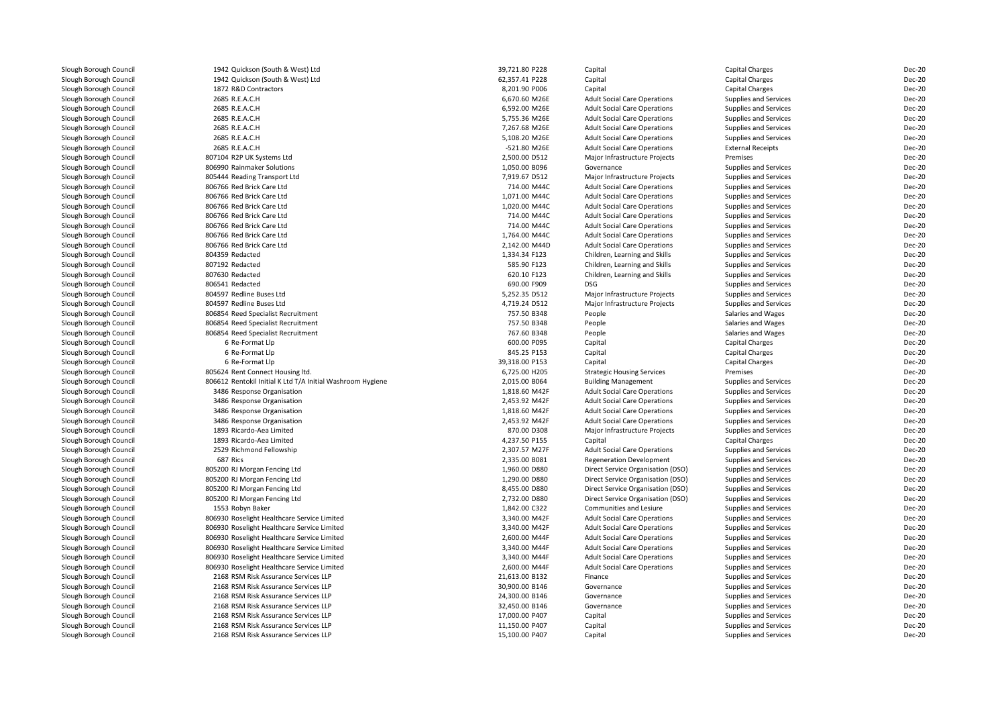| Slough Borough Council                           | 1942 Quickson (South & West) Ltd                             | 39,721.80 P228                 | Capital                                  | Capital Charges                          | Dec-20                         |
|--------------------------------------------------|--------------------------------------------------------------|--------------------------------|------------------------------------------|------------------------------------------|--------------------------------|
| Slough Borough Council                           | 1942 Quickson (South & West) Ltd                             | 62,357.41 P228                 | Capital                                  | Capital Charges                          | Dec-20                         |
| Slough Borough Council                           | 1872 R&D Contractors                                         | 8,201.90 P006                  | Capital                                  | Capital Charges                          | <b>Dec-20</b>                  |
| Slough Borough Council                           | 2685 R.E.A.C.H                                               | 6,670.60 M26E                  | <b>Adult Social Care Operations</b>      | <b>Supplies and Services</b>             | Dec-20                         |
| Slough Borough Council                           | 2685 R.E.A.C.H                                               | 6,592.00 M26E                  | <b>Adult Social Care Operations</b>      | <b>Supplies and Services</b>             | Dec-20                         |
| Slough Borough Council                           | 2685 R.E.A.C.H                                               | 5,755.36 M26E                  | <b>Adult Social Care Operations</b>      | Supplies and Services                    | Dec-20                         |
| Slough Borough Council                           | 2685 R.E.A.C.H                                               | 7,267.68 M26E                  | <b>Adult Social Care Operations</b>      | Supplies and Services                    | Dec-20                         |
| Slough Borough Council                           | 2685 R.E.A.C.H                                               | 5,108.20 M26E                  | <b>Adult Social Care Operations</b>      | Supplies and Services                    | Dec-20                         |
| Slough Borough Council                           | 2685 R.E.A.C.H                                               | -521.80 M26E                   | <b>Adult Social Care Operations</b>      | <b>External Receipts</b>                 | Dec-20                         |
| Slough Borough Council                           | 807104 R2P UK Systems Ltd                                    | 2,500.00 D512                  | Major Infrastructure Projects            | Premises                                 | <b>Dec-20</b>                  |
| Slough Borough Council                           | 806990 Rainmaker Solutions                                   | 1,050.00 B096                  | Governance                               | Supplies and Services                    | Dec-20                         |
| Slough Borough Council                           | 805444 Reading Transport Ltd                                 | 7,919.67 D512                  | Major Infrastructure Projects            | <b>Supplies and Services</b>             | Dec-20                         |
| Slough Borough Council                           | 806766 Red Brick Care Ltd                                    | 714.00 M44C                    | <b>Adult Social Care Operations</b>      | Supplies and Services                    | <b>Dec-20</b>                  |
| Slough Borough Council                           | 806766 Red Brick Care Ltd                                    | 1,071.00 M44C                  | <b>Adult Social Care Operations</b>      | <b>Supplies and Services</b>             | Dec-20                         |
| Slough Borough Council                           | 806766 Red Brick Care Ltd                                    | 1,020.00 M44C                  | <b>Adult Social Care Operations</b>      | Supplies and Services                    | Dec-20                         |
| Slough Borough Council                           | 806766 Red Brick Care Ltd                                    | 714.00 M44C                    | <b>Adult Social Care Operations</b>      | <b>Supplies and Services</b>             | Dec-20                         |
| Slough Borough Council                           | 806766 Red Brick Care Ltd                                    | 714.00 M44C                    | <b>Adult Social Care Operations</b>      | Supplies and Services                    | Dec-20                         |
| Slough Borough Council                           | 806766 Red Brick Care Ltd                                    | 1,764.00 M44C                  | <b>Adult Social Care Operations</b>      | Supplies and Services                    | Dec-20                         |
| Slough Borough Council                           | 806766 Red Brick Care Ltd                                    | 2,142.00 M44D                  | <b>Adult Social Care Operations</b>      | Supplies and Services                    | <b>Dec-20</b>                  |
| Slough Borough Council                           | 804359 Redacted                                              | 1,334.34 F123                  | Children, Learning and Skills            | Supplies and Services                    | Dec-20                         |
| Slough Borough Council                           | 807192 Redacted                                              | 585.90 F123                    | Children, Learning and Skills            | Supplies and Services                    | <b>Dec-20</b>                  |
| Slough Borough Council                           | 807630 Redacted                                              | 620.10 F123                    | Children, Learning and Skills            | Supplies and Services                    | <b>Dec-20</b>                  |
| Slough Borough Council                           | 806541 Redacted                                              | 690.00 F909                    | <b>DSG</b>                               | Supplies and Services                    | Dec-20                         |
| Slough Borough Council                           | 804597 Redline Buses Ltd                                     | 5,252.35 D512                  | Major Infrastructure Projects            | Supplies and Services                    | <b>Dec-20</b>                  |
| Slough Borough Council                           | 804597 Redline Buses Ltd                                     | 4,719.24 D512                  | Major Infrastructure Projects            | <b>Supplies and Services</b>             | Dec-20                         |
| Slough Borough Council                           | 806854 Reed Specialist Recruitment                           | 757.50 B348                    | People                                   | Salaries and Wages                       | Dec-20                         |
| Slough Borough Council                           | 806854 Reed Specialist Recruitment                           | 757.50 B348                    | People                                   | Salaries and Wages                       | Dec-20                         |
| Slough Borough Council                           | 806854 Reed Specialist Recruitment                           | 767.60 B348                    | People                                   | Salaries and Wages                       | <b>Dec-20</b>                  |
| Slough Borough Council                           | 6 Re-Format Llp                                              | 600.00 P095                    | Capital                                  | Capital Charges                          | Dec-20                         |
| Slough Borough Council                           | 6 Re-Format Llp                                              | 845.25 P153                    | Capital                                  | Capital Charges                          | Dec-20                         |
| Slough Borough Council                           | 6 Re-Format Llp                                              | 39,318.00 P153                 | Capital                                  | Capital Charges                          | <b>Dec-20</b>                  |
| Slough Borough Council                           | 805624 Rent Connect Housing ltd.                             | 6,725.00 H205                  | <b>Strategic Housing Services</b>        | Premises                                 | <b>Dec-20</b>                  |
| Slough Borough Council                           | 806612 Rentokil Initial K Ltd T/A Initial Washroom Hygiene   | 2,015.00 B064                  | <b>Building Management</b>               | Supplies and Services                    | Dec-20                         |
| Slough Borough Council                           | 3486 Response Organisation                                   | 1,818.60 M42F                  | <b>Adult Social Care Operations</b>      | <b>Supplies and Services</b>             | Dec-20                         |
| Slough Borough Council                           | 3486 Response Organisation                                   | 2,453.92 M42F                  | <b>Adult Social Care Operations</b>      | Supplies and Services                    | Dec-20                         |
| Slough Borough Council                           | 3486 Response Organisation                                   | 1,818.60 M42F                  | <b>Adult Social Care Operations</b>      | <b>Supplies and Services</b>             | Dec-20                         |
| Slough Borough Council                           | 3486 Response Organisation                                   | 2.453.92 M42F                  | <b>Adult Social Care Operations</b>      | <b>Supplies and Services</b>             | Dec-20                         |
|                                                  | 1893 Ricardo-Aea Limited                                     | 870.00 D308                    |                                          |                                          | Dec-20                         |
| Slough Borough Council<br>Slough Borough Council | 1893 Ricardo-Aea Limited                                     | 4,237.50 P155                  | Major Infrastructure Projects<br>Capital | Supplies and Services<br>Capital Charges | Dec-20                         |
|                                                  | 2529 Richmond Fellowship                                     | 2,307.57 M27F                  | <b>Adult Social Care Operations</b>      | <b>Supplies and Services</b>             | Dec-20                         |
| Slough Borough Council<br>Slough Borough Council | 687 Rics                                                     | 2,335.00 B081                  | <b>Regeneration Development</b>          |                                          | Dec-20                         |
|                                                  |                                                              |                                |                                          | Supplies and Services                    |                                |
| Slough Borough Council<br>Slough Borough Council | 805200 RJ Morgan Fencing Ltd<br>805200 RJ Morgan Fencing Ltd | 1,960.00 D880<br>1,290.00 D880 | Direct Service Organisation (DSO)        | Supplies and Services                    | <b>Dec-20</b><br><b>Dec-20</b> |
|                                                  |                                                              |                                | Direct Service Organisation (DSO)        | Supplies and Services                    |                                |
| Slough Borough Council                           | 805200 RJ Morgan Fencing Ltd                                 | 8,455.00 D880                  | Direct Service Organisation (DSO)        | Supplies and Services                    | <b>Dec-20</b>                  |
| Slough Borough Council                           | 805200 RJ Morgan Fencing Ltd                                 | 2,732.00 D880                  | Direct Service Organisation (DSO)        | Supplies and Services                    | <b>Dec-20</b>                  |
| Slough Borough Council                           | 1553 Robyn Baker                                             | 1,842.00 C322                  | Communities and Lesiure                  | Supplies and Services                    | <b>Dec-20</b>                  |
| Slough Borough Council                           | 806930 Roselight Healthcare Service Limited                  | 3,340.00 M42F                  | <b>Adult Social Care Operations</b>      | <b>Supplies and Services</b>             | Dec-20                         |
| Slough Borough Council                           | 806930 Roselight Healthcare Service Limited                  | 3,340.00 M42F                  | <b>Adult Social Care Operations</b>      | <b>Supplies and Services</b>             | Dec-20                         |
| Slough Borough Council                           | 806930 Roselight Healthcare Service Limited                  | 2,600.00 M44F                  | <b>Adult Social Care Operations</b>      | <b>Supplies and Services</b>             | <b>Dec-20</b>                  |
| Slough Borough Council                           | 806930 Roselight Healthcare Service Limited                  | 3,340.00 M44F                  | <b>Adult Social Care Operations</b>      | <b>Supplies and Services</b>             | Dec-20                         |
| Slough Borough Council                           | 806930 Roselight Healthcare Service Limited                  | 3,340.00 M44F                  | <b>Adult Social Care Operations</b>      | Supplies and Services                    | Dec-20                         |
| Slough Borough Council                           | 806930 Roselight Healthcare Service Limited                  | 2,600.00 M44F                  | <b>Adult Social Care Operations</b>      | Supplies and Services                    | <b>Dec-20</b>                  |
| Slough Borough Council                           | 2168 RSM Risk Assurance Services LLP                         | 21,613.00 B132                 | Finance                                  | Supplies and Services                    | <b>Dec-20</b>                  |
| Slough Borough Council                           | 2168 RSM Risk Assurance Services LLP                         | 30,900.00 B146                 | Governance                               | Supplies and Services                    | Dec-20                         |
| Slough Borough Council                           | 2168 RSM Risk Assurance Services LLP                         | 24,300.00 B146                 | Governance                               | <b>Supplies and Services</b>             | Dec-20                         |
| Slough Borough Council                           | 2168 RSM Risk Assurance Services LLP                         | 32,450.00 B146                 | Governance                               | Supplies and Services                    | Dec-20                         |
| Slough Borough Council                           | 2168 RSM Risk Assurance Services LLP                         | 17,000.00 P407                 | Capital                                  | Supplies and Services                    | Dec-20                         |
| Slough Borough Council                           | 2168 RSM Risk Assurance Services LLP                         | 11,150.00 P407                 | Capital                                  | Supplies and Services                    | <b>Dec-20</b>                  |
| Slough Borough Council                           | 2168 RSM Risk Assurance Services LLP                         | 15,100.00 P407                 | Capital                                  | Supplies and Services                    | Dec-20                         |
|                                                  |                                                              |                                |                                          |                                          |                                |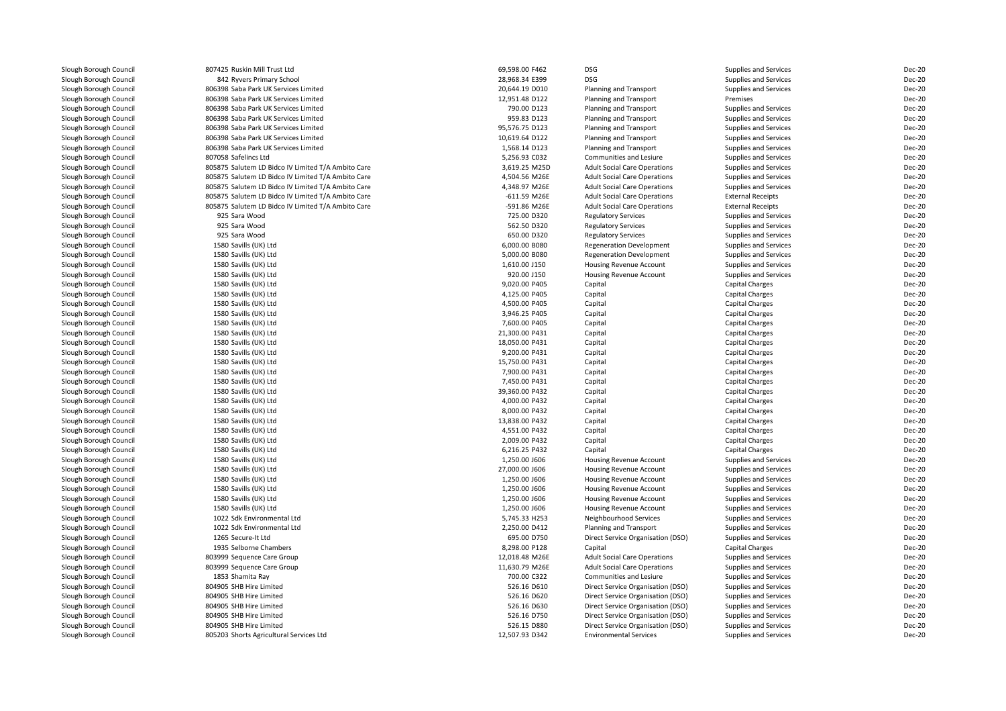| Slough Borough Council | 807425 Ruskin Mill Trust Ltd                                                 | 69,598.00 F462                | <b>DSG</b>                          | Supplies and Services        | Dec-20           |
|------------------------|------------------------------------------------------------------------------|-------------------------------|-------------------------------------|------------------------------|------------------|
| Slough Borough Council | 842 Ryvers Primary School                                                    | 28.968.34 E399                | <b>DSG</b>                          | Supplies and Services        | Dec-20           |
| Slough Borough Council | 806398 Saba Park UK Services Limited                                         | 20,644.19 D010                | Planning and Transport              | Supplies and Services        | Dec-20           |
|                        |                                                                              |                               |                                     |                              |                  |
| Slough Borough Council | 806398 Saba Park UK Services Limited<br>806398 Saba Park UK Services Limited | 12,951.48 D122<br>790.00 D123 | Planning and Transport              | Premises                     | Dec-20<br>Dec-20 |
| Slough Borough Council |                                                                              | 959.83 D123                   | Planning and Transport              | Supplies and Services        | Dec-20           |
| Slough Borough Council | 806398 Saba Park UK Services Limited                                         |                               | Planning and Transport              | Supplies and Services        |                  |
| Slough Borough Council | 806398 Saba Park UK Services Limited                                         | 95,576.75 D123                | Planning and Transport              | Supplies and Services        | Dec-20           |
| Slough Borough Council | 806398 Saba Park UK Services Limited                                         | 10,619.64 D122                | Planning and Transport              | Supplies and Services        | Dec-20           |
| Slough Borough Council | 806398 Saba Park UK Services Limited                                         | 1,568.14 D123                 | Planning and Transport              | <b>Supplies and Services</b> | Dec-20           |
| Slough Borough Council | 807058 Safelincs Ltd                                                         | 5,256.93 C032                 | Communities and Lesiure             | Supplies and Services        | Dec-20           |
| Slough Borough Council | 805875 Salutem LD Bidco IV Limited T/A Ambito Care                           | 3,619.25 M25D                 | <b>Adult Social Care Operations</b> | Supplies and Services        | Dec-20           |
| Slough Borough Council | 805875 Salutem LD Bidco IV Limited T/A Ambito Care                           | 4,504.56 M26E                 | <b>Adult Social Care Operations</b> | Supplies and Services        | Dec-20           |
| Slough Borough Council | 805875 Salutem LD Bidco IV Limited T/A Ambito Care                           | 4,348.97 M26E                 | <b>Adult Social Care Operations</b> | Supplies and Services        | Dec-20           |
| Slough Borough Council | 805875 Salutem LD Bidco IV Limited T/A Ambito Care                           | -611.59 M26E                  | <b>Adult Social Care Operations</b> | <b>External Receipts</b>     | Dec-20           |
| Slough Borough Council | 805875 Salutem LD Bidco IV Limited T/A Ambito Care                           | -591.86 M26E                  | <b>Adult Social Care Operations</b> | <b>External Receipts</b>     | Dec-20           |
| Slough Borough Council | 925 Sara Wood                                                                | 725.00 D320                   | <b>Regulatory Services</b>          | Supplies and Services        | Dec-20           |
| Slough Borough Council | 925 Sara Wood                                                                | 562.50 D320                   | <b>Regulatory Services</b>          | Supplies and Services        | Dec-20           |
| Slough Borough Council | 925 Sara Wood                                                                | 650.00 D320                   | <b>Regulatory Services</b>          | Supplies and Services        | Dec-20           |
| Slough Borough Council | 1580 Savills (UK) Ltd                                                        | 6,000.00 B080                 | <b>Regeneration Development</b>     | Supplies and Services        | Dec-20           |
| Slough Borough Council | 1580 Savills (UK) Ltd                                                        | 5,000.00 B080                 | <b>Regeneration Development</b>     | Supplies and Services        | Dec-20           |
| Slough Borough Council | 1580 Savills (UK) Ltd                                                        | 1,610.00 J150                 | <b>Housing Revenue Account</b>      | Supplies and Services        | Dec-20           |
| Slough Borough Council | 1580 Savills (UK) Ltd                                                        | 920.00 J150                   | Housing Revenue Account             | Supplies and Services        | Dec-20           |
| Slough Borough Council | 1580 Savills (UK) Ltd                                                        | 9,020.00 P405                 | Capital                             | Capital Charges              | Dec-20           |
| Slough Borough Council | 1580 Savills (UK) Ltd                                                        | 4,125.00 P405                 | Capital                             | <b>Capital Charges</b>       | Dec-20           |
| Slough Borough Council | 1580 Savills (UK) Ltd                                                        | 4.500.00 P405                 | Capital                             | <b>Capital Charges</b>       | Dec-20           |
| Slough Borough Council | 1580 Savills (UK) Ltd                                                        | 3,946.25 P405                 | Capital                             | <b>Capital Charges</b>       | Dec-20           |
| Slough Borough Council | 1580 Savills (UK) Ltd                                                        | 7,600.00 P405                 | Capital                             | Capital Charges              | Dec-20           |
| Slough Borough Council | 1580 Savills (UK) Ltd                                                        | 21,300.00 P431                | Capital                             | Capital Charges              | Dec-20           |
| Slough Borough Council | 1580 Savills (UK) Ltd                                                        | 18,050.00 P431                | Capital                             | <b>Capital Charges</b>       | Dec-20           |
| Slough Borough Council | 1580 Savills (UK) Ltd                                                        | 9,200.00 P431                 | Capital                             | Capital Charges              | Dec-20           |
| Slough Borough Council | 1580 Savills (UK) Ltd                                                        | 15,750.00 P431                | Capital                             | <b>Capital Charges</b>       | Dec-20           |
| Slough Borough Council | 1580 Savills (UK) Ltd                                                        | 7,900.00 P431                 | Capital                             | Capital Charges              | Dec-20           |
| Slough Borough Council | 1580 Savills (UK) Ltd                                                        | 7,450.00 P431                 | Capital                             | <b>Capital Charges</b>       | Dec-20           |
| Slough Borough Council | 1580 Savills (UK) Ltd                                                        | 39,360.00 P432                | Capital                             | <b>Capital Charges</b>       | Dec-20           |
| Slough Borough Council | 1580 Savills (UK) Ltd                                                        | 4,000.00 P432                 | Capital                             | <b>Capital Charges</b>       | Dec-20           |
| Slough Borough Council | 1580 Savills (UK) Ltd                                                        | 8,000.00 P432                 | Capital                             | <b>Capital Charges</b>       | Dec-20           |
| Slough Borough Council | 1580 Savills (UK) Ltd                                                        | 13,838.00 P432                | Capital                             | <b>Capital Charges</b>       | Dec-20           |
| Slough Borough Council | 1580 Savills (UK) Ltd                                                        | 4,551.00 P432                 | Capital                             | <b>Capital Charges</b>       | Dec-20           |
| Slough Borough Council | 1580 Savills (UK) Ltd                                                        | 2,009.00 P432                 | Capital                             | <b>Capital Charges</b>       | Dec-20           |
| Slough Borough Council | 1580 Savills (UK) Ltd                                                        | 6,216.25 P432                 | Capital                             | <b>Capital Charges</b>       | Dec-20           |
| Slough Borough Council | 1580 Savills (UK) Ltd                                                        | 1,250.00 J606                 | Housing Revenue Account             | Supplies and Services        | Dec-20           |
| Slough Borough Council | 1580 Savills (UK) Ltd                                                        | 27,000.00 J606                | Housing Revenue Account             | Supplies and Services        | Dec-20           |
| Slough Borough Council | 1580 Savills (UK) Ltd                                                        | 1,250.00 J606                 | Housing Revenue Account             | Supplies and Services        | Dec-20           |
| Slough Borough Council | 1580 Savills (UK) Ltd                                                        | 1,250.00 J606                 | Housing Revenue Account             | Supplies and Services        | Dec-20           |
| Slough Borough Council | 1580 Savills (UK) Ltd                                                        | 1,250.00 J606                 | Housing Revenue Account             | Supplies and Services        | Dec-20           |
| Slough Borough Council | 1580 Savills (UK) Ltd                                                        | 1,250.00 J606                 | Housing Revenue Account             | Supplies and Services        | Dec-20           |
| Slough Borough Council | 1022 Sdk Environmental Ltd                                                   | 5,745.33 H253                 | Neighbourhood Services              | Supplies and Services        | Dec-20           |
| Slough Borough Council | 1022 Sdk Environmental Ltd                                                   | 2,250.00 D412                 | Planning and Transport              | Supplies and Services        | Dec-20           |
| Slough Borough Council | 1265 Secure-It Ltd                                                           | 695.00 D750                   | Direct Service Organisation (DSO)   | Supplies and Services        | Dec-20           |
| Slough Borough Council | 1935 Selborne Chambers                                                       | 8,298.00 P128                 | Capital                             | <b>Capital Charges</b>       | Dec-20           |
| Slough Borough Council | 803999 Sequence Care Group                                                   | 12,018.48 M26E                | <b>Adult Social Care Operations</b> | Supplies and Services        | Dec-20           |
| Slough Borough Council | 803999 Sequence Care Group                                                   | 11,630.79 M26E                | <b>Adult Social Care Operations</b> | Supplies and Services        | Dec-20           |
| Slough Borough Council | 1853 Shamita Ray                                                             | 700.00 C322                   | Communities and Lesiure             | Supplies and Services        | Dec-20           |
| Slough Borough Council | 804905 SHB Hire Limited                                                      | 526.16 D610                   | Direct Service Organisation (DSO)   | Supplies and Services        | Dec-20           |
| Slough Borough Council | 804905 SHB Hire Limited                                                      | 526.16 D620                   | Direct Service Organisation (DSO)   | Supplies and Services        | Dec-20           |
| Slough Borough Council | 804905 SHB Hire Limited                                                      | 526.16 D630                   | Direct Service Organisation (DSO)   | Supplies and Services        | Dec-20           |
| Slough Borough Council | 804905 SHB Hire Limited                                                      | 526.16 D750                   | Direct Service Organisation (DSO)   | Supplies and Services        | Dec-20           |
| Slough Borough Council | 804905 SHB Hire Limited                                                      | 526.15 D880                   | Direct Service Organisation (DSO)   | Supplies and Services        | Dec-20           |
| Slough Borough Council | 805203 Shorts Agricultural Services Ltd                                      | 12,507.93 D342                | <b>Environmental Services</b>       | Supplies and Services        | Dec-20           |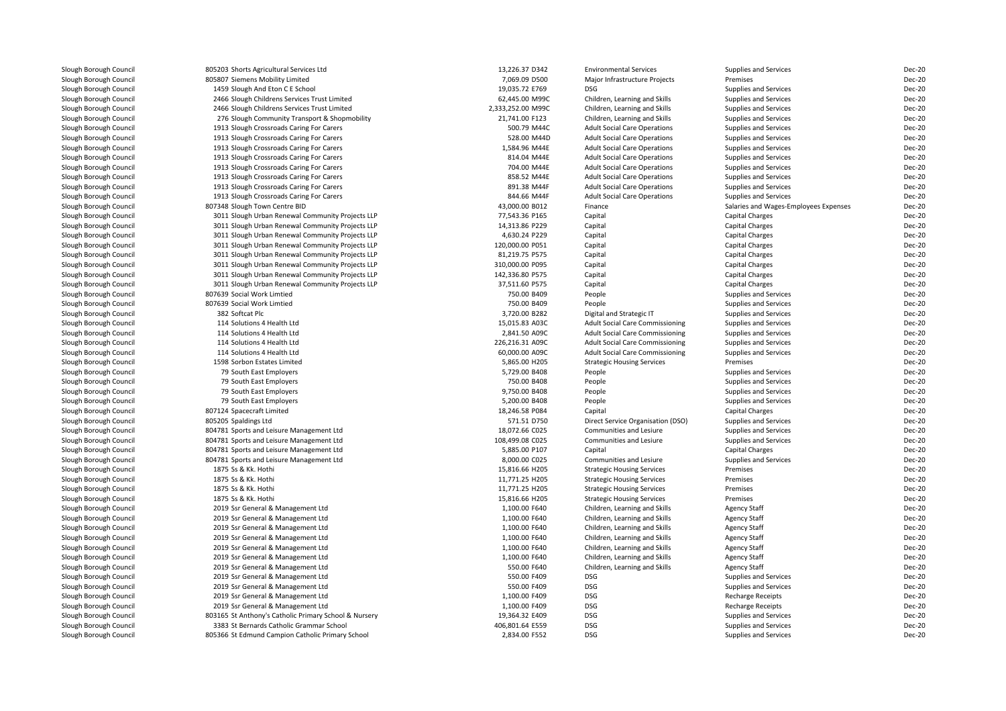| Slough Borough Council | 805203 Shorts Agricultural Services Ltd               | 13,226.37 D342                 | <b>Environmental Services</b>          | Supplies and Services                 | Dec-20 |
|------------------------|-------------------------------------------------------|--------------------------------|----------------------------------------|---------------------------------------|--------|
|                        |                                                       |                                |                                        | Premises                              | Dec-20 |
| Slough Borough Council | 805807 Siemens Mobility Limited                       | 7,069.09 D500                  | Major Infrastructure Projects          |                                       |        |
| Slough Borough Council | 1459 Slough And Eton C E School                       | 19,035.72 E769                 | <b>DSG</b>                             | Supplies and Services                 | Dec-20 |
| Slough Borough Council | 2466 Slough Childrens Services Trust Limited          | 62,445.00 M99C                 | Children, Learning and Skills          | Supplies and Services                 | Dec-20 |
| Slough Borough Council | 2466 Slough Childrens Services Trust Limited          | 2,333,252.00 M99C              | Children, Learning and Skills          | Supplies and Services                 | Dec-20 |
| Slough Borough Council | 276 Slough Community Transport & Shopmobility         | 21,741.00 F123                 | Children, Learning and Skills          | Supplies and Services                 | Dec-20 |
| Slough Borough Council | 1913 Slough Crossroads Caring For Carers              | 500.79 M44C                    | <b>Adult Social Care Operations</b>    | Supplies and Services                 | Dec-20 |
| Slough Borough Council | 1913 Slough Crossroads Caring For Carers              | 528.00 M44D                    | <b>Adult Social Care Operations</b>    | Supplies and Services                 | Dec-20 |
| Slough Borough Council | 1913 Slough Crossroads Caring For Carers              | 1,584.96 M44E                  | <b>Adult Social Care Operations</b>    | Supplies and Services                 | Dec-20 |
| Slough Borough Council | 1913 Slough Crossroads Caring For Carers              | 814.04 M44E                    | <b>Adult Social Care Operations</b>    | Supplies and Services                 | Dec-20 |
| Slough Borough Council | 1913 Slough Crossroads Caring For Carers              | 704.00 M44E                    | <b>Adult Social Care Operations</b>    | Supplies and Services                 | Dec-20 |
| Slough Borough Council | 1913 Slough Crossroads Caring For Carers              | 858.52 M44E                    | <b>Adult Social Care Operations</b>    | Supplies and Services                 | Dec-20 |
| Slough Borough Council | 1913 Slough Crossroads Caring For Carers              | 891.38 M44F                    | <b>Adult Social Care Operations</b>    | Supplies and Services                 | Dec-20 |
| Slough Borough Council | 1913 Slough Crossroads Caring For Carers              | 844.66 M44F                    | <b>Adult Social Care Operations</b>    | Supplies and Services                 | Dec-20 |
| Slough Borough Council | 807348 Slough Town Centre BID                         | 43,000.00 B012                 | Finance                                | Salaries and Wages-Employees Expenses | Dec-20 |
| Slough Borough Council | 3011 Slough Urban Renewal Community Projects LLP      | 77,543.36 P165                 | Capital                                | Capital Charges                       | Dec-20 |
| Slough Borough Council | 3011 Slough Urban Renewal Community Projects LLP      | 14,313.86 P229                 | Capital                                | <b>Capital Charges</b>                | Dec-20 |
| Slough Borough Council | 3011 Slough Urban Renewal Community Projects LLP      | 4,630.24 P229                  | Capital                                | Capital Charges                       | Dec-20 |
| Slough Borough Council | 3011 Slough Urban Renewal Community Projects LLP      | 120,000.00 P051                | Capital                                | <b>Capital Charges</b>                | Dec-20 |
| Slough Borough Council | 3011 Slough Urban Renewal Community Projects LLP      | 81,219.75 P575                 | Capital                                | Capital Charges                       | Dec-20 |
| Slough Borough Council | 3011 Slough Urban Renewal Community Projects LLP      | 310,000.00 P095                | Capital                                | <b>Capital Charges</b>                | Dec-20 |
| Slough Borough Council | 3011 Slough Urban Renewal Community Projects LLP      | 142,336.80 P575                | Capital                                | <b>Capital Charges</b>                | Dec-20 |
| Slough Borough Council | 3011 Slough Urban Renewal Community Projects LLP      | 37,511.60 P575                 | Capital                                | Capital Charges                       | Dec-20 |
| Slough Borough Council | 807639 Social Work Limtied                            | 750.00 B409                    | People                                 | Supplies and Services                 | Dec-20 |
| Slough Borough Council | 807639 Social Work Limtied                            | 750.00 B409                    | People                                 | Supplies and Services                 | Dec-20 |
| Slough Borough Council | 382 Softcat Plc                                       | 3,720.00 B282                  | Digital and Strategic IT               | Supplies and Services                 | Dec-20 |
|                        |                                                       |                                |                                        |                                       | Dec-20 |
| Slough Borough Council | 114 Solutions 4 Health Ltd                            | 15,015.83 A03C                 | <b>Adult Social Care Commissioning</b> | Supplies and Services                 |        |
| Slough Borough Council | 114 Solutions 4 Health Ltd                            | 2,841.50 A09C                  | <b>Adult Social Care Commissioning</b> | Supplies and Services                 | Dec-20 |
| Slough Borough Council | 114 Solutions 4 Health Ltd                            | 226,216.31 A09C                | <b>Adult Social Care Commissioning</b> | Supplies and Services                 | Dec-20 |
| Slough Borough Council | 114 Solutions 4 Health Ltd                            | 60,000.00 A09C                 | <b>Adult Social Care Commissioning</b> | Supplies and Services                 | Dec-20 |
| Slough Borough Council | 1598 Sorbon Estates Limited                           | 5,865.00 H205                  | <b>Strategic Housing Services</b>      | Premises                              | Dec-20 |
| Slough Borough Council | 79 South East Employers                               | 5,729.00 B408                  | People                                 | Supplies and Services                 | Dec-20 |
| Slough Borough Council | 79 South East Employers                               | 750.00 B408                    | People                                 | Supplies and Services                 | Dec-20 |
| Slough Borough Council | 79 South East Employers                               | 9,750.00 B408                  | People                                 | Supplies and Services                 | Dec-20 |
| Slough Borough Council | 79 South East Employers                               | 5,200.00 B408                  | People                                 | Supplies and Services                 | Dec-20 |
| Slough Borough Council | 807124 Spacecraft Limited                             | 18,246.58 P084                 | Capital                                | <b>Capital Charges</b>                | Dec-20 |
| Slough Borough Council | 805205 Spaldings Ltd                                  | 571.51 D750                    | Direct Service Organisation (DSO)      | Supplies and Services                 | Dec-20 |
| Slough Borough Council | 804781 Sports and Leisure Management Ltd              | 18,072.66 C025                 | Communities and Lesiure                | Supplies and Services                 | Dec-20 |
| Slough Borough Council | 804781 Sports and Leisure Management Ltd              | 108,499.08 C025                | Communities and Lesiure                | Supplies and Services                 | Dec-20 |
| Slough Borough Council | 804781 Sports and Leisure Management Ltd              | 5,885.00 P107                  | Capital                                | <b>Capital Charges</b>                | Dec-20 |
| Slough Borough Council | 804781 Sports and Leisure Management Ltd              | 8,000.00 C025                  | Communities and Lesiure                | Supplies and Services                 | Dec-20 |
| Slough Borough Council | 1875 Ss & Kk. Hothi                                   | 15,816.66 H205                 | <b>Strategic Housing Services</b>      | Premises                              | Dec-20 |
| Slough Borough Council | 1875 Ss & Kk. Hothi                                   | 11,771.25 H205                 | <b>Strategic Housing Services</b>      | Premises                              | Dec-20 |
| Slough Borough Council | 1875 Ss & Kk. Hothi                                   | 11,771.25 H205                 | <b>Strategic Housing Services</b>      | Premises                              | Dec-20 |
| Slough Borough Council | 1875 Ss & Kk. Hothi                                   | 15,816.66 H205                 | <b>Strategic Housing Services</b>      | Premises                              | Dec-20 |
| Slough Borough Council | 2019 Ssr General & Management Ltd                     | 1,100.00 F640                  | Children, Learning and Skills          | <b>Agency Staff</b>                   | Dec-20 |
| Slough Borough Council | 2019 Ssr General & Management Ltd                     | 1,100.00 F640                  | Children, Learning and Skills          | <b>Agency Staff</b>                   | Dec-20 |
| Slough Borough Council | 2019 Ssr General & Management Ltd                     | 1,100.00 F640                  | Children, Learning and Skills          | <b>Agency Staff</b>                   | Dec-20 |
| Slough Borough Council | 2019 Ssr General & Management Ltd                     | 1,100.00 F640                  | Children, Learning and Skills          | <b>Agency Staff</b>                   | Dec-20 |
| Slough Borough Council | 2019 Ssr General & Management Ltd                     | 1,100.00 F640                  | Children, Learning and Skills          | <b>Agency Staff</b>                   | Dec-20 |
| Slough Borough Council | 2019 Ssr General & Management Ltd                     | 1,100.00 F640                  | Children, Learning and Skills          | <b>Agency Staff</b>                   | Dec-20 |
| Slough Borough Council | 2019 Ssr General & Management Ltd                     | 550.00 F640                    | Children, Learning and Skills          | <b>Agency Staff</b>                   | Dec-20 |
| Slough Borough Council | 2019 Ssr General & Management Ltd                     | 550.00 F409                    | <b>DSG</b>                             | Supplies and Services                 | Dec-20 |
| Slough Borough Council |                                                       | 550.00 F409                    | <b>DSG</b>                             |                                       | Dec-20 |
|                        | 2019 Ssr General & Management Ltd                     |                                | <b>DSG</b>                             | Supplies and Services                 | Dec-20 |
| Slough Borough Council | 2019 Ssr General & Management Ltd                     | 1,100.00 F409<br>1,100.00 F409 |                                        | <b>Recharge Receipts</b>              |        |
| Slough Borough Council | 2019 Ssr General & Management Ltd                     |                                | <b>DSG</b>                             | <b>Recharge Receipts</b>              | Dec-20 |
| Slough Borough Council | 803165 St Anthony's Catholic Primary School & Nursery | 19,364.32 E409                 | <b>DSG</b>                             | Supplies and Services                 | Dec-20 |
| Slough Borough Council | 3383 St Bernards Catholic Grammar School              | 406,801.64 E559                | <b>DSG</b>                             | Supplies and Services                 | Dec-20 |
| Slough Borough Council | 805366 St Edmund Campion Catholic Primary School      | 2,834.00 F552                  | <b>DSG</b>                             | Supplies and Services                 | Dec-20 |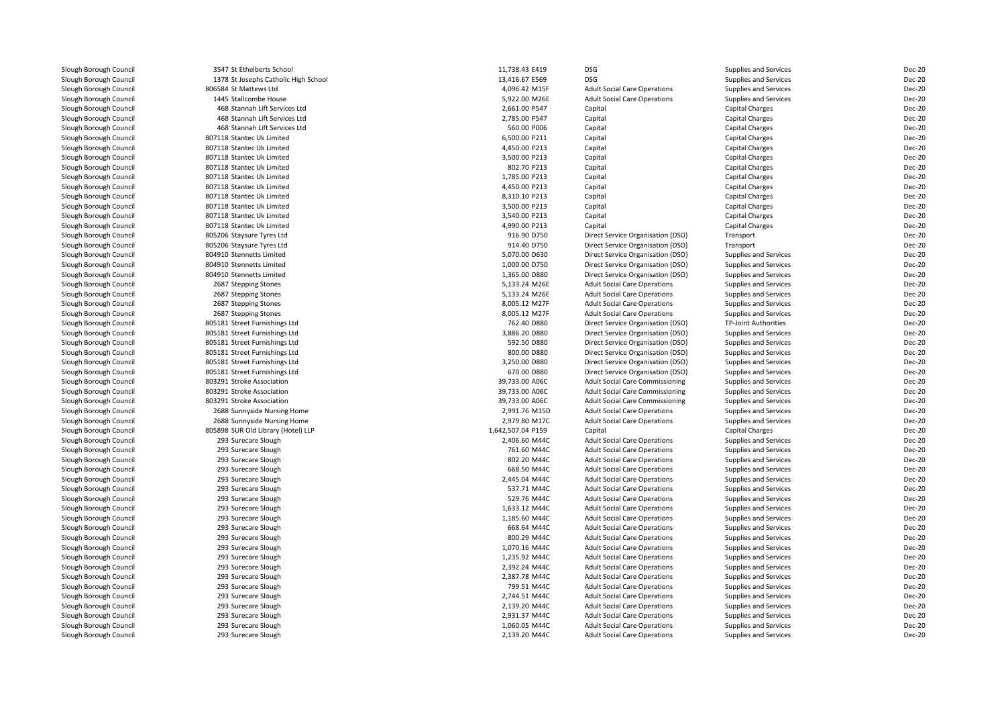| 1378 St Josephs Catholic High School<br>806584 St Mattews Ltd<br>1445 Stallcombe House<br>468 Stannah Lift Services Ltd<br>468 Stannah Lift Services Ltd<br>468 Stannah Lift Services Ltd<br>807118 Stantec Uk Limited<br>807118 Stantec Uk Limited | 13,416.67 E569<br>4,096.42 M15F<br>5,922.00 M26E<br>2,661.00 P547<br>2,785.00 P547<br>560.00 P006<br>6,500.00 P211                                                                                                                                                                                                                                                                                                                                                                                                                                                                                                                                                                                                                                                                                                                                                                                                                                                                                                                                                                                                                                                                                                                                | <b>DSG</b><br><b>Adult Social Care Operations</b><br><b>Adult Social Care Operations</b><br>Capital<br>Capital                                                                                                                                                                                                                                                                                                                                                                                                                                                                                                                                                                                                                                      | Supplies and Services<br>Supplies and Services<br>Supplies and Services<br><b>Capital Charges</b><br>Capital Charges                                                                                                                                                                                                                                                                                                                                                                                                                                                                                                                                                                                                                                                                                                                                                                                                                                                                                                                                                                                                                                                                                                                                                                                                                                                                                                                                                                                                                                 | Dec-20<br>Dec-20<br>Dec-20<br>Dec-20                                                                                                                                                                                                                                                                                                                                                                                                                                                                                                                                                                                                                                                                                                                                                                                                                                                                                                                                                                                                                                                                                                 |
|-----------------------------------------------------------------------------------------------------------------------------------------------------------------------------------------------------------------------------------------------------|---------------------------------------------------------------------------------------------------------------------------------------------------------------------------------------------------------------------------------------------------------------------------------------------------------------------------------------------------------------------------------------------------------------------------------------------------------------------------------------------------------------------------------------------------------------------------------------------------------------------------------------------------------------------------------------------------------------------------------------------------------------------------------------------------------------------------------------------------------------------------------------------------------------------------------------------------------------------------------------------------------------------------------------------------------------------------------------------------------------------------------------------------------------------------------------------------------------------------------------------------|-----------------------------------------------------------------------------------------------------------------------------------------------------------------------------------------------------------------------------------------------------------------------------------------------------------------------------------------------------------------------------------------------------------------------------------------------------------------------------------------------------------------------------------------------------------------------------------------------------------------------------------------------------------------------------------------------------------------------------------------------------|------------------------------------------------------------------------------------------------------------------------------------------------------------------------------------------------------------------------------------------------------------------------------------------------------------------------------------------------------------------------------------------------------------------------------------------------------------------------------------------------------------------------------------------------------------------------------------------------------------------------------------------------------------------------------------------------------------------------------------------------------------------------------------------------------------------------------------------------------------------------------------------------------------------------------------------------------------------------------------------------------------------------------------------------------------------------------------------------------------------------------------------------------------------------------------------------------------------------------------------------------------------------------------------------------------------------------------------------------------------------------------------------------------------------------------------------------------------------------------------------------------------------------------------------------|--------------------------------------------------------------------------------------------------------------------------------------------------------------------------------------------------------------------------------------------------------------------------------------------------------------------------------------------------------------------------------------------------------------------------------------------------------------------------------------------------------------------------------------------------------------------------------------------------------------------------------------------------------------------------------------------------------------------------------------------------------------------------------------------------------------------------------------------------------------------------------------------------------------------------------------------------------------------------------------------------------------------------------------------------------------------------------------------------------------------------------------|
|                                                                                                                                                                                                                                                     |                                                                                                                                                                                                                                                                                                                                                                                                                                                                                                                                                                                                                                                                                                                                                                                                                                                                                                                                                                                                                                                                                                                                                                                                                                                   |                                                                                                                                                                                                                                                                                                                                                                                                                                                                                                                                                                                                                                                                                                                                                     |                                                                                                                                                                                                                                                                                                                                                                                                                                                                                                                                                                                                                                                                                                                                                                                                                                                                                                                                                                                                                                                                                                                                                                                                                                                                                                                                                                                                                                                                                                                                                      |                                                                                                                                                                                                                                                                                                                                                                                                                                                                                                                                                                                                                                                                                                                                                                                                                                                                                                                                                                                                                                                                                                                                      |
|                                                                                                                                                                                                                                                     |                                                                                                                                                                                                                                                                                                                                                                                                                                                                                                                                                                                                                                                                                                                                                                                                                                                                                                                                                                                                                                                                                                                                                                                                                                                   |                                                                                                                                                                                                                                                                                                                                                                                                                                                                                                                                                                                                                                                                                                                                                     |                                                                                                                                                                                                                                                                                                                                                                                                                                                                                                                                                                                                                                                                                                                                                                                                                                                                                                                                                                                                                                                                                                                                                                                                                                                                                                                                                                                                                                                                                                                                                      |                                                                                                                                                                                                                                                                                                                                                                                                                                                                                                                                                                                                                                                                                                                                                                                                                                                                                                                                                                                                                                                                                                                                      |
|                                                                                                                                                                                                                                                     |                                                                                                                                                                                                                                                                                                                                                                                                                                                                                                                                                                                                                                                                                                                                                                                                                                                                                                                                                                                                                                                                                                                                                                                                                                                   |                                                                                                                                                                                                                                                                                                                                                                                                                                                                                                                                                                                                                                                                                                                                                     |                                                                                                                                                                                                                                                                                                                                                                                                                                                                                                                                                                                                                                                                                                                                                                                                                                                                                                                                                                                                                                                                                                                                                                                                                                                                                                                                                                                                                                                                                                                                                      |                                                                                                                                                                                                                                                                                                                                                                                                                                                                                                                                                                                                                                                                                                                                                                                                                                                                                                                                                                                                                                                                                                                                      |
|                                                                                                                                                                                                                                                     |                                                                                                                                                                                                                                                                                                                                                                                                                                                                                                                                                                                                                                                                                                                                                                                                                                                                                                                                                                                                                                                                                                                                                                                                                                                   |                                                                                                                                                                                                                                                                                                                                                                                                                                                                                                                                                                                                                                                                                                                                                     |                                                                                                                                                                                                                                                                                                                                                                                                                                                                                                                                                                                                                                                                                                                                                                                                                                                                                                                                                                                                                                                                                                                                                                                                                                                                                                                                                                                                                                                                                                                                                      |                                                                                                                                                                                                                                                                                                                                                                                                                                                                                                                                                                                                                                                                                                                                                                                                                                                                                                                                                                                                                                                                                                                                      |
|                                                                                                                                                                                                                                                     |                                                                                                                                                                                                                                                                                                                                                                                                                                                                                                                                                                                                                                                                                                                                                                                                                                                                                                                                                                                                                                                                                                                                                                                                                                                   |                                                                                                                                                                                                                                                                                                                                                                                                                                                                                                                                                                                                                                                                                                                                                     |                                                                                                                                                                                                                                                                                                                                                                                                                                                                                                                                                                                                                                                                                                                                                                                                                                                                                                                                                                                                                                                                                                                                                                                                                                                                                                                                                                                                                                                                                                                                                      | Dec-20                                                                                                                                                                                                                                                                                                                                                                                                                                                                                                                                                                                                                                                                                                                                                                                                                                                                                                                                                                                                                                                                                                                               |
|                                                                                                                                                                                                                                                     |                                                                                                                                                                                                                                                                                                                                                                                                                                                                                                                                                                                                                                                                                                                                                                                                                                                                                                                                                                                                                                                                                                                                                                                                                                                   | Capital                                                                                                                                                                                                                                                                                                                                                                                                                                                                                                                                                                                                                                                                                                                                             | <b>Capital Charges</b>                                                                                                                                                                                                                                                                                                                                                                                                                                                                                                                                                                                                                                                                                                                                                                                                                                                                                                                                                                                                                                                                                                                                                                                                                                                                                                                                                                                                                                                                                                                               | Dec-20                                                                                                                                                                                                                                                                                                                                                                                                                                                                                                                                                                                                                                                                                                                                                                                                                                                                                                                                                                                                                                                                                                                               |
|                                                                                                                                                                                                                                                     |                                                                                                                                                                                                                                                                                                                                                                                                                                                                                                                                                                                                                                                                                                                                                                                                                                                                                                                                                                                                                                                                                                                                                                                                                                                   | Capital                                                                                                                                                                                                                                                                                                                                                                                                                                                                                                                                                                                                                                                                                                                                             | Capital Charges                                                                                                                                                                                                                                                                                                                                                                                                                                                                                                                                                                                                                                                                                                                                                                                                                                                                                                                                                                                                                                                                                                                                                                                                                                                                                                                                                                                                                                                                                                                                      | Dec-20                                                                                                                                                                                                                                                                                                                                                                                                                                                                                                                                                                                                                                                                                                                                                                                                                                                                                                                                                                                                                                                                                                                               |
|                                                                                                                                                                                                                                                     | 4,450.00 P213                                                                                                                                                                                                                                                                                                                                                                                                                                                                                                                                                                                                                                                                                                                                                                                                                                                                                                                                                                                                                                                                                                                                                                                                                                     | Capital                                                                                                                                                                                                                                                                                                                                                                                                                                                                                                                                                                                                                                                                                                                                             | <b>Capital Charges</b>                                                                                                                                                                                                                                                                                                                                                                                                                                                                                                                                                                                                                                                                                                                                                                                                                                                                                                                                                                                                                                                                                                                                                                                                                                                                                                                                                                                                                                                                                                                               | Dec-20                                                                                                                                                                                                                                                                                                                                                                                                                                                                                                                                                                                                                                                                                                                                                                                                                                                                                                                                                                                                                                                                                                                               |
|                                                                                                                                                                                                                                                     | 3,500.00 P213                                                                                                                                                                                                                                                                                                                                                                                                                                                                                                                                                                                                                                                                                                                                                                                                                                                                                                                                                                                                                                                                                                                                                                                                                                     | Capital                                                                                                                                                                                                                                                                                                                                                                                                                                                                                                                                                                                                                                                                                                                                             | Capital Charges                                                                                                                                                                                                                                                                                                                                                                                                                                                                                                                                                                                                                                                                                                                                                                                                                                                                                                                                                                                                                                                                                                                                                                                                                                                                                                                                                                                                                                                                                                                                      | Dec-20                                                                                                                                                                                                                                                                                                                                                                                                                                                                                                                                                                                                                                                                                                                                                                                                                                                                                                                                                                                                                                                                                                                               |
| 807118 Stantec Uk Limited                                                                                                                                                                                                                           | 802.70 P213                                                                                                                                                                                                                                                                                                                                                                                                                                                                                                                                                                                                                                                                                                                                                                                                                                                                                                                                                                                                                                                                                                                                                                                                                                       | Capital                                                                                                                                                                                                                                                                                                                                                                                                                                                                                                                                                                                                                                                                                                                                             | <b>Capital Charges</b>                                                                                                                                                                                                                                                                                                                                                                                                                                                                                                                                                                                                                                                                                                                                                                                                                                                                                                                                                                                                                                                                                                                                                                                                                                                                                                                                                                                                                                                                                                                               | Dec-20                                                                                                                                                                                                                                                                                                                                                                                                                                                                                                                                                                                                                                                                                                                                                                                                                                                                                                                                                                                                                                                                                                                               |
| 807118 Stantec Uk Limited                                                                                                                                                                                                                           | 1,785.00 P213                                                                                                                                                                                                                                                                                                                                                                                                                                                                                                                                                                                                                                                                                                                                                                                                                                                                                                                                                                                                                                                                                                                                                                                                                                     | Capital                                                                                                                                                                                                                                                                                                                                                                                                                                                                                                                                                                                                                                                                                                                                             |                                                                                                                                                                                                                                                                                                                                                                                                                                                                                                                                                                                                                                                                                                                                                                                                                                                                                                                                                                                                                                                                                                                                                                                                                                                                                                                                                                                                                                                                                                                                                      | Dec-20                                                                                                                                                                                                                                                                                                                                                                                                                                                                                                                                                                                                                                                                                                                                                                                                                                                                                                                                                                                                                                                                                                                               |
|                                                                                                                                                                                                                                                     |                                                                                                                                                                                                                                                                                                                                                                                                                                                                                                                                                                                                                                                                                                                                                                                                                                                                                                                                                                                                                                                                                                                                                                                                                                                   |                                                                                                                                                                                                                                                                                                                                                                                                                                                                                                                                                                                                                                                                                                                                                     |                                                                                                                                                                                                                                                                                                                                                                                                                                                                                                                                                                                                                                                                                                                                                                                                                                                                                                                                                                                                                                                                                                                                                                                                                                                                                                                                                                                                                                                                                                                                                      | Dec-20                                                                                                                                                                                                                                                                                                                                                                                                                                                                                                                                                                                                                                                                                                                                                                                                                                                                                                                                                                                                                                                                                                                               |
| 807118 Stantec Uk Limited                                                                                                                                                                                                                           | 8,310.10 P213                                                                                                                                                                                                                                                                                                                                                                                                                                                                                                                                                                                                                                                                                                                                                                                                                                                                                                                                                                                                                                                                                                                                                                                                                                     |                                                                                                                                                                                                                                                                                                                                                                                                                                                                                                                                                                                                                                                                                                                                                     |                                                                                                                                                                                                                                                                                                                                                                                                                                                                                                                                                                                                                                                                                                                                                                                                                                                                                                                                                                                                                                                                                                                                                                                                                                                                                                                                                                                                                                                                                                                                                      | Dec-20                                                                                                                                                                                                                                                                                                                                                                                                                                                                                                                                                                                                                                                                                                                                                                                                                                                                                                                                                                                                                                                                                                                               |
|                                                                                                                                                                                                                                                     |                                                                                                                                                                                                                                                                                                                                                                                                                                                                                                                                                                                                                                                                                                                                                                                                                                                                                                                                                                                                                                                                                                                                                                                                                                                   |                                                                                                                                                                                                                                                                                                                                                                                                                                                                                                                                                                                                                                                                                                                                                     |                                                                                                                                                                                                                                                                                                                                                                                                                                                                                                                                                                                                                                                                                                                                                                                                                                                                                                                                                                                                                                                                                                                                                                                                                                                                                                                                                                                                                                                                                                                                                      | Dec-20                                                                                                                                                                                                                                                                                                                                                                                                                                                                                                                                                                                                                                                                                                                                                                                                                                                                                                                                                                                                                                                                                                                               |
|                                                                                                                                                                                                                                                     |                                                                                                                                                                                                                                                                                                                                                                                                                                                                                                                                                                                                                                                                                                                                                                                                                                                                                                                                                                                                                                                                                                                                                                                                                                                   |                                                                                                                                                                                                                                                                                                                                                                                                                                                                                                                                                                                                                                                                                                                                                     |                                                                                                                                                                                                                                                                                                                                                                                                                                                                                                                                                                                                                                                                                                                                                                                                                                                                                                                                                                                                                                                                                                                                                                                                                                                                                                                                                                                                                                                                                                                                                      | Dec-20                                                                                                                                                                                                                                                                                                                                                                                                                                                                                                                                                                                                                                                                                                                                                                                                                                                                                                                                                                                                                                                                                                                               |
|                                                                                                                                                                                                                                                     |                                                                                                                                                                                                                                                                                                                                                                                                                                                                                                                                                                                                                                                                                                                                                                                                                                                                                                                                                                                                                                                                                                                                                                                                                                                   |                                                                                                                                                                                                                                                                                                                                                                                                                                                                                                                                                                                                                                                                                                                                                     |                                                                                                                                                                                                                                                                                                                                                                                                                                                                                                                                                                                                                                                                                                                                                                                                                                                                                                                                                                                                                                                                                                                                                                                                                                                                                                                                                                                                                                                                                                                                                      | Dec-20                                                                                                                                                                                                                                                                                                                                                                                                                                                                                                                                                                                                                                                                                                                                                                                                                                                                                                                                                                                                                                                                                                                               |
|                                                                                                                                                                                                                                                     |                                                                                                                                                                                                                                                                                                                                                                                                                                                                                                                                                                                                                                                                                                                                                                                                                                                                                                                                                                                                                                                                                                                                                                                                                                                   |                                                                                                                                                                                                                                                                                                                                                                                                                                                                                                                                                                                                                                                                                                                                                     |                                                                                                                                                                                                                                                                                                                                                                                                                                                                                                                                                                                                                                                                                                                                                                                                                                                                                                                                                                                                                                                                                                                                                                                                                                                                                                                                                                                                                                                                                                                                                      | Dec-20                                                                                                                                                                                                                                                                                                                                                                                                                                                                                                                                                                                                                                                                                                                                                                                                                                                                                                                                                                                                                                                                                                                               |
|                                                                                                                                                                                                                                                     |                                                                                                                                                                                                                                                                                                                                                                                                                                                                                                                                                                                                                                                                                                                                                                                                                                                                                                                                                                                                                                                                                                                                                                                                                                                   |                                                                                                                                                                                                                                                                                                                                                                                                                                                                                                                                                                                                                                                                                                                                                     |                                                                                                                                                                                                                                                                                                                                                                                                                                                                                                                                                                                                                                                                                                                                                                                                                                                                                                                                                                                                                                                                                                                                                                                                                                                                                                                                                                                                                                                                                                                                                      | Dec-20                                                                                                                                                                                                                                                                                                                                                                                                                                                                                                                                                                                                                                                                                                                                                                                                                                                                                                                                                                                                                                                                                                                               |
|                                                                                                                                                                                                                                                     |                                                                                                                                                                                                                                                                                                                                                                                                                                                                                                                                                                                                                                                                                                                                                                                                                                                                                                                                                                                                                                                                                                                                                                                                                                                   |                                                                                                                                                                                                                                                                                                                                                                                                                                                                                                                                                                                                                                                                                                                                                     |                                                                                                                                                                                                                                                                                                                                                                                                                                                                                                                                                                                                                                                                                                                                                                                                                                                                                                                                                                                                                                                                                                                                                                                                                                                                                                                                                                                                                                                                                                                                                      | Dec-20                                                                                                                                                                                                                                                                                                                                                                                                                                                                                                                                                                                                                                                                                                                                                                                                                                                                                                                                                                                                                                                                                                                               |
|                                                                                                                                                                                                                                                     |                                                                                                                                                                                                                                                                                                                                                                                                                                                                                                                                                                                                                                                                                                                                                                                                                                                                                                                                                                                                                                                                                                                                                                                                                                                   |                                                                                                                                                                                                                                                                                                                                                                                                                                                                                                                                                                                                                                                                                                                                                     |                                                                                                                                                                                                                                                                                                                                                                                                                                                                                                                                                                                                                                                                                                                                                                                                                                                                                                                                                                                                                                                                                                                                                                                                                                                                                                                                                                                                                                                                                                                                                      | Dec-20                                                                                                                                                                                                                                                                                                                                                                                                                                                                                                                                                                                                                                                                                                                                                                                                                                                                                                                                                                                                                                                                                                                               |
|                                                                                                                                                                                                                                                     |                                                                                                                                                                                                                                                                                                                                                                                                                                                                                                                                                                                                                                                                                                                                                                                                                                                                                                                                                                                                                                                                                                                                                                                                                                                   |                                                                                                                                                                                                                                                                                                                                                                                                                                                                                                                                                                                                                                                                                                                                                     |                                                                                                                                                                                                                                                                                                                                                                                                                                                                                                                                                                                                                                                                                                                                                                                                                                                                                                                                                                                                                                                                                                                                                                                                                                                                                                                                                                                                                                                                                                                                                      | Dec-20                                                                                                                                                                                                                                                                                                                                                                                                                                                                                                                                                                                                                                                                                                                                                                                                                                                                                                                                                                                                                                                                                                                               |
|                                                                                                                                                                                                                                                     |                                                                                                                                                                                                                                                                                                                                                                                                                                                                                                                                                                                                                                                                                                                                                                                                                                                                                                                                                                                                                                                                                                                                                                                                                                                   |                                                                                                                                                                                                                                                                                                                                                                                                                                                                                                                                                                                                                                                                                                                                                     |                                                                                                                                                                                                                                                                                                                                                                                                                                                                                                                                                                                                                                                                                                                                                                                                                                                                                                                                                                                                                                                                                                                                                                                                                                                                                                                                                                                                                                                                                                                                                      | Dec-20                                                                                                                                                                                                                                                                                                                                                                                                                                                                                                                                                                                                                                                                                                                                                                                                                                                                                                                                                                                                                                                                                                                               |
|                                                                                                                                                                                                                                                     |                                                                                                                                                                                                                                                                                                                                                                                                                                                                                                                                                                                                                                                                                                                                                                                                                                                                                                                                                                                                                                                                                                                                                                                                                                                   |                                                                                                                                                                                                                                                                                                                                                                                                                                                                                                                                                                                                                                                                                                                                                     |                                                                                                                                                                                                                                                                                                                                                                                                                                                                                                                                                                                                                                                                                                                                                                                                                                                                                                                                                                                                                                                                                                                                                                                                                                                                                                                                                                                                                                                                                                                                                      | Dec-20                                                                                                                                                                                                                                                                                                                                                                                                                                                                                                                                                                                                                                                                                                                                                                                                                                                                                                                                                                                                                                                                                                                               |
|                                                                                                                                                                                                                                                     |                                                                                                                                                                                                                                                                                                                                                                                                                                                                                                                                                                                                                                                                                                                                                                                                                                                                                                                                                                                                                                                                                                                                                                                                                                                   |                                                                                                                                                                                                                                                                                                                                                                                                                                                                                                                                                                                                                                                                                                                                                     |                                                                                                                                                                                                                                                                                                                                                                                                                                                                                                                                                                                                                                                                                                                                                                                                                                                                                                                                                                                                                                                                                                                                                                                                                                                                                                                                                                                                                                                                                                                                                      | Dec-20                                                                                                                                                                                                                                                                                                                                                                                                                                                                                                                                                                                                                                                                                                                                                                                                                                                                                                                                                                                                                                                                                                                               |
|                                                                                                                                                                                                                                                     |                                                                                                                                                                                                                                                                                                                                                                                                                                                                                                                                                                                                                                                                                                                                                                                                                                                                                                                                                                                                                                                                                                                                                                                                                                                   |                                                                                                                                                                                                                                                                                                                                                                                                                                                                                                                                                                                                                                                                                                                                                     |                                                                                                                                                                                                                                                                                                                                                                                                                                                                                                                                                                                                                                                                                                                                                                                                                                                                                                                                                                                                                                                                                                                                                                                                                                                                                                                                                                                                                                                                                                                                                      | Dec-20                                                                                                                                                                                                                                                                                                                                                                                                                                                                                                                                                                                                                                                                                                                                                                                                                                                                                                                                                                                                                                                                                                                               |
|                                                                                                                                                                                                                                                     |                                                                                                                                                                                                                                                                                                                                                                                                                                                                                                                                                                                                                                                                                                                                                                                                                                                                                                                                                                                                                                                                                                                                                                                                                                                   |                                                                                                                                                                                                                                                                                                                                                                                                                                                                                                                                                                                                                                                                                                                                                     |                                                                                                                                                                                                                                                                                                                                                                                                                                                                                                                                                                                                                                                                                                                                                                                                                                                                                                                                                                                                                                                                                                                                                                                                                                                                                                                                                                                                                                                                                                                                                      | Dec-20                                                                                                                                                                                                                                                                                                                                                                                                                                                                                                                                                                                                                                                                                                                                                                                                                                                                                                                                                                                                                                                                                                                               |
|                                                                                                                                                                                                                                                     |                                                                                                                                                                                                                                                                                                                                                                                                                                                                                                                                                                                                                                                                                                                                                                                                                                                                                                                                                                                                                                                                                                                                                                                                                                                   |                                                                                                                                                                                                                                                                                                                                                                                                                                                                                                                                                                                                                                                                                                                                                     |                                                                                                                                                                                                                                                                                                                                                                                                                                                                                                                                                                                                                                                                                                                                                                                                                                                                                                                                                                                                                                                                                                                                                                                                                                                                                                                                                                                                                                                                                                                                                      | Dec-20                                                                                                                                                                                                                                                                                                                                                                                                                                                                                                                                                                                                                                                                                                                                                                                                                                                                                                                                                                                                                                                                                                                               |
|                                                                                                                                                                                                                                                     |                                                                                                                                                                                                                                                                                                                                                                                                                                                                                                                                                                                                                                                                                                                                                                                                                                                                                                                                                                                                                                                                                                                                                                                                                                                   |                                                                                                                                                                                                                                                                                                                                                                                                                                                                                                                                                                                                                                                                                                                                                     |                                                                                                                                                                                                                                                                                                                                                                                                                                                                                                                                                                                                                                                                                                                                                                                                                                                                                                                                                                                                                                                                                                                                                                                                                                                                                                                                                                                                                                                                                                                                                      | <b>Dec-20</b>                                                                                                                                                                                                                                                                                                                                                                                                                                                                                                                                                                                                                                                                                                                                                                                                                                                                                                                                                                                                                                                                                                                        |
|                                                                                                                                                                                                                                                     |                                                                                                                                                                                                                                                                                                                                                                                                                                                                                                                                                                                                                                                                                                                                                                                                                                                                                                                                                                                                                                                                                                                                                                                                                                                   |                                                                                                                                                                                                                                                                                                                                                                                                                                                                                                                                                                                                                                                                                                                                                     |                                                                                                                                                                                                                                                                                                                                                                                                                                                                                                                                                                                                                                                                                                                                                                                                                                                                                                                                                                                                                                                                                                                                                                                                                                                                                                                                                                                                                                                                                                                                                      | Dec-20                                                                                                                                                                                                                                                                                                                                                                                                                                                                                                                                                                                                                                                                                                                                                                                                                                                                                                                                                                                                                                                                                                                               |
|                                                                                                                                                                                                                                                     |                                                                                                                                                                                                                                                                                                                                                                                                                                                                                                                                                                                                                                                                                                                                                                                                                                                                                                                                                                                                                                                                                                                                                                                                                                                   |                                                                                                                                                                                                                                                                                                                                                                                                                                                                                                                                                                                                                                                                                                                                                     |                                                                                                                                                                                                                                                                                                                                                                                                                                                                                                                                                                                                                                                                                                                                                                                                                                                                                                                                                                                                                                                                                                                                                                                                                                                                                                                                                                                                                                                                                                                                                      | Dec-20                                                                                                                                                                                                                                                                                                                                                                                                                                                                                                                                                                                                                                                                                                                                                                                                                                                                                                                                                                                                                                                                                                                               |
|                                                                                                                                                                                                                                                     |                                                                                                                                                                                                                                                                                                                                                                                                                                                                                                                                                                                                                                                                                                                                                                                                                                                                                                                                                                                                                                                                                                                                                                                                                                                   |                                                                                                                                                                                                                                                                                                                                                                                                                                                                                                                                                                                                                                                                                                                                                     |                                                                                                                                                                                                                                                                                                                                                                                                                                                                                                                                                                                                                                                                                                                                                                                                                                                                                                                                                                                                                                                                                                                                                                                                                                                                                                                                                                                                                                                                                                                                                      | Dec-20                                                                                                                                                                                                                                                                                                                                                                                                                                                                                                                                                                                                                                                                                                                                                                                                                                                                                                                                                                                                                                                                                                                               |
|                                                                                                                                                                                                                                                     |                                                                                                                                                                                                                                                                                                                                                                                                                                                                                                                                                                                                                                                                                                                                                                                                                                                                                                                                                                                                                                                                                                                                                                                                                                                   |                                                                                                                                                                                                                                                                                                                                                                                                                                                                                                                                                                                                                                                                                                                                                     |                                                                                                                                                                                                                                                                                                                                                                                                                                                                                                                                                                                                                                                                                                                                                                                                                                                                                                                                                                                                                                                                                                                                                                                                                                                                                                                                                                                                                                                                                                                                                      | Dec-20                                                                                                                                                                                                                                                                                                                                                                                                                                                                                                                                                                                                                                                                                                                                                                                                                                                                                                                                                                                                                                                                                                                               |
|                                                                                                                                                                                                                                                     |                                                                                                                                                                                                                                                                                                                                                                                                                                                                                                                                                                                                                                                                                                                                                                                                                                                                                                                                                                                                                                                                                                                                                                                                                                                   |                                                                                                                                                                                                                                                                                                                                                                                                                                                                                                                                                                                                                                                                                                                                                     |                                                                                                                                                                                                                                                                                                                                                                                                                                                                                                                                                                                                                                                                                                                                                                                                                                                                                                                                                                                                                                                                                                                                                                                                                                                                                                                                                                                                                                                                                                                                                      | Dec-20                                                                                                                                                                                                                                                                                                                                                                                                                                                                                                                                                                                                                                                                                                                                                                                                                                                                                                                                                                                                                                                                                                                               |
|                                                                                                                                                                                                                                                     |                                                                                                                                                                                                                                                                                                                                                                                                                                                                                                                                                                                                                                                                                                                                                                                                                                                                                                                                                                                                                                                                                                                                                                                                                                                   |                                                                                                                                                                                                                                                                                                                                                                                                                                                                                                                                                                                                                                                                                                                                                     |                                                                                                                                                                                                                                                                                                                                                                                                                                                                                                                                                                                                                                                                                                                                                                                                                                                                                                                                                                                                                                                                                                                                                                                                                                                                                                                                                                                                                                                                                                                                                      | Dec-20                                                                                                                                                                                                                                                                                                                                                                                                                                                                                                                                                                                                                                                                                                                                                                                                                                                                                                                                                                                                                                                                                                                               |
|                                                                                                                                                                                                                                                     |                                                                                                                                                                                                                                                                                                                                                                                                                                                                                                                                                                                                                                                                                                                                                                                                                                                                                                                                                                                                                                                                                                                                                                                                                                                   |                                                                                                                                                                                                                                                                                                                                                                                                                                                                                                                                                                                                                                                                                                                                                     |                                                                                                                                                                                                                                                                                                                                                                                                                                                                                                                                                                                                                                                                                                                                                                                                                                                                                                                                                                                                                                                                                                                                                                                                                                                                                                                                                                                                                                                                                                                                                      | Dec-20                                                                                                                                                                                                                                                                                                                                                                                                                                                                                                                                                                                                                                                                                                                                                                                                                                                                                                                                                                                                                                                                                                                               |
|                                                                                                                                                                                                                                                     |                                                                                                                                                                                                                                                                                                                                                                                                                                                                                                                                                                                                                                                                                                                                                                                                                                                                                                                                                                                                                                                                                                                                                                                                                                                   |                                                                                                                                                                                                                                                                                                                                                                                                                                                                                                                                                                                                                                                                                                                                                     |                                                                                                                                                                                                                                                                                                                                                                                                                                                                                                                                                                                                                                                                                                                                                                                                                                                                                                                                                                                                                                                                                                                                                                                                                                                                                                                                                                                                                                                                                                                                                      | Dec-20                                                                                                                                                                                                                                                                                                                                                                                                                                                                                                                                                                                                                                                                                                                                                                                                                                                                                                                                                                                                                                                                                                                               |
|                                                                                                                                                                                                                                                     |                                                                                                                                                                                                                                                                                                                                                                                                                                                                                                                                                                                                                                                                                                                                                                                                                                                                                                                                                                                                                                                                                                                                                                                                                                                   |                                                                                                                                                                                                                                                                                                                                                                                                                                                                                                                                                                                                                                                                                                                                                     |                                                                                                                                                                                                                                                                                                                                                                                                                                                                                                                                                                                                                                                                                                                                                                                                                                                                                                                                                                                                                                                                                                                                                                                                                                                                                                                                                                                                                                                                                                                                                      | Dec-20                                                                                                                                                                                                                                                                                                                                                                                                                                                                                                                                                                                                                                                                                                                                                                                                                                                                                                                                                                                                                                                                                                                               |
|                                                                                                                                                                                                                                                     |                                                                                                                                                                                                                                                                                                                                                                                                                                                                                                                                                                                                                                                                                                                                                                                                                                                                                                                                                                                                                                                                                                                                                                                                                                                   |                                                                                                                                                                                                                                                                                                                                                                                                                                                                                                                                                                                                                                                                                                                                                     |                                                                                                                                                                                                                                                                                                                                                                                                                                                                                                                                                                                                                                                                                                                                                                                                                                                                                                                                                                                                                                                                                                                                                                                                                                                                                                                                                                                                                                                                                                                                                      | Dec-20                                                                                                                                                                                                                                                                                                                                                                                                                                                                                                                                                                                                                                                                                                                                                                                                                                                                                                                                                                                                                                                                                                                               |
|                                                                                                                                                                                                                                                     |                                                                                                                                                                                                                                                                                                                                                                                                                                                                                                                                                                                                                                                                                                                                                                                                                                                                                                                                                                                                                                                                                                                                                                                                                                                   |                                                                                                                                                                                                                                                                                                                                                                                                                                                                                                                                                                                                                                                                                                                                                     |                                                                                                                                                                                                                                                                                                                                                                                                                                                                                                                                                                                                                                                                                                                                                                                                                                                                                                                                                                                                                                                                                                                                                                                                                                                                                                                                                                                                                                                                                                                                                      | Dec-20                                                                                                                                                                                                                                                                                                                                                                                                                                                                                                                                                                                                                                                                                                                                                                                                                                                                                                                                                                                                                                                                                                                               |
|                                                                                                                                                                                                                                                     |                                                                                                                                                                                                                                                                                                                                                                                                                                                                                                                                                                                                                                                                                                                                                                                                                                                                                                                                                                                                                                                                                                                                                                                                                                                   |                                                                                                                                                                                                                                                                                                                                                                                                                                                                                                                                                                                                                                                                                                                                                     |                                                                                                                                                                                                                                                                                                                                                                                                                                                                                                                                                                                                                                                                                                                                                                                                                                                                                                                                                                                                                                                                                                                                                                                                                                                                                                                                                                                                                                                                                                                                                      |                                                                                                                                                                                                                                                                                                                                                                                                                                                                                                                                                                                                                                                                                                                                                                                                                                                                                                                                                                                                                                                                                                                                      |
|                                                                                                                                                                                                                                                     |                                                                                                                                                                                                                                                                                                                                                                                                                                                                                                                                                                                                                                                                                                                                                                                                                                                                                                                                                                                                                                                                                                                                                                                                                                                   |                                                                                                                                                                                                                                                                                                                                                                                                                                                                                                                                                                                                                                                                                                                                                     |                                                                                                                                                                                                                                                                                                                                                                                                                                                                                                                                                                                                                                                                                                                                                                                                                                                                                                                                                                                                                                                                                                                                                                                                                                                                                                                                                                                                                                                                                                                                                      | Dec-20                                                                                                                                                                                                                                                                                                                                                                                                                                                                                                                                                                                                                                                                                                                                                                                                                                                                                                                                                                                                                                                                                                                               |
|                                                                                                                                                                                                                                                     |                                                                                                                                                                                                                                                                                                                                                                                                                                                                                                                                                                                                                                                                                                                                                                                                                                                                                                                                                                                                                                                                                                                                                                                                                                                   |                                                                                                                                                                                                                                                                                                                                                                                                                                                                                                                                                                                                                                                                                                                                                     |                                                                                                                                                                                                                                                                                                                                                                                                                                                                                                                                                                                                                                                                                                                                                                                                                                                                                                                                                                                                                                                                                                                                                                                                                                                                                                                                                                                                                                                                                                                                                      | Dec-20<br>Dec-20                                                                                                                                                                                                                                                                                                                                                                                                                                                                                                                                                                                                                                                                                                                                                                                                                                                                                                                                                                                                                                                                                                                     |
|                                                                                                                                                                                                                                                     |                                                                                                                                                                                                                                                                                                                                                                                                                                                                                                                                                                                                                                                                                                                                                                                                                                                                                                                                                                                                                                                                                                                                                                                                                                                   |                                                                                                                                                                                                                                                                                                                                                                                                                                                                                                                                                                                                                                                                                                                                                     |                                                                                                                                                                                                                                                                                                                                                                                                                                                                                                                                                                                                                                                                                                                                                                                                                                                                                                                                                                                                                                                                                                                                                                                                                                                                                                                                                                                                                                                                                                                                                      | Dec-20                                                                                                                                                                                                                                                                                                                                                                                                                                                                                                                                                                                                                                                                                                                                                                                                                                                                                                                                                                                                                                                                                                                               |
|                                                                                                                                                                                                                                                     |                                                                                                                                                                                                                                                                                                                                                                                                                                                                                                                                                                                                                                                                                                                                                                                                                                                                                                                                                                                                                                                                                                                                                                                                                                                   |                                                                                                                                                                                                                                                                                                                                                                                                                                                                                                                                                                                                                                                                                                                                                     |                                                                                                                                                                                                                                                                                                                                                                                                                                                                                                                                                                                                                                                                                                                                                                                                                                                                                                                                                                                                                                                                                                                                                                                                                                                                                                                                                                                                                                                                                                                                                      |                                                                                                                                                                                                                                                                                                                                                                                                                                                                                                                                                                                                                                                                                                                                                                                                                                                                                                                                                                                                                                                                                                                                      |
|                                                                                                                                                                                                                                                     |                                                                                                                                                                                                                                                                                                                                                                                                                                                                                                                                                                                                                                                                                                                                                                                                                                                                                                                                                                                                                                                                                                                                                                                                                                                   |                                                                                                                                                                                                                                                                                                                                                                                                                                                                                                                                                                                                                                                                                                                                                     |                                                                                                                                                                                                                                                                                                                                                                                                                                                                                                                                                                                                                                                                                                                                                                                                                                                                                                                                                                                                                                                                                                                                                                                                                                                                                                                                                                                                                                                                                                                                                      | Dec-20                                                                                                                                                                                                                                                                                                                                                                                                                                                                                                                                                                                                                                                                                                                                                                                                                                                                                                                                                                                                                                                                                                                               |
|                                                                                                                                                                                                                                                     |                                                                                                                                                                                                                                                                                                                                                                                                                                                                                                                                                                                                                                                                                                                                                                                                                                                                                                                                                                                                                                                                                                                                                                                                                                                   |                                                                                                                                                                                                                                                                                                                                                                                                                                                                                                                                                                                                                                                                                                                                                     |                                                                                                                                                                                                                                                                                                                                                                                                                                                                                                                                                                                                                                                                                                                                                                                                                                                                                                                                                                                                                                                                                                                                                                                                                                                                                                                                                                                                                                                                                                                                                      | Dec-20                                                                                                                                                                                                                                                                                                                                                                                                                                                                                                                                                                                                                                                                                                                                                                                                                                                                                                                                                                                                                                                                                                                               |
|                                                                                                                                                                                                                                                     |                                                                                                                                                                                                                                                                                                                                                                                                                                                                                                                                                                                                                                                                                                                                                                                                                                                                                                                                                                                                                                                                                                                                                                                                                                                   |                                                                                                                                                                                                                                                                                                                                                                                                                                                                                                                                                                                                                                                                                                                                                     |                                                                                                                                                                                                                                                                                                                                                                                                                                                                                                                                                                                                                                                                                                                                                                                                                                                                                                                                                                                                                                                                                                                                                                                                                                                                                                                                                                                                                                                                                                                                                      | Dec-20                                                                                                                                                                                                                                                                                                                                                                                                                                                                                                                                                                                                                                                                                                                                                                                                                                                                                                                                                                                                                                                                                                                               |
|                                                                                                                                                                                                                                                     |                                                                                                                                                                                                                                                                                                                                                                                                                                                                                                                                                                                                                                                                                                                                                                                                                                                                                                                                                                                                                                                                                                                                                                                                                                                   |                                                                                                                                                                                                                                                                                                                                                                                                                                                                                                                                                                                                                                                                                                                                                     |                                                                                                                                                                                                                                                                                                                                                                                                                                                                                                                                                                                                                                                                                                                                                                                                                                                                                                                                                                                                                                                                                                                                                                                                                                                                                                                                                                                                                                                                                                                                                      | Dec-20                                                                                                                                                                                                                                                                                                                                                                                                                                                                                                                                                                                                                                                                                                                                                                                                                                                                                                                                                                                                                                                                                                                               |
|                                                                                                                                                                                                                                                     |                                                                                                                                                                                                                                                                                                                                                                                                                                                                                                                                                                                                                                                                                                                                                                                                                                                                                                                                                                                                                                                                                                                                                                                                                                                   |                                                                                                                                                                                                                                                                                                                                                                                                                                                                                                                                                                                                                                                                                                                                                     |                                                                                                                                                                                                                                                                                                                                                                                                                                                                                                                                                                                                                                                                                                                                                                                                                                                                                                                                                                                                                                                                                                                                                                                                                                                                                                                                                                                                                                                                                                                                                      | Dec-20                                                                                                                                                                                                                                                                                                                                                                                                                                                                                                                                                                                                                                                                                                                                                                                                                                                                                                                                                                                                                                                                                                                               |
|                                                                                                                                                                                                                                                     |                                                                                                                                                                                                                                                                                                                                                                                                                                                                                                                                                                                                                                                                                                                                                                                                                                                                                                                                                                                                                                                                                                                                                                                                                                                   |                                                                                                                                                                                                                                                                                                                                                                                                                                                                                                                                                                                                                                                                                                                                                     |                                                                                                                                                                                                                                                                                                                                                                                                                                                                                                                                                                                                                                                                                                                                                                                                                                                                                                                                                                                                                                                                                                                                                                                                                                                                                                                                                                                                                                                                                                                                                      | Dec-20                                                                                                                                                                                                                                                                                                                                                                                                                                                                                                                                                                                                                                                                                                                                                                                                                                                                                                                                                                                                                                                                                                                               |
|                                                                                                                                                                                                                                                     |                                                                                                                                                                                                                                                                                                                                                                                                                                                                                                                                                                                                                                                                                                                                                                                                                                                                                                                                                                                                                                                                                                                                                                                                                                                   |                                                                                                                                                                                                                                                                                                                                                                                                                                                                                                                                                                                                                                                                                                                                                     |                                                                                                                                                                                                                                                                                                                                                                                                                                                                                                                                                                                                                                                                                                                                                                                                                                                                                                                                                                                                                                                                                                                                                                                                                                                                                                                                                                                                                                                                                                                                                      | Dec-20                                                                                                                                                                                                                                                                                                                                                                                                                                                                                                                                                                                                                                                                                                                                                                                                                                                                                                                                                                                                                                                                                                                               |
|                                                                                                                                                                                                                                                     |                                                                                                                                                                                                                                                                                                                                                                                                                                                                                                                                                                                                                                                                                                                                                                                                                                                                                                                                                                                                                                                                                                                                                                                                                                                   |                                                                                                                                                                                                                                                                                                                                                                                                                                                                                                                                                                                                                                                                                                                                                     |                                                                                                                                                                                                                                                                                                                                                                                                                                                                                                                                                                                                                                                                                                                                                                                                                                                                                                                                                                                                                                                                                                                                                                                                                                                                                                                                                                                                                                                                                                                                                      | Dec-20                                                                                                                                                                                                                                                                                                                                                                                                                                                                                                                                                                                                                                                                                                                                                                                                                                                                                                                                                                                                                                                                                                                               |
|                                                                                                                                                                                                                                                     |                                                                                                                                                                                                                                                                                                                                                                                                                                                                                                                                                                                                                                                                                                                                                                                                                                                                                                                                                                                                                                                                                                                                                                                                                                                   |                                                                                                                                                                                                                                                                                                                                                                                                                                                                                                                                                                                                                                                                                                                                                     |                                                                                                                                                                                                                                                                                                                                                                                                                                                                                                                                                                                                                                                                                                                                                                                                                                                                                                                                                                                                                                                                                                                                                                                                                                                                                                                                                                                                                                                                                                                                                      | Dec-20                                                                                                                                                                                                                                                                                                                                                                                                                                                                                                                                                                                                                                                                                                                                                                                                                                                                                                                                                                                                                                                                                                                               |
|                                                                                                                                                                                                                                                     |                                                                                                                                                                                                                                                                                                                                                                                                                                                                                                                                                                                                                                                                                                                                                                                                                                                                                                                                                                                                                                                                                                                                                                                                                                                   |                                                                                                                                                                                                                                                                                                                                                                                                                                                                                                                                                                                                                                                                                                                                                     |                                                                                                                                                                                                                                                                                                                                                                                                                                                                                                                                                                                                                                                                                                                                                                                                                                                                                                                                                                                                                                                                                                                                                                                                                                                                                                                                                                                                                                                                                                                                                      | Dec-20                                                                                                                                                                                                                                                                                                                                                                                                                                                                                                                                                                                                                                                                                                                                                                                                                                                                                                                                                                                                                                                                                                                               |
|                                                                                                                                                                                                                                                     |                                                                                                                                                                                                                                                                                                                                                                                                                                                                                                                                                                                                                                                                                                                                                                                                                                                                                                                                                                                                                                                                                                                                                                                                                                                   |                                                                                                                                                                                                                                                                                                                                                                                                                                                                                                                                                                                                                                                                                                                                                     |                                                                                                                                                                                                                                                                                                                                                                                                                                                                                                                                                                                                                                                                                                                                                                                                                                                                                                                                                                                                                                                                                                                                                                                                                                                                                                                                                                                                                                                                                                                                                      | Dec-20                                                                                                                                                                                                                                                                                                                                                                                                                                                                                                                                                                                                                                                                                                                                                                                                                                                                                                                                                                                                                                                                                                                               |
|                                                                                                                                                                                                                                                     |                                                                                                                                                                                                                                                                                                                                                                                                                                                                                                                                                                                                                                                                                                                                                                                                                                                                                                                                                                                                                                                                                                                                                                                                                                                   | <b>Adult Social Care Operations</b>                                                                                                                                                                                                                                                                                                                                                                                                                                                                                                                                                                                                                                                                                                                 | Supplies and Services                                                                                                                                                                                                                                                                                                                                                                                                                                                                                                                                                                                                                                                                                                                                                                                                                                                                                                                                                                                                                                                                                                                                                                                                                                                                                                                                                                                                                                                                                                                                | Dec-20                                                                                                                                                                                                                                                                                                                                                                                                                                                                                                                                                                                                                                                                                                                                                                                                                                                                                                                                                                                                                                                                                                                               |
|                                                                                                                                                                                                                                                     |                                                                                                                                                                                                                                                                                                                                                                                                                                                                                                                                                                                                                                                                                                                                                                                                                                                                                                                                                                                                                                                                                                                                                                                                                                                   | <b>Adult Social Care Operations</b>                                                                                                                                                                                                                                                                                                                                                                                                                                                                                                                                                                                                                                                                                                                 | Supplies and Services                                                                                                                                                                                                                                                                                                                                                                                                                                                                                                                                                                                                                                                                                                                                                                                                                                                                                                                                                                                                                                                                                                                                                                                                                                                                                                                                                                                                                                                                                                                                | Dec-20                                                                                                                                                                                                                                                                                                                                                                                                                                                                                                                                                                                                                                                                                                                                                                                                                                                                                                                                                                                                                                                                                                                               |
| 293 Surecare Slough                                                                                                                                                                                                                                 | 1,060.05 M44C                                                                                                                                                                                                                                                                                                                                                                                                                                                                                                                                                                                                                                                                                                                                                                                                                                                                                                                                                                                                                                                                                                                                                                                                                                     | <b>Adult Social Care Operations</b>                                                                                                                                                                                                                                                                                                                                                                                                                                                                                                                                                                                                                                                                                                                 | Supplies and Services                                                                                                                                                                                                                                                                                                                                                                                                                                                                                                                                                                                                                                                                                                                                                                                                                                                                                                                                                                                                                                                                                                                                                                                                                                                                                                                                                                                                                                                                                                                                | Dec-20                                                                                                                                                                                                                                                                                                                                                                                                                                                                                                                                                                                                                                                                                                                                                                                                                                                                                                                                                                                                                                                                                                                               |
| 293 Surecare Slough                                                                                                                                                                                                                                 | 2,139.20 M44C                                                                                                                                                                                                                                                                                                                                                                                                                                                                                                                                                                                                                                                                                                                                                                                                                                                                                                                                                                                                                                                                                                                                                                                                                                     | <b>Adult Social Care Operations</b>                                                                                                                                                                                                                                                                                                                                                                                                                                                                                                                                                                                                                                                                                                                 | Supplies and Services                                                                                                                                                                                                                                                                                                                                                                                                                                                                                                                                                                                                                                                                                                                                                                                                                                                                                                                                                                                                                                                                                                                                                                                                                                                                                                                                                                                                                                                                                                                                | Dec-20                                                                                                                                                                                                                                                                                                                                                                                                                                                                                                                                                                                                                                                                                                                                                                                                                                                                                                                                                                                                                                                                                                                               |
|                                                                                                                                                                                                                                                     | 807118 Stantec Uk Limited<br>807118 Stantec Uk Limited<br>807118 Stantec Uk Limited<br>807118 Stantec Uk Limited<br>807118 Stantec Uk Limited<br>805206 Staysure Tyres Ltd<br>805206 Staysure Tyres Ltd<br>804910 Stennetts Limited<br>804910 Stennetts Limited<br>804910 Stennetts Limited<br>2687 Stepping Stones<br>2687 Stepping Stones<br>2687 Stepping Stones<br>2687 Stepping Stones<br>805181 Street Furnishings Ltd<br>805181 Street Furnishings Ltd<br>805181 Street Furnishings Ltd<br>805181 Street Furnishings Ltd<br>805181 Street Furnishings Ltd<br>805181 Street Furnishings Ltd<br>803291 Stroke Association<br>803291 Stroke Association<br>803291 Stroke Association<br>2688 Sunnyside Nursing Home<br>2688 Sunnyside Nursing Home<br>805898 SUR Old Library (Hotel) LLP<br>293 Surecare Slough<br>293 Surecare Slough<br>293 Surecare Slough<br>293 Surecare Slough<br>293 Surecare Slough<br>293 Surecare Slough<br>293 Surecare Slough<br>293 Surecare Slough<br>293 Surecare Slough<br>293 Surecare Slough<br>293 Surecare Slough<br>293 Surecare Slough<br>293 Surecare Slough<br>293 Surecare Slough<br>293 Surecare Slough<br>293 Surecare Slough<br>293 Surecare Slough<br>293 Surecare Slough<br>293 Surecare Slough | 4,450.00 P213<br>3,500.00 P213<br>3,540.00 P213<br>4,990.00 P213<br>916.90 D750<br>914.40 D750<br>5,070.00 D630<br>1,000.00 D750<br>1,365.00 D880<br>5,133.24 M26E<br>5,133.24 M26E<br>8,005.12 M27F<br>8,005.12 M27F<br>762.40 D880<br>3,886.20 D880<br>592.50 D880<br>800.00 D880<br>3,250.00 D880<br>670.00 D880<br>39,733.00 A06C<br>39,733.00 A06C<br>39,733.00 A06C<br>2,991.76 M15D<br>2,979.80 M17C<br>1,642,507.04 P159<br>2,406.60 M44C<br>761.60 M44C<br>802.20 M44C<br>668.50 M44C<br>2,445.04 M44C<br>537.71 M44C<br>529.76 M44C<br>1,633.12 M44C<br>1,185.60 M44C<br>668.64 M44C<br>800.29 M44C<br>1.070.16 M44C<br>1,235.92 M44C<br>2,392.24 M44C<br>2,387.78 M44C<br>799.51 M44C<br>2,744.51 M44C<br>2,139.20 M44C<br>2,931.37 M44C | Capital<br>Capital<br>Capital<br>Capital<br>Capital<br>Direct Service Organisation (DSO)<br>Direct Service Organisation (DSO)<br>Direct Service Organisation (DSO)<br>Direct Service Organisation (DSO)<br>Direct Service Organisation (DSO)<br><b>Adult Social Care Operations</b><br><b>Adult Social Care Operations</b><br><b>Adult Social Care Operations</b><br><b>Adult Social Care Operations</b><br>Direct Service Organisation (DSO)<br>Direct Service Organisation (DSO)<br>Direct Service Organisation (DSO)<br>Direct Service Organisation (DSO)<br>Direct Service Organisation (DSO)<br>Direct Service Organisation (DSO)<br><b>Adult Social Care Commissioning</b><br><b>Adult Social Care Commissioning</b><br><b>Adult Social Care Commissioning</b><br><b>Adult Social Care Operations</b><br><b>Adult Social Care Operations</b><br>Capital<br><b>Adult Social Care Operations</b><br><b>Adult Social Care Operations</b><br><b>Adult Social Care Operations</b><br><b>Adult Social Care Operations</b><br><b>Adult Social Care Operations</b><br><b>Adult Social Care Operations</b><br><b>Adult Social Care Operations</b><br><b>Adult Social Care Operations</b><br><b>Adult Social Care Operations</b><br><b>Adult Social Care Operations</b><br><b>Adult Social Care Operations</b><br><b>Adult Social Care Operations</b><br><b>Adult Social Care Operations</b><br><b>Adult Social Care Operations</b><br><b>Adult Social Care Operations</b><br><b>Adult Social Care Operations</b><br><b>Adult Social Care Operations</b> | <b>Capital Charges</b><br><b>Capital Charges</b><br><b>Capital Charges</b><br><b>Capital Charges</b><br><b>Capital Charges</b><br><b>Capital Charges</b><br>Transport<br>Transport<br>Supplies and Services<br>Supplies and Services<br>Supplies and Services<br>Supplies and Services<br>Supplies and Services<br>Supplies and Services<br>Supplies and Services<br><b>TP-Joint Authorities</b><br>Supplies and Services<br>Supplies and Services<br>Supplies and Services<br>Supplies and Services<br>Supplies and Services<br>Supplies and Services<br>Supplies and Services<br>Supplies and Services<br><b>Supplies and Services</b><br>Supplies and Services<br><b>Capital Charges</b><br>Supplies and Services<br>Supplies and Services<br>Supplies and Services<br>Supplies and Services<br>Supplies and Services<br>Supplies and Services<br>Supplies and Services<br>Supplies and Services<br>Supplies and Services<br>Supplies and Services<br>Supplies and Services<br>Supplies and Services<br>Supplies and Services<br>Supplies and Services<br>Supplies and Services<br>Supplies and Services<br>Supplies and Services |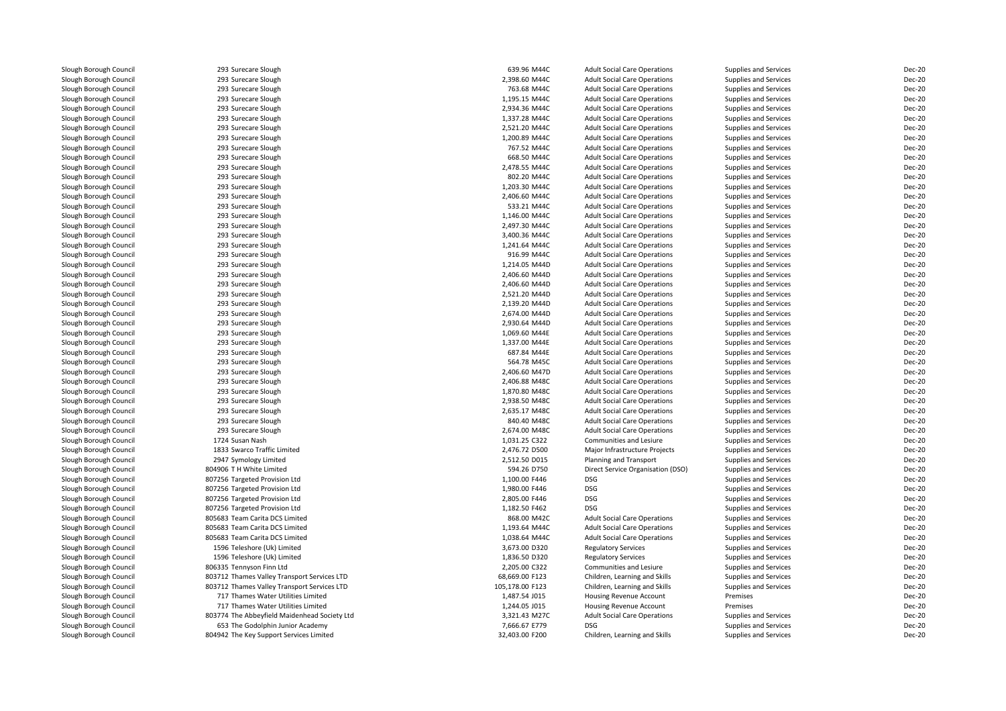Slough Borough Council **293 Surecare Slough Council** 2014 293 Surecare Slough Slough Borough Council <sup>293</sup> Surecare SloughSlough Borough Council 293 Surecare Slough<br>
Slough Borough Council 293 Surecare Slough Slough Borough Council 293 Surecare Slough<br>
Slough Borough Council 293 Surecare Slough Slough Borough Council 293 Surecare Slough<br>
Slough Borough Council 293 Surecare Slough Slough Borough Council 293 Surecare Slough<br>
Slough Borough Council 293 Surecare Slough Slough Borough Council **293 Surecare Slough Council** 2018 Surecare Slough Slough Borough Council **293 Surecare Slough Council** 2018 Surecare Slough Slough Slough Borough Council 293 Surecare Slough<br>
293 Surecare Slough Council 293 Surecare Slough Slough Borough Council<br>Slough Borough Council Slough Borough Council 293 Surecare Slough<br>
Slough Borough Council 293 Surecare Slough Slough Borough Council **293 Surecare Slough Council** 2018 203 Surecare Slough Slough Borough Council **293 Surecare Slough Council** 2014 293 Surecare Slough Slough Borough Council 293 Surecare Slough<br>
Slough Borough Council 293 Surecare Slough Slough Borough Council 293 Surecare Slough<br>
293 Surecare Slough Council 293 Surecare Slough Slough Borough Council 293 Surecare Slough<br>
293 Surecare Slough Council 293 Surecare Slough Slough Borough Council 293 Surecare Slough<br>
293 Surecare Slough Council 293 Surecare Slough Slough Borough Council <sup>293</sup> Surecare SloughSlough Borough Council **293 Surecare Slough Council** 2018 Surecare Slough Slough Borough Council 293 Surecare Slough<br>
Slough Borough Council 293 Surecare Slough Slough Borough Council 293 Surecare Slough<br>
293 Surecare Slough Council 293 Surecare Slough Slough Borough Council **293 Surecare Slough Council** 2014 293 Surecare Slough Slough Borough Council **293 Surecare Slough Council** 2018 Surecare Slough Slough Borough Council 293 Surecare Slough<br>
293 Surecare Slough Council 293 Surecare Slough Slough Borough Council 293 Surecare Slough<br>
293 Surecare Slough Council 293 Surecare Slough Slough Borough Council 293 Surecare Slough<br>
293 Surecare Slough Council 293 Surecare Slough Slough Borough Council 293 Surecare Slough<br>
Slough Borough Council 293 Surecare Slough Slough Borough Council **293 Surecare Slough Council** 2018 203 Surecare Slough Slough Borough Council 293 Surecare Slough<br>
293 Surecare Slough Council 293 Surecare Slough Slough Borough Council 293 Surecare Slough<br>
293 Surecare Slough Council 293 Surecare Slough Slough Borough Council **293 Surecare Slough Council** 2014 293 Surecare Slough Slough Borough Council **293 Surecare Slough Council** 2018 Surecare Slough Slough Borough Council 293 Surecare Slough<br>
293 Surecare Slough Council 293 Surecare Slough Slough Borough Council 293 Surecare Slough<br>
293 Surecare Slough Council 293 Surecare Slough Slough Borough Council 293 Surecare Slough<br>
293 Surecare Slough Council 293 Surecare Slough Slough Borough Council 293 Surecare Slough Borough Council 2008 2014 2015 Slough Borough Council<br>1724 Slough Borough Council Slough Borough Council 1833 Swarco Traffic Limited<br>1833 Swarco Traffic Limited<br>1947 Symology Limited Slough Borough Council <sup>2947</sup> Symology LimitedSlough Borough Council **804906 TH White Limited**<br>Slough Borough Council **807256 Targeted Provision** Slough Borough Council **807256 Targeted Provision Ltd**<br>Slough Borough Council **807256 Targeted Provision Ltd** Slough Borough Council **807256 Targeted Provision Ltd**<br>Slough Borough Council **807256 Targeted Provision Ltd** Slough Borough Council **807256 Targeted Provision Ltd**<br>Slough Borough Council **807256 Targeted Provision Ltd** Slough Borough Council **807256** Targeted Provision Ltd<br>Slough Borough Council **805683** Team Carita DCS Limite Slough Borough Council **806335** Tennyson Finn Ltd<br>Slough Borough Council **803712** Thames Valley Tra

Slough Borough Council 293 Surecare Slough<br>
293 Surecare Slough Council 293 Surecare Slough -<br>
293 Surecare Slough<br>
293 Surecare Slough Slough Borough Council <sup>805683</sup> Team Carita DCS LimitedSlough Borough Council **805683** Team Carita DCS Limited<br>Slough Borough Council **805683** Team Carita DCS Limited Slough Borough Council **805683** Team Carita DCS Limited<br>Slough Borough Council **805 Teleshore (Uk) Limited** Slough Borough Council 1596 Teleshore (Uk) Limited<br>
1596 Teleshore (Uk) Limited<br>
1596 Teleshore (Uk) Limited Slough Borough Council 1596 Teleshore (Uk) Limited<br>
1596 Teleshore (Uk) Limited<br>
206335 Tennyson Finn Ltd Slough Borough Council **803712 Thames Valley Transport Services LTD**<br>1907 Slough Borough Council **803712 Thames Valley Transport Services LTD** Slough Borough Council **803712 Thames Valley Transport Services LTD**<br>Slough Borough Council **1998** 717 Thames Water Utilities Limited Slough Borough Council 11 12 Thames Water Utilities Limited<br>1717 Thames Water Utilities Limited Slough Borough Council **717 Thames Water Utilities Limited**<br>303774 The Abbeyfield Maidenhead So Slough Borough Council 803774 The Abbeyfield Maidenhead Society Ltd<br>803774 The Abbeyfield Maidenhead Society Ltd<br>653 The Godolphin Junior Academy Slough Borough Council 653 The Godolphin Junior Academy 7, 653 The Godolphin Junior Academy 7,666.67 EXT966.67<br>804942 The Key Support Services Limite 804942 The Key Support Services Limited

| ilough                       | 639.96 M44C     | <b>Adult Social Care Operations</b> | Supplies and Services        | Dec-20                         |
|------------------------------|-----------------|-------------------------------------|------------------------------|--------------------------------|
| ilough                       | 2,398.60 M44C   | <b>Adult Social Care Operations</b> | <b>Supplies and Services</b> | <b>Dec-20</b>                  |
| ilough                       | 763.68 M44C     | <b>Adult Social Care Operations</b> | Supplies and Services        | <b>Dec-20</b>                  |
| ilough                       | 1.195.15 M44C   | <b>Adult Social Care Operations</b> | <b>Supplies and Services</b> | <b>Dec-20</b>                  |
| ilough                       | 2,934.36 M44C   | <b>Adult Social Care Operations</b> | <b>Supplies and Services</b> | <b>Dec-20</b>                  |
| ilough                       | 1,337.28 M44C   | <b>Adult Social Care Operations</b> | <b>Supplies and Services</b> | <b>Dec-20</b>                  |
| ilough                       | 2,521.20 M44C   | <b>Adult Social Care Operations</b> | Supplies and Services        | <b>Dec-20</b>                  |
| ilough                       | 1,200.89 M44C   | <b>Adult Social Care Operations</b> | Supplies and Services        | <b>Dec-20</b>                  |
| ilough                       | 767.52 M44C     | <b>Adult Social Care Operations</b> | Supplies and Services        | <b>Dec-20</b>                  |
| ilough                       | 668.50 M44C     | <b>Adult Social Care Operations</b> | Supplies and Services        | Dec-20                         |
| ilough                       | 2,478.55 M44C   | <b>Adult Social Care Operations</b> | <b>Supplies and Services</b> | <b>Dec-20</b>                  |
| ilough                       | 802.20 M44C     | <b>Adult Social Care Operations</b> | Supplies and Services        | <b>Dec-20</b>                  |
| ilough                       | 1,203.30 M44C   | <b>Adult Social Care Operations</b> | <b>Supplies and Services</b> | <b>Dec-20</b>                  |
| ilough                       | 2,406.60 M44C   | <b>Adult Social Care Operations</b> | Supplies and Services        | <b>Dec-20</b>                  |
| ilough                       | 533.21 M44C     | <b>Adult Social Care Operations</b> | Supplies and Services        | <b>Dec-20</b>                  |
| ilough                       | 1,146.00 M44C   | <b>Adult Social Care Operations</b> | <b>Supplies and Services</b> | <b>Dec-20</b>                  |
| ilough                       | 2,497.30 M44C   | <b>Adult Social Care Operations</b> | Supplies and Services        | <b>Dec-20</b>                  |
| ilough                       | 3,400.36 M44C   | <b>Adult Social Care Operations</b> | Supplies and Services        | <b>Dec-20</b>                  |
| ilough                       | 1,241.64 M44C   | <b>Adult Social Care Operations</b> | <b>Supplies and Services</b> | <b>Dec-20</b>                  |
| ilough                       | 916.99 M44C     | <b>Adult Social Care Operations</b> | Supplies and Services        | <b>Dec-20</b>                  |
| ilough                       | 1,214.05 M44D   | <b>Adult Social Care Operations</b> | <b>Supplies and Services</b> | <b>Dec-20</b>                  |
| ilough                       | 2,406.60 M44D   | <b>Adult Social Care Operations</b> | <b>Supplies and Services</b> | <b>Dec-20</b>                  |
| ilough                       | 2,406.60 M44D   | <b>Adult Social Care Operations</b> | <b>Supplies and Services</b> | <b>Dec-20</b>                  |
| ilough                       | 2,521.20 M44D   | <b>Adult Social Care Operations</b> | Supplies and Services        | <b>Dec-20</b>                  |
| ilough                       | 2,139.20 M44D   | <b>Adult Social Care Operations</b> | Supplies and Services        | <b>Dec-20</b>                  |
| ilough                       | 2,674.00 M44D   | <b>Adult Social Care Operations</b> | Supplies and Services        | <b>Dec-20</b>                  |
| ilough                       | 2,930.64 M44D   | <b>Adult Social Care Operations</b> | <b>Supplies and Services</b> | <b>Dec-20</b>                  |
| ilough                       | 1,069.60 M44E   | <b>Adult Social Care Operations</b> | <b>Supplies and Services</b> | <b>Dec-20</b>                  |
| ilough                       | 1,337.00 M44E   | <b>Adult Social Care Operations</b> | Supplies and Services        | <b>Dec-20</b>                  |
| ilough                       | 687.84 M44E     | <b>Adult Social Care Operations</b> | Supplies and Services        | <b>Dec-20</b>                  |
| ilough                       | 564.78 M45C     | <b>Adult Social Care Operations</b> | Supplies and Services        | <b>Dec-20</b>                  |
| ilough                       | 2,406.60 M47D   | <b>Adult Social Care Operations</b> | <b>Supplies and Services</b> | <b>Dec-20</b>                  |
|                              | 2,406.88 M48C   | <b>Adult Social Care Operations</b> | Supplies and Services        | <b>Dec-20</b>                  |
| ilough<br>ilough             | 1,870.80 M48C   | <b>Adult Social Care Operations</b> | Supplies and Services        | <b>Dec-20</b>                  |
|                              | 2,938.50 M48C   | <b>Adult Social Care Operations</b> | Supplies and Services        | <b>Dec-20</b>                  |
| ilough                       | 2,635.17 M48C   |                                     |                              | <b>Dec-20</b>                  |
| ilough                       | 840.40 M48C     | <b>Adult Social Care Operations</b> | <b>Supplies and Services</b> | <b>Dec-20</b>                  |
| ilough                       |                 | <b>Adult Social Care Operations</b> | Supplies and Services        |                                |
| ilough                       | 2,674.00 M48C   | <b>Adult Social Care Operations</b> | <b>Supplies and Services</b> | <b>Dec-20</b><br><b>Dec-20</b> |
|                              | 1,031.25 C322   | Communities and Lesiure             | Supplies and Services        |                                |
| affic Limited                | 2,476.72 D500   | Major Infrastructure Projects       | Supplies and Services        | <b>Dec-20</b>                  |
| Limited                      | 2,512.50 D015   | Planning and Transport              | <b>Supplies and Services</b> | <b>Dec-20</b>                  |
| Limited                      | 594.26 D750     | Direct Service Organisation (DSO)   | Supplies and Services        | <b>Dec-20</b>                  |
| Provision Ltd                | 1,100.00 F446   | <b>DSG</b>                          | Supplies and Services        | <b>Dec-20</b>                  |
| Provision Ltd                | 1,980.00 F446   | <b>DSG</b>                          | Supplies and Services        | <b>Dec-20</b>                  |
| Provision Ltd                | 2,805.00 F446   | DSG                                 | Supplies and Services        | Dec-20                         |
| Provision Ltd                | 1,182.50 F462   | <b>DSG</b>                          | Supplies and Services        | <b>Dec-20</b>                  |
| ta DCS Limited               | 868.00 M42C     | <b>Adult Social Care Operations</b> | Supplies and Services        | <b>Dec-20</b>                  |
| ta DCS Limited               | 1,193.64 M44C   | <b>Adult Social Care Operations</b> | <b>Supplies and Services</b> | <b>Dec-20</b>                  |
| ta DCS Limited               | 1,038.64 M44C   | <b>Adult Social Care Operations</b> | <b>Supplies and Services</b> | <b>Dec-20</b>                  |
| (Uk) Limited                 | 3,673.00 D320   | <b>Regulatory Services</b>          | Supplies and Services        | <b>Dec-20</b>                  |
| (Uk) Limited                 | 1,836.50 D320   | <b>Regulatory Services</b>          | Supplies and Services        | <b>Dec-20</b>                  |
| Finn Ltd                     | 2,205.00 C322   | Communities and Lesiure             | <b>Supplies and Services</b> | <b>Dec-20</b>                  |
| alley Transport Services LTD | 68,669.00 F123  | Children, Learning and Skills       | Supplies and Services        | <b>Dec-20</b>                  |
| alley Transport Services LTD | 105,178.00 F123 | Children, Learning and Skills       | Supplies and Services        | <b>Dec-20</b>                  |
| ater Utilities Limited       | 1,487.54 J015   | Housing Revenue Account             | Premises                     | <b>Dec-20</b>                  |
| ater Utilities Limited       | 1,244.05 J015   | Housing Revenue Account             | Premises                     | <b>Dec-20</b>                  |
| field Maidenhead Society Ltd | 3,321.43 M27C   | <b>Adult Social Care Operations</b> | <b>Supplies and Services</b> | <b>Dec-20</b>                  |
| phin Junior Academy          | 7,666.67 E779   | <b>DSG</b>                          | Supplies and Services        | <b>Dec-20</b>                  |
| upport Services Limited      | 32,403.00 F200  | Children, Learning and Skills       | <b>Supplies and Services</b> | <b>Dec-20</b>                  |
|                              |                 |                                     |                              |                                |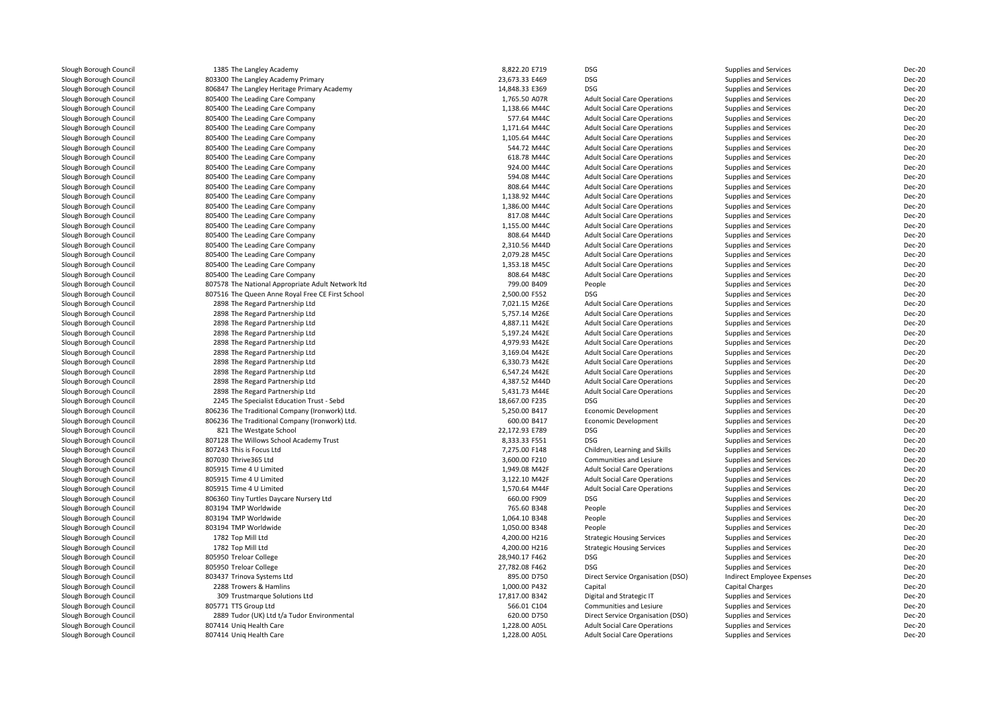| Slough Borough Council | 1385 The Langley Academy                          | 8,822.20 E719  | <b>DSG</b>                          | Supplies and Services        | <b>Dec-20</b> |
|------------------------|---------------------------------------------------|----------------|-------------------------------------|------------------------------|---------------|
| Slough Borough Council | 803300 The Langley Academy Primary                | 23,673.33 E469 | <b>DSG</b>                          | Supplies and Services        | <b>Dec-20</b> |
| Slough Borough Council | 806847 The Langley Heritage Primary Academy       | 14,848.33 E369 | <b>DSG</b>                          | Supplies and Services        | <b>Dec-20</b> |
| Slough Borough Council | 805400 The Leading Care Company                   | 1,765.50 A07R  | <b>Adult Social Care Operations</b> | Supplies and Services        | <b>Dec-20</b> |
| Slough Borough Council | 805400 The Leading Care Company                   | 1,138.66 M44C  | <b>Adult Social Care Operations</b> | <b>Supplies and Services</b> | <b>Dec-20</b> |
| Slough Borough Council | 805400 The Leading Care Company                   | 577.64 M44C    | <b>Adult Social Care Operations</b> | Supplies and Services        | <b>Dec-20</b> |
| Slough Borough Council | 805400 The Leading Care Company                   | 1,171.64 M44C  | <b>Adult Social Care Operations</b> | Supplies and Services        | <b>Dec-20</b> |
| Slough Borough Council | 805400 The Leading Care Company                   | 1,105.64 M44C  | <b>Adult Social Care Operations</b> | <b>Supplies and Services</b> | <b>Dec-20</b> |
| Slough Borough Council | 805400 The Leading Care Company                   | 544.72 M44C    | <b>Adult Social Care Operations</b> | Supplies and Services        | <b>Dec-20</b> |
| Slough Borough Council | 805400 The Leading Care Company                   | 618.78 M44C    | <b>Adult Social Care Operations</b> | Supplies and Services        | <b>Dec-20</b> |
| Slough Borough Council | 805400 The Leading Care Company                   | 924.00 M44C    | <b>Adult Social Care Operations</b> | <b>Supplies and Services</b> | <b>Dec-20</b> |
| Slough Borough Council | 805400 The Leading Care Company                   | 594.08 M44C    | <b>Adult Social Care Operations</b> | <b>Supplies and Services</b> | <b>Dec-20</b> |
| Slough Borough Council | 805400 The Leading Care Company                   | 808.64 M44C    | <b>Adult Social Care Operations</b> | Supplies and Services        | <b>Dec-20</b> |
| Slough Borough Council | 805400 The Leading Care Company                   | 1,138.92 M44C  | <b>Adult Social Care Operations</b> | Supplies and Services        | <b>Dec-20</b> |
| Slough Borough Council | 805400 The Leading Care Company                   | 1,386.00 M44C  | <b>Adult Social Care Operations</b> | <b>Supplies and Services</b> | <b>Dec-20</b> |
| Slough Borough Council | 805400 The Leading Care Company                   | 817.08 M44C    | <b>Adult Social Care Operations</b> | Supplies and Services        | <b>Dec-20</b> |
| Slough Borough Council | 805400 The Leading Care Company                   | 1.155.00 M44C  | <b>Adult Social Care Operations</b> | <b>Supplies and Services</b> | <b>Dec-20</b> |
| Slough Borough Council | 805400 The Leading Care Company                   | 808.64 M44D    | <b>Adult Social Care Operations</b> | Supplies and Services        | <b>Dec-20</b> |
| Slough Borough Council | 805400 The Leading Care Company                   | 2,310.56 M44D  | <b>Adult Social Care Operations</b> | <b>Supplies and Services</b> | <b>Dec-20</b> |
| Slough Borough Council | 805400 The Leading Care Company                   | 2,079.28 M45C  | <b>Adult Social Care Operations</b> | <b>Supplies and Services</b> | <b>Dec-20</b> |
|                        |                                                   | 1,353.18 M45C  |                                     |                              | <b>Dec-20</b> |
| Slough Borough Council | 805400 The Leading Care Company                   | 808.64 M48C    | <b>Adult Social Care Operations</b> | Supplies and Services        | <b>Dec-20</b> |
| Slough Borough Council | 805400 The Leading Care Company                   |                | <b>Adult Social Care Operations</b> | Supplies and Services        |               |
| Slough Borough Council | 807578 The National Appropriate Adult Network Itd | 799.00 B409    | People                              | Supplies and Services        | <b>Dec-20</b> |
| Slough Borough Council | 807516 The Queen Anne Royal Free CE First School  | 2,500.00 F552  | <b>DSG</b>                          | Supplies and Services        | <b>Dec-20</b> |
| Slough Borough Council | 2898 The Regard Partnership Ltd                   | 7,021.15 M26E  | <b>Adult Social Care Operations</b> | Supplies and Services        | <b>Dec-20</b> |
| Slough Borough Council | 2898 The Regard Partnership Ltd                   | 5,757.14 M26E  | <b>Adult Social Care Operations</b> | Supplies and Services        | <b>Dec-20</b> |
| Slough Borough Council | 2898 The Regard Partnership Ltd                   | 4,887.11 M42E  | <b>Adult Social Care Operations</b> | Supplies and Services        | <b>Dec-20</b> |
| Slough Borough Council | 2898 The Regard Partnership Ltd                   | 5,197.24 M42E  | <b>Adult Social Care Operations</b> | Supplies and Services        | <b>Dec-20</b> |
| Slough Borough Council | 2898 The Regard Partnership Ltd                   | 4,979.93 M42E  | <b>Adult Social Care Operations</b> | Supplies and Services        | <b>Dec-20</b> |
| Slough Borough Council | 2898 The Regard Partnership Ltd                   | 3,169.04 M42E  | <b>Adult Social Care Operations</b> | Supplies and Services        | <b>Dec-20</b> |
| Slough Borough Council | 2898 The Regard Partnership Ltd                   | 6,330.73 M42E  | <b>Adult Social Care Operations</b> | <b>Supplies and Services</b> | <b>Dec-20</b> |
| Slough Borough Council | 2898 The Regard Partnership Ltd                   | 6,547.24 M42E  | <b>Adult Social Care Operations</b> | Supplies and Services        | <b>Dec-20</b> |
| Slough Borough Council | 2898 The Regard Partnership Ltd                   | 4,387.52 M44D  | <b>Adult Social Care Operations</b> | Supplies and Services        | <b>Dec-20</b> |
| Slough Borough Council | 2898 The Regard Partnership Ltd                   | 5,431.73 M44E  | <b>Adult Social Care Operations</b> | <b>Supplies and Services</b> | <b>Dec-20</b> |
| Slough Borough Council | 2245 The Specialist Education Trust - Sebd        | 18,667.00 F235 | <b>DSG</b>                          | Supplies and Services        | <b>Dec-20</b> |
| Slough Borough Council | 806236 The Traditional Company (Ironwork) Ltd.    | 5,250.00 B417  | <b>Economic Development</b>         | Supplies and Services        | <b>Dec-20</b> |
| Slough Borough Council | 806236 The Traditional Company (Ironwork) Ltd.    | 600.00 B417    | <b>Economic Development</b>         | Supplies and Services        | <b>Dec-20</b> |
| Slough Borough Council | 821 The Westgate School                           | 22,172.93 E789 | <b>DSG</b>                          | Supplies and Services        | <b>Dec-20</b> |
| Slough Borough Council | 807128 The Willows School Academy Trust           | 8,333.33 F551  | <b>DSG</b>                          | Supplies and Services        | <b>Dec-20</b> |
| Slough Borough Council | 807243 This is Focus Ltd                          | 7,275.00 F148  | Children, Learning and Skills       | <b>Supplies and Services</b> | <b>Dec-20</b> |
| Slough Borough Council | 807030 Thrive365 Ltd                              | 3,600.00 F210  | Communities and Lesiure             | Supplies and Services        | <b>Dec-20</b> |
| Slough Borough Council | 805915 Time 4 U Limited                           | 1,949.08 M42F  | <b>Adult Social Care Operations</b> | Supplies and Services        | <b>Dec-20</b> |
| Slough Borough Council | 805915 Time 4 U Limited                           | 3,122.10 M42F  | <b>Adult Social Care Operations</b> | Supplies and Services        | <b>Dec-20</b> |
| Slough Borough Council | 805915 Time 4 U Limited                           | 1,570.64 M44F  | <b>Adult Social Care Operations</b> | Supplies and Services        | <b>Dec-20</b> |
| Slough Borough Council | 806360 Tiny Turtles Daycare Nursery Ltd           | 660.00 F909    | <b>DSG</b>                          | Supplies and Services        | <b>Dec-20</b> |
| Slough Borough Council | 803194 TMP Worldwide                              | 765.60 B348    | People                              | Supplies and Services        | <b>Dec-20</b> |
| Slough Borough Council | 803194 TMP Worldwide                              | 1,064.10 B348  | People                              | Supplies and Services        | <b>Dec-20</b> |
| Slough Borough Council | 803194 TMP Worldwide                              | 1,050.00 B348  | People                              | Supplies and Services        | <b>Dec-20</b> |
| Slough Borough Council | 1782 Top Mill Ltd                                 | 4,200.00 H216  | <b>Strategic Housing Services</b>   | Supplies and Services        | <b>Dec-20</b> |
| Slough Borough Council | 1782 Top Mill Ltd                                 | 4,200.00 H216  | <b>Strategic Housing Services</b>   | Supplies and Services        | <b>Dec-20</b> |
| Slough Borough Council | 805950 Treloar College                            | 28,940.17 F462 | <b>DSG</b>                          | <b>Supplies and Services</b> | <b>Dec-20</b> |
| Slough Borough Council | 805950 Treloar College                            | 27,782.08 F462 | <b>DSG</b>                          | Supplies and Services        | <b>Dec-20</b> |
| Slough Borough Council | 803437 Trinova Systems Ltd                        | 895.00 D750    | Direct Service Organisation (DSO)   | Indirect Employee Expenses   | <b>Dec-20</b> |
|                        |                                                   |                |                                     |                              |               |
| Slough Borough Council | 2288 Trowers & Hamlins                            | 1,000.00 P432  | Capital                             | Capital Charges              | <b>Dec-20</b> |
| Slough Borough Council | 309 Trustmarque Solutions Ltd                     | 17,817.00 B342 | Digital and Strategic IT            | Supplies and Services        | <b>Dec-20</b> |
| Slough Borough Council | 805771 TTS Group Ltd                              | 566.01 C104    | Communities and Lesiure             | <b>Supplies and Services</b> | <b>Dec-20</b> |
| Slough Borough Council | 2889 Tudor (UK) Ltd t/a Tudor Environmental       | 620.00 D750    | Direct Service Organisation (DSO)   | Supplies and Services        | <b>Dec-20</b> |
| Slough Borough Council | 807414 Uniq Health Care                           | 1,228.00 A05L  | <b>Adult Social Care Operations</b> | Supplies and Services        | <b>Dec-20</b> |
| Slough Borough Council | 807414 Uniq Health Care                           | 1.228.00 A05L  | <b>Adult Social Care Operations</b> | Supplies and Services        | <b>Dec-20</b> |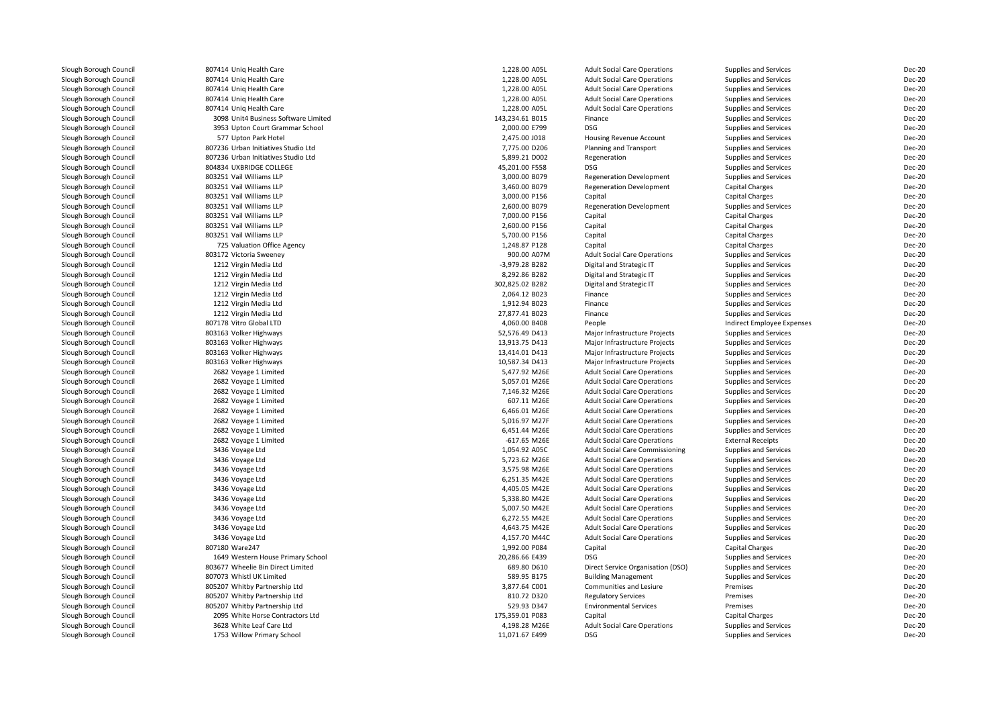| Slough Borough Council | 807414 Unig Health Care              | 1,228.00 A05L   | <b>Adult Social Care Operations</b> | Supplies and Services        | <b>Dec-20</b> |
|------------------------|--------------------------------------|-----------------|-------------------------------------|------------------------------|---------------|
| Slough Borough Council | 807414 Uniq Health Care              | 1,228.00 A05L   | <b>Adult Social Care Operations</b> | Supplies and Services        | <b>Dec-20</b> |
| Slough Borough Council | 807414 Uniq Health Care              | 1,228.00 A05L   | <b>Adult Social Care Operations</b> | <b>Supplies and Services</b> | <b>Dec-20</b> |
| Slough Borough Council | 807414 Uniq Health Care              | 1,228.00 A05L   | <b>Adult Social Care Operations</b> | Supplies and Services        | <b>Dec-20</b> |
| Slough Borough Council | 807414 Uniq Health Care              | 1,228.00 A05L   | <b>Adult Social Care Operations</b> | Supplies and Services        | <b>Dec-20</b> |
| Slough Borough Council | 3098 Unit4 Business Software Limited | 143,234.61 B015 | Finance                             | Supplies and Services        | Dec-20        |
| Slough Borough Council | 3953 Upton Court Grammar School      | 2,000.00 E799   | <b>DSG</b>                          | Supplies and Services        | <b>Dec-20</b> |
| Slough Borough Council | 577 Upton Park Hotel                 | 2,475.00 J018   | Housing Revenue Account             | Supplies and Services        | <b>Dec-20</b> |
| Slough Borough Council | 807236 Urban Initiatives Studio Ltd  | 7,775.00 D206   | Planning and Transport              | <b>Supplies and Services</b> | Dec-20        |
| Slough Borough Council | 807236 Urban Initiatives Studio Ltd  | 5,899.21 D002   | Regeneration                        | Supplies and Services        | <b>Dec-20</b> |
| Slough Borough Council | 804834 UXBRIDGE COLLEGE              | 45,201.00 F558  | <b>DSG</b>                          | Supplies and Services        | Dec-20        |
| Slough Borough Council | 803251 Vail Williams LLP             | 3,000.00 B079   | <b>Regeneration Development</b>     | Supplies and Services        | <b>Dec-20</b> |
| Slough Borough Council | 803251 Vail Williams LLP             | 3,460.00 B079   | <b>Regeneration Development</b>     | <b>Capital Charges</b>       | <b>Dec-20</b> |
| Slough Borough Council | 803251 Vail Williams LLP             | 3,000.00 P156   | Capital                             | Capital Charges              | <b>Dec-20</b> |
| Slough Borough Council | 803251 Vail Williams LLP             | 2,600.00 B079   | <b>Regeneration Development</b>     | Supplies and Services        | <b>Dec-20</b> |
| Slough Borough Council | 803251 Vail Williams LLP             | 7.000.00 P156   | Capital                             | <b>Capital Charges</b>       | <b>Dec-20</b> |
| Slough Borough Council | 803251 Vail Williams LLP             | 2,600.00 P156   | Capital                             | Capital Charges              | <b>Dec-20</b> |
| Slough Borough Council | 803251 Vail Williams LLP             | 5,700.00 P156   | Capital                             | Capital Charges              | <b>Dec-20</b> |
| Slough Borough Council | 725 Valuation Office Agency          | 1,248.87 P128   | Capital                             | Capital Charges              | <b>Dec-20</b> |
|                        | 803172 Victoria Sweeney              | 900.00 A07M     | <b>Adult Social Care Operations</b> | Supplies and Services        | <b>Dec-20</b> |
| Slough Borough Council | 1212 Virgin Media Ltd                | -3,979.28 B282  | Digital and Strategic IT            | <b>Supplies and Services</b> | <b>Dec-20</b> |
| Slough Borough Council | 1212 Virgin Media Ltd                | 8,292.86 B282   |                                     |                              | <b>Dec-20</b> |
| Slough Borough Council |                                      |                 | Digital and Strategic IT            | Supplies and Services        |               |
| Slough Borough Council | 1212 Virgin Media Ltd                | 302,825.02 B282 | Digital and Strategic IT            | Supplies and Services        | <b>Dec-20</b> |
| Slough Borough Council | 1212 Virgin Media Ltd                | 2,064.12 B023   | Finance                             | Supplies and Services        | <b>Dec-20</b> |
| Slough Borough Council | 1212 Virgin Media Ltd                | 1,912.94 B023   | Finance                             | Supplies and Services        | Dec-20        |
| Slough Borough Council | 1212 Virgin Media Ltd                | 27,877.41 B023  | Finance                             | Supplies and Services        | <b>Dec-20</b> |
| Slough Borough Council | 807178 Vitro Global LTD              | 4,060.00 B408   | People                              | Indirect Employee Expenses   | <b>Dec-20</b> |
| Slough Borough Council | 803163 Volker Highways               | 52,576.49 D413  | Major Infrastructure Projects       | <b>Supplies and Services</b> | <b>Dec-20</b> |
| Slough Borough Council | 803163 Volker Highways               | 13,913.75 D413  | Major Infrastructure Projects       | Supplies and Services        | <b>Dec-20</b> |
| Slough Borough Council | 803163 Volker Highways               | 13,414.01 D413  | Major Infrastructure Projects       | Supplies and Services        | <b>Dec-20</b> |
| Slough Borough Council | 803163 Volker Highways               | 10,587.34 D413  | Major Infrastructure Projects       | Supplies and Services        | <b>Dec-20</b> |
| Slough Borough Council | 2682 Voyage 1 Limited                | 5,477.92 M26E   | <b>Adult Social Care Operations</b> | Supplies and Services        | Dec-20        |
| Slough Borough Council | 2682 Voyage 1 Limited                | 5,057.01 M26E   | <b>Adult Social Care Operations</b> | Supplies and Services        | <b>Dec-20</b> |
| Slough Borough Council | 2682 Voyage 1 Limited                | 7,146.32 M26E   | <b>Adult Social Care Operations</b> | Supplies and Services        | <b>Dec-20</b> |
| Slough Borough Council | 2682 Voyage 1 Limited                | 607.11 M26E     | <b>Adult Social Care Operations</b> | <b>Supplies and Services</b> | <b>Dec-20</b> |
| Slough Borough Council | 2682 Voyage 1 Limited                | 6,466.01 M26E   | <b>Adult Social Care Operations</b> | Supplies and Services        | <b>Dec-20</b> |
| Slough Borough Council | 2682 Voyage 1 Limited                | 5.016.97 M27F   | <b>Adult Social Care Operations</b> | <b>Supplies and Services</b> | <b>Dec-20</b> |
| Slough Borough Council | 2682 Voyage 1 Limited                | 6,451.44 M26E   | <b>Adult Social Care Operations</b> | Supplies and Services        | <b>Dec-20</b> |
| Slough Borough Council | 2682 Voyage 1 Limited                | -617.65 M26E    | <b>Adult Social Care Operations</b> | <b>External Receipts</b>     | <b>Dec-20</b> |
| Slough Borough Council | 3436 Voyage Ltd                      | 1,054.92 A05C   | Adult Social Care Commissioning     | <b>Supplies and Services</b> | <b>Dec-20</b> |
| Slough Borough Council | 3436 Voyage Ltd                      | 5,723.62 M26E   | <b>Adult Social Care Operations</b> | Supplies and Services        | <b>Dec-20</b> |
| Slough Borough Council | 3436 Voyage Ltd                      | 3,575.98 M26E   | <b>Adult Social Care Operations</b> | <b>Supplies and Services</b> | <b>Dec-20</b> |
| Slough Borough Council | 3436 Voyage Ltd                      | 6,251.35 M42E   | <b>Adult Social Care Operations</b> | Supplies and Services        | <b>Dec-20</b> |
| Slough Borough Council | 3436 Voyage Ltd                      | 4,405.05 M42E   | <b>Adult Social Care Operations</b> | Supplies and Services        | <b>Dec-20</b> |
| Slough Borough Council | 3436 Voyage Ltd                      | 5,338.80 M42E   | <b>Adult Social Care Operations</b> | Supplies and Services        | <b>Dec-20</b> |
| Slough Borough Council | 3436 Voyage Ltd                      | 5,007.50 M42E   | <b>Adult Social Care Operations</b> | <b>Supplies and Services</b> | <b>Dec-20</b> |
| Slough Borough Council | 3436 Voyage Ltd                      | 6,272.55 M42E   | <b>Adult Social Care Operations</b> | Supplies and Services        | <b>Dec-20</b> |
| Slough Borough Council | 3436 Voyage Ltd                      | 4,643.75 M42E   | <b>Adult Social Care Operations</b> | Supplies and Services        | <b>Dec-20</b> |
| Slough Borough Council | 3436 Voyage Ltd                      | 4,157.70 M44C   | <b>Adult Social Care Operations</b> | Supplies and Services        | <b>Dec-20</b> |
| Slough Borough Council | 807180 Ware247                       | 1,992.00 P084   | Capital                             | <b>Capital Charges</b>       | <b>Dec-20</b> |
| Slough Borough Council | 1649 Western House Primary School    | 20,286.66 E439  | <b>DSG</b>                          | <b>Supplies and Services</b> | <b>Dec-20</b> |
| Slough Borough Council | 803677 Wheelie Bin Direct Limited    | 689.80 D610     | Direct Service Organisation (DSO)   | Supplies and Services        | <b>Dec-20</b> |
| Slough Borough Council | 807073 Whistl UK Limited             | 589.95 B175     | <b>Building Management</b>          | <b>Supplies and Services</b> | <b>Dec-20</b> |
| Slough Borough Council | 805207 Whitby Partnership Ltd        | 3,877.64 C001   | Communities and Lesiure             | Premises                     | <b>Dec-20</b> |
| Slough Borough Council | 805207 Whitby Partnership Ltd        | 810.72 D320     | <b>Regulatory Services</b>          | Premises                     | <b>Dec-20</b> |
| Slough Borough Council | 805207 Whitby Partnership Ltd        | 529.93 D347     | <b>Environmental Services</b>       | Premises                     | <b>Dec-20</b> |
| Slough Borough Council | 2095 White Horse Contractors Ltd     | 175,359.01 P083 | Capital                             | Capital Charges              | <b>Dec-20</b> |
| Slough Borough Council | 3628 White Leaf Care Ltd             | 4,198.28 M26E   | <b>Adult Social Care Operations</b> | Supplies and Services        | <b>Dec-20</b> |
| Slough Borough Council | 1753 Willow Primary School           | 11,071.67 E499  | <b>DSG</b>                          | Supplies and Services        | <b>Dec-20</b> |
|                        |                                      |                 |                                     |                              |               |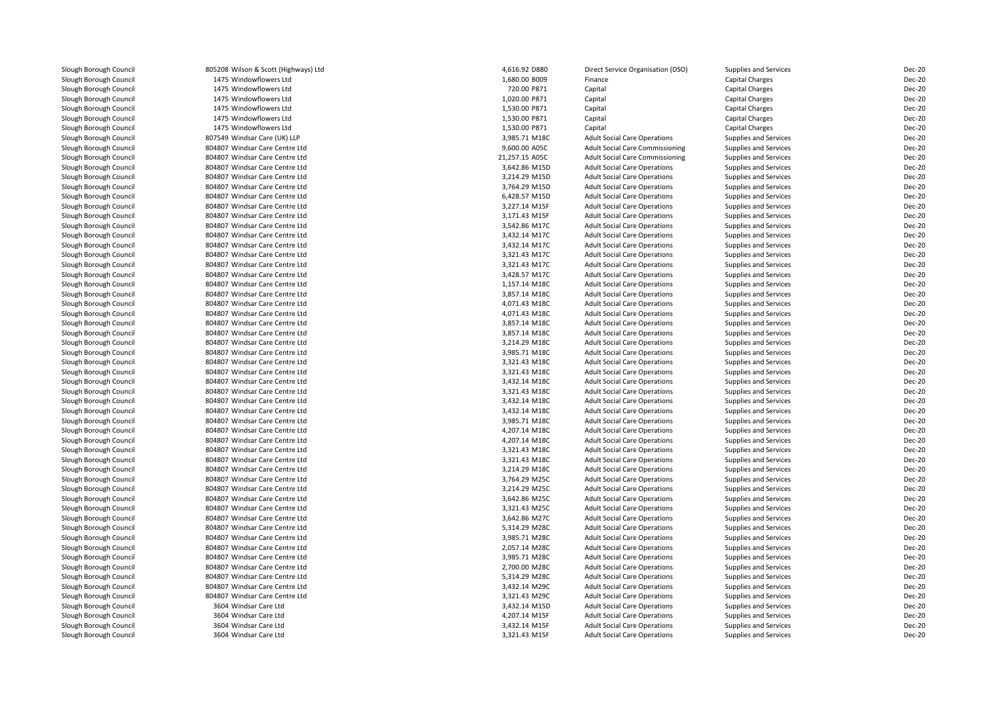Slough Borough Council<br>1475 Slough Borough Council Slough Borough Council<br>Slough Borough Council Slough Borough Council

Slough Borough Council **805208** Wilson & Scott (Highways) Ltd 805208 Wilson & Scott (Highways) Ltd Slough Borough Slough Borough Council 1475 Windowflowers Ltd<br>
1475 Windowflowers Ltd<br>
1475 Windowflowers Ltd Slough Borough Council 1475 Windowflowers Ltd<br>
1475 Windowflowers Ltd<br>
1475 Windowflowers Ltd Slough Borough Council 1475 Windowflowers Ltd<br>
Slough Borough Council 1475 Windowflowers Ltd Slough Borough Council 1475 Windowflowers Ltd<br>
1475 Windowflowers Ltd<br>
1475 Windowflowers Ltd Slough Borough Council 1475 Windowflowers Ltd<br>
Slough Borough Council 1500 200549 Windsar Care (UK) L Slough Borough Council **807549** Windsar Care (UK) LLP<br>Slough Borough Council **804807** Windsar Care Centre L Slough Borough Council **804807** Windsar Care Centre Ltd<br>Slough Borough Council **804807** Windsar Care Centre Ltd Slough Borough Council **804807** Windsar Care Centre Ltd<br>Slough Borough Council **804807** Windsar Care Centre Ltd Slough Borough Council <sup>804807</sup> Windsar Care Centre LtdSlough Borough Council **804807** Windsar Care Centre Ltd<br>Slough Borough Council **804807** Windsar Care Centre Ltd Slough Borough Council **804807** Windsar Care Centre Ltd<br>Slough Borough Council **804807** Windsar Care Centre Ltd Slough Borough Council **804807** Windsar Care Centre Ltd<br>804807 Windsar Care Centre Ltd Slough Borough Council <sup>804807</sup> Windsar Care Centre LtdSlough Borough Council **804807** Windsar Care Centre Ltd<br>804807 Windsar Care Centre Ltd Slough Borough Council **804807** Windsar Care Centre Ltd<br>804807 Windsar Care Centre Ltd Slough Borough Council **804807** Windsar Care Centre Ltd<br>Slough Borough Council **804807** Windsar Care Centre Ltd Slough Borough Council **804807** Windsar Care Centre Ltd<br>Slough Borough Council **804807** Windsar Care Centre Ltd Slough Borough Council <sup>804807</sup> Windsar Care Centre LtdSlough Borough Council <sup>804807</sup> Windsar Care Centre LtdSlough Borough Council <sup>804807</sup> Windsar Care Centre LtdSlough Borough Council <sup>804807</sup> Windsar Care Centre LtdSlough Borough Council <sup>804807</sup> Windsar Care Centre LtdSlough Borough Council <sup>804807</sup> Windsar Care Centre LtdSlough Borough Council <sup>804807</sup> Windsar Care Centre LtdSlough Borough Council **804807** Windsar Care Centre Ltd<br>Slough Borough Council **804807** Windsar Care Centre Ltd Slough Borough Council **804807** Windsar Care Centre Ltd<br>Slough Borough Council **804807** Windsar Care Centre Ltd Slough Borough Council <sup>804807</sup> Windsar Care Centre LtdSlough Borough Council **804807** Windsar Care Centre Ltd<br>Slough Borough Council **804807** Windsar Care Centre Ltd Slough Borough Council **804807** Windsar Care Centre Ltd<br>804807 Windsar Care Centre Ltd Slough Borough Council **804807** Windsar Care Centre Ltd<br>804807 Windsar Care Centre Ltd Slough Borough Council <sup>804807</sup> Windsar Care Centre LtdSlough Borough Council <sup>804807</sup> Windsar Care Centre LtdSlough Borough Council **804807** Windsar Care Centre Ltd<br>Slough Borough Council **804807** Windsar Care Centre Ltd Slough Borough Council **804807** Windsar Care Centre Ltd<br>Slough Borough Council **804807** Windsar Care Centre Ltd Slough Borough Council **804807** Windsar Care Centre Ltd<br>Slough Borough Council **804807** Windsar Care Centre Ltd Slough Borough Council <sup>804807</sup> Windsar Care Centre LtdSlough Borough Council **804807** Windsar Care Centre Ltd<br>Slough Borough Council **804807** Windsar Care Centre Ltd Slough Borough Council <sup>804807</sup> Windsar Care Centre LtdSlough Borough Council <sup>804807</sup> Windsar Care Centre LtdSlough Borough Council <sup>804807</sup> Windsar Care Centre LtdSlough Borough Council **804807** Windsar Care Centre Ltd<br>Slough Borough Council **804807** Windsar Care Centre Ltd Slough Borough Council **804807** Windsar Care Centre Ltd<br>Slough Borough Council **804807** Windsar Care Centre Ltd Slough Borough Council **804807** Windsar Care Centre Ltd<br>Slough Borough Council **804807** Windsar Care Centre Ltd Slough Borough Council **804807** Windsar Care Centre Ltd<br>804807 Windsar Care Centre Ltd Slough Borough Council <sup>804807</sup> Windsar Care Centre LtdSlough Borough Council **804807** Windsar Care Centre Ltd<br>804807 Windsar Care Centre Ltd Slough Borough Council <sup>804807</sup> Windsar Care Centre LtdSlough Borough Council <sup>804807</sup> Windsar Care Centre LtdSlough Borough Council **804807** Windsar Care Centre Ltd<br>804807 Windsar Care Centre Ltd Slough Borough Council **804807** Windsar Care Centre Ltd<br>Slough Borough Council **804807** Windsar Care Centre Ltd Slough Borough Council **804807** Windsar Care Centre Ltd<br>Slough Borough Council **804807** Windsar Care Centre Ltd Slough Borough Council **804807** Windsar Care Centre Ltd<br>Slough Borough Council **804807** Windsar Care Centre Ltd 804807 Windsar Care Centre Ltd<br>3604 Windsar Care Ltd 3604 Windsar Care Ltd<br>3604 Windsar Care Ltd Slough Borough Council 1980 1804 Windsar Care Ltd<br>1960 1804 Windsar Care Ltd

| Highways) Ltd | 4,616.92 D880  | Direct Service Organisation (DSO)      | Supplies and Services        | <b>Dec-20</b> |
|---------------|----------------|----------------------------------------|------------------------------|---------------|
| Ltd           | 1,680.00 B009  | Finance                                | Capital Charges              | <b>Dec-20</b> |
| Ltd           | 720.00 P871    | Capital                                | Capital Charges              | <b>Dec-20</b> |
| Ltd           | 1,020.00 P871  | Capital                                | <b>Capital Charges</b>       | <b>Dec-20</b> |
| Ltd           | 1,530.00 P871  | Capital                                | Capital Charges              | <b>Dec-20</b> |
| Ltd           | 1,530.00 P871  | Capital                                | Capital Charges              | <b>Dec-20</b> |
| Ltd           | 1,530.00 P871  | Capital                                | Capital Charges              | <b>Dec-20</b> |
| IK) LLP       | 3,985.71 M18C  | <b>Adult Social Care Operations</b>    | Supplies and Services        | <b>Dec-20</b> |
| entre Ltd     | 9,600.00 A05C  | <b>Adult Social Care Commissioning</b> | Supplies and Services        | <b>Dec-20</b> |
| entre Ltd     | 21,257.15 A05C | <b>Adult Social Care Commissioning</b> | Supplies and Services        | <b>Dec-20</b> |
| entre Ltd     | 3,642.86 M15D  | <b>Adult Social Care Operations</b>    | Supplies and Services        | <b>Dec-20</b> |
| entre Ltd     | 3,214.29 M15D  | <b>Adult Social Care Operations</b>    | Supplies and Services        | <b>Dec-20</b> |
| entre Ltd     | 3,764.29 M15D  | <b>Adult Social Care Operations</b>    | Supplies and Services        | <b>Dec-20</b> |
| entre Ltd     | 6,428.57 M15D  | <b>Adult Social Care Operations</b>    | Supplies and Services        | <b>Dec-20</b> |
| entre Ltd     | 3,227.14 M15F  | <b>Adult Social Care Operations</b>    | Supplies and Services        | <b>Dec-20</b> |
| entre Ltd     | 3,171.43 M15F  | <b>Adult Social Care Operations</b>    | Supplies and Services        | <b>Dec-20</b> |
| entre Ltd     | 3,542.86 M17C  | <b>Adult Social Care Operations</b>    | Supplies and Services        | <b>Dec-20</b> |
| entre Ltd     | 3,432.14 M17C  | <b>Adult Social Care Operations</b>    | Supplies and Services        | <b>Dec-20</b> |
| entre Ltd     | 3,432.14 M17C  | <b>Adult Social Care Operations</b>    | Supplies and Services        | <b>Dec-20</b> |
| entre Ltd     | 3,321.43 M17C  | <b>Adult Social Care Operations</b>    | Supplies and Services        | <b>Dec-20</b> |
| entre Ltd     | 3,321.43 M17C  | <b>Adult Social Care Operations</b>    | Supplies and Services        | <b>Dec-20</b> |
| entre Ltd     | 3,428.57 M17C  | <b>Adult Social Care Operations</b>    | Supplies and Services        | <b>Dec-20</b> |
| entre Ltd     | 1,157.14 M18C  | <b>Adult Social Care Operations</b>    | Supplies and Services        | <b>Dec-20</b> |
| entre Ltd     | 3,857.14 M18C  | <b>Adult Social Care Operations</b>    | Supplies and Services        | <b>Dec-20</b> |
| entre Ltd     | 4,071.43 M18C  | <b>Adult Social Care Operations</b>    | Supplies and Services        | <b>Dec-20</b> |
| entre Ltd     | 4,071.43 M18C  | <b>Adult Social Care Operations</b>    | Supplies and Services        | <b>Dec-20</b> |
| entre Ltd     | 3,857.14 M18C  | <b>Adult Social Care Operations</b>    | <b>Supplies and Services</b> | <b>Dec-20</b> |
| entre Ltd     | 3,857.14 M18C  | <b>Adult Social Care Operations</b>    | Supplies and Services        | <b>Dec-20</b> |
| entre Ltd     | 3,214.29 M18C  | <b>Adult Social Care Operations</b>    | Supplies and Services        | <b>Dec-20</b> |
| entre Ltd     | 3,985.71 M18C  | <b>Adult Social Care Operations</b>    | Supplies and Services        | <b>Dec-20</b> |
| entre Ltd     | 3,321.43 M18C  | <b>Adult Social Care Operations</b>    | Supplies and Services        | <b>Dec-20</b> |
| entre Ltd     | 3,321.43 M18C  | <b>Adult Social Care Operations</b>    | Supplies and Services        | <b>Dec-20</b> |
|               |                |                                        |                              | <b>Dec-20</b> |
| entre Ltd     | 3,432.14 M18C  | <b>Adult Social Care Operations</b>    | <b>Supplies and Services</b> |               |
| entre Ltd     | 3,321.43 M18C  | <b>Adult Social Care Operations</b>    | Supplies and Services        | <b>Dec-20</b> |
| entre Ltd     | 3,432.14 M18C  | <b>Adult Social Care Operations</b>    | Supplies and Services        | <b>Dec-20</b> |
| entre Ltd     | 3,432.14 M18C  | <b>Adult Social Care Operations</b>    | Supplies and Services        | <b>Dec-20</b> |
| entre Ltd     | 3,985.71 M18C  | <b>Adult Social Care Operations</b>    | Supplies and Services        | <b>Dec-20</b> |
| entre Ltd     | 4,207.14 M18C  | <b>Adult Social Care Operations</b>    | Supplies and Services        | <b>Dec-20</b> |
| entre Ltd     | 4,207.14 M18C  | <b>Adult Social Care Operations</b>    | Supplies and Services        | <b>Dec-20</b> |
| entre Ltd     | 3,321.43 M18C  | <b>Adult Social Care Operations</b>    | Supplies and Services        | <b>Dec-20</b> |
| entre Ltd     | 3,321.43 M18C  | <b>Adult Social Care Operations</b>    | Supplies and Services        | <b>Dec-20</b> |
| entre Ltd     | 3,214.29 M18C  | <b>Adult Social Care Operations</b>    | Supplies and Services        | <b>Dec-20</b> |
| entre Ltd     | 3,764.29 M25C  | <b>Adult Social Care Operations</b>    | Supplies and Services        | <b>Dec-20</b> |
| entre Ltd     | 3,214.29 M25C  | <b>Adult Social Care Operations</b>    | Supplies and Services        | <b>Dec-20</b> |
| entre Ltd     | 3,642.86 M25C  | <b>Adult Social Care Operations</b>    | Supplies and Services        | <b>Dec-20</b> |
| entre Ltd     | 3,321.43 M25C  | <b>Adult Social Care Operations</b>    | Supplies and Services        | <b>Dec-20</b> |
| entre Ltd     | 3,642.86 M27C  | <b>Adult Social Care Operations</b>    | Supplies and Services        | <b>Dec-20</b> |
| entre Ltd     | 5,314.29 M28C  | <b>Adult Social Care Operations</b>    | Supplies and Services        | <b>Dec-20</b> |
| entre Ltd     | 3,985.71 M28C  | <b>Adult Social Care Operations</b>    | Supplies and Services        | <b>Dec-20</b> |
| entre Ltd     | 2,057.14 M28C  | <b>Adult Social Care Operations</b>    | Supplies and Services        | <b>Dec-20</b> |
| entre Ltd     | 3,985.71 M28C  | <b>Adult Social Care Operations</b>    | Supplies and Services        | <b>Dec-20</b> |
| entre Ltd     | 2,700.00 M28C  | <b>Adult Social Care Operations</b>    | Supplies and Services        | Dec-20        |
| entre Ltd     | 5,314.29 M28C  | <b>Adult Social Care Operations</b>    | Supplies and Services        | <b>Dec-20</b> |
| entre Ltd     | 3,432.14 M29C  | <b>Adult Social Care Operations</b>    | Supplies and Services        | Dec-20        |
| entre Ltd     | 3,321.43 M29C  | <b>Adult Social Care Operations</b>    | Supplies and Services        | <b>Dec-20</b> |
| d             | 3,432.14 M15D  | <b>Adult Social Care Operations</b>    | Supplies and Services        | <b>Dec-20</b> |
| d             | 4,207.14 M15F  | <b>Adult Social Care Operations</b>    | Supplies and Services        | <b>Dec-20</b> |
| d             | 3,432.14 M15F  | <b>Adult Social Care Operations</b>    | Supplies and Services        | <b>Dec-20</b> |
|               | 3,321.43 M15F  | <b>Adult Social Care Operations</b>    | <b>Supplies and Services</b> | <b>Dec-20</b> |
|               |                |                                        |                              |               |